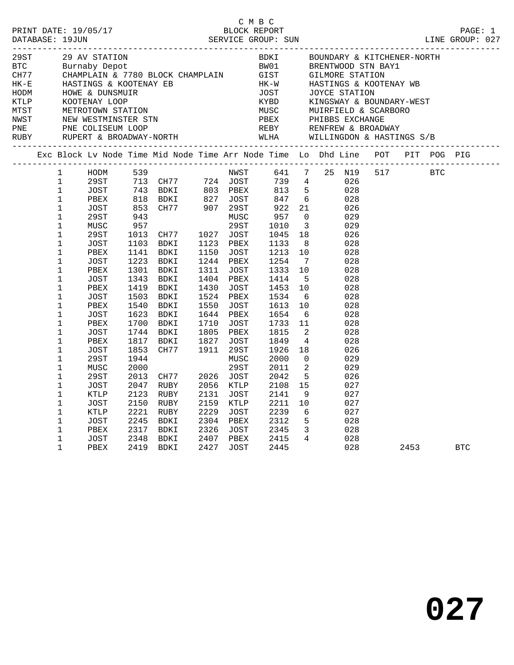|                                                              |                                                                                                                                                                                                                              |                                                                                                                                     |                                                                                                         |                                                                                                                                                        |                                                             |                                                                                                                                                                | C M B C                                                                                                                |                                                                                                                                                                                                                                                                                                                                                                                                                                                                                                                                   | PRINT DATE: 19/05/17<br>BLOCK REPORT BLOCK PERT<br>DATABASE: 19JUN SERVICE GROUP: SUN LINE GROUP: 027<br>-----------------------------                                                                                                                                                                                                                            |     |      |            |            |  |
|--------------------------------------------------------------|------------------------------------------------------------------------------------------------------------------------------------------------------------------------------------------------------------------------------|-------------------------------------------------------------------------------------------------------------------------------------|---------------------------------------------------------------------------------------------------------|--------------------------------------------------------------------------------------------------------------------------------------------------------|-------------------------------------------------------------|----------------------------------------------------------------------------------------------------------------------------------------------------------------|------------------------------------------------------------------------------------------------------------------------|-----------------------------------------------------------------------------------------------------------------------------------------------------------------------------------------------------------------------------------------------------------------------------------------------------------------------------------------------------------------------------------------------------------------------------------------------------------------------------------------------------------------------------------|-------------------------------------------------------------------------------------------------------------------------------------------------------------------------------------------------------------------------------------------------------------------------------------------------------------------------------------------------------------------|-----|------|------------|------------|--|
| 29ST<br><b>BTC</b><br>CH77<br>$HK-E$<br>HODM<br>NWST<br>RUBY |                                                                                                                                                                                                                              | 29 AV STATION<br>HASTINGS & KOOTENAY EB                                                                                             |                                                                                                         | Burnaby Depot<br>CHAMPLAIN & 7780 BLOCK CHAMPLAIN<br>HOWE & DUNSMUIR<br>KOOTENAY LOOP<br>METROTOWN STATION<br>NEW WESTMINSTER STN<br>PNE COLISEUM LOOP |                                                             |                                                                                                                                                                | BDKI<br>BW01<br>GIST<br>GIST<br>HK-W<br>JOST<br>JOST                                                                   |                                                                                                                                                                                                                                                                                                                                                                                                                                                                                                                                   | BOUNDARY & KITCHENER-NORTH<br>BRENTWOOD STN BAY1<br><b>GILMORE STATION</b><br>HASTINGS & KOOTENAY WB<br>JOYCE STATION<br>HOWE A DUNSMULK<br>ETLP KOOTENAY LOOP KYBD KINGSWAY & BOUNDARY-WEST<br>METROTOWN STATION MUSC MUIRFIELD & SCARBORO<br>NEW WESTMINSTER STN PBEX PHIBBS EXCHANGE<br>PNE PNE COLISEUM LOOP REBY RENFREW & BROADWAY<br>RUBY RUPERT & BROADWA |     |      |            |            |  |
|                                                              |                                                                                                                                                                                                                              |                                                                                                                                     |                                                                                                         |                                                                                                                                                        |                                                             |                                                                                                                                                                |                                                                                                                        |                                                                                                                                                                                                                                                                                                                                                                                                                                                                                                                                   | Exc Block Lv Node Time Mid Node Time Arr Node Time Lo Dhd Line POT PIT POG PIG                                                                                                                                                                                                                                                                                    |     |      |            |            |  |
|                                                              | 1<br>$\mathbf{1}$<br>$\mathbf 1$<br>$\mathbf 1$<br>$\mathbf{1}$<br>$\mathbf 1$<br>$\mathbf 1$<br>$\mathbf{1}$<br>$\mathbf 1$<br>$\mathbf 1$<br>$\mathbf 1$<br>$\mathbf{1}$<br>$\mathbf 1$<br>$\mathbf 1$<br>1<br>$\mathbf 1$ | HODM<br>29ST<br>JOST<br>PBEX<br>JOST<br>29ST<br>MUSC<br>29ST<br>JOST<br>PBEX<br><b>JOST</b><br>PBEX<br>JOST<br>PBEX<br>JOST<br>PBEX | 539<br>818<br>853<br>943<br>957<br>1013<br>1103<br>1141<br>1223<br>1301<br>1343<br>1419<br>1503<br>1540 | 713 CH77<br>743 BDKI<br>743 BDKI<br>BDKI<br>CH77<br>CH77<br>BDKI<br>BDKI<br>BDKI<br>BDKI<br>BDKI<br>BDKI<br>BDKI<br>BDKI                               | 827<br>1027<br>1150<br>1311<br>1404<br>1430<br>1524<br>1550 | NWST<br>724 JOST<br>803 PBEX<br>803 PBEX<br>JOST<br>907 29ST<br>MUSC<br>29ST<br>JOST<br>1123 PBEX<br>JOST<br>1244 PBEX<br>JOST<br>PBEX<br>JOST<br>PBEX<br>JOST | 641<br>739<br>813<br>847<br>922<br>957<br>1010<br>1045<br>1133<br>1213<br>1254<br>1333<br>1414<br>1453<br>1534<br>1613 | $\overline{7}$<br>$4\phantom{.0000}\phantom{.0000}\phantom{.0000}\phantom{.0000}\phantom{.0000}\phantom{.0000}\phantom{.0000}\phantom{.0000}\phantom{.0000}\phantom{.0000}\phantom{.0000}\phantom{.0000}\phantom{.0000}\phantom{.0000}\phantom{.0000}\phantom{.0000}\phantom{.0000}\phantom{.0000}\phantom{.0000}\phantom{.0000}\phantom{.0000}\phantom{.0000}\phantom{.0000}\phantom{.0000}\phantom$<br>6<br>21<br>$\overline{0}$<br>$\mathbf{3}$<br>18<br>8<br>10 <sup>°</sup><br>$7\overline{ }$<br>10<br>5<br>10<br>- 6<br>10 | 25 N19<br>026<br>$5^{\circ}$<br>028<br>028<br>026<br>029<br>029<br>026<br>028<br>028<br>028<br>028<br>028<br>028<br>028<br>028                                                                                                                                                                                                                                    | 517 |      | <b>BTC</b> |            |  |
|                                                              | $\mathbf 1$<br>$\mathbf{1}$                                                                                                                                                                                                  | JOST<br>PBEX                                                                                                                        | 1623<br>1700                                                                                            | <b>BDKI</b><br>BDKI                                                                                                                                    | 1644<br>1710                                                | PBEX<br>JOST                                                                                                                                                   | 1654<br>1733                                                                                                           | 6<br>11                                                                                                                                                                                                                                                                                                                                                                                                                                                                                                                           | 028<br>028                                                                                                                                                                                                                                                                                                                                                        |     |      |            |            |  |
|                                                              | $\mathbf 1$<br>$\mathbf 1$<br>1<br>$\mathbf{1}$<br>$\mathbf 1$                                                                                                                                                               | <b>JOST</b><br>PBEX<br>JOST<br>29ST<br>MUSC                                                                                         | 1744<br>1817<br>1853<br>1944<br>2000                                                                    | BDKI<br>BDKI<br>CH77                                                                                                                                   | 1805<br>1827<br>1911                                        | PBEX<br>JOST<br>29ST<br>MUSC<br>29ST                                                                                                                           | 1815<br>1849<br>1926<br>2000<br>2011                                                                                   | 2<br>$\overline{4}$<br>18<br>$\mathbf 0$<br>$\overline{2}$                                                                                                                                                                                                                                                                                                                                                                                                                                                                        | 028<br>028<br>026<br>029<br>029                                                                                                                                                                                                                                                                                                                                   |     |      |            |            |  |
|                                                              | $\mathbf 1$<br>$\mathbf 1$<br>$\mathbf 1$<br>$\mathbf 1$                                                                                                                                                                     | 29ST<br>JOST<br>KTLP<br>JOST                                                                                                        | 2013<br>2047<br>2123<br>2150                                                                            | CH77<br>RUBY<br>RUBY<br>RUBY                                                                                                                           | 2026<br>2056<br>2131<br>2159                                | JOST<br>KTLP<br>JOST<br>KTLP                                                                                                                                   | 2042<br>2108<br>2141<br>2211                                                                                           | 5<br>15<br>9<br>10 <sup>°</sup>                                                                                                                                                                                                                                                                                                                                                                                                                                                                                                   | 026<br>027<br>027<br>027                                                                                                                                                                                                                                                                                                                                          |     |      |            |            |  |
|                                                              | $\mathbf 1$<br>$\mathbf 1$<br>$\mathbf{1}$<br>$\mathbf{1}$<br>$\mathbf{1}$                                                                                                                                                   | KTLP<br>JOST<br>PBEX<br>JOST<br>PBEX                                                                                                | 2221<br>2245<br>2317<br>2348<br>2419                                                                    | RUBY<br>BDKI<br>BDKI<br>BDKI<br>BDKI                                                                                                                   | 2229<br>2304<br>2326<br>2407<br>2427                        | JOST<br>PBEX<br>JOST<br>PBEX<br><b>JOST</b>                                                                                                                    | 2239<br>2312<br>2345<br>2415<br>2445                                                                                   | 6<br>5<br>$\mathbf{3}$<br>$\overline{4}$                                                                                                                                                                                                                                                                                                                                                                                                                                                                                          | 027<br>028<br>028<br>028<br>028                                                                                                                                                                                                                                                                                                                                   |     | 2453 |            | <b>BTC</b> |  |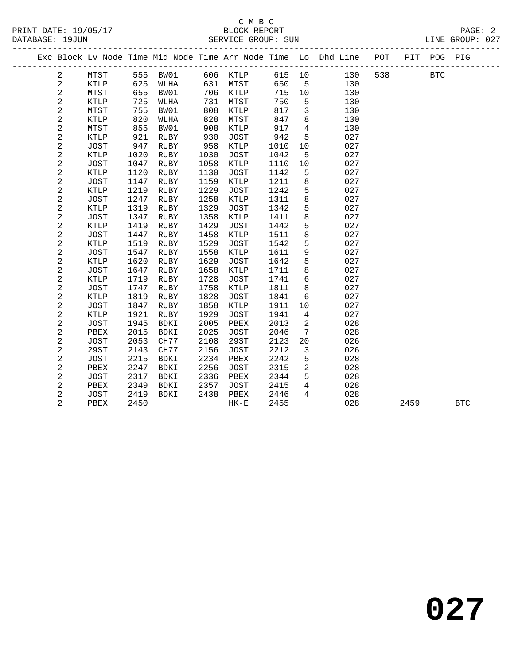|  |                |                 |      |             |      |             |        |                 | Exc Block Lv Node Time Mid Node Time Arr Node Time Lo Dhd Line POT |     |      | PIT POG PIG |            |
|--|----------------|-----------------|------|-------------|------|-------------|--------|-----------------|--------------------------------------------------------------------|-----|------|-------------|------------|
|  | 2              | MTST            |      | 555 BW01    |      | 606 KTLP    | 615 10 |                 | 130                                                                | 538 |      | <b>BTC</b>  |            |
|  | 2              | KTLP            | 625  | WLHA        |      | 631 MTST    | 650    | $-5$            | 130                                                                |     |      |             |            |
|  | 2              | MTST            | 655  | BW01        |      | 706 KTLP    | 715    | 10              | 130                                                                |     |      |             |            |
|  | 2              | KTLP            | 725  | WLHA        | 731  | MTST        | 750    | 5               | 130                                                                |     |      |             |            |
|  | 2              | MTST            | 755  | BW01        | 808  | KTLP        | 817    | $\overline{3}$  | 130                                                                |     |      |             |            |
|  | 2              | KTLP            | 820  | WLHA        | 828  | MTST        | 847    | 8               | 130                                                                |     |      |             |            |
|  | 2              | MTST            | 855  | BW01        | 908  | KTLP        | 917    | $\overline{4}$  | 130                                                                |     |      |             |            |
|  | 2              | KTLP            | 921  | RUBY        | 930  | JOST        | 942    | 5               | 027                                                                |     |      |             |            |
|  | $\sqrt{2}$     | JOST            | 947  | RUBY        | 958  | KTLP        | 1010   | 10              | 027                                                                |     |      |             |            |
|  | 2              | KTLP            | 1020 | RUBY        | 1030 | <b>JOST</b> | 1042   | 5               | 027                                                                |     |      |             |            |
|  | 2              | JOST            | 1047 | RUBY        | 1058 | KTLP        | 1110   | 10              | 027                                                                |     |      |             |            |
|  | 2              | KTLP            | 1120 | RUBY        | 1130 | <b>JOST</b> | 1142   | 5               | 027                                                                |     |      |             |            |
|  | $\sqrt{2}$     | <b>JOST</b>     | 1147 | RUBY        | 1159 | KTLP        | 1211   | $\,8\,$         | 027                                                                |     |      |             |            |
|  | 2              | $\texttt{KTLP}$ | 1219 | RUBY        | 1229 | <b>JOST</b> | 1242   | 5               | 027                                                                |     |      |             |            |
|  | 2              | <b>JOST</b>     | 1247 | RUBY        | 1258 | KTLP        | 1311   | 8               | 027                                                                |     |      |             |            |
|  | 2              | KTLP            | 1319 | RUBY        | 1329 | JOST        | 1342   | 5               | 027                                                                |     |      |             |            |
|  | 2              | <b>JOST</b>     | 1347 | RUBY        | 1358 | KTLP        | 1411   | 8               | 027                                                                |     |      |             |            |
|  | 2              | KTLP            | 1419 | RUBY        | 1429 | <b>JOST</b> | 1442   | 5               | 027                                                                |     |      |             |            |
|  | 2              | JOST            | 1447 | RUBY        | 1458 | KTLP        | 1511   | $\,8\,$         | 027                                                                |     |      |             |            |
|  | 2              | KTLP            | 1519 | RUBY        | 1529 | <b>JOST</b> | 1542   | 5               | 027                                                                |     |      |             |            |
|  | 2              | JOST            | 1547 | RUBY        | 1558 | KTLP        | 1611   | 9               | 027                                                                |     |      |             |            |
|  | 2              | KTLP            | 1620 | RUBY        | 1629 | <b>JOST</b> | 1642   | 5               | 027                                                                |     |      |             |            |
|  | 2              | <b>JOST</b>     | 1647 | RUBY        | 1658 | KTLP        | 1711   | 8               | 027                                                                |     |      |             |            |
|  | $\sqrt{2}$     | KTLP            | 1719 | RUBY        | 1728 | <b>JOST</b> | 1741   | 6               | 027                                                                |     |      |             |            |
|  | 2              | JOST            | 1747 | RUBY        | 1758 | KTLP        | 1811   | 8               | 027                                                                |     |      |             |            |
|  | 2              | KTLP            | 1819 | RUBY        | 1828 | <b>JOST</b> | 1841   | 6               | 027                                                                |     |      |             |            |
|  | $\sqrt{2}$     | JOST            | 1847 | RUBY        | 1858 | KTLP        | 1911   | 10              | 027                                                                |     |      |             |            |
|  | 2              | KTLP            | 1921 | RUBY        | 1929 | <b>JOST</b> | 1941   | $\overline{4}$  | 027                                                                |     |      |             |            |
|  | 2              | <b>JOST</b>     | 1945 | <b>BDKI</b> | 2005 | PBEX        | 2013   | 2               | 028                                                                |     |      |             |            |
|  | 2              | PBEX            | 2015 | BDKI        | 2025 | <b>JOST</b> | 2046   | $7\phantom{.0}$ | 028                                                                |     |      |             |            |
|  | 2              | JOST            | 2053 | CH77        | 2108 | 29ST        | 2123   | 20              | 026                                                                |     |      |             |            |
|  | 2              | 29ST            | 2143 | CH77        | 2156 | JOST        | 2212   | 3               | 026                                                                |     |      |             |            |
|  | 2              | <b>JOST</b>     | 2215 | BDKI        | 2234 | PBEX        | 2242   | 5               | 028                                                                |     |      |             |            |
|  | 2              | PBEX            | 2247 | BDKI        | 2256 | JOST        | 2315   | $\overline{2}$  | 028                                                                |     |      |             |            |
|  | $\overline{c}$ | JOST            | 2317 | BDKI        | 2336 | PBEX        | 2344   | 5               | 028                                                                |     |      |             |            |
|  | 2              | PBEX            | 2349 | BDKI        | 2357 | <b>JOST</b> | 2415   | $\overline{4}$  | 028                                                                |     |      |             |            |
|  | 2              | JOST            | 2419 | BDKI        | 2438 | PBEX        | 2446   | 4               | 028                                                                |     |      |             |            |
|  | $\overline{2}$ | PBEX            | 2450 |             |      | $HK-E$      | 2455   |                 | 028                                                                |     | 2459 |             | <b>BTC</b> |
|  |                |                 |      |             |      |             |        |                 |                                                                    |     |      |             |            |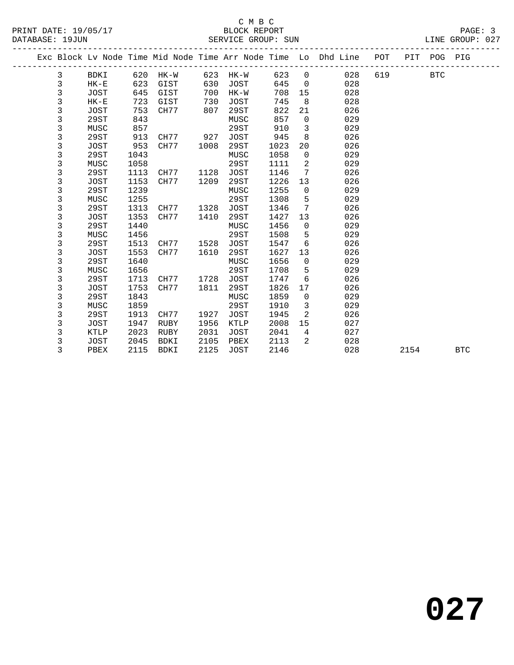#### C M B C<br>BLOCK REPORT PRINT DATE: 19/05/17 BLOCK REPORT PAGE: 3 SERVICE GROUP: SUN

|  |   |             |      |             |      |             |      |                | Exc Block Lv Node Time Mid Node Time Arr Node Time Lo Dhd Line | POT | PIT  | POG PIG    |            |
|--|---|-------------|------|-------------|------|-------------|------|----------------|----------------------------------------------------------------|-----|------|------------|------------|
|  | 3 | <b>BDKI</b> | 620  | HK-W        | 623  | HK-W        | 623  | 0              | 028                                                            | 619 |      | <b>BTC</b> |            |
|  | 3 | $HK - E$    | 623  | GIST        | 630  | JOST        | 645  | $\Omega$       | 028                                                            |     |      |            |            |
|  | 3 | <b>JOST</b> | 645  | GIST        | 700  | $HK-W$      | 708  | 15             | 028                                                            |     |      |            |            |
|  | 3 | $HK-E$      | 723  | GIST        | 730  | <b>JOST</b> | 745  | 8              | 028                                                            |     |      |            |            |
|  | 3 | JOST        | 753  | CH77        | 807  | 29ST        | 822  | 21             | 026                                                            |     |      |            |            |
|  | 3 | 29ST        | 843  |             |      | MUSC        | 857  | $\mathbf 0$    | 029                                                            |     |      |            |            |
|  | 3 | MUSC        | 857  |             |      | 29ST        | 910  | 3              | 029                                                            |     |      |            |            |
|  | 3 | 29ST        | 913  | CH77        | 927  | <b>JOST</b> | 945  | 8              | 026                                                            |     |      |            |            |
|  | 3 | <b>JOST</b> | 953  | CH77        | 1008 | 29ST        | 1023 | 20             | 026                                                            |     |      |            |            |
|  | 3 | 29ST        | 1043 |             |      | MUSC        | 1058 | $\mathbf 0$    | 029                                                            |     |      |            |            |
|  | 3 | MUSC        | 1058 |             |      | 29ST        | 1111 | 2              | 029                                                            |     |      |            |            |
|  | 3 | 29ST        | 1113 | CH77        | 1128 | <b>JOST</b> | 1146 | 7              | 026                                                            |     |      |            |            |
|  | 3 | <b>JOST</b> | 1153 | CH77        | 1209 | 29ST        | 1226 | 13             | 026                                                            |     |      |            |            |
|  | 3 | 29ST        | 1239 |             |      | MUSC        | 1255 | 0              | 029                                                            |     |      |            |            |
|  | 3 | MUSC        | 1255 |             |      | 29ST        | 1308 | 5              | 029                                                            |     |      |            |            |
|  | 3 | 29ST        | 1313 | CH77        | 1328 | <b>JOST</b> | 1346 | 7              | 026                                                            |     |      |            |            |
|  | 3 | <b>JOST</b> | 1353 | CH77        | 1410 | 29ST        | 1427 | 13             | 026                                                            |     |      |            |            |
|  | 3 | 29ST        | 1440 |             |      | MUSC        | 1456 | $\mathbf 0$    | 029                                                            |     |      |            |            |
|  | 3 | MUSC        | 1456 |             |      | 29ST        | 1508 | 5              | 029                                                            |     |      |            |            |
|  | 3 | 29ST        | 1513 | CH77        | 1528 | <b>JOST</b> | 1547 | 6              | 026                                                            |     |      |            |            |
|  | 3 | <b>JOST</b> | 1553 | CH77        | 1610 | 29ST        | 1627 | 13             | 026                                                            |     |      |            |            |
|  | 3 | 29ST        | 1640 |             |      | MUSC        | 1656 | $\mathbf 0$    | 029                                                            |     |      |            |            |
|  | 3 | MUSC        | 1656 |             |      | 29ST        | 1708 | 5              | 029                                                            |     |      |            |            |
|  | 3 | 29ST        | 1713 | CH77        | 1728 | <b>JOST</b> | 1747 | 6              | 026                                                            |     |      |            |            |
|  | 3 | JOST        | 1753 | CH77        | 1811 | 29ST        | 1826 | 17             | 026                                                            |     |      |            |            |
|  | 3 | 29ST        | 1843 |             |      | MUSC        | 1859 | 0              | 029                                                            |     |      |            |            |
|  | 3 | MUSC        | 1859 |             |      | 29ST        | 1910 | 3              | 029                                                            |     |      |            |            |
|  | 3 | 29ST        | 1913 | CH77        | 1927 | <b>JOST</b> | 1945 | 2              | 026                                                            |     |      |            |            |
|  | 3 | JOST        | 1947 | RUBY        | 1956 | KTLP        | 2008 | 15             | 027                                                            |     |      |            |            |
|  | 3 | KTLP        | 2023 | RUBY        | 2031 | JOST        | 2041 | $\overline{4}$ | 027                                                            |     |      |            |            |
|  | 3 | <b>JOST</b> | 2045 | BDKI        | 2105 | PBEX        | 2113 | $\overline{2}$ | 028                                                            |     |      |            |            |
|  | 3 | PBEX        | 2115 | <b>BDKI</b> | 2125 | JOST        | 2146 |                | 028                                                            |     | 2154 |            | <b>BTC</b> |
|  |   |             |      |             |      |             |      |                |                                                                |     |      |            |            |

**027**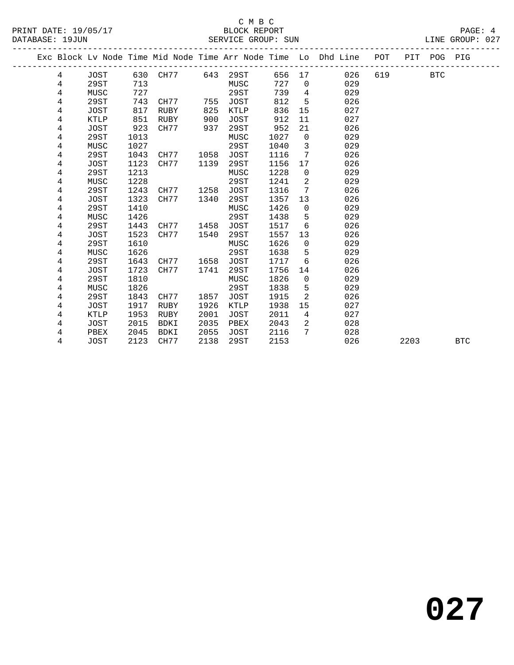|  |   |             |      |             |      |             |      |                | Exc Block Lv Node Time Mid Node Time Arr Node Time Lo Dhd Line | POT | PIT  | POG PIG    |            |
|--|---|-------------|------|-------------|------|-------------|------|----------------|----------------------------------------------------------------|-----|------|------------|------------|
|  | 4 | JOST        | 630  | CH77        | 643  | 29ST        | 656  | 17             | 026                                                            | 619 |      | <b>BTC</b> |            |
|  | 4 | 29ST        | 713  |             |      | MUSC        | 727  | $\Omega$       | 029                                                            |     |      |            |            |
|  | 4 | MUSC        | 727  |             |      | 29ST        | 739  | 4              | 029                                                            |     |      |            |            |
|  | 4 | 29ST        | 743  | CH77        | 755  | <b>JOST</b> | 812  | 5              | 026                                                            |     |      |            |            |
|  | 4 | <b>JOST</b> | 817  | RUBY        | 825  | KTLP        | 836  | 15             | 027                                                            |     |      |            |            |
|  | 4 | <b>KTLP</b> | 851  | RUBY        | 900  | <b>JOST</b> | 912  | 11             | 027                                                            |     |      |            |            |
|  | 4 | <b>JOST</b> | 923  | CH77        | 937  | 29ST        | 952  | 21             | 026                                                            |     |      |            |            |
|  | 4 | 29ST        | 1013 |             |      | MUSC        | 1027 | $\mathsf{O}$   | 029                                                            |     |      |            |            |
|  | 4 | MUSC        | 1027 |             |      | 29ST        | 1040 | 3              | 029                                                            |     |      |            |            |
|  | 4 | 29ST        | 1043 | CH77        | 1058 | JOST        | 1116 | 7              | 026                                                            |     |      |            |            |
|  | 4 | <b>JOST</b> | 1123 | CH77        | 1139 | 29ST        | 1156 | 17             | 026                                                            |     |      |            |            |
|  | 4 | 29ST        | 1213 |             |      | MUSC        | 1228 | $\mathbf 0$    | 029                                                            |     |      |            |            |
|  | 4 | MUSC        | 1228 |             |      | 29ST        | 1241 | 2              | 029                                                            |     |      |            |            |
|  | 4 | 29ST        | 1243 | CH77        | 1258 | <b>JOST</b> | 1316 | 7              | 026                                                            |     |      |            |            |
|  | 4 | <b>JOST</b> | 1323 | CH77        | 1340 | 29ST        | 1357 | 13             | 026                                                            |     |      |            |            |
|  | 4 | 29ST        | 1410 |             |      | MUSC        | 1426 | $\mathbf 0$    | 029                                                            |     |      |            |            |
|  | 4 | MUSC        | 1426 |             |      | 29ST        | 1438 | 5              | 029                                                            |     |      |            |            |
|  | 4 | 29ST        | 1443 | CH77        | 1458 | <b>JOST</b> | 1517 | 6              | 026                                                            |     |      |            |            |
|  | 4 | <b>JOST</b> | 1523 | CH77        | 1540 | 29ST        | 1557 | 13             | 026                                                            |     |      |            |            |
|  | 4 | 29ST        | 1610 |             |      | MUSC        | 1626 | $\mathbf 0$    | 029                                                            |     |      |            |            |
|  | 4 | MUSC        | 1626 |             |      | 29ST        | 1638 | 5              | 029                                                            |     |      |            |            |
|  | 4 | 29ST        | 1643 | CH77        | 1658 | <b>JOST</b> | 1717 | 6              | 026                                                            |     |      |            |            |
|  | 4 | <b>JOST</b> | 1723 | CH77        | 1741 | 29ST        | 1756 | 14             | 026                                                            |     |      |            |            |
|  | 4 | 29ST        | 1810 |             |      | MUSC        | 1826 | 0              | 029                                                            |     |      |            |            |
|  | 4 | MUSC        | 1826 |             |      | 29ST        | 1838 | 5              | 029                                                            |     |      |            |            |
|  | 4 | 29ST        | 1843 | CH77        | 1857 | <b>JOST</b> | 1915 | 2              | 026                                                            |     |      |            |            |
|  | 4 | <b>JOST</b> | 1917 | <b>RUBY</b> | 1926 | KTLP        | 1938 | 15             | 027                                                            |     |      |            |            |
|  | 4 | KTLP        | 1953 | RUBY        | 2001 | <b>JOST</b> | 2011 | 4              | 027                                                            |     |      |            |            |
|  | 4 | JOST        | 2015 | <b>BDKI</b> | 2035 | PBEX        | 2043 | $\overline{2}$ | 028                                                            |     |      |            |            |
|  | 4 | PBEX        | 2045 | BDKI        | 2055 | JOST        | 2116 | 7              | 028                                                            |     |      |            |            |
|  | 4 | <b>JOST</b> | 2123 | CH77        | 2138 | 29ST        | 2153 |                | 026                                                            |     | 2203 |            | <b>BTC</b> |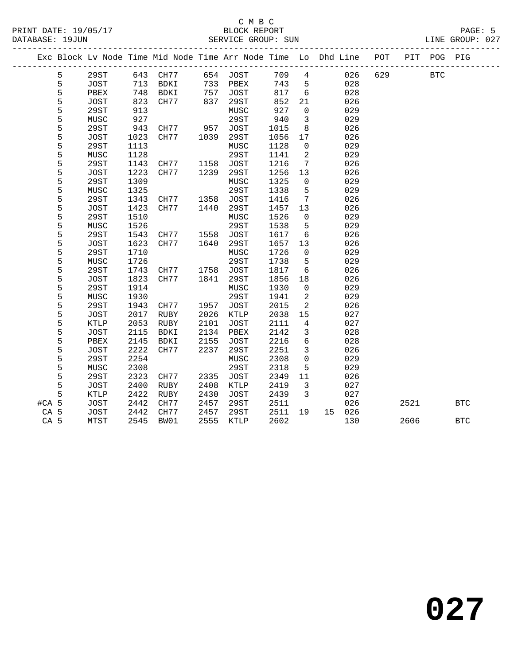#### C M B C<br>BLOCK REPORT PRINT DATE: 19/05/17 BLOCK REPORT PAGE: 5 SERVICE GROUP: SUN

|       |      |      | Exc Block Lv Node Time Mid Node Time Arr Node Time Lo Dhd Line POT |      |             |      |                         |        |     |      | PIT POG PIG |            |
|-------|------|------|--------------------------------------------------------------------|------|-------------|------|-------------------------|--------|-----|------|-------------|------------|
| 5     | 29ST |      | 643 CH77                                                           |      | 654 JOST    | 709  | $\overline{4}$          | 026    | 629 |      | <b>BTC</b>  |            |
| 5     | JOST | 713  | BDKI                                                               |      | 733 PBEX    | 743  | $-5$                    | 028    |     |      |             |            |
| 5     | PBEX | 748  | BDKI                                                               | 757  | JOST        | 817  | $6\overline{6}$         | 028    |     |      |             |            |
| 5     | JOST | 823  | CH77                                                               | 837  | 29ST        | 852  | 21                      | 026    |     |      |             |            |
| 5     | 29ST | 913  |                                                                    |      | MUSC        | 927  | $\mathbf 0$             | 029    |     |      |             |            |
| 5     | MUSC | 927  |                                                                    |      | 29ST        | 940  | $\overline{\mathbf{3}}$ | 029    |     |      |             |            |
| 5     | 29ST | 943  | CH77                                                               | 957  | <b>JOST</b> | 1015 | 8                       | 026    |     |      |             |            |
| 5     | JOST | 1023 | CH77                                                               | 1039 | 29ST        | 1056 | 17                      | 026    |     |      |             |            |
| 5     | 29ST | 1113 |                                                                    |      | MUSC        | 1128 | $\overline{0}$          | 029    |     |      |             |            |
| 5     | MUSC | 1128 |                                                                    |      | 29ST        | 1141 | 2                       | 029    |     |      |             |            |
| 5     | 29ST | 1143 | CH77 1158                                                          |      | <b>JOST</b> | 1216 | 7                       | 026    |     |      |             |            |
| 5     | JOST | 1223 | CH77                                                               | 1239 | 29ST        | 1256 | 13                      | 026    |     |      |             |            |
| 5     | 29ST | 1309 |                                                                    |      | MUSC        | 1325 | $\overline{0}$          | 029    |     |      |             |            |
| 5     | MUSC | 1325 |                                                                    |      | 29ST        | 1338 | 5                       | 029    |     |      |             |            |
| 5     | 29ST | 1343 | CH77 1358                                                          |      | <b>JOST</b> | 1416 | 7                       | 026    |     |      |             |            |
| 5     | JOST | 1423 | CH77                                                               | 1440 | 29ST        | 1457 | 13                      | 026    |     |      |             |            |
| 5     | 29ST | 1510 |                                                                    |      | MUSC        | 1526 | $\overline{0}$          | 029    |     |      |             |            |
| 5     | MUSC | 1526 |                                                                    |      | 29ST        | 1538 | 5                       | 029    |     |      |             |            |
| 5     | 29ST | 1543 | CH77 1558                                                          |      | JOST        | 1617 | 6                       | 026    |     |      |             |            |
| 5     | JOST | 1623 | CH77                                                               | 1640 | 29ST        | 1657 | 13                      | 026    |     |      |             |            |
| 5     | 29ST | 1710 |                                                                    |      | MUSC        | 1726 | $\overline{0}$          | 029    |     |      |             |            |
| 5     | MUSC | 1726 |                                                                    |      | 29ST        | 1738 | 5                       | 029    |     |      |             |            |
| 5     | 29ST | 1743 | CH77 1758                                                          |      | JOST        | 1817 | 6                       | 026    |     |      |             |            |
| 5     | JOST | 1823 | CH77                                                               | 1841 | 29ST        | 1856 | 18                      | 026    |     |      |             |            |
| 5     | 29ST | 1914 |                                                                    |      | MUSC        | 1930 | $\overline{0}$          | 029    |     |      |             |            |
| 5     | MUSC | 1930 |                                                                    |      | 29ST        | 1941 | 2                       | 029    |     |      |             |            |
| 5     | 29ST | 1943 | CH77                                                               | 1957 | JOST        | 2015 | 2                       | 026    |     |      |             |            |
| 5     | JOST | 2017 | RUBY                                                               | 2026 | KTLP        | 2038 | 15                      | 027    |     |      |             |            |
| 5     | KTLP | 2053 | RUBY                                                               | 2101 | JOST        | 2111 | $\overline{4}$          | 027    |     |      |             |            |
| 5     | JOST | 2115 | BDKI                                                               | 2134 | PBEX        | 2142 | $\mathbf{3}$            | 028    |     |      |             |            |
| 5     | PBEX | 2145 | BDKI                                                               | 2155 | JOST        | 2216 | 6                       | 028    |     |      |             |            |
| 5     | JOST | 2222 | CH77                                                               | 2237 | 29ST        | 2251 | $\overline{3}$          | 026    |     |      |             |            |
| 5     | 29ST | 2254 |                                                                    |      | MUSC        | 2308 | $\mathbf 0$             | 029    |     |      |             |            |
| 5     | MUSC | 2308 |                                                                    |      | 29ST        | 2318 | 5                       | 029    |     |      |             |            |
| 5     | 29ST | 2323 | CH77                                                               | 2335 | JOST        | 2349 | 11                      | 026    |     |      |             |            |
| 5     | JOST | 2400 | RUBY                                                               | 2408 | KTLP        | 2419 | $\overline{3}$          | 027    |     |      |             |            |
| 5     | KTLP | 2422 | RUBY                                                               | 2430 | JOST        | 2439 | 3                       | 027    |     |      |             |            |
| #CA 5 | JOST | 2442 | CH77                                                               | 2457 | 29ST        | 2511 |                         | 026    |     | 2521 |             | <b>BTC</b> |
| CA 5  | JOST | 2442 | CH77                                                               | 2457 | 29ST        | 2511 | 19                      | 15 026 |     |      |             |            |
| CA 5  | MTST | 2545 | BW01                                                               | 2555 | KTLP        | 2602 |                         | 130    |     | 2606 |             | <b>BTC</b> |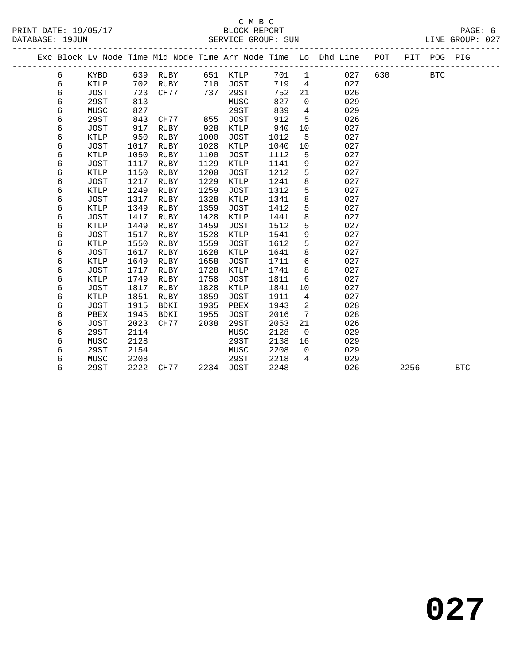|   |             |      |             |      |             |      |                | Exc Block Lv Node Time Mid Node Time Arr Node Time Lo Dhd Line POT<br>_______________________________ |     |      | PIT POG PIG |            |
|---|-------------|------|-------------|------|-------------|------|----------------|-------------------------------------------------------------------------------------------------------|-----|------|-------------|------------|
| 6 | KYBD        |      | 639 RUBY    | 651  | KTLP        | 701  | $\overline{1}$ | 027                                                                                                   | 630 |      | <b>BTC</b>  |            |
| 6 | <b>KTLP</b> | 702  | RUBY        | 710  | JOST        | 719  | $\overline{4}$ | 027                                                                                                   |     |      |             |            |
| б | <b>JOST</b> | 723  | CH77        | 737  | 29ST        | 752  | 21             | 026                                                                                                   |     |      |             |            |
| б | 29ST        | 813  |             |      | MUSC        | 827  | $\mathbf 0$    | 029                                                                                                   |     |      |             |            |
| б | MUSC        | 827  |             |      | 29ST        | 839  | $\overline{4}$ | 029                                                                                                   |     |      |             |            |
| б | 29ST        | 843  | CH77        | 855  | <b>JOST</b> | 912  | 5              | 026                                                                                                   |     |      |             |            |
| 6 | <b>JOST</b> | 917  | RUBY        | 928  | <b>KTLP</b> | 940  | 10             | 027                                                                                                   |     |      |             |            |
| 6 | <b>KTLP</b> | 950  | RUBY        | 1000 | <b>JOST</b> | 1012 | 5              | 027                                                                                                   |     |      |             |            |
| 6 | <b>JOST</b> | 1017 | RUBY        | 1028 | <b>KTLP</b> | 1040 | 10             | 027                                                                                                   |     |      |             |            |
| 6 | <b>KTLP</b> | 1050 | RUBY        | 1100 | <b>JOST</b> | 1112 | 5              | 027                                                                                                   |     |      |             |            |
| 6 | <b>JOST</b> | 1117 | RUBY        | 1129 | <b>KTLP</b> | 1141 | 9              | 027                                                                                                   |     |      |             |            |
| 6 | <b>KTLP</b> | 1150 | RUBY        | 1200 | <b>JOST</b> | 1212 | 5              | 027                                                                                                   |     |      |             |            |
| 6 | <b>JOST</b> | 1217 | RUBY        | 1229 | KTLP        | 1241 | 8              | 027                                                                                                   |     |      |             |            |
| 6 | <b>KTLP</b> | 1249 | RUBY        | 1259 | <b>JOST</b> | 1312 | 5              | 027                                                                                                   |     |      |             |            |
| 6 | <b>JOST</b> | 1317 | RUBY        | 1328 | <b>KTLP</b> | 1341 | $\,8\,$        | 027                                                                                                   |     |      |             |            |
| 6 | <b>KTLP</b> | 1349 | RUBY        | 1359 | <b>JOST</b> | 1412 | 5              | 027                                                                                                   |     |      |             |            |
| 6 | <b>JOST</b> | 1417 | RUBY        | 1428 | KTLP        | 1441 | 8              | 027                                                                                                   |     |      |             |            |
| 6 | <b>KTLP</b> | 1449 | RUBY        | 1459 | <b>JOST</b> | 1512 | 5              | 027                                                                                                   |     |      |             |            |
| 6 | <b>JOST</b> | 1517 | RUBY        | 1528 | KTLP        | 1541 | 9              | 027                                                                                                   |     |      |             |            |
| 6 | <b>KTLP</b> | 1550 | RUBY        | 1559 | <b>JOST</b> | 1612 | 5              | 027                                                                                                   |     |      |             |            |
| 6 | JOST        | 1617 | RUBY        | 1628 | KTLP        | 1641 | 8              | 027                                                                                                   |     |      |             |            |
| 6 | <b>KTLP</b> | 1649 | RUBY        | 1658 | <b>JOST</b> | 1711 | 6              | 027                                                                                                   |     |      |             |            |
| 6 | JOST        | 1717 | RUBY        | 1728 | KTLP        | 1741 | 8              | 027                                                                                                   |     |      |             |            |
| 6 | KTLP        | 1749 | RUBY        | 1758 | <b>JOST</b> | 1811 | 6              | 027                                                                                                   |     |      |             |            |
| 6 | <b>JOST</b> | 1817 | RUBY        | 1828 | KTLP        | 1841 | 10             | 027                                                                                                   |     |      |             |            |
| 6 | KTLP        | 1851 | RUBY        | 1859 | JOST        | 1911 | $\overline{4}$ | 027                                                                                                   |     |      |             |            |
| 6 | <b>JOST</b> | 1915 | <b>BDKI</b> | 1935 | PBEX        | 1943 | $\overline{a}$ | 028                                                                                                   |     |      |             |            |
| 6 | PBEX        | 1945 | <b>BDKI</b> | 1955 | <b>JOST</b> | 2016 | 7              | 028                                                                                                   |     |      |             |            |
| 6 | <b>JOST</b> | 2023 | CH77        | 2038 | 29ST        | 2053 | 21             | 026                                                                                                   |     |      |             |            |
| 6 | 29ST        | 2114 |             |      | MUSC        | 2128 | $\overline{0}$ | 029                                                                                                   |     |      |             |            |
| 6 | MUSC        | 2128 |             |      | 29ST        | 2138 | 16             | 029                                                                                                   |     |      |             |            |
| 6 | 29ST        | 2154 |             |      | MUSC        | 2208 | $\Omega$       | 029                                                                                                   |     |      |             |            |
| 6 | MUSC        | 2208 |             |      | 29ST        | 2218 | $\overline{4}$ | 029                                                                                                   |     |      |             |            |
| 6 | <b>29ST</b> | 2222 | CH77        | 2234 | JOST        | 2248 |                | 026                                                                                                   |     | 2256 |             | <b>BTC</b> |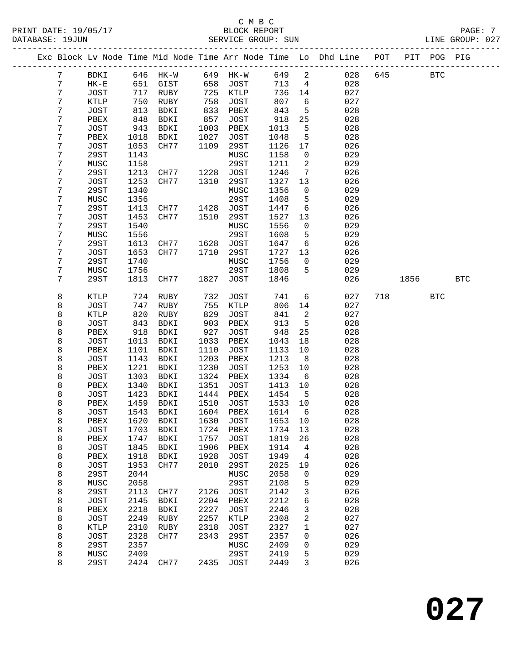| 19/05/17<br>PRINT DATE: | REPORT<br>RLOCK       | PAGE:                   |
|-------------------------|-----------------------|-------------------------|
| DATARASE:<br>1 9.TUN.   | SUN<br>SERVICE GROUP: | - 027<br>GROUP:<br>TNE. |

|   |        |      |                     |      |           |         |                 | Exc Block Lv Node Time Mid Node Time Arr Node Time Lo Dhd Line | POT |      | PIT POG PIG |            |
|---|--------|------|---------------------|------|-----------|---------|-----------------|----------------------------------------------------------------|-----|------|-------------|------------|
| 7 | BDKI   |      | 646 HK-W 649 HK-W   |      |           | 649     | $\overline{a}$  | 028                                                            | 645 |      | <b>BTC</b>  |            |
| 7 | $HK-E$ |      | 651 GIST            | 658  | JOST      | 713     | $\overline{4}$  | 028                                                            |     |      |             |            |
| 7 | JOST   |      | 717 RUBY            | 725  | KTLP      | 736     | 14              | 027                                                            |     |      |             |            |
| 7 | KTLP   | 750  | RUBY                | 758  | JOST      | 807     | 6               | 027                                                            |     |      |             |            |
| 7 | JOST   | 813  | BDKI                | 833  | PBEX      | 843     | $5^{\circ}$     | 028                                                            |     |      |             |            |
| 7 | PBEX   | 848  | BDKI                | 857  | JOST      | 918     | 25              | 028                                                            |     |      |             |            |
| 7 | JOST   | 943  | BDKI                | 1003 | PBEX      | 1013    | 5               | 028                                                            |     |      |             |            |
| 7 | PBEX   | 1018 | BDKI                | 1027 | JOST      | 1048    | 5               | 028                                                            |     |      |             |            |
| 7 | JOST   | 1053 | CH77                | 1109 | 29ST      | 1126    | 17              | 026                                                            |     |      |             |            |
| 7 | 29ST   | 1143 |                     |      | MUSC      | 1158    | $\overline{0}$  | 029                                                            |     |      |             |            |
| 7 | MUSC   | 1158 |                     |      | 29ST      | 1211    | 2               | 029                                                            |     |      |             |            |
| 7 | 29ST   | 1213 | CH77                | 1228 | JOST      | 1246    | $7\phantom{.0}$ | 026                                                            |     |      |             |            |
|   |        |      |                     |      |           |         |                 |                                                                |     |      |             |            |
| 7 | JOST   | 1253 | CH77                | 1310 | 29ST      | 1327    | 13              | 026                                                            |     |      |             |            |
| 7 | 29ST   | 1340 |                     |      | MUSC      | 1356    | $\mathsf{O}$    | 029                                                            |     |      |             |            |
| 7 | MUSC   | 1356 |                     |      | 29ST      | 1408    | 5               | 029                                                            |     |      |             |            |
| 7 | 29ST   | 1413 | CH77                | 1428 | JOST      | 1447    | 6               | 026                                                            |     |      |             |            |
| 7 | JOST   | 1453 | CH77                | 1510 | 29ST      | 1527    | 13              | 026                                                            |     |      |             |            |
| 7 | 29ST   | 1540 |                     |      | MUSC      | 1556    | $\mathsf{O}$    | 029                                                            |     |      |             |            |
| 7 | MUSC   | 1556 |                     |      | 29ST      | 1608    | 5               | 029                                                            |     |      |             |            |
| 7 | 29ST   | 1613 | CH77                | 1628 | JOST      | 1647    | 6               | 026                                                            |     |      |             |            |
| 7 | JOST   | 1653 | CH77                | 1710 | 29ST      | 1727    | 13              | 026                                                            |     |      |             |            |
| 7 | 29ST   | 1740 |                     |      | MUSC      | 1756    | $\mathsf{O}$    | 029                                                            |     |      |             |            |
| 7 | MUSC   | 1756 |                     |      | 29ST      | 1808    | 5               | 029                                                            |     |      |             |            |
| 7 | 29ST   | 1813 | CH77                | 1827 | JOST      | 1846    |                 | 026                                                            |     | 1856 |             | <b>BTC</b> |
| 8 | KTLP   | 724  | RUBY                | 732  | JOST      | 741     | 6               | 027                                                            | 718 |      | BTC         |            |
| 8 | JOST   | 747  | RUBY                | 755  | KTLP      | 806     | 14              | 027                                                            |     |      |             |            |
| 8 | KTLP   | 820  | RUBY                | 829  | JOST      | 841     | 2               | 027                                                            |     |      |             |            |
| 8 | JOST   | 843  | BDKI                | 903  | PBEX      | 913     | 5               | 028                                                            |     |      |             |            |
| 8 | PBEX   | 918  | BDKI                | 927  | JOST      | 948     | 25              | 028                                                            |     |      |             |            |
| 8 | JOST   | 1013 | BDKI                | 1033 | PBEX      | 1043    | 18              | 028                                                            |     |      |             |            |
| 8 | PBEX   | 1101 | BDKI                | 1110 | JOST      | 1133    | 10              | 028                                                            |     |      |             |            |
|   |        |      |                     |      |           |         |                 |                                                                |     |      |             |            |
| 8 | JOST   | 1143 | BDKI                | 1203 | PBEX      | 1213    | 8 <sup>8</sup>  | 028                                                            |     |      |             |            |
| 8 | PBEX   | 1221 | BDKI                | 1230 | JOST      | 1253    | 10              | 028                                                            |     |      |             |            |
| 8 | JOST   | 1303 | BDKI                | 1324 | PBEX      | 1334    | $6\overline{6}$ | 028                                                            |     |      |             |            |
| 8 | PBEX   | 1340 | BDKI                | 1351 | JOST      | 1413    | 10              | 028                                                            |     |      |             |            |
| 8 | JOST   | 1423 | BDKI                | 1444 | PBEX      | 1454    | $5^{\circ}$     | 028                                                            |     |      |             |            |
| 8 | PBEX   | 1459 | BDKI                | 1510 | JOST      | 1533    | 10              | 028                                                            |     |      |             |            |
| 8 | JOST   | 1543 | BDKI                |      | 1604 PBEX | 1614    | 6               | 028                                                            |     |      |             |            |
| 8 | PBEX   |      | 1620 BDKI 1630 JOST |      |           | 1653 10 |                 | 028                                                            |     |      |             |            |
| 8 | JOST   | 1703 | BDKI                | 1724 | PBEX      | 1734    | 13              | 028                                                            |     |      |             |            |
| 8 | PBEX   | 1747 | BDKI                | 1757 | JOST      | 1819    | 26              | 028                                                            |     |      |             |            |
| 8 | JOST   | 1845 | BDKI                | 1906 | PBEX      | 1914    | 4               | 028                                                            |     |      |             |            |
| 8 | PBEX   | 1918 | BDKI                | 1928 | JOST      | 1949    | 4               | 028                                                            |     |      |             |            |
| 8 | JOST   | 1953 | CH77                | 2010 | 29ST      | 2025    | 19              | 026                                                            |     |      |             |            |
| 8 | 29ST   | 2044 |                     |      | MUSC      | 2058    | 0               | 029                                                            |     |      |             |            |
| 8 | MUSC   | 2058 |                     |      | 29ST      | 2108    | 5               | 029                                                            |     |      |             |            |
| 8 | 29ST   | 2113 | CH77                | 2126 | JOST      | 2142    | 3               | 026                                                            |     |      |             |            |
| 8 | JOST   | 2145 | BDKI                | 2204 | PBEX      | 2212    | 6               | 028                                                            |     |      |             |            |
| 8 | PBEX   | 2218 | BDKI                | 2227 | JOST      | 2246    | 3               | 028                                                            |     |      |             |            |
|   |        | 2249 |                     | 2257 |           |         |                 | 027                                                            |     |      |             |            |
| 8 | JOST   |      | RUBY                |      | KTLP      | 2308    | 2               |                                                                |     |      |             |            |
| 8 | KTLP   | 2310 | RUBY                | 2318 | JOST      | 2327    | 1               | 027                                                            |     |      |             |            |
| 8 | JOST   | 2328 | CH77                | 2343 | 29ST      | 2357    | 0               | 026                                                            |     |      |             |            |
| 8 | 29ST   | 2357 |                     |      | MUSC      | 2409    | 0               | 029                                                            |     |      |             |            |
| 8 | MUSC   | 2409 |                     |      | 29ST      | 2419    | 5               | 029                                                            |     |      |             |            |
| 8 | 29ST   |      | 2424 CH77           |      | 2435 JOST | 2449    | 3               | 026                                                            |     |      |             |            |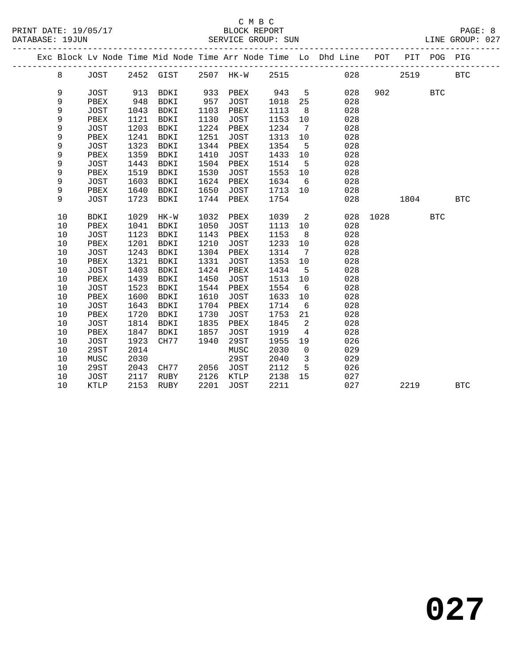PRINT DATE: 19/05/17 BLOCK REPORT PAGE: 8 DATABASE: 19JUN -------------------------------------------------------------------------------------------------

### C M B C<br>BLOCK REPORT

9 JOST 1723 BDKI 1744 PBEX 1754 028 1804 BTC

10 KTLP 2153 RUBY 2201 JOST 2211 027 2219 BTC

10 BDKI 1029 HK-W 1032 PBEX 1039 2 028 1028 BTC<br>10 PBEX 1041 BDKI 1050 JOST 1113 10 028<br>10 JOST 1123 BDKI 1143 PBEX 1153 8 028<br>10 PBEX 1201 BDKI 1210 JOST 1233 10 028<br>10 JOST 1243 BDKI 1304 PBEX 1314 7 028<br>10 PBEX 1321 BDK

9 PBEX 1640 BDKI 1650 JOST 1713 10 028

 10 PBEX 1041 BDKI 1050 JOST 1113 10 028 10 JOST 1123 BDKI 1143 PBEX 1153 8 028 10 PBEX 1201 BDKI 1210 JOST 1233 10 028 10 JOST 1243 BDKI 1304 PBEX 1314 7 028 10 PBEX 1321 BDKI 1331 JOST 1353 10 028 10 JOST 1403 BDKI 1424 PBEX 1434 5 028 10 PBEX 1439 BDKI 1450 JOST 1513 10 028 10 JOST 1523 BDKI 1544 PBEX 1554 6 028 10 PBEX 1600 BDKI 1610 JOST 1633 10 028 10 JOST 1643 BDKI 1704 PBEX 1714 6 028 10 PBEX 1720 BDKI 1730 JOST 1753 21 028 10 JOST 1814 BDKI 1835 PBEX 1845 2 028 10 PBEX 1847 BDKI 1857 JOST 1919 4 028 10 JOST 1923 CH77 1940 29ST 1955 19 026 10 29ST 2014 MUSC 2030 0 029 10 MUSC 2030 29ST 2040 3 029 10 29ST 2043 CH77 2056 JOST 2112 5 026 10 JOST 2117 RUBY 2126 KTLP 2138 15 027

|  | DAIADAJL. IJUUN |      |      |             |      | SARVICA GRUUP. SUN |      |     |                                                                |     |      |            | UIND GROUP. UZ7 |
|--|-----------------|------|------|-------------|------|--------------------|------|-----|----------------------------------------------------------------|-----|------|------------|-----------------|
|  |                 |      |      |             |      |                    |      |     | Exc Block Lv Node Time Mid Node Time Arr Node Time Lo Dhd Line | POT | PIT  | <b>POG</b> | PIG             |
|  | 8               | JOST | 2452 | GIST        | 2507 | HK-W               | 2515 |     | 028                                                            |     | 2519 |            | <b>BTC</b>      |
|  | 9               | JOST | 913  | BDKI        | 933  | PBEX               | 943  | 5   | 028                                                            | 902 |      | <b>BTC</b> |                 |
|  | 9               | PBEX | 948  | BDKI        | 957  | JOST               | 1018 | 25  | 028                                                            |     |      |            |                 |
|  | 9               | JOST | 1043 | BDKI        | 1103 | PBEX               | 1113 | - 8 | 028                                                            |     |      |            |                 |
|  | 9               | PBEX | 1121 | BDKI        | 1130 | JOST               | 1153 | 10  | 028                                                            |     |      |            |                 |
|  | 9               | JOST | 1203 | BDKI        | 1224 | PBEX               | 1234 | -7  | 028                                                            |     |      |            |                 |
|  | 9               | PBEX | 1241 | BDKI        | 1251 | JOST               | 1313 | 10  | 028                                                            |     |      |            |                 |
|  | 9               | JOST | 1323 | BDKI        | 1344 | PBEX               | 1354 | 5   | 028                                                            |     |      |            |                 |
|  | 9               | PBEX | 1359 | BDKI        | 1410 | JOST               | 1433 | 10  | 028                                                            |     |      |            |                 |
|  | 9               | JOST | 1443 | <b>BDKI</b> | 1504 | PBEX               | 1514 | 5   | 028                                                            |     |      |            |                 |
|  | 9               | PBEX | 1519 | BDKI        | 1530 | JOST               | 1553 | 10  | 028                                                            |     |      |            |                 |
|  | 9               | JOST | 1603 | BDKI        | 1624 | PBEX               | 1634 | 6   | 028                                                            |     |      |            |                 |
|  |                 |      |      |             |      |                    |      |     |                                                                |     |      |            |                 |

| $\sqrt{ }$<br>Λ<br>ч<br>٠.<br>т<br>۰. | ۰ |
|---------------------------------------|---|
|---------------------------------------|---|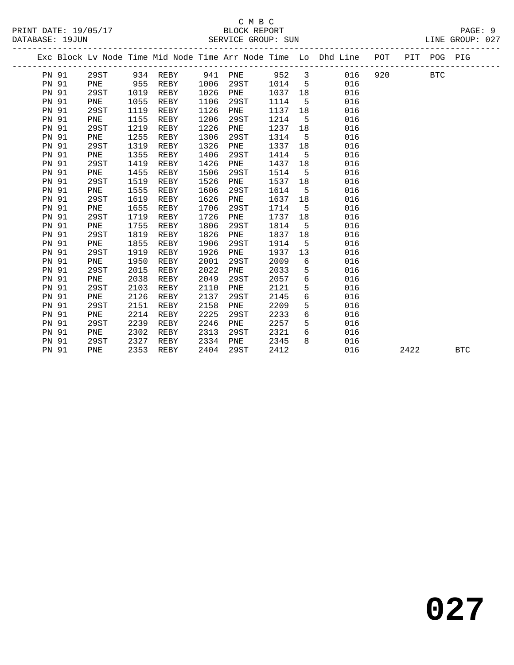|              |              |      |      |          |      |             |         |                 | Exc Block Lv Node Time Mid Node Time Arr Node Time Lo Dhd Line POT PIT POG PIG |     |      |            |            |
|--------------|--------------|------|------|----------|------|-------------|---------|-----------------|--------------------------------------------------------------------------------|-----|------|------------|------------|
|              | PN 91        | 29ST |      | 934 REBY |      | 941 PNE 952 |         |                 | $\overline{\mathbf{3}}$<br>016                                                 | 920 |      | <b>BTC</b> |            |
| PN 91        |              | PNE  | 955  | REBY     | 1006 | 29ST        | 1014    |                 | $5^{\circ}$<br>016                                                             |     |      |            |            |
| PN 91        |              | 29ST | 1019 | REBY     | 1026 | PNE         | 1037    | 18              | 016                                                                            |     |      |            |            |
|              | <b>PN 91</b> | PNE  | 1055 | REBY     | 1106 | 29ST        | 1114    | 5               | 016                                                                            |     |      |            |            |
|              | <b>PN 91</b> | 29ST | 1119 | REBY     | 1126 | PNE         | 1137    | 18              | 016                                                                            |     |      |            |            |
|              | <b>PN 91</b> | PNE  | 1155 | REBY     | 1206 | 29ST        | 1214    | $5^{\circ}$     | 016                                                                            |     |      |            |            |
|              | <b>PN 91</b> | 29ST | 1219 | REBY     | 1226 | PNE         | 1237    | 18              | 016                                                                            |     |      |            |            |
|              | <b>PN 91</b> | PNE  | 1255 | REBY     | 1306 | 29ST        | 1314    | $5^{\circ}$     | 016                                                                            |     |      |            |            |
|              | PN 91        | 29ST | 1319 | REBY     | 1326 | PNE         | 1337    | 18              | 016                                                                            |     |      |            |            |
|              | <b>PN 91</b> | PNE  | 1355 | REBY     | 1406 | 29ST        | 1414    | $5^{\circ}$     | 016                                                                            |     |      |            |            |
|              | <b>PN 91</b> | 29ST | 1419 | REBY     | 1426 | PNE         | 1437    | 18              | 016                                                                            |     |      |            |            |
|              | <b>PN 91</b> | PNE  | 1455 | REBY     | 1506 | 29ST        | 1514    | $5^{\circ}$     | 016                                                                            |     |      |            |            |
|              | <b>PN 91</b> | 29ST | 1519 | REBY     | 1526 | PNE         | 1537    | 18              | 016                                                                            |     |      |            |            |
|              | <b>PN 91</b> | PNE  | 1555 | REBY     | 1606 | 29ST        | 1614    | 5 <sup>5</sup>  | 016                                                                            |     |      |            |            |
|              | <b>PN 91</b> | 29ST | 1619 | REBY     | 1626 | ${\rm PNE}$ | 1637 18 |                 | 016                                                                            |     |      |            |            |
|              | <b>PN 91</b> | PNE  | 1655 | REBY     | 1706 | 29ST        | 1714    | $5^{\circ}$     | 016                                                                            |     |      |            |            |
| <b>PN 91</b> |              | 29ST | 1719 | REBY     | 1726 | PNE         | 1737    | 18              | 016                                                                            |     |      |            |            |
|              | <b>PN 91</b> | PNE  | 1755 | REBY     | 1806 | 29ST        | 1814    | $5^{\circ}$     | 016                                                                            |     |      |            |            |
| <b>PN 91</b> |              | 29ST | 1819 | REBY     | 1826 | PNE         | 1837    | 18              | 016                                                                            |     |      |            |            |
|              | <b>PN 91</b> | PNE  | 1855 | REBY     | 1906 | 29ST        | 1914    | 5               | 016                                                                            |     |      |            |            |
|              | <b>PN 91</b> | 29ST | 1919 | REBY     | 1926 | PNE         | 1937    | 13              | 016                                                                            |     |      |            |            |
|              | <b>PN 91</b> | PNE  | 1950 | REBY     | 2001 | 29ST        | 2009    | 6               | 016                                                                            |     |      |            |            |
|              | <b>PN 91</b> | 29ST | 2015 | REBY     | 2022 | PNE         | 2033    | 5               | 016                                                                            |     |      |            |            |
|              | <b>PN 91</b> | PNE  | 2038 | REBY     | 2049 | 29ST        | 2057    | $6\overline{6}$ | 016                                                                            |     |      |            |            |
|              | <b>PN 91</b> | 29ST | 2103 | REBY     | 2110 | PNE         | 2121    | 5               | 016                                                                            |     |      |            |            |
|              | PN 91        | PNE  | 2126 | REBY     | 2137 | 29ST        | 2145    | $6\overline{6}$ | 016                                                                            |     |      |            |            |
| PN 91        |              | 29ST | 2151 | REBY     | 2158 | PNE         | 2209    | 5               | 016                                                                            |     |      |            |            |
|              | <b>PN 91</b> | PNE  | 2214 | REBY     | 2225 | 29ST        | 2233    | 6               | 016                                                                            |     |      |            |            |
|              | <b>PN 91</b> | 29ST | 2239 | REBY     | 2246 | PNE         | 2257    |                 | $5^{\circ}$<br>016                                                             |     |      |            |            |
|              | <b>PN 91</b> | PNE  | 2302 | REBY     | 2313 | 29ST        | 2321    |                 | 6<br>016                                                                       |     |      |            |            |
|              | <b>PN 91</b> | 29ST | 2327 | REBY     | 2334 | ${\rm PNE}$ | 2345    | 8               | 016                                                                            |     |      |            |            |
|              | <b>PN 91</b> | PNE  | 2353 | REBY     |      | 2404 29ST   | 2412    |                 | 016                                                                            |     | 2422 |            | <b>BTC</b> |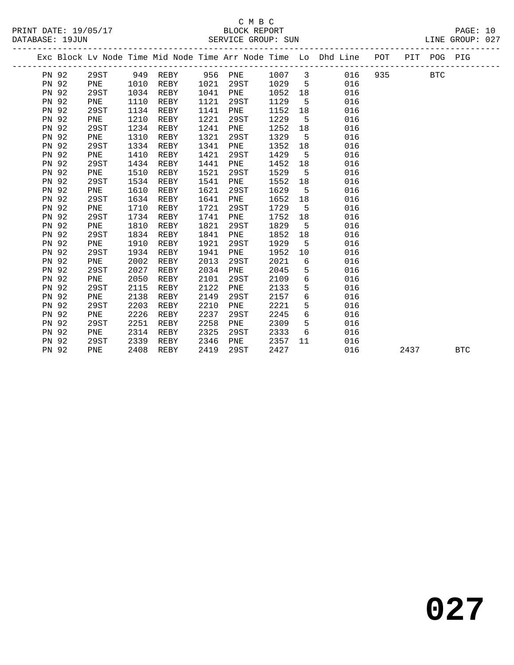|              |      |      |             |      |      |      |                          | Exc Block Lv Node Time Mid Node Time Arr Node Time Lo Dhd Line POT |     |      | PIT POG PIG |            |
|--------------|------|------|-------------|------|------|------|--------------------------|--------------------------------------------------------------------|-----|------|-------------|------------|
| PN 92        | 29ST | 949  | REBY        | 956  | PNE  | 1007 | $\overline{\phantom{a}}$ | 016                                                                | 935 |      | <b>BTC</b>  |            |
| <b>PN 92</b> | PNE  | 1010 | REBY        | 1021 | 29ST | 1029 | $-5$                     | 016                                                                |     |      |             |            |
| <b>PN 92</b> | 29ST | 1034 | REBY        | 1041 | PNE  | 1052 | 18                       | 016                                                                |     |      |             |            |
| PN 92        | PNE  | 1110 | REBY        | 1121 | 29ST | 1129 | $5^{\circ}$              | 016                                                                |     |      |             |            |
| PN 92        | 29ST | 1134 | REBY        | 1141 | PNE  | 1152 | 18                       | 016                                                                |     |      |             |            |
| PN 92        | PNE  | 1210 | REBY        | 1221 | 29ST | 1229 | $-5$                     | 016                                                                |     |      |             |            |
| PN 92        | 29ST | 1234 | REBY        | 1241 | PNE  | 1252 | 18                       | 016                                                                |     |      |             |            |
| PN 92        | PNE  | 1310 | REBY        | 1321 | 29ST | 1329 | 5                        | 016                                                                |     |      |             |            |
| <b>PN 92</b> | 29ST | 1334 | REBY        | 1341 | PNE  | 1352 | 18                       | 016                                                                |     |      |             |            |
| PN 92        | PNE  | 1410 | REBY        | 1421 | 29ST | 1429 | 5                        | 016                                                                |     |      |             |            |
| PN 92        | 29ST | 1434 | REBY        | 1441 | PNE  | 1452 | 18                       | 016                                                                |     |      |             |            |
| PN 92        | PNE  | 1510 | REBY        | 1521 | 29ST | 1529 | $5^{\circ}$              | 016                                                                |     |      |             |            |
| PN 92        | 29ST | 1534 | REBY        | 1541 | PNE  | 1552 | 18                       | 016                                                                |     |      |             |            |
| PN 92        | PNE  | 1610 | REBY        | 1621 | 29ST | 1629 | 5                        | 016                                                                |     |      |             |            |
| <b>PN 92</b> | 29ST | 1634 | REBY        | 1641 | PNE  | 1652 | 18                       | 016                                                                |     |      |             |            |
| <b>PN 92</b> | PNE  | 1710 | REBY        | 1721 | 29ST | 1729 | - 5                      | 016                                                                |     |      |             |            |
| PN 92        | 29ST | 1734 | REBY        | 1741 | PNE  | 1752 | 18                       | 016                                                                |     |      |             |            |
| <b>PN 92</b> | PNE  | 1810 | REBY        | 1821 | 29ST | 1829 | $5^{\circ}$              | 016                                                                |     |      |             |            |
| <b>PN 92</b> | 29ST | 1834 | REBY        | 1841 | PNE  | 1852 | 18                       | 016                                                                |     |      |             |            |
| PN 92        | PNE  | 1910 | REBY        | 1921 | 29ST | 1929 | $-5$                     | 016                                                                |     |      |             |            |
| PN 92        | 29ST | 1934 | REBY        | 1941 | PNE  | 1952 | 10                       | 016                                                                |     |      |             |            |
| <b>PN 92</b> | PNE  | 2002 | REBY        | 2013 | 29ST | 2021 | 6                        | 016                                                                |     |      |             |            |
| PN 92        | 29ST | 2027 | REBY        | 2034 | PNE  | 2045 | 5                        | 016                                                                |     |      |             |            |
| PN 92        | PNE  | 2050 | REBY        | 2101 | 29ST | 2109 | 6                        | 016                                                                |     |      |             |            |
| PN 92        | 29ST | 2115 | REBY        | 2122 | PNE  | 2133 | 5                        | 016                                                                |     |      |             |            |
| PN 92        | PNE  | 2138 | REBY        | 2149 | 29ST | 2157 | 6                        | 016                                                                |     |      |             |            |
| PN 92        | 29ST | 2203 | REBY        | 2210 | PNE  | 2221 | 5                        | 016                                                                |     |      |             |            |
| PN 92        | PNE  | 2226 | <b>REBY</b> | 2237 | 29ST | 2245 | 6                        | 016                                                                |     |      |             |            |
| <b>PN 92</b> | 29ST | 2251 | REBY        | 2258 | PNE  | 2309 | 5                        | 016                                                                |     |      |             |            |
| PN 92        | PNE  | 2314 | REBY        | 2325 | 29ST | 2333 | 6                        | 016                                                                |     |      |             |            |
| <b>PN 92</b> | 29ST | 2339 | REBY        | 2346 | PNE  | 2357 | 11                       | 016                                                                |     |      |             |            |
| <b>PN 92</b> | PNE  | 2408 | REBY        | 2419 | 29ST | 2427 |                          | 016                                                                |     | 2437 |             | <b>BTC</b> |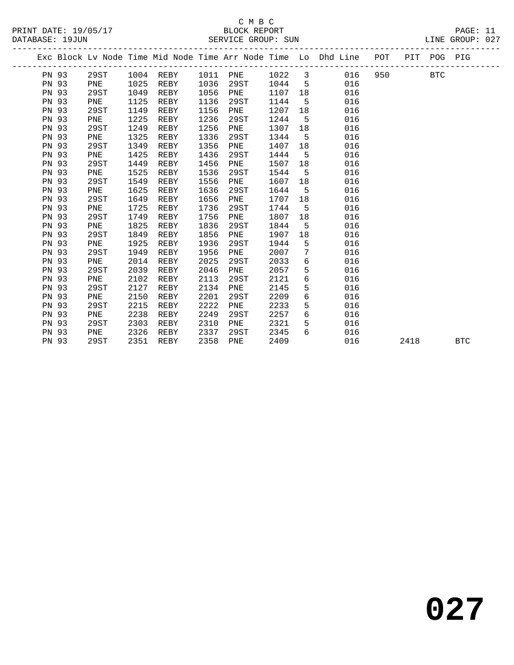|       |      |      |             |      |          |        |             | Exc Block Lv Node Time Mid Node Time Arr Node Time Lo Dhd Line POT PIT POG PIG |     |      |            |            |
|-------|------|------|-------------|------|----------|--------|-------------|--------------------------------------------------------------------------------|-----|------|------------|------------|
|       |      |      |             |      |          |        |             |                                                                                |     |      |            |            |
| PN 93 | 29ST |      | $1004$ REBY |      | 1011 PNE | 1022 3 |             | 016                                                                            | 950 |      | <b>BTC</b> |            |
| PN 93 | PNE  | 1025 | REBY        | 1036 | 29ST     | 1044   | $5^{\circ}$ | 016                                                                            |     |      |            |            |
| PN 93 | 29ST | 1049 | REBY        | 1056 | PNE      | 1107   | 18          | 016                                                                            |     |      |            |            |
| PN 93 | PNE  | 1125 | REBY        | 1136 | 29ST     | 1144   | $-5$        | 016                                                                            |     |      |            |            |
| PN 93 | 29ST | 1149 | REBY        | 1156 | PNE      | 1207   | 18          | 016                                                                            |     |      |            |            |
| PN 93 | PNE  | 1225 | REBY        | 1236 | 29ST     | 1244   | 5           | 016                                                                            |     |      |            |            |
| PN 93 | 29ST | 1249 | REBY        | 1256 | PNE      | 1307   | 18          | 016                                                                            |     |      |            |            |
| PN 93 | PNE  | 1325 | REBY        | 1336 | 29ST     | 1344   | $-5$        | 016                                                                            |     |      |            |            |
| PN 93 | 29ST | 1349 | REBY        | 1356 | PNE      | 1407   | 18          | 016                                                                            |     |      |            |            |
| PN 93 | PNE  | 1425 | REBY        | 1436 | 29ST     | 1444   | 5           | 016                                                                            |     |      |            |            |
| PN 93 | 29ST | 1449 | REBY        | 1456 | PNE      | 1507   | 18          | 016                                                                            |     |      |            |            |
| PN 93 | PNE  | 1525 | REBY        | 1536 | 29ST     | 1544   | $-5$        | 016                                                                            |     |      |            |            |
| PN 93 | 29ST | 1549 | REBY        | 1556 | PNE      | 1607   | 18          | 016                                                                            |     |      |            |            |
| PN 93 | PNE  | 1625 | REBY        | 1636 | 29ST     | 1644   | - 5         | 016                                                                            |     |      |            |            |
| PN 93 | 29ST | 1649 | REBY        | 1656 | PNE      | 1707   | 18          | 016                                                                            |     |      |            |            |
| PN 93 | PNE  | 1725 | REBY        | 1736 | 29ST     | 1744   | 5           | 016                                                                            |     |      |            |            |
| PN 93 | 29ST | 1749 | REBY        | 1756 | PNE      | 1807   | 18          | 016                                                                            |     |      |            |            |
| PN 93 | PNE  | 1825 | REBY        | 1836 | 29ST     | 1844   | 5           | 016                                                                            |     |      |            |            |
| PN 93 | 29ST | 1849 | REBY        | 1856 | PNE      | 1907   | 18          | 016                                                                            |     |      |            |            |
| PN 93 | PNE  | 1925 | REBY        | 1936 | 29ST     | 1944   | 5           | 016                                                                            |     |      |            |            |
| PN 93 | 29ST | 1949 | REBY        | 1956 | PNE      | 2007   | 7           | 016                                                                            |     |      |            |            |
| PN 93 | PNE  | 2014 | REBY        | 2025 | 29ST     | 2033   | 6           | 016                                                                            |     |      |            |            |
| PN 93 | 29ST | 2039 | REBY        | 2046 | PNE      | 2057   | 5           | 016                                                                            |     |      |            |            |
| PN 93 | PNE  | 2102 | REBY        | 2113 | 29ST     | 2121   | 6           | 016                                                                            |     |      |            |            |
| PN 93 | 29ST | 2127 | REBY        | 2134 | PNE      | 2145   | 5           | 016                                                                            |     |      |            |            |
| PN 93 | PNE  | 2150 | REBY        | 2201 | 29ST     | 2209   | 6           | 016                                                                            |     |      |            |            |
| PN 93 | 29ST | 2215 | REBY        | 2222 | PNE      | 2233   | 5           | 016                                                                            |     |      |            |            |
| PN 93 | PNE  | 2238 | REBY        | 2249 | 29ST     | 2257   | 6           | 016                                                                            |     |      |            |            |
| PN 93 | 29ST | 2303 | REBY        | 2310 | PNE      | 2321   | 5           | 016                                                                            |     |      |            |            |
| PN 93 | PNE  | 2326 | REBY        | 2337 | 29ST     | 2345   | 6           | 016                                                                            |     |      |            |            |
| PN 93 | 29ST | 2351 | REBY        | 2358 | PNE      | 2409   |             | 016                                                                            |     | 2418 |            | <b>BTC</b> |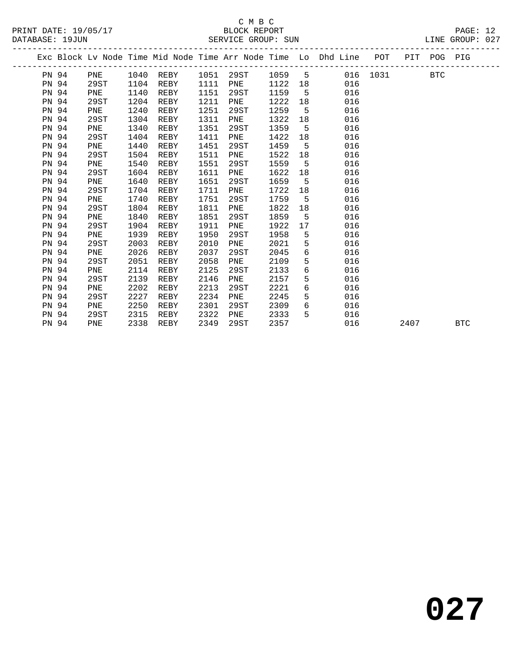|              |      |      |           |      |      |        |                | Exc Block Lv Node Time Mid Node Time Arr Node Time Lo Dhd Line POT PIT POG PIG |          |      |            |            |
|--------------|------|------|-----------|------|------|--------|----------------|--------------------------------------------------------------------------------|----------|------|------------|------------|
| PN 94        | PNE  |      | 1040 REBY | 1051 | 29ST | 1059 5 |                |                                                                                | 016 1031 |      | <b>BTC</b> |            |
| PN 94        | 29ST | 1104 | REBY      | 1111 | PNE  | 1122   | 18             | 016                                                                            |          |      |            |            |
| PN 94        | PNE  | 1140 | REBY      | 1151 | 29ST | 1159   | $5^{\circ}$    | 016                                                                            |          |      |            |            |
| PN 94        | 29ST | 1204 | REBY      | 1211 | PNE  | 1222   | 18             | 016                                                                            |          |      |            |            |
| PN 94        | PNE  | 1240 | REBY      | 1251 | 29ST | 1259   | 5              | 016                                                                            |          |      |            |            |
| PN 94        | 29ST | 1304 | REBY      | 1311 | PNE  | 1322   | 18             | 016                                                                            |          |      |            |            |
| PN 94        | PNE  | 1340 | REBY      | 1351 | 29ST | 1359   | $-5$           | 016                                                                            |          |      |            |            |
| PN 94        | 29ST | 1404 | REBY      | 1411 | PNE  | 1422   | 18             | 016                                                                            |          |      |            |            |
| PN 94        | PNE  | 1440 | REBY      | 1451 | 29ST | 1459   | $5^{\circ}$    | 016                                                                            |          |      |            |            |
| PN 94        | 29ST | 1504 | REBY      | 1511 | PNE  | 1522   | 18             | 016                                                                            |          |      |            |            |
| PN 94        | PNE  | 1540 | REBY      | 1551 | 29ST | 1559   | 5              | 016                                                                            |          |      |            |            |
| PN 94        | 29ST | 1604 | REBY      | 1611 | PNE  | 1622   | 18             | 016                                                                            |          |      |            |            |
| PN 94        | PNE  | 1640 | REBY      | 1651 | 29ST | 1659   | $5^{\circ}$    | 016                                                                            |          |      |            |            |
| PN 94        | 29ST | 1704 | REBY      | 1711 | PNE  | 1722   | 18             | 016                                                                            |          |      |            |            |
| PN 94        | PNE  | 1740 | REBY      | 1751 | 29ST | 1759   | $5^{\circ}$    | 016                                                                            |          |      |            |            |
| PN 94        | 29ST | 1804 | REBY      | 1811 | PNE  | 1822   | 18             | 016                                                                            |          |      |            |            |
| PN 94        | PNE  | 1840 | REBY      | 1851 | 29ST | 1859   | 5              | 016                                                                            |          |      |            |            |
| PN 94        | 29ST | 1904 | REBY      | 1911 | PNE  | 1922   | 17             | 016                                                                            |          |      |            |            |
| PN 94        | PNE  | 1939 | REBY      | 1950 | 29ST | 1958   | 5              | 016                                                                            |          |      |            |            |
| PN 94        | 29ST | 2003 | REBY      | 2010 | PNE  | 2021   | 5              | 016                                                                            |          |      |            |            |
| PN 94        | PNE  | 2026 | REBY      | 2037 | 29ST | 2045   | 6              | 016                                                                            |          |      |            |            |
| PN 94        | 29ST | 2051 | REBY      | 2058 | PNE  | 2109   | 5              | 016                                                                            |          |      |            |            |
| PN 94        | PNE  | 2114 | REBY      | 2125 | 29ST | 2133   | $6\overline{}$ | 016                                                                            |          |      |            |            |
| PN 94        | 29ST | 2139 | REBY      | 2146 | PNE  | 2157   | 5              | 016                                                                            |          |      |            |            |
| <b>PN 94</b> | PNE  | 2202 | REBY      | 2213 | 29ST | 2221   | 6              | 016                                                                            |          |      |            |            |
| PN 94        | 29ST | 2227 | REBY      | 2234 | PNE  | 2245   | 5              | 016                                                                            |          |      |            |            |
| PN 94        | PNE  | 2250 | REBY      | 2301 | 29ST | 2309   | 6              | 016                                                                            |          |      |            |            |
| PN 94        | 29ST | 2315 | REBY      | 2322 | PNE  | 2333   | 5              | 016                                                                            |          |      |            |            |
| PN 94        | PNE  | 2338 | REBY      | 2349 | 29ST | 2357   |                | 016                                                                            |          | 2407 |            | <b>BTC</b> |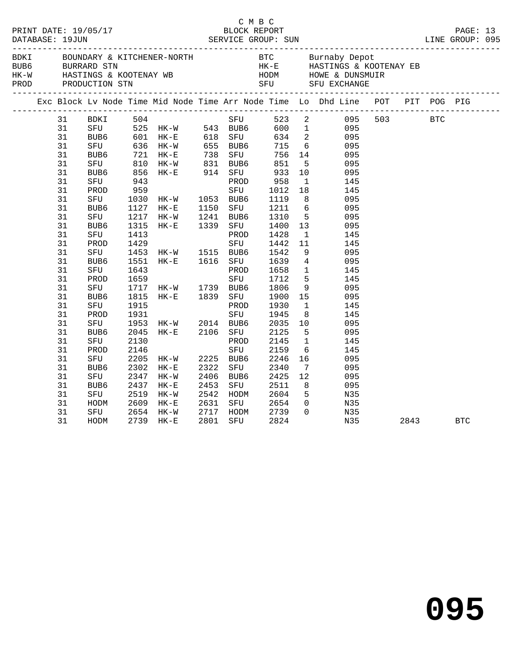|                             |                                                                                                                      |                                                                                                                              |                                                                                                              |                                                                                                                                                                                                                                                               |                                                      | C M B C                                                                                                       |                                                                                                                                                          |                                                                                                                                                                                | PRINT DATE: 19/05/17<br>BLOCK REPORT BLOCK PRORT DATABASE: 19JUN SERVICE GROUP: SUN LINE GROUP: 095                                                                            |      |     |            |  |
|-----------------------------|----------------------------------------------------------------------------------------------------------------------|------------------------------------------------------------------------------------------------------------------------------|--------------------------------------------------------------------------------------------------------------|---------------------------------------------------------------------------------------------------------------------------------------------------------------------------------------------------------------------------------------------------------------|------------------------------------------------------|---------------------------------------------------------------------------------------------------------------|----------------------------------------------------------------------------------------------------------------------------------------------------------|--------------------------------------------------------------------------------------------------------------------------------------------------------------------------------|--------------------------------------------------------------------------------------------------------------------------------------------------------------------------------|------|-----|------------|--|
| BDKI<br>PROD PRODUCTION STN |                                                                                                                      |                                                                                                                              |                                                                                                              |                                                                                                                                                                                                                                                               |                                                      |                                                                                                               |                                                                                                                                                          |                                                                                                                                                                                |                                                                                                                                                                                |      |     |            |  |
|                             |                                                                                                                      |                                                                                                                              |                                                                                                              |                                                                                                                                                                                                                                                               |                                                      |                                                                                                               |                                                                                                                                                          |                                                                                                                                                                                | Exc Block Lv Node Time Mid Node Time Arr Node Time Lo Dhd Line POT PIT POG PIG                                                                                                 |      |     |            |  |
|                             | 31<br>31<br>31<br>31<br>31<br>31<br>31<br>31<br>31<br>31<br>31<br>31<br>31<br>31<br>31<br>31<br>31<br>31<br>31<br>31 | BDKI<br>BUB6<br>SFU<br>BUB6<br>SFU<br>PROD<br>SFU<br>BUB6<br>SFU<br>BUB6<br>SFU<br>PROD<br>SFU<br>BUB6<br>SFU<br>PROD<br>SFU | 504<br>943<br>959<br>1030<br>1127<br>1217<br>1315<br>1413<br>1429<br>1453<br>1551<br>1643<br>1659            | SFU 525 HK-W 543 BUB6<br>BUB6 601 HK-E 618 SFU<br>SFU 636 HK-W 655 BUB6<br>721 HK-E      738   SFU<br>810   HK-W       831   BUB6<br>856 HK-E 914 SFU<br>HK-W 1053 BUB6<br>$HK-E$<br>HK-W<br>$HK-E$<br>HK-W 1515 BUB6<br>HK-E 1616 SFU<br>1717 HK-W 1739 BUB6 |                                                      | SFU<br>543 BUB6<br>655 BUB6<br>PROD<br>SFU<br>1150 SFU<br>1241 BUB6<br>1339 SFU<br>PROD<br>SFU<br>PROD<br>SFU | 523 2<br>600<br>634 2<br>715<br>756<br>851<br>933<br>958<br>1012<br>1119<br>1211<br>1310<br>1400<br>1428<br>1442<br>1542<br>1639<br>1658<br>1712<br>1806 | 14<br>$5^{\circ}$<br>10<br>$\mathbf{1}$<br>18<br>8 <sup>8</sup><br>6<br>$5^{\circ}$<br>13<br>$\mathbf{1}$<br>11<br>9<br>$4\overline{ }$<br>$\mathbf{1}$<br>$5^{\circ}$<br>9    | 095 503<br>$\mathbf 1$<br>095<br>095<br>$6\overline{6}$<br>095<br>095<br>095<br>095<br>145<br>145<br>095<br>095<br>095<br>095<br>145<br>145<br>095<br>095<br>145<br>145<br>095 |      | BTC |            |  |
|                             | 31<br>31<br>31<br>31<br>31<br>31<br>31<br>31<br>31<br>31<br>31<br>31<br>31<br>31<br>31                               | BUB6<br>SFU<br>PROD<br>SFU<br>BUB6<br>SFU<br>PROD<br>SFU<br>BUB6<br>SFU<br>BUB6<br>SFU<br>HODM<br>SFU<br>HODM                | 1815<br>1915<br>1931<br>1953<br>2045<br>2130<br>2146<br>2205<br>2302<br>2347<br>2437<br>2519<br>2654<br>2739 | HK-E 1839 SFU<br>HK-W 2014 BUB6<br>HK-E 2106 SFU<br>HK-W<br>$HK-E$<br>HK-W<br>$HK-E$<br>$HK-W$<br>2609 HK-E<br>HK-W<br>$HK-E$                                                                                                                                 | 2322<br>2406<br>2453<br>2542<br>2631<br>2717<br>2801 | PROD<br>SFU<br>PROD<br>SFU<br>2225 BUB6<br>SFU<br>BUB6<br>SFU<br>HODM<br>SFU<br>HODM<br>SFU                   | 1900<br>1930<br>1945<br>2035<br>2125<br>2145<br>2159<br>2246<br>2340<br>2425<br>2511<br>2604<br>2654<br>2739<br>2824                                     | 15<br>$\mathbf{1}$<br>8 <sup>8</sup><br>10<br>$5^{\circ}$<br>$\mathbf{1}$<br>6<br>16<br>$\overline{7}$<br>12<br>8 <sup>8</sup><br>5 <sub>5</sub><br>$\overline{0}$<br>$\Omega$ | 095<br>145<br>145<br>095<br>095<br>145<br>145<br>095<br>095<br>095<br>095<br>N35<br>N35<br>N35<br>N35                                                                          | 2843 |     | <b>BTC</b> |  |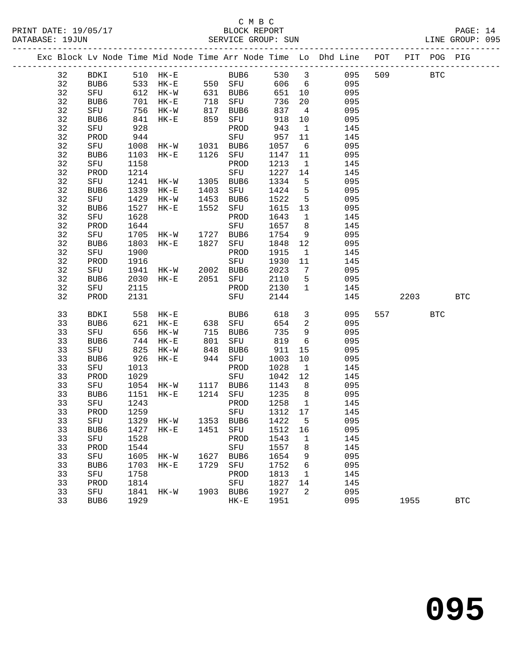#### C M B C<br>BLOCK REPORT PRINT DATE: 19/05/17 BLOCK REPORT PAGE: 14 SERVICE GROUP: SUN

|  |    |      |      |                                               |      |                     |         |                         | Exc Block Lv Node Time Mid Node Time Arr Node Time Lo Dhd Line POT PIT POG PIG |     |            |            |              |
|--|----|------|------|-----------------------------------------------|------|---------------------|---------|-------------------------|--------------------------------------------------------------------------------|-----|------------|------------|--------------|
|  | 32 |      |      | BDKI 510 HK-E BUB6 530 3                      |      |                     |         |                         | 095                                                                            | 509 | <b>BTC</b> |            |              |
|  | 32 | BUB6 |      | $533$ HK-E 550 SFU                            |      |                     | 606 6   |                         | 095                                                                            |     |            |            |              |
|  | 32 | SFU  |      | 612 HK-W 631 BUB6                             |      |                     | 651 10  |                         | 095                                                                            |     |            |            |              |
|  | 32 | BUB6 | 701  |                                               |      |                     | 736     | 20                      | 095                                                                            |     |            |            |              |
|  | 32 | SFU  | 756  |                                               |      |                     | 837     | $\overline{4}$          | 095                                                                            |     |            |            |              |
|  | 32 | BUB6 | 841  | HK-E 718 SFU<br>HK-W 817 BUB6<br>HK-E 859 SFU |      |                     | 918     | 10                      | 095                                                                            |     |            |            |              |
|  | 32 | SFU  | 928  |                                               |      | PROD                | 943     | $\mathbf{1}$            | 145                                                                            |     |            |            |              |
|  | 32 | PROD | 944  |                                               |      | SFU                 | 957     | 11                      | 145                                                                            |     |            |            |              |
|  | 32 | SFU  |      |                                               |      |                     | 1057    | 6                       | 095                                                                            |     |            |            |              |
|  | 32 | BUB6 |      | 1008 HK-W 1031 BUB6<br>1103 HK-E 1126 SFU     |      |                     | 1147    | 11                      | 095                                                                            |     |            |            |              |
|  | 32 | SFU  | 1158 |                                               |      | PROD                | 1213    | $\overline{1}$          | 145                                                                            |     |            |            |              |
|  | 32 | PROD | 1214 |                                               |      | SFU                 | 1227    | 14                      | 145                                                                            |     |            |            |              |
|  | 32 | SFU  | 1241 |                                               |      |                     | 1334    | 5                       | 095                                                                            |     |            |            |              |
|  | 32 | BUB6 | 1339 | HK-W 1305 BUB6<br>HK-E 1403 SFU               |      |                     | 1424    | $5^{\circ}$             | 095                                                                            |     |            |            |              |
|  | 32 | SFU  | 1429 | HK-W 1453 BUB6                                |      |                     | 1522    | $-5$                    | 095                                                                            |     |            |            |              |
|  | 32 | BUB6 | 1527 | HK-E 1552 SFU                                 |      |                     | 1615    | 13                      | 095                                                                            |     |            |            |              |
|  | 32 | SFU  | 1628 |                                               |      | PROD                | 1643    | $\overline{1}$          | 145                                                                            |     |            |            |              |
|  | 32 | PROD | 1644 |                                               |      | SFU                 | 1657    | 8 <sup>8</sup>          | 145                                                                            |     |            |            |              |
|  | 32 | SFU  |      | 1705 HK-W 1727 BUB6                           |      |                     | 1754    | 9                       | 095                                                                            |     |            |            |              |
|  | 32 | BUB6 | 1803 | HK-E 1827 SFU                                 |      |                     | 1848    | 12                      | 095                                                                            |     |            |            |              |
|  | 32 | SFU  | 1900 |                                               |      | PROD                | 1915    | $\overline{1}$          | 145                                                                            |     |            |            |              |
|  | 32 | PROD | 1916 |                                               |      | SFU                 | 1930    | 11                      | 145                                                                            |     |            |            |              |
|  | 32 | SFU  |      | 1941 HK-W 2002 BUB6                           |      |                     | 2023    | $7\overline{ }$         | 095                                                                            |     |            |            |              |
|  | 32 | BUB6 | 2030 | HK-E 2051 SFU                                 |      |                     | 2110    | $5^{\circ}$             | 095                                                                            |     |            |            |              |
|  | 32 | SFU  | 2115 |                                               |      | PROD                | 2130    | $\mathbf{1}$            | 145                                                                            |     |            |            |              |
|  | 32 | PROD | 2131 |                                               |      | SFU                 | 2144    |                         | 145                                                                            |     | 2203       |            | <b>BTC</b>   |
|  |    |      |      |                                               |      |                     |         |                         |                                                                                |     |            |            |              |
|  | 33 | BDKI |      | 558 HK-E BUB6<br>621 HK-E 638 SFU             |      | BUB6 618            |         | $\overline{\mathbf{3}}$ | 095                                                                            |     | 557 30     | <b>BTC</b> |              |
|  | 33 | BUB6 |      |                                               |      |                     | 654     | $\overline{2}$          | 095                                                                            |     |            |            |              |
|  | 33 | SFU  | 656  | $HK-W$                                        |      | 715 BUB6<br>801 SFU | 735     | 9                       | 095                                                                            |     |            |            |              |
|  | 33 | BUB6 |      | 744 HK-E                                      |      |                     | 819     | $6\overline{6}$         | 095                                                                            |     |            |            |              |
|  | 33 | SFU  | 825  | HK-W 848                                      |      | BUB6                | 911     | 15                      | 095                                                                            |     |            |            |              |
|  | 33 | BUB6 | 926  | $HK-E$                                        |      | 944 SFU             | 1003    | 10                      | 095                                                                            |     |            |            |              |
|  | 33 | SFU  | 1013 |                                               |      | PROD                | 1028    | $\overline{1}$          | 145                                                                            |     |            |            |              |
|  | 33 | PROD | 1029 |                                               |      | SFU                 | 1042    | 12                      | 145                                                                            |     |            |            |              |
|  | 33 | SFU  |      | 1054 HK-W 1117 BUB6                           |      |                     | 1143    | 8 <sup>8</sup>          | 095                                                                            |     |            |            |              |
|  | 33 | BUB6 | 1151 | HK-E 1214 SFU                                 |      |                     | 1235    | 8 <sup>8</sup>          | 095                                                                            |     |            |            |              |
|  | 33 | SFU  | 1243 |                                               |      | PROD                | 1258    | $\overline{1}$          | 145                                                                            |     |            |            |              |
|  | 33 | PROD | 1259 |                                               |      | SFU                 | 1312 17 |                         | 145                                                                            |     |            |            |              |
|  | 33 |      |      | SFU 1329 HK-W 1353 BUB6 1422 5                |      |                     |         |                         | 095                                                                            |     |            |            |              |
|  | 33 | BUB6 | 1427 | HK-E                                          |      | 1451 SFU            | 1512    | 16                      | 095                                                                            |     |            |            |              |
|  | 33 | SFU  | 1528 |                                               |      | PROD                | 1543    | 1                       | 145                                                                            |     |            |            |              |
|  | 33 | PROD | 1544 |                                               |      | SFU                 | 1557    | 8                       | 145                                                                            |     |            |            |              |
|  | 33 | SFU  | 1605 | HK-W                                          | 1627 | BUB6                | 1654    | 9                       | 095                                                                            |     |            |            |              |
|  | 33 | BUB6 | 1703 | $HK-E$                                        | 1729 | SFU                 | 1752    | 6                       | 095                                                                            |     |            |            |              |
|  | 33 | SFU  | 1758 |                                               |      | PROD                | 1813    | $\mathbf{1}$            | 145                                                                            |     |            |            |              |
|  | 33 | PROD | 1814 |                                               |      | SFU                 | 1827    | 14                      | 145                                                                            |     |            |            |              |
|  | 33 | SFU  | 1841 | HK-W                                          |      | 1903 BUB6           | 1927    | 2                       | 095                                                                            |     |            |            |              |
|  | 33 | BUB6 | 1929 |                                               |      | $HK-E$              | 1951    |                         | 095                                                                            |     | 1955       |            | $_{\rm BTC}$ |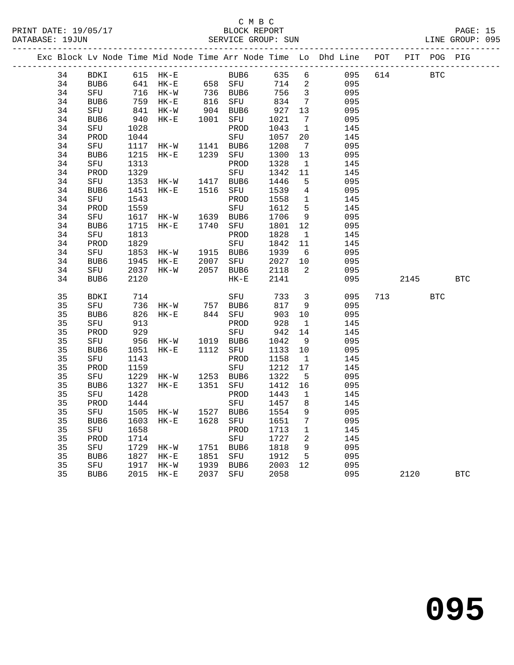#### C M B C<br>BLOCK REPORT SERVICE GROUP: SUN

|  |    |                  |      |                                       |                        |         |                         | Exc Block Lv Node Time Mid Node Time Arr Node Time Lo Dhd Line POT |     |            | PIT POG PIG |            |
|--|----|------------------|------|---------------------------------------|------------------------|---------|-------------------------|--------------------------------------------------------------------|-----|------------|-------------|------------|
|  | 34 | BDKI             |      | 615 HK-E                              | BUB6                   | 635     | 6                       | 095                                                                | 614 | <b>BTC</b> |             |            |
|  | 34 | BUB6             |      |                                       |                        | 714     | 2                       | 095                                                                |     |            |             |            |
|  | 34 | SFU              |      | 641 НК-Е<br>716 НК-W                  | 658 SFU<br>736 BUB6    | 756     | $\overline{\mathbf{3}}$ | 095                                                                |     |            |             |            |
|  | 34 | BUB6             |      | 759 НК-Е<br>841 НК-W                  | 816 SFU<br>904 BUB6    | 834     | $\overline{7}$          | 095                                                                |     |            |             |            |
|  | 34 | SFU              |      |                                       |                        | 927     | 13                      | 095                                                                |     |            |             |            |
|  | 34 | BUB6             | 940  | $HK-E$                                | 1001 SFU               | 1021    | $\overline{7}$          | 095                                                                |     |            |             |            |
|  | 34 | SFU              | 1028 |                                       | PROD                   | 1043    | $\mathbf{1}$            | 145                                                                |     |            |             |            |
|  | 34 | PROD             | 1044 |                                       | SFU                    | 1057    | 20                      | 145                                                                |     |            |             |            |
|  | 34 | SFU              | 1117 | HK-W 1141 BUB6<br>HK-E 1239 SFU       |                        | 1208    | $\overline{7}$          | 095                                                                |     |            |             |            |
|  | 34 | BUB6             | 1215 |                                       |                        | 1300    | 13                      | 095                                                                |     |            |             |            |
|  | 34 | SFU              | 1313 |                                       | PROD                   | 1328    | $\mathbf{1}$            | 145                                                                |     |            |             |            |
|  | 34 | PROD             | 1329 |                                       | SFU                    | 1342    | 11                      | 145                                                                |     |            |             |            |
|  | 34 | SFU              | 1353 | HK-W 1417 BUB6<br>HK-E 1516 SFU       |                        | 1446    | 5                       | 095                                                                |     |            |             |            |
|  | 34 | BUB6             | 1451 |                                       |                        | 1539    | $4\overline{ }$         | 095                                                                |     |            |             |            |
|  | 34 | SFU              | 1543 |                                       | PROD                   | 1558    | $\overline{1}$          | 145                                                                |     |            |             |            |
|  | 34 | PROD             | 1559 |                                       | SFU                    | 1612    | 5                       | 145                                                                |     |            |             |            |
|  | 34 | SFU              | 1617 | HK-W 1639 BUB6                        |                        | 1706    | 9                       | 095                                                                |     |            |             |            |
|  | 34 | BUB6             | 1715 | $HK-E$                                | 1740 SFU               | 1801    | 12                      | 095                                                                |     |            |             |            |
|  | 34 | SFU              | 1813 |                                       | PROD                   | 1828    | $\mathbf{1}$            | 145                                                                |     |            |             |            |
|  | 34 | PROD             | 1829 |                                       | SFU                    | 1842    | 11                      | 145                                                                |     |            |             |            |
|  | 34 | SFU              | 1853 | HK-W 1915 BUB6                        |                        | 1939    | 6                       | 095                                                                |     |            |             |            |
|  | 34 | BUB6             | 1945 | $HK-E$                                | 2007 SFU<br>2057 BIIR6 | 2027    | 10                      | 095                                                                |     |            |             |            |
|  | 34 | SFU              | 2037 | HK-W                                  | 2057 BUB6              | 2118    | $\overline{2}$          | 095                                                                |     |            |             |            |
|  | 34 | BUB6             | 2120 |                                       | $HK-E$                 | 2141    |                         | 095                                                                |     | 2145       |             | <b>BTC</b> |
|  |    |                  |      |                                       |                        |         |                         |                                                                    |     |            |             |            |
|  | 35 | <b>BDKI</b>      | 714  |                                       | SFU                    | 733     | $\overline{\mathbf{3}}$ | 095                                                                |     | 713        | <b>BTC</b>  |            |
|  | 35 | SFU              |      | 736 HK-W 757 BUB6<br>826 HK-E 844 SFU |                        | 817     | 9                       | 095                                                                |     |            |             |            |
|  | 35 | BUB6             | 826  |                                       |                        | 903     | 10                      | 095                                                                |     |            |             |            |
|  | 35 | SFU              | 913  |                                       | PROD                   | 928     | $\mathbf{1}$            | 145                                                                |     |            |             |            |
|  | 35 | PROD             | 929  |                                       | SFU                    | 942     | 14                      | 145                                                                |     |            |             |            |
|  | 35 | SFU              | 956  | HK-W 1019 BUB6<br>HK-E 1112 SFU       |                        | 1042    | - 9                     | 095                                                                |     |            |             |            |
|  | 35 | BUB6             | 1051 |                                       |                        | 1133    | 10                      | 095                                                                |     |            |             |            |
|  | 35 | SFU              | 1143 |                                       | PROD                   | 1158    | $\mathbf{1}$            | 145                                                                |     |            |             |            |
|  | 35 | PROD             | 1159 |                                       | SFU                    | 1212    | 17                      | 145                                                                |     |            |             |            |
|  | 35 | SFU              | 1229 | HK-W 1253 BUB6                        |                        | 1322    | 5                       | 095                                                                |     |            |             |            |
|  | 35 | BUB6             | 1327 | $HK-E$                                | 1351 SFU               | 1412    | 16                      | 095                                                                |     |            |             |            |
|  | 35 | SFU              | 1428 |                                       | PROD                   | 1443    | $\mathbf{1}$            | 145                                                                |     |            |             |            |
|  | 35 | PROD             | 1444 |                                       | SFU                    | 1457    | 8                       | 145                                                                |     |            |             |            |
|  | 35 | SFU              | 1505 | HK-W 1527 BUB6                        |                        | 1554    | 9                       | 095                                                                |     |            |             |            |
|  | 35 | BUB6             | 1603 | $HK-E$                                | 1628 SFU               | 1651    | $7\phantom{.0}$         | 095                                                                |     |            |             |            |
|  | 35 | SFU              | 1658 |                                       | PROD                   | 1713    | $\mathbf{1}$            | 145                                                                |     |            |             |            |
|  | 35 | PROD             | 1714 |                                       | SFU                    | 1727    | 2                       | 145                                                                |     |            |             |            |
|  | 35 | SFU              | 1729 | $HK-W$                                | 1751 BUB6              | 1818    | 9                       | 095                                                                |     |            |             |            |
|  | 35 | BUB <sub>6</sub> | 1827 | $HK-E$                                | 1851 SFU               | 1912    | 5                       | 095                                                                |     |            |             |            |
|  | 35 | SFU              | 1917 | $HK-W$                                | 1939 BUB6              | 2003 12 |                         | 095                                                                |     |            |             |            |

35 BUB6 2015 HK-E 2037 SFU 2058 095 2120 BTC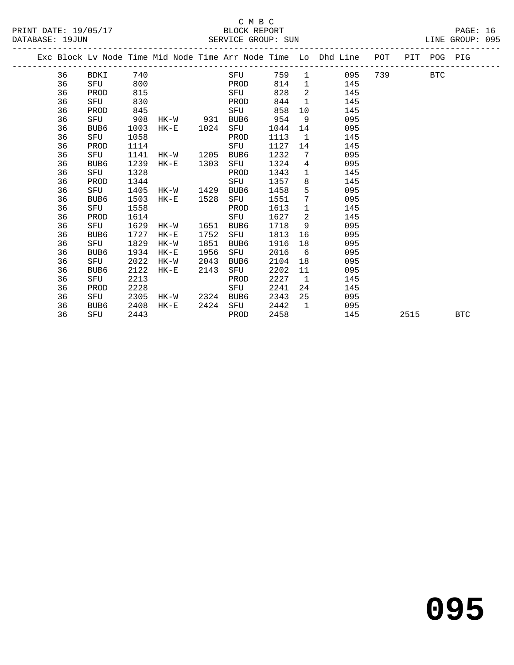PRINT DATE: 19/05/17 BLOCK REPORT PAGE: 16 DATABASE: 19JUN

### C M B C<br>BLOCK REPORT

| DAIABASE · 1900N |                    | SAKVICA GKUUF. SUN                                                             |              |         | CKA JAMA ARADI |
|------------------|--------------------|--------------------------------------------------------------------------------|--------------|---------|----------------|
|                  |                    | Exc Block Lv Node Time Mid Node Time Arr Node Time Lo Dhd Line POT PIT POG PIG |              |         |                |
| 36<br>36<br>SFU  | 740<br>BDKI<br>800 | SFU<br>814 1<br>PROD                                                           | 759 1<br>145 | 095 739 | BTC.           |

| 36 | PROD | 815  |        |      | SFU              | 828  | 2            | 145 |      |            |
|----|------|------|--------|------|------------------|------|--------------|-----|------|------------|
| 36 | SFU  | 830  |        |      | PROD             | 844  | 1            | 145 |      |            |
| 36 | PROD | 845  |        |      | SFU              | 858  | 10           | 145 |      |            |
| 36 | SFU  | 908  | HK-W   | 931  | BUB6             | 954  | 9            | 095 |      |            |
| 36 | BUB6 | 1003 | $HK-E$ | 1024 | SFU              | 1044 | 14           | 095 |      |            |
| 36 | SFU  | 1058 |        |      | PROD             | 1113 | 1            | 145 |      |            |
| 36 | PROD | 1114 |        |      | SFU              | 1127 | 14           | 145 |      |            |
| 36 | SFU  | 1141 | HK-W   | 1205 | BUB6             | 1232 | 7            | 095 |      |            |
| 36 | BUB6 | 1239 | $HK-E$ | 1303 | SFU              | 1324 | 4            | 095 |      |            |
| 36 | SFU  | 1328 |        |      | PROD             | 1343 | 1            | 145 |      |            |
| 36 | PROD | 1344 |        |      | SFU              | 1357 | 8            | 145 |      |            |
| 36 | SFU  | 1405 | HK-W   | 1429 | BUB6             | 1458 | 5            | 095 |      |            |
| 36 | BUB6 | 1503 | $HK-E$ | 1528 | SFU              | 1551 | 7            | 095 |      |            |
| 36 | SFU  | 1558 |        |      | PROD             | 1613 | 1            | 145 |      |            |
| 36 | PROD | 1614 |        |      | SFU              | 1627 | 2            | 145 |      |            |
| 36 | SFU  | 1629 | HK-W   | 1651 | BUB6             | 1718 | 9            | 095 |      |            |
| 36 | BUB6 | 1727 | $HK-E$ | 1752 | SFU              | 1813 | 16           | 095 |      |            |
| 36 | SFU  | 1829 | HK-W   | 1851 | BUB6             | 1916 | 18           | 095 |      |            |
| 36 | BUB6 | 1934 | $HK-E$ | 1956 | SFU              | 2016 | 6            | 095 |      |            |
| 36 | SFU  | 2022 | HK-W   | 2043 | BUB <sub>6</sub> | 2104 | 18           | 095 |      |            |
| 36 | BUB6 | 2122 | $HK-E$ | 2143 | SFU              | 2202 | 11           | 095 |      |            |
| 36 | SFU  | 2213 |        |      | PROD             | 2227 | 1            | 145 |      |            |
| 36 | PROD | 2228 |        |      | SFU              | 2241 | 24           | 145 |      |            |
| 36 | SFU  | 2305 | HK-W   | 2324 | BUB6             | 2343 | 25           | 095 |      |            |
| 36 | BUB6 | 2408 | $HK-E$ | 2424 | SFU              | 2442 | $\mathbf{1}$ | 095 |      |            |
| 36 | SFU  | 2443 |        |      | PROD             | 2458 |              | 145 | 2515 | <b>BTC</b> |
|    |      |      |        |      |                  |      |              |     |      |            |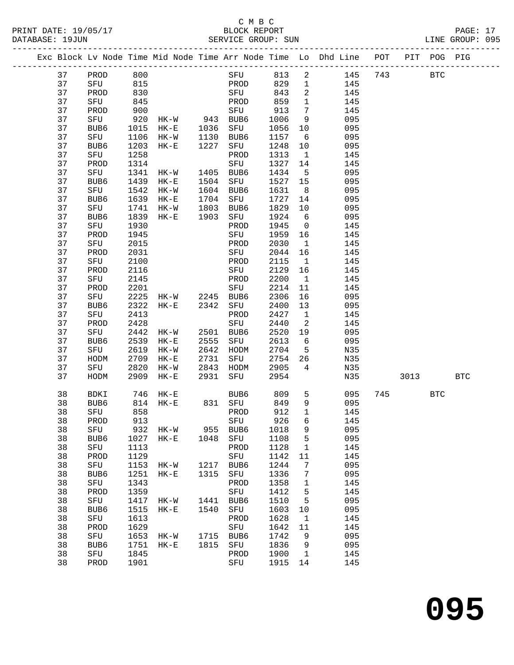| PRINT DATE: 19/05/17<br>DATABASE: 19JUN |    |             |      |                                 |      |                  |      |                            | 5/17 BLOCK REPORT<br>SERVICE GROUP: SUN                                        |         |     | PAGE: 17<br>LINE GROUP: 095 |  |
|-----------------------------------------|----|-------------|------|---------------------------------|------|------------------|------|----------------------------|--------------------------------------------------------------------------------|---------|-----|-----------------------------|--|
|                                         |    |             |      |                                 |      |                  |      |                            | Exc Block Lv Node Time Mid Node Time Arr Node Time Lo Dhd Line POT PIT POG PIG |         |     |                             |  |
|                                         | 37 | PROD 800    |      |                                 |      | SFU 813 2        |      |                            | 145                                                                            | 743 BTC |     |                             |  |
|                                         | 37 |             |      | SFU 815<br>PROD 830             |      | PROD 829         |      |                            | 1 145                                                                          |         |     |                             |  |
|                                         | 37 |             |      |                                 |      | SFU              | 843  | $\overline{\phantom{a}}$   | 145                                                                            |         |     |                             |  |
|                                         | 37 | SFU         | 845  |                                 |      | PROD             | 859  | $\mathbf{1}$               | 145                                                                            |         |     |                             |  |
|                                         | 37 | PROD        | 900  |                                 |      | SFU              | 913  | $\overline{7}$             | 145                                                                            |         |     |                             |  |
|                                         | 37 |             |      | SFU 920 HK-W 943 BUB6           |      |                  | 1006 | 9                          | 095                                                                            |         |     |                             |  |
|                                         | 37 | BUB6        |      | 1015 HK-E                       | 1036 | SFU              | 1056 | 10                         | 095                                                                            |         |     |                             |  |
|                                         | 37 | SFU         | 1106 | HK-W                            | 1130 | BUB6             | 1157 | 6                          | 095                                                                            |         |     |                             |  |
|                                         | 37 | BUB6        |      | 1203 HK-E                       |      | 1227 SFU         | 1248 | 10                         | 095                                                                            |         |     |                             |  |
|                                         | 37 | SFU         | 1258 |                                 |      | PROD             | 1313 | $\overline{1}$             | 145                                                                            |         |     |                             |  |
|                                         | 37 | PROD        | 1314 |                                 |      | SFU              | 1327 | 14                         | 145                                                                            |         |     |                             |  |
|                                         | 37 | SFU         |      | 1341 HK-W                       | 1405 | BUB6             | 1434 | $5^{\circ}$                | 095                                                                            |         |     |                             |  |
|                                         | 37 | BUB6        | 1439 | HK-E                            | 1504 | SFU              | 1527 | 15                         | 095                                                                            |         |     |                             |  |
|                                         | 37 | SFU         |      | 1542 HK-W                       | 1604 | BUB6             | 1631 | 8 <sup>8</sup>             | 095                                                                            |         |     |                             |  |
|                                         | 37 | BUB6        |      | 1639 HK-E                       | 1704 | SFU              | 1727 | 14                         | 095                                                                            |         |     |                             |  |
|                                         | 37 | SFU         |      | 1741 HK-W                       | 1803 | BUB6             | 1829 | 10                         | 095                                                                            |         |     |                             |  |
|                                         | 37 | BUB6        | 1839 | $HK-E$                          |      | 1903 SFU         | 1924 | 6                          | 095                                                                            |         |     |                             |  |
|                                         | 37 | SFU         | 1930 |                                 |      | PROD             | 1945 | $\overline{0}$             | 145                                                                            |         |     |                             |  |
|                                         | 37 | PROD        | 1945 |                                 |      | SFU              | 1959 | 16                         | 145                                                                            |         |     |                             |  |
|                                         | 37 | SFU         | 2015 |                                 |      | PROD             | 2030 | $\overline{1}$             | 145                                                                            |         |     |                             |  |
|                                         | 37 | PROD        | 2031 |                                 |      | SFU              | 2044 | 16                         | 145                                                                            |         |     |                             |  |
|                                         | 37 | SFU         | 2100 |                                 |      | PROD             | 2115 | $\overline{1}$             | 145                                                                            |         |     |                             |  |
|                                         | 37 | PROD        | 2116 |                                 |      | SFU              | 2129 | 16                         | 145                                                                            |         |     |                             |  |
|                                         | 37 | SFU         | 2145 |                                 |      | PROD             | 2200 | $\overline{1}$             | 145                                                                            |         |     |                             |  |
|                                         | 37 | PROD        | 2201 |                                 |      | SFU              | 2214 | 11                         | 145                                                                            |         |     |                             |  |
|                                         | 37 | SFU         |      | 2201 SFU<br>2225 HK-W 2245 BUB6 |      |                  | 2306 | 16                         | 095                                                                            |         |     |                             |  |
|                                         | 37 | BUB6        |      | 2322 HK-E 2342 SFU              |      |                  | 2400 | 13                         | 095                                                                            |         |     |                             |  |
|                                         | 37 | SFU         | 2413 |                                 |      | PROD             | 2427 | $\overline{1}$             | 145                                                                            |         |     |                             |  |
|                                         | 37 | PROD        | 2428 |                                 |      | SFU              | 2440 | $\overline{\phantom{a}}^2$ | 145                                                                            |         |     |                             |  |
|                                         | 37 | SFU         |      | 2442 HK-W                       |      | 2501 BUB6        | 2520 | 19                         | 095                                                                            |         |     |                             |  |
|                                         | 37 | BUB6        | 2539 | $HK-E$                          | 2555 | SFU              | 2613 | 6                          | 095                                                                            |         |     |                             |  |
|                                         | 37 | SFU         | 2619 | HK-W                            |      | 2642 HODM        | 2704 | $5^{\circ}$                | N35                                                                            |         |     |                             |  |
|                                         | 37 | HODM        | 2709 | $HK-E$                          | 2731 | SFU              | 2754 | 26                         | N35                                                                            |         |     |                             |  |
|                                         | 37 | SFU         | 2820 | HK-W                            |      | 2843 HODM        | 2905 | $\overline{4}$             | N35                                                                            |         |     |                             |  |
|                                         | 37 | HODM        |      | 2909 HK-E                       | 2931 | SFU              | 2954 |                            | N35                                                                            | 3013    |     | BTC                         |  |
|                                         |    |             |      |                                 |      |                  |      |                            |                                                                                |         |     |                             |  |
|                                         | 38 | BDKI        |      | 746 HK-E                        |      | BUB6             | 809  |                            | 5 <sub>5</sub><br>095                                                          | 745     | BTC |                             |  |
|                                         |    |             |      |                                 |      |                  |      |                            | 38 BUB6 814 HK-E 831 SFU 849 9 095                                             |         |     |                             |  |
|                                         | 38 | SFU         | 858  |                                 |      | PROD             | 912  | 1                          | 145                                                                            |         |     |                             |  |
|                                         | 38 | PROD        | 913  |                                 |      | SFU              | 926  | 6                          | 145                                                                            |         |     |                             |  |
|                                         | 38 | SFU         | 932  | $HK-W$                          | 955  | BUB6             | 1018 | 9                          | 095                                                                            |         |     |                             |  |
|                                         | 38 | BUB6        | 1027 | $HK-E$                          | 1048 | SFU              | 1108 | 5                          | 095                                                                            |         |     |                             |  |
|                                         | 38 | ${\tt SFU}$ | 1113 |                                 |      | PROD             | 1128 | $\mathbf 1$                | 145                                                                            |         |     |                             |  |
|                                         | 38 | PROD        | 1129 |                                 |      | SFU              | 1142 | 11                         | 145                                                                            |         |     |                             |  |
|                                         | 38 | SFU         | 1153 | $HK-W$                          | 1217 | BUB6             | 1244 | 7                          | 095                                                                            |         |     |                             |  |
|                                         | 38 | BUB6        | 1251 | $HK-E$                          | 1315 | SFU              | 1336 | 7                          | 095                                                                            |         |     |                             |  |
|                                         | 38 | ${\tt SFU}$ | 1343 |                                 |      | PROD             | 1358 | $\mathbf 1$                | 145                                                                            |         |     |                             |  |
|                                         | 38 | PROD        | 1359 |                                 |      | SFU              | 1412 | 5                          | 145                                                                            |         |     |                             |  |
|                                         | 38 | SFU         | 1417 | $HK-W$                          | 1441 | BUB <sub>6</sub> | 1510 | 5                          | 095                                                                            |         |     |                             |  |
|                                         | 38 | BUB6        | 1515 | $HK-E$                          | 1540 | SFU              | 1603 | 10                         | 095                                                                            |         |     |                             |  |
|                                         | 38 | ${\rm SFU}$ | 1613 |                                 |      | PROD             | 1628 | $\mathbf{1}$               | 145                                                                            |         |     |                             |  |
|                                         | 38 | PROD        | 1629 |                                 |      | ${\rm SFU}$      | 1642 | 11                         | 145                                                                            |         |     |                             |  |
|                                         | 38 | ${\tt SFU}$ | 1653 | $HK-W$                          | 1715 | BUB6             | 1742 | 9                          | 095                                                                            |         |     |                             |  |
|                                         | 38 | BUB6        | 1751 | $HK-E$                          | 1815 | SFU              | 1836 | 9                          | 095                                                                            |         |     |                             |  |
|                                         | 38 | ${\tt SFU}$ | 1845 |                                 |      | PROD             | 1900 | 1                          | 145                                                                            |         |     |                             |  |
|                                         | 38 | PROD        | 1901 |                                 |      | SFU              | 1915 | 14                         | 145                                                                            |         |     |                             |  |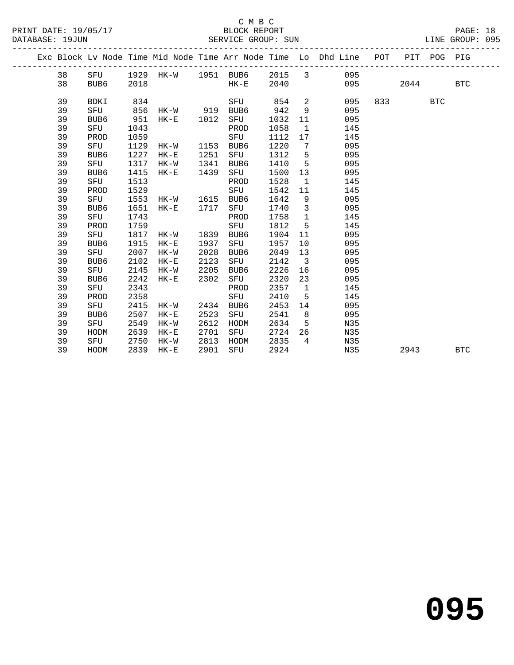### C M B C<br>BLOCK REPORT

| PRINT DATE: 19/05/17<br>DATABASE: 19JUN                                        |  | BLOCK REPORT<br>SERVICE GROUP: SUN |  |  | PAGE: 18<br>LINE GROUP: 095 |  |
|--------------------------------------------------------------------------------|--|------------------------------------|--|--|-----------------------------|--|
| Exc Block Lv Node Time Mid Node Time Arr Node Time Lo Dhd Line POT PIT POG PIG |  |                                    |  |  |                             |  |
| - -                                                                            |  |                                    |  |  |                             |  |

| 38<br>38 | SFU<br>BUB6      | 1929<br>2018 | HK-W     | 1951 | BUB6<br>$HK - E$ | 2015<br>2040 | 3              | 095<br>095 |     | 2044 |            | <b>BTC</b> |
|----------|------------------|--------------|----------|------|------------------|--------------|----------------|------------|-----|------|------------|------------|
|          |                  |              |          |      |                  |              |                |            |     |      |            |            |
| 39       | <b>BDKI</b>      | 834          |          |      | SFU              | 854          | 2              | 095        | 833 |      | <b>BTC</b> |            |
| 39       | SFU              | 856          | HK-W     | 919  | BUB <sub>6</sub> | 942          | 9              | 095        |     |      |            |            |
| 39       | BUB <sub>6</sub> | 951          | $HK-E$   | 1012 | SFU              | 1032         | 11             | 095        |     |      |            |            |
| 39       | SFU              | 1043         |          |      | PROD             | 1058         | $\mathbf 1$    | 145        |     |      |            |            |
| 39       | PROD             | 1059         |          |      | SFU              | 1112         | 17             | 145        |     |      |            |            |
| 39       | SFU              | 1129         | $HK-W$   | 1153 | BUB6             | 1220         | 7              | 095        |     |      |            |            |
| 39       | BUB6             | 1227         | $HK-E$   | 1251 | SFU              | 1312         | 5              | 095        |     |      |            |            |
| 39       | SFU              | 1317         | $HK-W$   | 1341 | BUB6             | 1410         | 5              | 095        |     |      |            |            |
| 39       | BUB6             | 1415         | $HK-E$   | 1439 | SFU              | 1500         | 13             | 095        |     |      |            |            |
| 39       | SFU              | 1513         |          |      | PROD             | 1528         | $\mathbf 1$    | 145        |     |      |            |            |
| 39       | PROD             | 1529         |          |      | SFU              | 1542         | 11             | 145        |     |      |            |            |
| 39       | SFU              | 1553         | HK-W     | 1615 | BUB6             | 1642         | 9              | 095        |     |      |            |            |
| 39       | BUB6             | 1651         | $HK-E$   | 1717 | SFU              | 1740         | 3              | 095        |     |      |            |            |
| 39       | SFU              | 1743         |          |      | PROD             | 1758         | 1              | 145        |     |      |            |            |
| 39       | PROD             | 1759         |          |      | SFU              | 1812         | 5              | 145        |     |      |            |            |
| 39       | SFU              | 1817         | HK-W     | 1839 | BUB <sub>6</sub> | 1904         | 11             | 095        |     |      |            |            |
| 39       | BUB6             | 1915         | $HK-E$   | 1937 | SFU              | 1957         | 10             | 095        |     |      |            |            |
| 39       | SFU              | 2007         | $HK-W$   | 2028 | BUB <sub>6</sub> | 2049         | 13             | 095        |     |      |            |            |
| 39       | BUB6             | 2102         | $HK - E$ | 2123 | SFU              | 2142         | 3              | 095        |     |      |            |            |
| 39       | SFU              | 2145         | $HK-W$   | 2205 | BUB6             | 2226         | 16             | 095        |     |      |            |            |
| 39       | BUB6             | 2242         | $HK-E$   | 2302 | SFU              | 2320         | 23             | 095        |     |      |            |            |
| 39       | SFU              | 2343         |          |      | PROD             | 2357         | 1              | 145        |     |      |            |            |
| 39       | PROD             | 2358         |          |      | SFU              | 2410         | 5              | 145        |     |      |            |            |
| 39       | SFU              | 2415         | HK-W     | 2434 | BUB6             | 2453         | 14             | 095        |     |      |            |            |
| 39       | BUB6             | 2507         | $HK - E$ | 2523 | SFU              | 2541         | 8              | 095        |     |      |            |            |
| 39       | SFU              | 2549         | $HK-W$   | 2612 | HODM             | 2634         | 5              | N35        |     |      |            |            |
| 39       | HODM             | 2639         | $HK-E$   | 2701 | SFU              | 2724         | 26             | N35        |     |      |            |            |
| 39       | SFU              | 2750         | $HK-W$   | 2813 | HODM             | 2835         | $\overline{4}$ | N35        |     |      |            |            |
| 39       | HODM             | 2839         | $HK-E$   | 2901 | SFU              | 2924         |                | N35        |     | 2943 |            | <b>BTC</b> |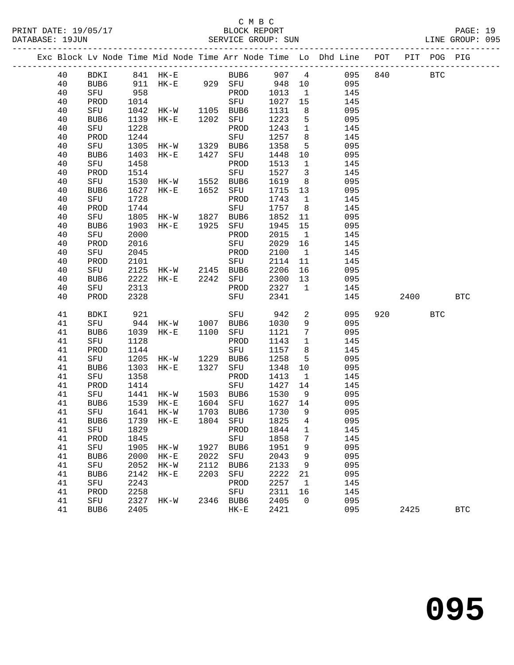#### C M B C<br>BLOCK REPORT PRINT DATE: 19/05/17 BLOCK REPORT PAGE: 19 SERVICE GROUP: SUN

|  |          |             |              |                                                                |      |               |                 |                                | Exc Block Lv Node Time Mid Node Time Arr Node Time Lo Dhd Line POT PIT POG PIG |     |            |            |              |
|--|----------|-------------|--------------|----------------------------------------------------------------|------|---------------|-----------------|--------------------------------|--------------------------------------------------------------------------------|-----|------------|------------|--------------|
|  | 40       |             |              | BDKI 841 HK-E BUB6 907 4                                       |      |               |                 |                                | 095                                                                            | 840 | <b>BTC</b> |            |              |
|  | 40       | BUB6        |              | 911 HK-E 929 SFU 948 10                                        |      |               |                 |                                | 095                                                                            |     |            |            |              |
|  | 40       | SFU         | 958          |                                                                |      | PROD          | 1013            | $\overline{1}$                 | 145                                                                            |     |            |            |              |
|  | 40       | PROD        | 1014         |                                                                |      |               | 1027            | 15                             | 145                                                                            |     |            |            |              |
|  | 40       | SFU         | 1042         |                                                                |      |               | 1131            | 8 <sup>8</sup>                 | 095                                                                            |     |            |            |              |
|  | 40       | BUB6        | 1139         | SFU<br>HK-W 1105 BUB6<br>HK-E 1202 SFU                         |      |               | 1223            | $5^{\circ}$                    | 095                                                                            |     |            |            |              |
|  | 40       | SFU         | 1228         |                                                                |      | PROD          | 1243            | $\mathbf{1}$                   | 145                                                                            |     |            |            |              |
|  | 40       | PROD        | 1244         |                                                                |      | SFU           | 1257            | 8 <sup>8</sup>                 | 145                                                                            |     |            |            |              |
|  | 40       | SFU         |              | 1305 HK-W 1329 BUB6<br>1403 HK-E 1427 SFU                      |      |               | 1358            | $5^{\circ}$                    | 095                                                                            |     |            |            |              |
|  | 40       | BUB6        |              |                                                                |      |               | 1448            | 10                             | 095                                                                            |     |            |            |              |
|  | 40       | SFU         | 1458         |                                                                |      | PROD          | 1513            | $\overline{1}$                 | 145                                                                            |     |            |            |              |
|  | 40       | PROD        | 1514         |                                                                |      | SFU           | 1527            | $\overline{\mathbf{3}}$        | 145                                                                            |     |            |            |              |
|  | 40       | SFU         | 1530         | HK-W 1552 BUB6<br>HK-E 1652 SFU                                |      |               | 1619            | 8 <sup>8</sup>                 | 095                                                                            |     |            |            |              |
|  | 40       | BUB6        | 1627         |                                                                |      |               | 1715            | 13                             | 095                                                                            |     |            |            |              |
|  | 40       | SFU         | 1728         |                                                                |      | PROD          | 1743<br>1757    | $\mathbf{1}$<br>8 <sup>8</sup> | 145<br>145                                                                     |     |            |            |              |
|  | 40<br>40 | PROD<br>SFU | 1744<br>1805 |                                                                |      | SFU           | 1852            | 11                             | 095                                                                            |     |            |            |              |
|  | 40       | BUB6        | 1903         | HK-W 1827 BUB6<br>HK-E 1925 SFU                                |      |               | 1945            | 15                             | 095                                                                            |     |            |            |              |
|  | 40       | SFU         | 2000         |                                                                |      | PROD          | 2015            | $\overline{1}$                 | 145                                                                            |     |            |            |              |
|  | 40       | PROD        | 2016         |                                                                |      | SFU           | 2029            | 16                             | 145                                                                            |     |            |            |              |
|  | 40       | SFU         | 2045         |                                                                |      | PROD          | 2100            | $\overline{1}$                 | 145                                                                            |     |            |            |              |
|  | 40       | PROD        | 2101         |                                                                |      | SFU           | 2114            | 11                             | 145                                                                            |     |            |            |              |
|  | 40       | SFU         |              | 2125 HK-W 2145 BUB6                                            |      |               | 2206            | 16                             | 095                                                                            |     |            |            |              |
|  | 40       | BUB6        | 2222         |                                                                |      | HK-E 2242 SFU | 2300 13         |                                | 095                                                                            |     |            |            |              |
|  | 40       | SFU         | 2313         |                                                                |      | PROD 2327     |                 | $\mathbf{1}$                   | 145                                                                            |     |            |            |              |
|  | 40       | PROD        | 2328         |                                                                |      | SFU           | 2341            |                                | 145                                                                            |     | 2400       |            | <b>BTC</b>   |
|  | 41       | BDKI        |              |                                                                |      | SFU 942       |                 | 2                              | 095                                                                            |     | 920 000    | <b>BTC</b> |              |
|  | 41       | SFU         |              |                                                                |      |               | 1030            | 9                              | 095                                                                            |     |            |            |              |
|  | 41       | BUB6        |              |                                                                |      |               | 1121            | $7\phantom{.0}$                | 095                                                                            |     |            |            |              |
|  | 41       | SFU         | 1128         |                                                                |      | PROD          | 1143            | $\mathbf{1}$                   | 145                                                                            |     |            |            |              |
|  | 41       | PROD        | 1144         |                                                                |      | SFU           | 1157            | 8                              | 145                                                                            |     |            |            |              |
|  | 41       | SFU         | 1205         | HK-W 1229 BUB6                                                 |      |               | 1258            | 5                              | 095                                                                            |     |            |            |              |
|  | 41       | BUB6        | 1303         | $HK-E$                                                         | 1327 | SFU           | 1348            | 10                             | 095                                                                            |     |            |            |              |
|  | 41       | SFU         | 1358         |                                                                |      | PROD          | 1413            | $\overline{1}$                 | 145                                                                            |     |            |            |              |
|  | 41       | PROD        | 1414         |                                                                |      | SFU           | 1427            | 14                             | 145                                                                            |     |            |            |              |
|  | 41<br>41 | SFU<br>BUB6 | 1441         | HK-W 1503 BUB6<br>HK-E 1604 SFU<br>HK-W 1703 BUB6<br>1539 HK-E |      |               | 1530<br>1627 14 | 9                              | 095<br>095                                                                     |     |            |            |              |
|  | 41       | SFU         |              | 1641 HK-W                                                      |      |               | 1730            | 9                              | 095                                                                            |     |            |            |              |
|  |          |             |              | 41 BUB6 1739 HK-E 1804 SFU 1825 4                              |      |               |                 |                                | 095                                                                            |     |            |            |              |
|  | 41       | SFU         | 1829         |                                                                |      | PROD          | 1844            | $\mathbf 1$                    | 145                                                                            |     |            |            |              |
|  | 41       | PROD        | 1845         |                                                                |      | SFU           | 1858            | 7                              | 145                                                                            |     |            |            |              |
|  | 41       | SFU         | 1905         | HK-W                                                           |      | 1927 BUB6     | 1951            | 9                              | 095                                                                            |     |            |            |              |
|  | 41       | BUB6        | 2000         | $HK-E$                                                         | 2022 | SFU           | 2043            | 9                              | 095                                                                            |     |            |            |              |
|  | 41       | SFU         | 2052         | HK-W                                                           | 2112 | BUB6          | 2133            | 9                              | 095                                                                            |     |            |            |              |
|  | 41       | BUB6        | 2142         | $HK-E$                                                         | 2203 | SFU           | 2222            | 21                             | 095                                                                            |     |            |            |              |
|  | 41       | SFU         | 2243         |                                                                |      | PROD          | 2257            | $\overline{1}$                 | 145                                                                            |     |            |            |              |
|  | 41       | PROD        | 2258         |                                                                |      | SFU           | 2311            | 16                             | 145                                                                            |     |            |            |              |
|  | 41       | SFU         | 2327         | $HK-W$                                                         |      | 2346 BUB6     | 2405            | $\Omega$                       | 095                                                                            |     |            |            |              |
|  | 41       | BUB6        | 2405         |                                                                |      | $HK-E$        | 2421            |                                | 095                                                                            |     | 2425       |            | $_{\rm BTC}$ |
|  |          |             |              |                                                                |      |               |                 |                                |                                                                                |     |            |            |              |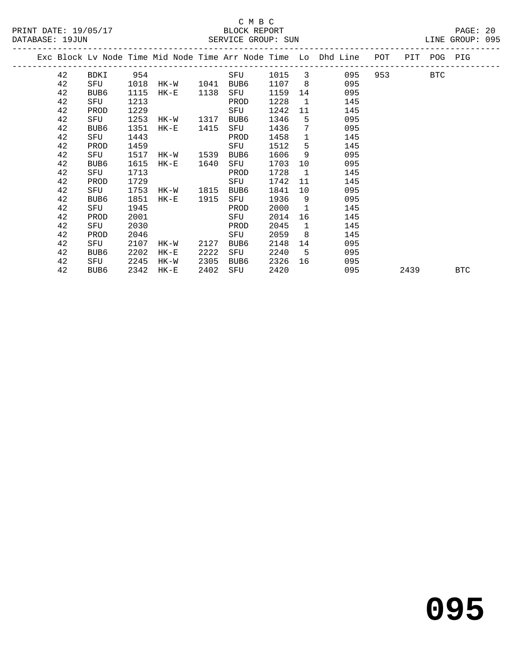|  |    |      |      |                |      |      |        |                | Exc Block Lv Node Time Mid Node Time Arr Node Time Lo Dhd Line POT |           | PIT POG PIG |     |            |  |
|--|----|------|------|----------------|------|------|--------|----------------|--------------------------------------------------------------------|-----------|-------------|-----|------------|--|
|  | 42 | BDKI | 954  |                |      | SFU  | 1015 3 |                | 095                                                                | 953 — 100 |             | BTC |            |  |
|  | 42 | SFU  |      | 1018 HK-W 1041 |      | BUB6 | 1107   | 8 <sup>1</sup> | 095                                                                |           |             |     |            |  |
|  | 42 | BUB6 | 1115 | $HK-E$         | 1138 | SFU  | 1159   | 14             | 095                                                                |           |             |     |            |  |
|  | 42 | SFU  | 1213 |                |      | PROD | 1228   | $\overline{1}$ | 145                                                                |           |             |     |            |  |
|  | 42 | PROD | 1229 |                |      | SFU  | 1242   | 11             | 145                                                                |           |             |     |            |  |
|  | 42 | SFU  | 1253 | $HK-W$         | 1317 | BUB6 | 1346   | 5              | 095                                                                |           |             |     |            |  |
|  | 42 | BUB6 | 1351 | $HK-E$         | 1415 | SFU  | 1436   | 7              | 095                                                                |           |             |     |            |  |
|  | 42 | SFU  | 1443 |                |      | PROD | 1458   | $\mathbf{1}$   | 145                                                                |           |             |     |            |  |
|  | 42 | PROD | 1459 |                |      | SFU  | 1512   | $5^{\circ}$    | 145                                                                |           |             |     |            |  |
|  | 42 | SFU  | 1517 | HK-W           | 1539 | BUB6 | 1606   | 9              | 095                                                                |           |             |     |            |  |
|  | 42 | BUB6 | 1615 | $HK-E$         | 1640 | SFU  | 1703   | 10             | 095                                                                |           |             |     |            |  |
|  | 42 | SFU  | 1713 |                |      | PROD | 1728   | $\overline{1}$ | 145                                                                |           |             |     |            |  |
|  | 42 | PROD | 1729 |                |      | SFU  | 1742   | 11             | 145                                                                |           |             |     |            |  |
|  | 42 | SFU  | 1753 | HK-W 1815      |      | BUB6 | 1841   | 10             | 095                                                                |           |             |     |            |  |
|  | 42 | BUB6 | 1851 | $HK-E$         | 1915 | SFU  | 1936   | 9              | 095                                                                |           |             |     |            |  |
|  | 42 | SFU  | 1945 |                |      | PROD | 2000   | $\overline{1}$ | 145                                                                |           |             |     |            |  |
|  | 42 | PROD | 2001 |                |      | SFU  | 2014   | 16             | 145                                                                |           |             |     |            |  |
|  | 42 | SFU  | 2030 |                |      | PROD | 2045   | $\mathbf{1}$   | 145                                                                |           |             |     |            |  |
|  | 42 | PROD | 2046 |                |      | SFU  | 2059   | 8 <sup>8</sup> | 145                                                                |           |             |     |            |  |
|  | 42 | SFU  | 2107 | HK-W           | 2127 | BUB6 | 2148   | 14             | 095                                                                |           |             |     |            |  |
|  | 42 | BUB6 | 2202 | $HK-E$         | 2222 | SFU  | 2240   | 5              | 095                                                                |           |             |     |            |  |
|  | 42 | SFU  | 2245 | HK-W           | 2305 | BUB6 | 2326   | 16             | 095                                                                |           |             |     |            |  |
|  | 42 | BUB6 | 2342 | $HK-E$         | 2402 | SFU  | 2420   |                | 095                                                                |           | 2439        |     | <b>BTC</b> |  |
|  |    |      |      |                |      |      |        |                |                                                                    |           |             |     |            |  |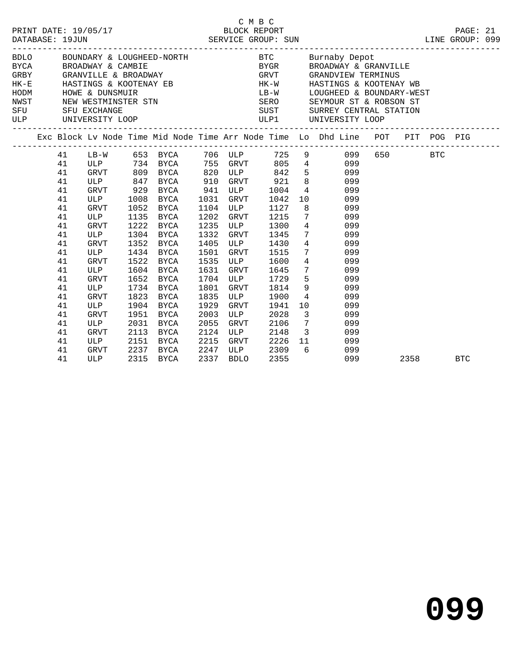|  |                                                                      |                                                                                               |                                              |                                                                                                                            |                                                                                              |                                                                                                              | C M B C                                                                                      |                 |                                                                                                                                                                                                                                                                                                                                                                                                    |  |      |            |  |
|--|----------------------------------------------------------------------|-----------------------------------------------------------------------------------------------|----------------------------------------------|----------------------------------------------------------------------------------------------------------------------------|----------------------------------------------------------------------------------------------|--------------------------------------------------------------------------------------------------------------|----------------------------------------------------------------------------------------------|-----------------|----------------------------------------------------------------------------------------------------------------------------------------------------------------------------------------------------------------------------------------------------------------------------------------------------------------------------------------------------------------------------------------------------|--|------|------------|--|
|  |                                                                      |                                                                                               |                                              | HK-E HASTINGS & KOOTENAY EB                                                                                                |                                                                                              |                                                                                                              |                                                                                              |                 | BDLO BOUNDARY & LOUGHEED-NORTH BTC Burnaby Depot<br>${\tt BYCA} \hspace{1.5cm} {\tt BROADWAY} \hspace{1.5cm} \& \hspace{1.5cm} {\tt CAMBIE} \hspace{1.5cm} {\tt S WGR} \hspace{1.5cm} {\tt BROADWAY} \hspace{1.5cm} \& \hspace{1.5cm} {\tt GRANVILLE} \hspace{1.5cm} \& \hspace{1.5cm} {\tt BROADWAY} \hspace{1.5cm} {\tt GRANDVIEW} \hspace{1.5cm} {\tt TERMINUS}$<br>HK-W HASTINGS & KOOTENAY WB |  |      |            |  |
|  |                                                                      |                                                                                               |                                              |                                                                                                                            |                                                                                              |                                                                                                              |                                                                                              |                 | Exc Block Lv Node Time Mid Node Time Arr Node Time Lo Dhd Line POT PIT POG PIG                                                                                                                                                                                                                                                                                                                     |  |      |            |  |
|  | 41<br>41<br>41<br>41<br>41<br>41<br>41<br>41<br>41<br>41<br>41       | GRVT 929 BYCA<br>ULP<br>GRVT<br>ULP<br>GRVT<br>ULP<br><b>GRVT</b>                             | 1008<br>1052<br>1135<br>1222                 | ULP 847 BYCA 910 GRVT 921<br>BYCA<br>BYCA<br>BYCA<br>BYCA<br>1304 BYCA<br>1352 BYCA                                        | 941<br>1031<br>1104<br>1202<br>1235<br>1332<br>1405                                          | GRVT<br><b>ULP</b><br>GRVT<br>ULP<br>GRVT<br>ULP                                                             | ULP 1004<br>1042<br>1127<br>1215<br>1300<br>1345<br>1430                                     |                 | LB-W 653 BYCA 706 ULP 725 9 099 650 BTC<br>ULP 734 BYCA 755 GRVT 805 4 099<br>GRVT 809 BYCA 820 ULP 842 5 099<br>8 099<br>4 099<br>10 099<br>8 099<br>$7\overline{ }$<br>099<br>4 099<br>7 099<br>$\frac{7}{4}$<br>099                                                                                                                                                                             |  |      |            |  |
|  | 41<br>41<br>41<br>41<br>41<br>41<br>41<br>41<br>41<br>41<br>41<br>41 | ULP<br><b>GRVT</b><br>ULP<br>GRVT<br>ULP<br>GRVT<br>ULP<br>GRVT<br>ULP<br>GRVT<br>ULP<br>GRVT | 1823<br>1904<br>1951<br>2031<br>2113<br>2151 | 1434 BYCA<br>1522 BYCA<br>1604 BYCA<br>1652 BYCA<br>1734 BYCA<br>BYCA<br>BYCA<br>BYCA<br>BYCA<br>BYCA<br>BYCA<br>2237 BYCA | 1501<br>1535<br>1631<br>1704<br>1801<br>1835<br>1929<br>2003<br>2055<br>2124<br>2215<br>2247 | GRVT<br><b>ULP</b><br>GRVT<br><b>ULP</b><br>GRVT<br>ULP<br>GRVT<br>ULP<br>GRVT<br>ULP<br>ULLF<br>GRVT<br>ULP | 1515<br>1600<br>1645<br>1729<br>1814<br>1900<br>1941<br>2028<br>2106<br>2148<br>2226<br>2309 | $6\overline{6}$ | $7\overline{ }$<br>099<br>$4\overline{ }$<br>099<br>$7\overline{ }$<br>099<br>$5^{\circ}$<br>099<br>$9 \left( \frac{1}{2} \right)$<br>099<br>$\overline{4}$<br>099<br>10<br>099<br>$3 \left( \frac{1}{2} \right)$<br>099<br>$7\overline{ }$<br>099<br>$\overline{\mathbf{3}}$<br>099<br>11<br>099<br>099                                                                                           |  |      |            |  |
|  | 41                                                                   | ULP                                                                                           |                                              | 2315 BYCA                                                                                                                  | 2337                                                                                         | BDLO                                                                                                         | 2355                                                                                         |                 | 099                                                                                                                                                                                                                                                                                                                                                                                                |  | 2358 | <b>BTC</b> |  |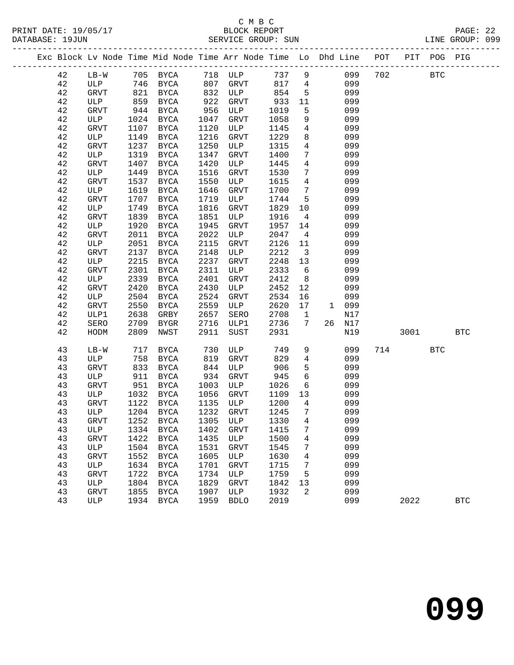|  |          |             |              | Exc Block Lv Node Time Mid Node Time Arr Node Time Lo Dhd Line POT PIT POG PIG |              |             |              |                                 |            |     |      |            |            |
|--|----------|-------------|--------------|--------------------------------------------------------------------------------|--------------|-------------|--------------|---------------------------------|------------|-----|------|------------|------------|
|  | 42       | $LB-W$      |              | 705 BYCA 718 ULP                                                               |              |             | 737          | $\overline{9}$                  | 099        | 702 |      | <b>BTC</b> |            |
|  | 42       | ULP         |              | 746 BYCA                                                                       | 807          | GRVT        | 817          | $\overline{4}$                  | 099        |     |      |            |            |
|  | 42       | GRVT        | 821          | BYCA                                                                           | 832          | ULP         | 854          | $5^{\circ}$                     | 099        |     |      |            |            |
|  | 42       | ULP         | 859          | BYCA                                                                           | 922          | <b>GRVT</b> | 933          | 11                              | 099        |     |      |            |            |
|  | 42       | GRVT        | 944          | BYCA                                                                           | 956          | ULP         | 1019         | 5                               | 099        |     |      |            |            |
|  | 42       | ULP         | 1024         | BYCA                                                                           | 1047         | GRVT        | 1058         | 9                               | 099        |     |      |            |            |
|  | 42       | GRVT        | 1107         | BYCA                                                                           | 1120         | ULP         | 1145         | $\overline{4}$                  | 099        |     |      |            |            |
|  | 42       | ULP         | 1149         | BYCA                                                                           | 1216         | GRVT        | 1229         | 8                               | 099        |     |      |            |            |
|  | 42       | <b>GRVT</b> | 1237         | BYCA                                                                           | 1250         | ULP         | 1315         | $\overline{4}$                  | 099        |     |      |            |            |
|  | 42       | ULP         | 1319         | BYCA                                                                           | 1347         | GRVT        | 1400         | $7\phantom{.0}$                 | 099        |     |      |            |            |
|  | 42       | GRVT        | 1407         | BYCA                                                                           | 1420         | ULP         | 1445         | $\overline{4}$                  | 099        |     |      |            |            |
|  | 42       | ULP         | 1449         | BYCA                                                                           | 1516         | GRVT        | 1530         | 7                               | 099        |     |      |            |            |
|  | 42       | GRVT        | 1537         | BYCA                                                                           | 1550         | ULP         | 1615         | $\overline{4}$                  | 099        |     |      |            |            |
|  | 42       | ULP         | 1619         | BYCA                                                                           | 1646         | GRVT        | 1700         | $7\phantom{.0}$                 | 099        |     |      |            |            |
|  | 42       | GRVT        | 1707         | BYCA                                                                           | 1719         | ULP         | 1744         | 5                               | 099        |     |      |            |            |
|  | 42       | ULP         | 1749         | BYCA                                                                           | 1816         | GRVT        | 1829         | 10                              | 099        |     |      |            |            |
|  | 42       | GRVT        | 1839         | BYCA                                                                           | 1851         | ULP         | 1916         | $4\overline{4}$                 | 099        |     |      |            |            |
|  | 42       | ULP         | 1920         | BYCA                                                                           | 1945         | GRVT        | 1957         | 14                              | 099        |     |      |            |            |
|  | 42       | GRVT        | 2011         | BYCA                                                                           | 2022         | ULP         | 2047         | $\overline{4}$                  | 099        |     |      |            |            |
|  | 42       | ULP         | 2051         | BYCA                                                                           | 2115         | <b>GRVT</b> | 2126         | 11                              | 099        |     |      |            |            |
|  | 42       | GRVT        | 2137         | BYCA                                                                           | 2148         | ULP         | 2212         | $\overline{\mathbf{3}}$         | 099        |     |      |            |            |
|  | 42       | ULP         | 2215         | BYCA                                                                           | 2237         | <b>GRVT</b> | 2248         | 13                              | 099        |     |      |            |            |
|  | 42       | GRVT        | 2301         | BYCA                                                                           | 2311         | ULP         | 2333         | 6                               | 099        |     |      |            |            |
|  | 42       | ULP         | 2339         | BYCA                                                                           | 2401         | GRVT        | 2412         | 8                               | 099        |     |      |            |            |
|  | 42       | GRVT        | 2420         | BYCA                                                                           | 2430         | ULP         | 2452         | 12                              | 099        |     |      |            |            |
|  | 42       | ULP         | 2504         | BYCA                                                                           | 2524         | GRVT        | 2534         | 16                              | 099        |     |      |            |            |
|  | 42       | GRVT        | 2550         | BYCA                                                                           | 2559         | ULP         | 2620         | 17                              | 1 099      |     |      |            |            |
|  | 42       | ULP1        | 2638         | GRBY                                                                           | 2657         | SERO        | 2708         | $\mathbf{1}$<br>$7\overline{ }$ | N17        |     |      |            |            |
|  | 42       | SERO        | 2709         | BYGR                                                                           | 2716         | ULP1        | 2736         |                                 | 26 N17     |     |      |            |            |
|  | 42       | HODM        | 2809         | NWST                                                                           | 2911         | SUST        | 2931         |                                 | N19        |     | 3001 |            | <b>BTC</b> |
|  | 43       | $LB-W$      | 717          | BYCA                                                                           | 730          | ULP         | 749          | 9                               | 099        |     | 714  | <b>BTC</b> |            |
|  | 43       | ULP         | 758          | BYCA                                                                           | 819          | GRVT        | 829          | $\overline{4}$                  | 099        |     |      |            |            |
|  | 43       | GRVT        | 833          | BYCA                                                                           | 844          | ULP         | 906          | 5                               | 099        |     |      |            |            |
|  | 43       | ULP         | 911          | BYCA                                                                           | 934          | GRVT        | 945          | $6\overline{6}$                 | 099        |     |      |            |            |
|  | 43       | GRVT        | 951          | BYCA                                                                           | 1003         | ULP         | 1026         | 6                               | 099        |     |      |            |            |
|  | 43<br>43 | ULP         | 1032<br>1122 | BYCA                                                                           | 1056<br>1135 | GRVT<br>ULP | 1109<br>1200 | 13<br>$\overline{4}$            | 099<br>099 |     |      |            |            |
|  | 43       | GRVT<br>ULP |              | BYCA<br>1204 BYCA                                                              | 1232         | GRVT        | 1245         | 7                               | 099        |     |      |            |            |
|  | 43       | GRVT        |              | 1252 BYCA 1305 ULP 1330 4                                                      |              |             |              |                                 | 099        |     |      |            |            |
|  | 43       | ULP         | 1334         | BYCA                                                                           | 1402         | GRVT        | 1415         | 7                               | 099        |     |      |            |            |
|  | 43       | GRVT        | 1422         | BYCA                                                                           | 1435         | ULP         | 1500         | 4                               | 099        |     |      |            |            |
|  | 43       | ULP         | 1504         | BYCA                                                                           | 1531         | <b>GRVT</b> | 1545         | 7                               | 099        |     |      |            |            |
|  | 43       | GRVT        | 1552         | BYCA                                                                           | 1605         | ULP         | 1630         | 4                               | 099        |     |      |            |            |
|  | 43       | ULP         | 1634         | BYCA                                                                           | 1701         | GRVT        | 1715         | 7                               | 099        |     |      |            |            |
|  | 43       | GRVT        | 1722         | BYCA                                                                           | 1734         | ULP         | 1759         | 5                               | 099        |     |      |            |            |
|  | 43       | ULP         | 1804         | BYCA                                                                           | 1829         | <b>GRVT</b> | 1842         | 13                              | 099        |     |      |            |            |
|  | 43       | GRVT        | 1855         | BYCA                                                                           | 1907         | ULP         | 1932         | 2                               | 099        |     |      |            |            |
|  | 43       | ULP         |              | 1934 BYCA                                                                      | 1959         | <b>BDLO</b> | 2019         |                                 | 099        |     | 2022 |            | <b>BTC</b> |
|  |          |             |              |                                                                                |              |             |              |                                 |            |     |      |            |            |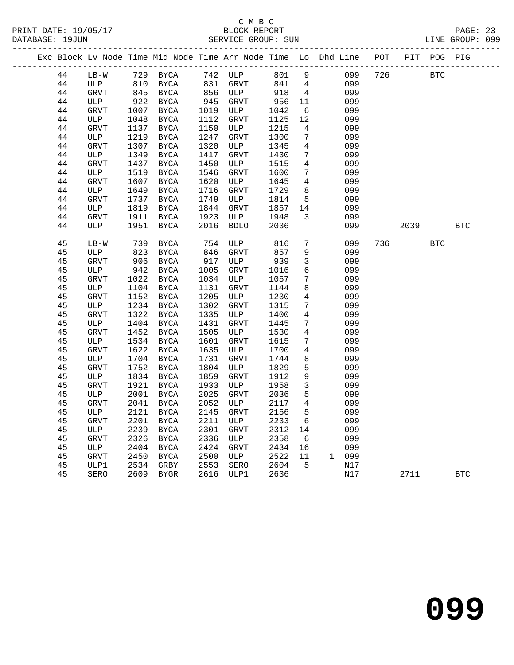|  |    |             |      |                                                                    |      | DAILVICA GROUP DOIV |      |                 |   |     |     |      |             |            |
|--|----|-------------|------|--------------------------------------------------------------------|------|---------------------|------|-----------------|---|-----|-----|------|-------------|------------|
|  |    |             |      | Exc Block Lv Node Time Mid Node Time Arr Node Time Lo Dhd Line POT |      |                     |      |                 |   |     |     |      | PIT POG PIG |            |
|  | 44 | $LB-W$      |      | 729 BYCA                                                           |      | 742 ULP             | 801  | $\overline{9}$  |   | 099 | 726 |      | <b>BTC</b>  |            |
|  | 44 | ULP         | 810  | BYCA                                                               | 831  | GRVT                | 841  | $\overline{4}$  |   | 099 |     |      |             |            |
|  | 44 | <b>GRVT</b> | 845  | <b>BYCA</b>                                                        | 856  | ULP                 | 918  | $4\overline{ }$ |   | 099 |     |      |             |            |
|  | 44 | ULP         | 922  | BYCA                                                               | 945  | <b>GRVT</b>         | 956  | 11              |   | 099 |     |      |             |            |
|  | 44 | GRVT        | 1007 | BYCA                                                               | 1019 | ULP                 | 1042 | 6               |   | 099 |     |      |             |            |
|  | 44 | ULP         | 1048 | BYCA                                                               | 1112 | <b>GRVT</b>         | 1125 | 12              |   | 099 |     |      |             |            |
|  | 44 | GRVT        | 1137 | BYCA                                                               | 1150 | ULP                 | 1215 | 4               |   | 099 |     |      |             |            |
|  | 44 | ULP         | 1219 | BYCA                                                               | 1247 | <b>GRVT</b>         | 1300 | $7\phantom{.0}$ |   | 099 |     |      |             |            |
|  | 44 | <b>GRVT</b> | 1307 | BYCA                                                               | 1320 | ULP                 | 1345 | $\overline{4}$  |   | 099 |     |      |             |            |
|  | 44 | ULP         | 1349 | BYCA                                                               | 1417 | <b>GRVT</b>         | 1430 | 7               |   | 099 |     |      |             |            |
|  | 44 | GRVT        | 1437 | BYCA                                                               | 1450 | ULP                 | 1515 | $\overline{4}$  |   | 099 |     |      |             |            |
|  | 44 | ULP         | 1519 | BYCA                                                               | 1546 | <b>GRVT</b>         | 1600 | $7\phantom{.0}$ |   | 099 |     |      |             |            |
|  | 44 | GRVT        | 1607 | BYCA                                                               | 1620 | ULP                 | 1645 | $4\overline{ }$ |   | 099 |     |      |             |            |
|  | 44 | ULP         | 1649 | BYCA                                                               | 1716 | GRVT                | 1729 | 8               |   | 099 |     |      |             |            |
|  | 44 | GRVT        | 1737 | BYCA                                                               | 1749 | ULP                 | 1814 | 5               |   | 099 |     |      |             |            |
|  | 44 | ULP         | 1819 | BYCA                                                               | 1844 | <b>GRVT</b>         | 1857 | 14              |   | 099 |     |      |             |            |
|  | 44 | GRVT        | 1911 | BYCA                                                               | 1923 | ULP                 | 1948 | 3               |   | 099 |     |      |             |            |
|  | 44 | ULP         | 1951 | BYCA                                                               | 2016 | <b>BDLO</b>         | 2036 |                 |   | 099 |     | 2039 |             | <b>BTC</b> |
|  |    |             |      |                                                                    |      |                     |      |                 |   |     |     |      |             |            |
|  | 45 | $LB-W$      | 739  | <b>BYCA</b>                                                        | 754  | ULP                 | 816  | 7               |   | 099 | 736 |      | BTC         |            |
|  | 45 | ULP         | 823  | BYCA                                                               | 846  | GRVT                | 857  | 9               |   | 099 |     |      |             |            |
|  | 45 | GRVT        | 906  | BYCA                                                               | 917  | ULP                 | 939  | $\mathbf{3}$    |   | 099 |     |      |             |            |
|  | 45 | ULP         | 942  | BYCA                                                               | 1005 | <b>GRVT</b>         | 1016 | 6               |   | 099 |     |      |             |            |
|  | 45 | GRVT        | 1022 | BYCA                                                               | 1034 | ULP                 | 1057 | 7               |   | 099 |     |      |             |            |
|  | 45 | ULP         | 1104 | BYCA                                                               | 1131 | GRVT                | 1144 | 8               |   | 099 |     |      |             |            |
|  | 45 | GRVT        | 1152 | BYCA                                                               | 1205 | ULP                 | 1230 | 4               |   | 099 |     |      |             |            |
|  | 45 | ULP         | 1234 | BYCA                                                               | 1302 | <b>GRVT</b>         | 1315 | 7               |   | 099 |     |      |             |            |
|  | 45 | <b>GRVT</b> | 1322 | BYCA                                                               | 1335 | ULP                 | 1400 | $\overline{4}$  |   | 099 |     |      |             |            |
|  | 45 | ULP         | 1404 | BYCA                                                               | 1431 | <b>GRVT</b>         | 1445 | 7               |   | 099 |     |      |             |            |
|  | 45 | GRVT        | 1452 | BYCA                                                               | 1505 | ULP                 | 1530 | $\overline{4}$  |   | 099 |     |      |             |            |
|  | 45 | ULP         | 1534 | BYCA                                                               | 1601 | <b>GRVT</b>         | 1615 | 7               |   | 099 |     |      |             |            |
|  | 45 | <b>GRVT</b> | 1622 | BYCA                                                               | 1635 | ULP                 | 1700 | $\overline{4}$  |   | 099 |     |      |             |            |
|  | 45 | ULP         | 1704 | BYCA                                                               | 1731 | GRVT                | 1744 | 8               |   | 099 |     |      |             |            |
|  | 45 | GRVT        | 1752 | BYCA                                                               | 1804 | ULP                 | 1829 | 5               |   | 099 |     |      |             |            |
|  | 45 | ULP         | 1834 | BYCA                                                               | 1859 | <b>GRVT</b>         | 1912 | 9               |   | 099 |     |      |             |            |
|  | 45 | <b>GRVT</b> | 1921 | BYCA                                                               | 1933 | ULP                 | 1958 | $\mathbf{3}$    |   | 099 |     |      |             |            |
|  | 45 | ULP         | 2001 | BYCA                                                               | 2025 | GRVT                | 2036 | 5               |   | 099 |     |      |             |            |
|  | 45 | GRVT        | 2041 | BYCA                                                               | 2052 | ULP                 | 2117 | $\overline{4}$  |   | 099 |     |      |             |            |
|  | 45 | ULP         |      | 2121 BYCA                                                          | 2145 | <b>GRVT</b>         | 2156 | 5               |   | 099 |     |      |             |            |
|  | 45 | <b>GRVT</b> | 2201 | <b>BYCA</b>                                                        | 2211 | ULP                 | 2233 | 6               |   | 099 |     |      |             |            |
|  | 45 | ULP         | 2239 | <b>BYCA</b>                                                        | 2301 | <b>GRVT</b>         | 2312 | 14              |   | 099 |     |      |             |            |
|  | 45 | GRVT        | 2326 | <b>BYCA</b>                                                        | 2336 | ULP                 | 2358 | 6               |   | 099 |     |      |             |            |
|  | 45 | ULP         | 2404 | <b>BYCA</b>                                                        | 2424 | <b>GRVT</b>         | 2434 | 16              |   | 099 |     |      |             |            |
|  | 45 | <b>GRVT</b> | 2450 | <b>BYCA</b>                                                        | 2500 | ULP                 | 2522 | 11              | 1 | 099 |     |      |             |            |
|  | 45 | ULP1        | 2534 | ${\tt GRBY}$                                                       | 2553 | SERO                | 2604 | 5               |   | N17 |     |      |             |            |
|  | 45 | SERO        | 2609 | <b>BYGR</b>                                                        | 2616 | ULP1                | 2636 |                 |   | N17 |     | 2711 |             | <b>BTC</b> |
|  |    |             |      |                                                                    |      |                     |      |                 |   |     |     |      |             |            |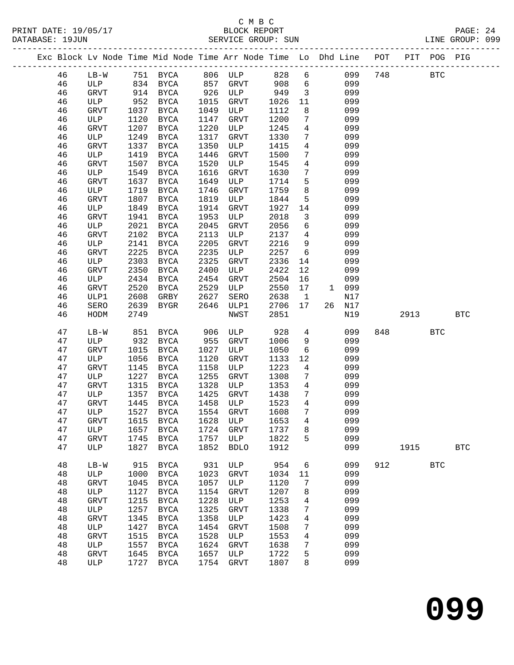|  |          |             |              |                                 |              |              |      |                         |        | Exc Block Lv Node Time Mid Node Time Arr Node Time Lo Dhd Line POT PIT POG PIG |      |            |            |
|--|----------|-------------|--------------|---------------------------------|--------------|--------------|------|-------------------------|--------|--------------------------------------------------------------------------------|------|------------|------------|
|  | 46       | $LB-W$      |              | 751 BYCA 806 ULP 828            |              |              |      | 6                       |        | 099<br>748                                                                     |      | <b>BTC</b> |            |
|  | 46       | ULP         |              | 834 BYCA                        | 857          | GRVT         | 908  | $6\overline{6}$         |        | 099                                                                            |      |            |            |
|  | 46       | GRVT        |              | 914 BYCA                        | 926          | ULP          | 949  | $\overline{\mathbf{3}}$ |        | 099                                                                            |      |            |            |
|  | 46       | ULP         | 952          | BYCA                            | 1015         | GRVT         | 1026 | 11                      |        | 099                                                                            |      |            |            |
|  | 46       | GRVT        | 1037         | BYCA                            | 1049         | ULP          | 1112 | 8                       |        | 099                                                                            |      |            |            |
|  | 46       | ULP         | 1120         | BYCA                            | 1147         | GRVT         | 1200 | $7\phantom{.0}$         |        | 099                                                                            |      |            |            |
|  | 46       | GRVT        | 1207         | BYCA                            | 1220         | ULP          | 1245 | $\overline{4}$          |        | 099                                                                            |      |            |            |
|  | 46       | ULP         | 1249         | BYCA                            | 1317         | GRVT         | 1330 | $7\phantom{.0}$         |        | 099                                                                            |      |            |            |
|  | 46       | <b>GRVT</b> | 1337         | BYCA                            | 1350         | ULP          | 1415 | $\overline{4}$          |        | 099                                                                            |      |            |            |
|  | 46       | ULP         | 1419         | BYCA                            | 1446         | GRVT         | 1500 | $7\phantom{.0}$         |        | 099                                                                            |      |            |            |
|  | 46       | GRVT        | 1507         | BYCA                            | 1520         | ULP          | 1545 | $\overline{4}$          |        | 099                                                                            |      |            |            |
|  | 46       | ULP         | 1549         | BYCA                            | 1616         | GRVT         | 1630 | 7                       |        | 099                                                                            |      |            |            |
|  | 46       | GRVT        | 1637         | BYCA                            | 1649         | ULP          | 1714 | 5                       |        | 099                                                                            |      |            |            |
|  | 46       | ULP         | 1719         | BYCA                            | 1746         | GRVT         | 1759 | 8                       |        | 099                                                                            |      |            |            |
|  | 46       | GRVT        | 1807         | BYCA                            | 1819         | ULP          | 1844 | 5                       |        | 099                                                                            |      |            |            |
|  | 46       | ULP         | 1849         | BYCA                            | 1914         | GRVT         | 1927 | 14                      |        | 099                                                                            |      |            |            |
|  | 46       | GRVT        | 1941         | BYCA                            | 1953         | ULP          | 2018 | $\mathbf{3}$            |        | 099                                                                            |      |            |            |
|  | 46       | ULP         | 2021         | BYCA                            | 2045         | GRVT         | 2056 | $6\overline{6}$         |        | 099                                                                            |      |            |            |
|  | 46       | GRVT        | 2102         | BYCA                            | 2113         | ULP          | 2137 | $\overline{4}$          |        | 099                                                                            |      |            |            |
|  | 46       | ULP         | 2141         | BYCA                            | 2205         | GRVT         | 2216 | 9                       |        | 099                                                                            |      |            |            |
|  | 46       | GRVT        | 2225         | BYCA                            | 2235         | ULP          | 2257 | $6\overline{6}$         |        | 099                                                                            |      |            |            |
|  | 46       | ULP         | 2303         | BYCA                            | 2325         | GRVT         | 2336 | 14                      |        | 099                                                                            |      |            |            |
|  | 46       | GRVT        | 2350         | BYCA                            | 2400         | ULP          | 2422 | 12                      |        | 099                                                                            |      |            |            |
|  | 46       | ULP         | 2434         | BYCA                            | 2454         | GRVT         | 2504 | 16                      |        | 099                                                                            |      |            |            |
|  | 46       | GRVT        | 2520         | BYCA                            | 2529         | ULP          | 2550 | 17                      | 1 099  |                                                                                |      |            |            |
|  | 46       | ULP1        | 2608         | GRBY                            | 2627         | SERO         | 2638 | $\mathbf{1}$            |        | N17                                                                            |      |            |            |
|  | 46       | SERO        | 2639         | BYGR                            | 2646         | ULP1         | 2706 | 17                      | 26 N17 |                                                                                |      |            |            |
|  | 46       | HODM        | 2749         |                                 |              | NWST         | 2851 |                         |        | N19                                                                            | 2913 |            | <b>BTC</b> |
|  | 47       | $LB-W$      | 851          | BYCA                            |              | 906 ULP      | 928  | $\overline{4}$          |        | 099<br>848                                                                     |      | <b>BTC</b> |            |
|  | 47       | ULP         | 932          | BYCA                            | 955          | GRVT         | 1006 | 9                       |        | 099                                                                            |      |            |            |
|  | 47       | GRVT        | 1015         | BYCA                            | 1027         | ULP          | 1050 | 6                       |        | 099                                                                            |      |            |            |
|  | 47       | ULP         | 1056         | BYCA                            | 1120         | GRVT         | 1133 | 12                      |        | 099                                                                            |      |            |            |
|  | 47       | <b>GRVT</b> | 1145         | BYCA                            | 1158         | ULP          | 1223 | $4\overline{ }$         |        | 099                                                                            |      |            |            |
|  | 47       | ULP         | 1227         | BYCA                            | 1255         | GRVT         | 1308 | $7\phantom{.0}$         |        | 099                                                                            |      |            |            |
|  | 47       | GRVT        | 1315         | BYCA                            | 1328         | ULP          | 1353 | $\overline{4}$          |        | 099                                                                            |      |            |            |
|  | 47       | ULP         | 1357         | BYCA                            | 1425         | GRVT         | 1438 | 7                       |        | 099                                                                            |      |            |            |
|  | 47       | GRVT        | 1445         | BYCA                            | 1458         | ULP          | 1523 | $\overline{4}$          |        | 099                                                                            |      |            |            |
|  | 47       | ULP         |              | 1527 BYCA                       |              | 1554 GRVT    | 1608 | 7                       |        | 099                                                                            |      |            |            |
|  | 47       | GRVT        |              | 1615 BYCA 1628 ULP 1653<br>BYCA |              |              | 1737 | $4\overline{ }$         |        | 099<br>099                                                                     |      |            |            |
|  | 47<br>47 | ULP<br>GRVT | 1657<br>1745 | BYCA                            | 1724<br>1757 | GRVT<br>ULP  | 1822 | 8<br>5                  |        | 099                                                                            |      |            |            |
|  | 47       | ULP         | 1827         | BYCA                            | 1852         | <b>BDLO</b>  | 1912 |                         |        | 099                                                                            | 1915 |            | <b>BTC</b> |
|  |          |             |              |                                 |              |              |      |                         |        |                                                                                |      |            |            |
|  | 48       | $LB-W$      | 915          | BYCA                            | 931          | ULP          | 954  | 6                       |        | 099<br>912                                                                     |      | <b>BTC</b> |            |
|  | 48       | ULP         | 1000         | BYCA                            | 1023         | ${\tt GRVT}$ | 1034 | 11                      |        | 099                                                                            |      |            |            |
|  | 48       | GRVT        | 1045         | BYCA                            | 1057         | ULP          | 1120 | 7                       |        | 099                                                                            |      |            |            |
|  | 48       | ULP         | 1127         | BYCA                            | 1154         | GRVT         | 1207 | 8                       |        | 099                                                                            |      |            |            |
|  | 48       | GRVT        | 1215         | BYCA                            | 1228         | ULP          | 1253 | 4                       |        | 099                                                                            |      |            |            |
|  | 48       | ULP         | 1257         | <b>BYCA</b>                     | 1325         | GRVT         | 1338 | 7                       |        | 099                                                                            |      |            |            |
|  | 48       | GRVT        | 1345         | BYCA                            | 1358         | ULP          | 1423 | 4                       |        | 099                                                                            |      |            |            |
|  | 48       | ULP         | 1427         | BYCA                            | 1454         | GRVT         | 1508 | 7                       |        | 099                                                                            |      |            |            |
|  | 48       | GRVT        | 1515         | BYCA                            | 1528         | ULP          | 1553 | 4                       |        | 099                                                                            |      |            |            |
|  | 48       | ULP         | 1557         | BYCA                            | 1624         | GRVT         | 1638 | 7                       |        | 099                                                                            |      |            |            |
|  | 48       | GRVT        | 1645         | BYCA                            | 1657         | ULP          | 1722 | 5                       |        | 099                                                                            |      |            |            |
|  | 48       | ULP         |              | 1727 BYCA                       | 1754         | GRVT         | 1807 | 8                       |        | 099                                                                            |      |            |            |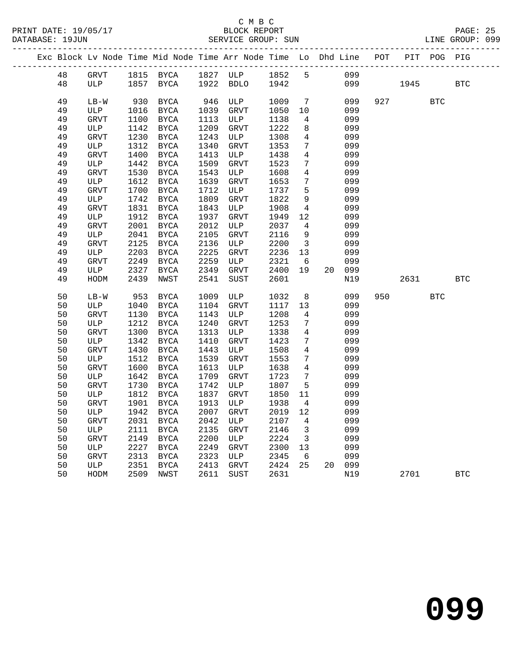|  |          |                    |              | Exc Block Lv Node Time Mid Node Time Arr Node Time Lo Dhd Line POT |              |             |              |                         |    |            |     |      | PIT POG PIG |            |
|--|----------|--------------------|--------------|--------------------------------------------------------------------|--------------|-------------|--------------|-------------------------|----|------------|-----|------|-------------|------------|
|  | 48       | GRVT               |              | 1815 BYCA                                                          |              | 1827 ULP    | 1852         | 5                       |    | 099        |     |      |             |            |
|  | 48       | ULP                | 1857         | BYCA                                                               | 1922         | <b>BDLO</b> | 1942         |                         |    | 099        |     | 1945 |             | <b>BTC</b> |
|  |          |                    |              |                                                                    |              |             |              |                         |    |            |     |      |             |            |
|  | 49       | $LB-W$             | 930          | BYCA                                                               | 946          | ULP         | 1009         | 7                       |    | 099        | 927 |      | <b>BTC</b>  |            |
|  | 49       | ULP                | 1016         | BYCA                                                               | 1039         | GRVT        | 1050         | 10                      |    | 099        |     |      |             |            |
|  | 49       | <b>GRVT</b>        | 1100         | BYCA                                                               | 1113         | ULP         | 1138         | 4<br>8                  |    | 099<br>099 |     |      |             |            |
|  | 49<br>49 | ULP<br><b>GRVT</b> | 1142<br>1230 | BYCA<br><b>BYCA</b>                                                | 1209<br>1243 | GRVT<br>ULP | 1222<br>1308 | 4                       |    | 099        |     |      |             |            |
|  | 49       | ULP                | 1312         | <b>BYCA</b>                                                        | 1340         | GRVT        | 1353         | 7                       |    | 099        |     |      |             |            |
|  | 49       | GRVT               | 1400         | BYCA                                                               | 1413         | ULP         | 1438         | $\overline{4}$          |    | 099        |     |      |             |            |
|  | 49       | ULP                | 1442         | <b>BYCA</b>                                                        | 1509         | GRVT        | 1523         | 7                       |    | 099        |     |      |             |            |
|  | 49       | ${\tt GRVT}$       | 1530         | BYCA                                                               | 1543         | ULP         | 1608         | $\overline{4}$          |    | 099        |     |      |             |            |
|  | 49       | ULP                | 1612         | BYCA                                                               | 1639         | GRVT        | 1653         | 7                       |    | 099        |     |      |             |            |
|  | 49       | <b>GRVT</b>        | 1700         | <b>BYCA</b>                                                        | 1712         | ULP         | 1737         | 5                       |    | 099        |     |      |             |            |
|  | 49       | ULP                | 1742         | BYCA                                                               | 1809         | <b>GRVT</b> | 1822         | 9                       |    | 099        |     |      |             |            |
|  | 49       | <b>GRVT</b>        | 1831         | BYCA                                                               | 1843         | ULP         | 1908         | $\overline{4}$          |    | 099        |     |      |             |            |
|  | 49       | ULP                | 1912         | BYCA                                                               | 1937         | GRVT        | 1949         | 12                      |    | 099        |     |      |             |            |
|  | 49       | <b>GRVT</b>        | 2001         | BYCA                                                               | 2012         | ULP         | 2037         | 4                       |    | 099        |     |      |             |            |
|  | 49       | ULP                | 2041         | BYCA                                                               | 2105         | GRVT        | 2116         | 9                       |    | 099        |     |      |             |            |
|  | 49       | <b>GRVT</b>        | 2125         | BYCA                                                               | 2136         | ULP         | 2200         | $\overline{\mathbf{3}}$ |    | 099        |     |      |             |            |
|  | 49       | ULP                | 2203         | BYCA                                                               | 2225         | GRVT        | 2236         | 13                      |    | 099        |     |      |             |            |
|  | 49       | <b>GRVT</b>        | 2249         | BYCA                                                               | 2259         | ULP         | 2321         | 6                       |    | 099        |     |      |             |            |
|  | 49       | ULP                | 2327         | BYCA                                                               | 2349         | GRVT        | 2400         | 19                      | 20 | 099        |     |      |             |            |
|  | 49       | HODM               | 2439         | NWST                                                               | 2541         | SUST        | 2601         |                         |    | N19        |     | 2631 |             | <b>BTC</b> |
|  |          |                    |              |                                                                    |              |             |              |                         |    |            |     |      |             |            |
|  | 50       | $LB-W$             | 953          | BYCA                                                               | 1009         | ULP         | 1032         | 8                       |    | 099        | 950 |      | <b>BTC</b>  |            |
|  | 50       | ULP                | 1040         | <b>BYCA</b>                                                        | 1104         | <b>GRVT</b> | 1117         | 13                      |    | 099        |     |      |             |            |
|  | 50       | <b>GRVT</b>        | 1130         | BYCA                                                               | 1143         | ULP         | 1208         | 4                       |    | 099        |     |      |             |            |
|  | 50       | ULP                | 1212         | BYCA                                                               | 1240         | GRVT        | 1253         | 7                       |    | 099        |     |      |             |            |
|  | 50       | <b>GRVT</b>        | 1300<br>1342 | BYCA                                                               | 1313         | ULP         | 1338         | 4                       |    | 099        |     |      |             |            |
|  | 50<br>50 | ULP<br><b>GRVT</b> | 1430         | BYCA<br>BYCA                                                       | 1410<br>1443 | GRVT<br>ULP | 1423<br>1508 | 7<br>4                  |    | 099<br>099 |     |      |             |            |
|  | 50       | ULP                | 1512         | <b>BYCA</b>                                                        | 1539         | <b>GRVT</b> | 1553         | 7                       |    | 099        |     |      |             |            |
|  | 50       | <b>GRVT</b>        | 1600         | <b>BYCA</b>                                                        | 1613         | ULP         | 1638         | 4                       |    | 099        |     |      |             |            |
|  | 50       | ULP                | 1642         | BYCA                                                               | 1709         | <b>GRVT</b> | 1723         | $7\phantom{.0}$         |    | 099        |     |      |             |            |
|  | 50       | <b>GRVT</b>        | 1730         | BYCA                                                               | 1742         | ULP         | 1807         | 5                       |    | 099        |     |      |             |            |
|  | 50       | ULP                | 1812         | BYCA                                                               | 1837         | GRVT        | 1850         | 11                      |    | 099        |     |      |             |            |
|  | 50       | GRVT               | 1901         | BYCA                                                               | 1913         | ULP         | 1938         | 4                       |    | 099        |     |      |             |            |
|  | 50       | ULP                | 1942         | BYCA                                                               | 2007         | GRVT        | 2019         | 12                      |    | 099        |     |      |             |            |
|  | 50       | <b>GRVT</b>        | 2031         | <b>BYCA</b>                                                        | 2042         | ULP         | 2107         | $\overline{4}$          |    | 099        |     |      |             |            |
|  | 50       | ULP                | 2111         | BYCA                                                               | 2135         | GRVT        | 2146         | 3                       |    | 099        |     |      |             |            |
|  | 50       | GRVT               | 2149         | BYCA                                                               | 2200         | ULP         | 2224         | $\overline{\mathbf{3}}$ |    | 099        |     |      |             |            |
|  | 50       | ULP                | 2227         | $_{\rm BYCA}$                                                      | 2249         | <b>GRVT</b> | 2300         | 13                      |    | 099        |     |      |             |            |
|  | 50       | <b>GRVT</b>        | 2313         | <b>BYCA</b>                                                        | 2323         | ULP         | 2345         | 6                       |    | 099        |     |      |             |            |
|  | 50       | ULP                | 2351         | BYCA                                                               | 2413         | GRVT        | 2424         | 25                      | 20 | 099        |     |      |             |            |
|  | 50       | HODM               | 2509         | NWST                                                               | 2611         | SUST        | 2631         |                         |    | N19        |     | 2701 |             | <b>BTC</b> |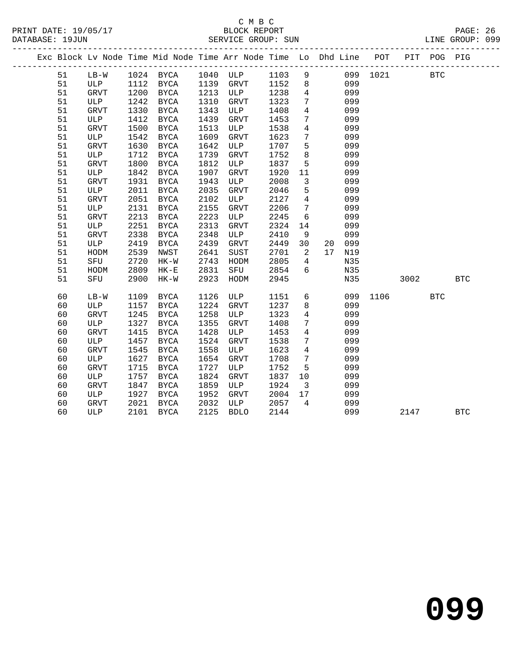# C M B C<br>BLOCK REPORT

LINE GROUP: 099

|  |    |             |      |             |      | Exc Block Lv Node Time Mid Node Time Arr Node Time Lo Dhd Line POT |      |                         |    |     |          |      | PIT POG PIG |            |
|--|----|-------------|------|-------------|------|--------------------------------------------------------------------|------|-------------------------|----|-----|----------|------|-------------|------------|
|  | 51 | $LB-W$      |      | 1024 BYCA   |      | -----------------------------------<br>1040 ULP                    | 1103 | 9                       |    |     | 099 1021 |      | <b>BTC</b>  |            |
|  | 51 | ULP         | 1112 | <b>BYCA</b> | 1139 | GRVT                                                               | 1152 | 8                       |    | 099 |          |      |             |            |
|  | 51 | GRVT        | 1200 | BYCA        | 1213 | ULP                                                                | 1238 | $\overline{4}$          |    | 099 |          |      |             |            |
|  | 51 | ULP         | 1242 | <b>BYCA</b> | 1310 | <b>GRVT</b>                                                        | 1323 | $7\overline{ }$         |    | 099 |          |      |             |            |
|  | 51 | <b>GRVT</b> | 1330 | <b>BYCA</b> | 1343 | ULP                                                                | 1408 | $\overline{4}$          |    | 099 |          |      |             |            |
|  | 51 | ULP         | 1412 | BYCA        | 1439 | GRVT                                                               | 1453 | $7\phantom{.0}$         |    | 099 |          |      |             |            |
|  | 51 | GRVT        | 1500 | <b>BYCA</b> | 1513 | ULP                                                                | 1538 | $\overline{4}$          |    | 099 |          |      |             |            |
|  | 51 | ULP         | 1542 | <b>BYCA</b> | 1609 | ${\tt GRVT}$                                                       | 1623 | $7\phantom{.0}$         |    | 099 |          |      |             |            |
|  | 51 | GRVT        | 1630 | BYCA        | 1642 | ULP                                                                | 1707 | 5                       |    | 099 |          |      |             |            |
|  | 51 | ULP         | 1712 | <b>BYCA</b> | 1739 | <b>GRVT</b>                                                        | 1752 | 8                       |    | 099 |          |      |             |            |
|  | 51 | <b>GRVT</b> | 1800 | BYCA        | 1812 | ULP                                                                | 1837 | 5                       |    | 099 |          |      |             |            |
|  | 51 | ULP         | 1842 | BYCA        | 1907 | GRVT                                                               | 1920 | 11                      |    | 099 |          |      |             |            |
|  | 51 | <b>GRVT</b> | 1931 | <b>BYCA</b> | 1943 | ULP                                                                | 2008 | $\overline{3}$          |    | 099 |          |      |             |            |
|  | 51 | ULP         | 2011 | BYCA        | 2035 | GRVT                                                               | 2046 | 5                       |    | 099 |          |      |             |            |
|  | 51 | GRVT        | 2051 | <b>BYCA</b> | 2102 | ULP                                                                | 2127 | $\overline{4}$          |    | 099 |          |      |             |            |
|  | 51 | ULP         | 2131 | <b>BYCA</b> | 2155 | <b>GRVT</b>                                                        | 2206 | $7\phantom{.0}$         |    | 099 |          |      |             |            |
|  | 51 | GRVT        | 2213 | <b>BYCA</b> | 2223 | ULP                                                                | 2245 | $6\overline{6}$         |    | 099 |          |      |             |            |
|  | 51 | ULP         | 2251 | BYCA        | 2313 | ${\tt GRVT}$                                                       | 2324 | 14                      |    | 099 |          |      |             |            |
|  | 51 | GRVT        | 2338 | <b>BYCA</b> | 2348 | ULP                                                                | 2410 | 9                       |    | 099 |          |      |             |            |
|  | 51 | ULP         | 2419 | BYCA        | 2439 | GRVT                                                               | 2449 | 30                      | 20 | 099 |          |      |             |            |
|  | 51 | HODM        | 2539 | NWST        | 2641 | SUST                                                               | 2701 | 2                       | 17 | N19 |          |      |             |            |
|  | 51 | SFU         | 2720 | $HK-W$      | 2743 | HODM                                                               | 2805 | $\overline{4}$          |    | N35 |          |      |             |            |
|  | 51 | HODM        | 2809 | $HK-E$      | 2831 | SFU                                                                | 2854 | 6                       |    | N35 |          |      |             |            |
|  | 51 | SFU         | 2900 | $HK-W$      | 2923 | HODM                                                               | 2945 |                         |    | N35 |          | 3002 |             | <b>BTC</b> |
|  | 60 | $LB-W$      | 1109 | <b>BYCA</b> | 1126 | ULP                                                                | 1151 | 6                       |    | 099 | 1106     |      | <b>BTC</b>  |            |
|  | 60 | ULP         | 1157 | BYCA        | 1224 | <b>GRVT</b>                                                        | 1237 | 8                       |    | 099 |          |      |             |            |
|  | 60 | GRVT        | 1245 | <b>BYCA</b> | 1258 | ULP                                                                | 1323 | $\overline{4}$          |    | 099 |          |      |             |            |
|  | 60 | ULP         | 1327 | BYCA        | 1355 | <b>GRVT</b>                                                        | 1408 | $7\phantom{.0}$         |    | 099 |          |      |             |            |
|  | 60 | GRVT        | 1415 | BYCA        | 1428 | ULP                                                                | 1453 | $\overline{4}$          |    | 099 |          |      |             |            |
|  | 60 | ULP         | 1457 | <b>BYCA</b> | 1524 | <b>GRVT</b>                                                        | 1538 | $7\overline{ }$         |    | 099 |          |      |             |            |
|  | 60 | <b>GRVT</b> | 1545 | <b>BYCA</b> | 1558 | ULP                                                                | 1623 | $\overline{4}$          |    | 099 |          |      |             |            |
|  | 60 | ULP         | 1627 | BYCA        | 1654 | GRVT                                                               | 1708 | $7\phantom{.0}$         |    | 099 |          |      |             |            |
|  | 60 | GRVT        | 1715 | <b>BYCA</b> | 1727 | ULP                                                                | 1752 | 5                       |    | 099 |          |      |             |            |
|  | 60 | ULP         | 1757 | BYCA        | 1824 | <b>GRVT</b>                                                        | 1837 | 10                      |    | 099 |          |      |             |            |
|  | 60 | GRVT        | 1847 | BYCA        | 1859 | ULP                                                                | 1924 | $\overline{\mathbf{3}}$ |    | 099 |          |      |             |            |
|  | 60 | ULP         | 1927 | <b>BYCA</b> | 1952 | <b>GRVT</b>                                                        | 2004 | 17                      |    | 099 |          |      |             |            |
|  | 60 | <b>GRVT</b> | 2021 | BYCA        | 2032 | ULP                                                                | 2057 | $\overline{4}$          |    | 099 |          |      |             |            |
|  | 60 | ULP         | 2101 | BYCA        | 2125 | <b>BDLO</b>                                                        | 2144 |                         |    | 099 |          | 2147 |             | <b>BTC</b> |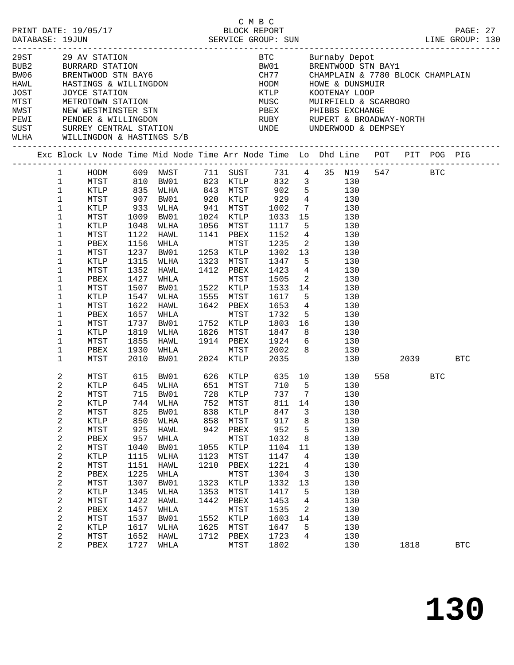| 29ST <b>1987</b><br>BUB2<br>BW06<br>HAWL<br>JOST<br>MTST<br>NWST<br>------------------------------------ |                                                                                                                                                                                                                                 |                                                                                                                                                                              |                                                                                                                                                                  | 29 AV STATION<br>BURRARD STATION<br>BRENTWOOD STN BAY6<br>HASTINGS & WILLINGDON<br>JOYCE STATION<br>METROTOWN STATION<br>NEW WESTMINSTER STN                                     |                                                                                           |                                                                                                                                                                                                                                               | BW01<br>CH77<br>HODM<br>KTLP<br>MUSC<br>PBEX                                                                                                                      |                                                                                                                                                                                                                                                | BTC Burnaby Depot<br>BRENTWOOD STN BAY1<br>CHAMPLAIN & 7780 BLOCK CHAMPLAIN<br>HOWE & DUNSMUIR<br>KOOTENAY LOOP<br>MUIRFIELD & SCARBORO<br>PHIBBS EXCHANGE<br>PEWI PENDER & WILLINGDON PEWI PUBY PRIES EXCHANGE PEWI PENDER & WILLINGDON<br>SUST SURREY CENTRAL STATION PUBY RUBY RUPERT & BROADWAY-NO<br>WLHA WILLINGDON & HASTINGS S/R<br>RUPERT & BROADWAY-NORTH |     |      |            |            |  |
|----------------------------------------------------------------------------------------------------------|---------------------------------------------------------------------------------------------------------------------------------------------------------------------------------------------------------------------------------|------------------------------------------------------------------------------------------------------------------------------------------------------------------------------|------------------------------------------------------------------------------------------------------------------------------------------------------------------|----------------------------------------------------------------------------------------------------------------------------------------------------------------------------------|-------------------------------------------------------------------------------------------|-----------------------------------------------------------------------------------------------------------------------------------------------------------------------------------------------------------------------------------------------|-------------------------------------------------------------------------------------------------------------------------------------------------------------------|------------------------------------------------------------------------------------------------------------------------------------------------------------------------------------------------------------------------------------------------|---------------------------------------------------------------------------------------------------------------------------------------------------------------------------------------------------------------------------------------------------------------------------------------------------------------------------------------------------------------------|-----|------|------------|------------|--|
|                                                                                                          |                                                                                                                                                                                                                                 |                                                                                                                                                                              |                                                                                                                                                                  |                                                                                                                                                                                  |                                                                                           |                                                                                                                                                                                                                                               |                                                                                                                                                                   |                                                                                                                                                                                                                                                | Exc Block Lv Node Time Mid Node Time Arr Node Time Lo Dhd Line POT PIT POG PIG                                                                                                                                                                                                                                                                                      |     |      |            |            |  |
|                                                                                                          | $\mathbf{1}$<br>$\mathbf 1$<br>$\mathbf{1}$<br>$\mathbf{1}$<br>$\mathbf{1}$<br>$\mathbf 1$<br>$\mathbf{1}$<br>$\mathbf 1$<br>$\mathbf{1}$<br>1<br>$\mathbf{1}$<br>1<br>1<br>1<br>1<br>1<br>1<br>1<br>1<br>1<br>1<br>$\mathbf 1$ | HODM<br>MTST<br>KTLP<br>MTST<br>KTLP<br>MTST<br>KTLP<br>MTST<br>PBEX<br>MTST<br>KTLP<br>MTST<br>PBEX<br>MTST<br>KTLP<br>MTST<br>PBEX<br>MTST<br>KTLP<br>MTST<br>PBEX<br>MTST | 810<br>835<br>907<br>933<br>1009<br>1048<br>1122<br>1156<br>1237<br>1315<br>1352<br>1427<br>1507<br>1547<br>1622<br>1657<br>1737<br>1819<br>1855<br>1930<br>2010 | 609 NWST<br>BW01<br>WLHA<br>BW01<br>WLHA<br>BW01<br>WLHA<br>HAWL<br>WHLA<br>BW01<br>WLHA<br>HAWL<br>WHLA<br>BW01<br>WLHA<br>HAWL<br>WHLA<br>BW01<br>WLHA<br>HAWL<br>WHLA<br>BW01 | 1141<br>1412<br>1555<br>1642                                                              | 711 SUST<br>823 KTLP<br>843 MTST<br>920 KTLP<br>941 MTST<br>1024 KTLP<br>1056 MTST<br>PBEX<br>MTST<br>1253 KTLP<br>1323 MTST<br>PBEX<br>MTST<br>1522 KTLP<br>MTST<br>PBEX<br>MTST<br>1752 KTLP<br>1826 MTST<br>1914 PBEX<br>MTST<br>2024 KTLP | 832<br>902<br>929<br>1002<br>1033<br>1117<br>1152<br>1235<br>1302<br>1347<br>1423<br>1505<br>1533<br>1617<br>1653<br>1732<br>1803<br>1847<br>1924<br>2002<br>2035 | $\overline{\mathbf{3}}$<br>$5\overline{)}$<br>$\overline{4}$<br>$7\overline{ }$<br>15<br>5<br>$\overline{4}$<br>$\overline{2}$<br>13<br>5<br>$\overline{4}$<br>$\overline{a}$<br>14<br>$5^{\circ}$<br>$\overline{4}$<br>5<br>16<br>8<br>6<br>8 | 731  4  35  N19  547  BTC<br>130<br>130<br>130<br>130<br>130<br>130<br>130<br>130<br>130<br>130<br>130<br>130<br>130<br>130<br>130<br>130<br>130<br>130<br>130<br>130<br>130                                                                                                                                                                                        |     |      | 2039       | BTC        |  |
|                                                                                                          | 2<br>2<br>2<br>2<br>2<br>2<br>2<br>2<br>2<br>2<br>$\mathbf{2}$<br>2<br>2<br>2<br>$\mathbf{2}$<br>2<br>2<br>2<br>2<br>$\overline{a}$                                                                                             | MTST<br>KTLP<br>MTST<br>KTLP<br>MTST<br>KTLP<br>MTST<br>PBEX<br>MTST<br>KTLP<br>MTST<br>PBEX<br>MTST<br>KTLP<br>MTST<br>PBEX<br>MTST<br>KTLP<br>MTST<br>PBEX                 | 615<br>645<br>715<br>825<br>850<br>925<br>957<br>1040<br>1115<br>1151<br>1225<br>1307<br>1345<br>1422<br>1457<br>1537<br>1617<br>1652<br>1727                    | BW01<br>WLHA<br>BW01<br>744 WLHA<br>BW01<br>WLHA<br>HAWL<br>WHLA<br>BW01<br>WLHA<br>HAWL<br>WHLA<br>BW01<br>WLHA<br>HAWL<br>WHLA<br>BW01<br>WLHA<br>HAWL<br>WHLA                 | 838<br>858<br>942<br>1055<br>1123<br>1210<br>1323<br>1353<br>1442<br>1552<br>1625<br>1712 | 626 KTLP<br>651 MTST<br>728 KTLP<br>752 MTST<br>KTLP<br>MTST<br>PBEX<br>MTST<br>KTLP<br>MTST<br>PBEX<br>MTST<br>KTLP<br>MTST<br>PBEX<br>MTST<br>KTLP<br>MTST<br>PBEX<br>MTST                                                                  | 635<br>710<br>737<br>847<br>917<br>952<br>1032<br>1104<br>1147<br>1221<br>1304<br>1332<br>1417<br>1453<br>1535<br>1603<br>1647<br>1723<br>1802                    | 10<br>$5^{\circ}$<br>$\overline{7}$<br>3<br>8<br>5<br>8<br>11<br>4<br>4<br>3<br>13<br>5<br>4<br>2<br>14<br>5<br>4                                                                                                                              | 130<br>130<br>130<br>811 14 130<br>130<br>130<br>130<br>130<br>130<br>130<br>130<br>130<br>130<br>130<br>130<br>130<br>130<br>130<br>130<br>130                                                                                                                                                                                                                     | 558 | 1818 | <b>BTC</b> | <b>BTC</b> |  |

C M B C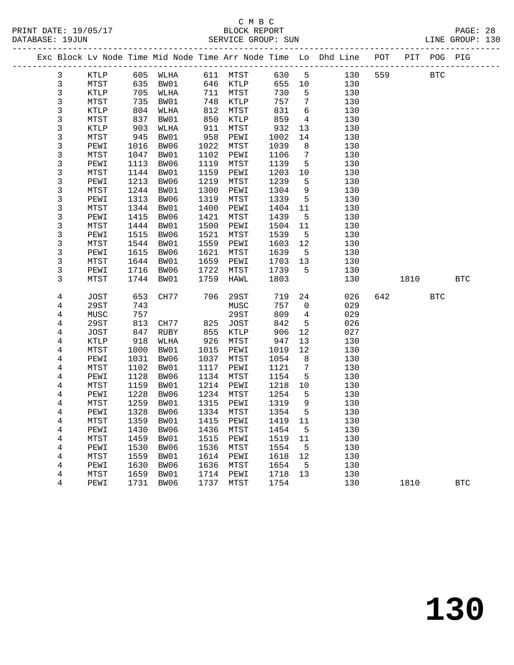# C M B C<br>BLOCK REPORT

PAGE: 28<br>LINE GROUP: 130

|                         |             |      |                       |      | י בטטאט שטבע |      |                 |                                                                                                  |     |      |             |            |
|-------------------------|-------------|------|-----------------------|------|--------------|------|-----------------|--------------------------------------------------------------------------------------------------|-----|------|-------------|------------|
|                         |             |      | --------------------- |      |              |      |                 | --------------------------<br>Exc Block Lv Node Time Mid Node Time Arr Node Time Lo Dhd Line POT |     |      | PIT POG PIG |            |
| 3                       | KTLP        |      | 605 WLHA              |      | 611 MTST     | 630  | $5^{\circ}$     | 130                                                                                              | 559 |      | <b>BTC</b>  |            |
| 3                       | MTST        | 635  | BW01                  |      | 646 KTLP     | 655  | 10              | 130                                                                                              |     |      |             |            |
| 3                       | <b>KTLP</b> | 705  | WLHA                  | 711  | MTST         | 730  | 5               | 130                                                                                              |     |      |             |            |
| 3                       | MTST        | 735  | BW01                  | 748  | KTLP         | 757  | $7\phantom{.0}$ | 130                                                                                              |     |      |             |            |
| 3                       | KTLP        | 804  | WLHA                  | 812  | MTST         | 831  | 6               | 130                                                                                              |     |      |             |            |
| 3                       | MTST        | 837  | BW01                  | 850  | KTLP         | 859  | $\overline{4}$  | 130                                                                                              |     |      |             |            |
| 3                       | <b>KTLP</b> | 903  | WLHA                  | 911  | MTST         | 932  | 13              | 130                                                                                              |     |      |             |            |
| 3                       | MTST        | 945  | BW01                  | 958  | PEWI         | 1002 | 14              | 130                                                                                              |     |      |             |            |
| 3                       | PEWI        | 1016 | BW06                  | 1022 | MTST         | 1039 | 8               | 130                                                                                              |     |      |             |            |
| 3                       | MTST        | 1047 | BW01                  | 1102 | PEWI         | 1106 | 7               | 130                                                                                              |     |      |             |            |
| 3                       | PEWI        | 1113 | BW06                  | 1119 | MTST         | 1139 | 5               | 130                                                                                              |     |      |             |            |
| 3                       | MTST        | 1144 | BW01                  | 1159 | PEWI         | 1203 | 10              | 130                                                                                              |     |      |             |            |
| 3                       | PEWI        | 1213 | BW06                  | 1219 | MTST         | 1239 | 5               | 130                                                                                              |     |      |             |            |
| 3                       | MTST        | 1244 | BW01                  | 1300 | PEWI         | 1304 | 9               | 130                                                                                              |     |      |             |            |
| 3                       | PEWI        | 1313 | BW06                  | 1319 | MTST         | 1339 | 5               | 130                                                                                              |     |      |             |            |
| 3                       | MTST        | 1344 | BW01                  | 1400 | PEWI         | 1404 | 11              | 130                                                                                              |     |      |             |            |
| 3                       | PEWI        | 1415 | BW06                  | 1421 | MTST         | 1439 | 5               | 130                                                                                              |     |      |             |            |
| 3                       | MTST        | 1444 | BW01                  | 1500 | PEWI         | 1504 | 11              | 130                                                                                              |     |      |             |            |
| 3                       | PEWI        | 1515 | BW06                  | 1521 | MTST         | 1539 | 5               | 130                                                                                              |     |      |             |            |
| 3                       | MTST        | 1544 | BW01                  | 1559 | PEWI         | 1603 | 12              | 130                                                                                              |     |      |             |            |
| 3                       | PEWI        | 1615 | BW06                  | 1621 | MTST         | 1639 | $5^{\circ}$     | 130                                                                                              |     |      |             |            |
| 3                       | MTST        | 1644 | BW01                  | 1659 | PEWI         | 1703 | 13              | 130                                                                                              |     |      |             |            |
| 3                       | PEWI        | 1716 | BW06                  | 1722 | MTST         | 1739 | 5               | 130                                                                                              |     |      |             |            |
| 3                       | MTST        | 1744 | BW01                  | 1759 | HAWL         | 1803 |                 | 130                                                                                              |     | 1810 |             | <b>BTC</b> |
| 4                       | JOST        | 653  | CH77                  | 706  | 29ST         | 719  | 24              | 026                                                                                              | 642 |      | <b>BTC</b>  |            |
| 4                       | 29ST        | 743  |                       |      | MUSC         | 757  | $\overline{0}$  | 029                                                                                              |     |      |             |            |
| 4                       | MUSC        | 757  |                       |      | 29ST         | 809  | $\overline{4}$  | 029                                                                                              |     |      |             |            |
| 4                       | 29ST        | 813  | CH77                  | 825  | JOST         | 842  | 5               | 026                                                                                              |     |      |             |            |
| 4                       | JOST        | 847  | RUBY                  | 855  | KTLP         | 906  | 12              | 027                                                                                              |     |      |             |            |
| 4                       | <b>KTLP</b> | 918  | WLHA                  | 926  | MTST         | 947  | 13              | 130                                                                                              |     |      |             |            |
| 4                       | MTST        | 1000 | BW01                  | 1015 | PEWI         | 1019 | 12              | 130                                                                                              |     |      |             |            |
| 4                       | PEWI        | 1031 | BW06                  | 1037 | MTST         | 1054 | 8               | 130                                                                                              |     |      |             |            |
| 4                       | MTST        | 1102 | BW01                  | 1117 | PEWI         | 1121 | $7\phantom{.0}$ | 130                                                                                              |     |      |             |            |
| 4                       | PEWI        | 1128 | BW06                  | 1134 | MTST         | 1154 | 5               | 130                                                                                              |     |      |             |            |
| 4                       | MTST        | 1159 | BW01                  | 1214 | PEWI         | 1218 | 10              | 130                                                                                              |     |      |             |            |
| 4                       | PEWI        | 1228 | BW06                  | 1234 | MTST         | 1254 | 5               | 130                                                                                              |     |      |             |            |
| 4                       | MTST        | 1259 | BW01                  | 1315 | PEWI         | 1319 | 9               | 130                                                                                              |     |      |             |            |
| 4                       | PEWI        | 1328 | BW06                  | 1334 | MTST         | 1354 | 5               | 130                                                                                              |     |      |             |            |
| 4                       | MTST        | 1359 | BW01                  | 1415 | PEWI         | 1419 | 11              | 130                                                                                              |     |      |             |            |
| 4                       | PEWI        | 1430 | BW06                  | 1436 | MTST         | 1454 | 5               | 130                                                                                              |     |      |             |            |
| $\overline{\mathbf{4}}$ | MTST        | 1459 | BW01                  | 1515 | PEWI         | 1519 | 11              | 130                                                                                              |     |      |             |            |
| 4                       | PEWI        | 1530 | BW06                  | 1536 | MTST         | 1554 | 5               | 130                                                                                              |     |      |             |            |
| 4                       | MTST        | 1559 | BW01                  | 1614 | PEWI         | 1618 | 12              | 130                                                                                              |     |      |             |            |
| 4                       | PEWI        | 1630 | BW06                  | 1636 | MTST         | 1654 | 5               | 130                                                                                              |     |      |             |            |
| 4                       | MTST        | 1659 | BW01                  | 1714 | PEWI         | 1718 | 13              | 130                                                                                              |     |      |             |            |
| 4                       | PEWI        | 1731 | BW06                  | 1737 | MTST         | 1754 |                 | 130                                                                                              |     | 1810 |             | <b>BTC</b> |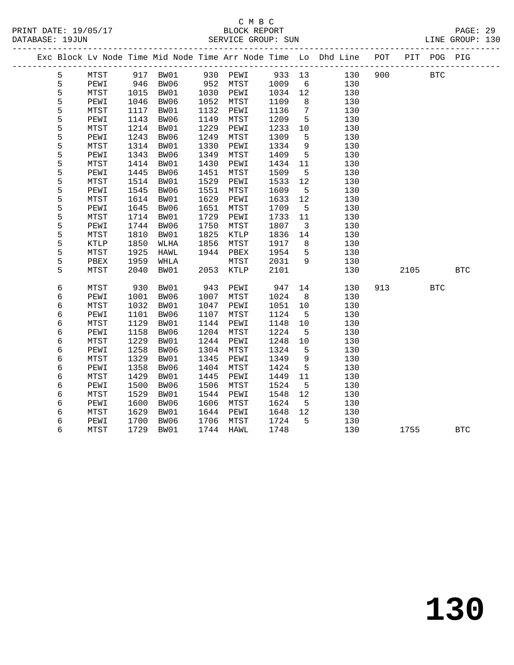PRINT DATE: 19/05/17 BLOCK REPORT BATABASE: 19JUN

# C M B C<br>BLOCK REPORT

PAGE: 29<br>LINE GROUP: 130

|  |   |      |      | ------------------------ |      |                         |        |                         |                                                                    |     |      |             |            |
|--|---|------|------|--------------------------|------|-------------------------|--------|-------------------------|--------------------------------------------------------------------|-----|------|-------------|------------|
|  |   |      |      |                          |      |                         |        |                         | Exc Block Lv Node Time Mid Node Time Arr Node Time Lo Dhd Line POT |     |      | PIT POG PIG |            |
|  | 5 | MTST |      | 917 BW01                 |      | 930 PEWI                | 933 13 |                         | 130                                                                | 900 |      | <b>BTC</b>  |            |
|  | 5 | PEWI |      | 946 BW06                 |      | $952 \quad \text{MTST}$ | 1009   | 6                       | 130                                                                |     |      |             |            |
|  | 5 | MTST | 1015 | BW01                     |      | 1030 PEWI               | 1034   | 12                      | 130                                                                |     |      |             |            |
|  | 5 | PEWI | 1046 | BW06                     | 1052 | MTST                    | 1109   | 8                       | 130                                                                |     |      |             |            |
|  | 5 | MTST | 1117 | BW01                     | 1132 | PEWI                    | 1136   | $7\phantom{.0}$         | 130                                                                |     |      |             |            |
|  | 5 | PEWI | 1143 | BW06                     | 1149 | MTST                    | 1209   | 5                       | 130                                                                |     |      |             |            |
|  | 5 | MTST | 1214 | BW01                     | 1229 | PEWI                    | 1233   | 10                      | 130                                                                |     |      |             |            |
|  | 5 | PEWI | 1243 | BW06                     | 1249 | MTST                    | 1309   | 5                       | 130                                                                |     |      |             |            |
|  | 5 | MTST | 1314 | BW01                     | 1330 | PEWI                    | 1334   | 9                       | 130                                                                |     |      |             |            |
|  | 5 | PEWI | 1343 | BW06                     | 1349 | MTST                    | 1409   | 5                       | 130                                                                |     |      |             |            |
|  | 5 | MTST | 1414 | BW01                     | 1430 | PEWI                    | 1434   | 11                      | 130                                                                |     |      |             |            |
|  | 5 | PEWI | 1445 | BW06                     | 1451 | MTST                    | 1509   | 5                       | 130                                                                |     |      |             |            |
|  | 5 | MTST | 1514 | BW01                     | 1529 | PEWI                    | 1533   | 12                      | 130                                                                |     |      |             |            |
|  | 5 | PEWI | 1545 | BW06                     | 1551 | MTST                    | 1609   | 5                       | 130                                                                |     |      |             |            |
|  | 5 | MTST | 1614 | BW01                     | 1629 | PEWI                    | 1633   | 12                      | 130                                                                |     |      |             |            |
|  | 5 | PEWI | 1645 | BW06                     | 1651 | MTST                    | 1709   | 5                       | 130                                                                |     |      |             |            |
|  | 5 | MTST | 1714 | BW01                     | 1729 | PEWI                    | 1733   | 11                      | 130                                                                |     |      |             |            |
|  | 5 | PEWI | 1744 | BW06                     | 1750 | MTST                    | 1807   | $\overline{\mathbf{3}}$ | 130                                                                |     |      |             |            |
|  | 5 | MTST | 1810 | BW01                     | 1825 | KTLP                    | 1836   | 14                      | 130                                                                |     |      |             |            |
|  | 5 | KTLP | 1850 | WLHA                     | 1856 | MTST                    | 1917   | 8                       | 130                                                                |     |      |             |            |
|  | 5 | MTST | 1925 | HAWL                     | 1944 | PBEX                    | 1954   | 5                       | 130                                                                |     |      |             |            |
|  | 5 | PBEX | 1959 | WHLA                     |      | MTST                    | 2031   | 9                       | 130                                                                |     |      |             |            |
|  | 5 | MTST | 2040 | BW01                     | 2053 | KTLP                    | 2101   |                         | 130                                                                |     | 2105 |             | <b>BTC</b> |
|  | 6 | MTST | 930  | BW01                     | 943  | PEWI                    | 947    | 14                      | 130                                                                | 913 |      | <b>BTC</b>  |            |
|  | 6 | PEWI | 1001 | BW06                     | 1007 | MTST                    | 1024   | 8 <sup>8</sup>          | 130                                                                |     |      |             |            |
|  | 6 | MTST | 1032 | BW01                     | 1047 | PEWI                    | 1051   | 10                      | 130                                                                |     |      |             |            |
|  | 6 | PEWI | 1101 | BW06                     | 1107 | MTST                    | 1124   | $5^{\circ}$             | 130                                                                |     |      |             |            |
|  | 6 | MTST | 1129 | BW01                     | 1144 | PEWI                    | 1148   | 10                      | 130                                                                |     |      |             |            |
|  | 6 | PEWI | 1158 | BW06                     | 1204 | MTST                    | 1224   | 5                       | 130                                                                |     |      |             |            |
|  | 6 | MTST | 1229 | BW01                     | 1244 | PEWI                    | 1248   | 10                      | 130                                                                |     |      |             |            |
|  | 6 | PEWI | 1258 | BW06                     | 1304 | MTST                    | 1324   | 5                       | 130                                                                |     |      |             |            |
|  | 6 | MTST | 1329 | BW01                     | 1345 | PEWI                    | 1349   | $\overline{9}$          | 130                                                                |     |      |             |            |
|  | 6 | PEWI | 1358 | BW06                     | 1404 | MTST                    | 1424   | 5                       | 130                                                                |     |      |             |            |
|  | 6 | MTST | 1429 | BW01                     | 1445 | PEWI                    | 1449   | 11                      | 130                                                                |     |      |             |            |
|  | 6 | PEWI | 1500 | BW06                     | 1506 | MTST                    | 1524   | 5                       | 130                                                                |     |      |             |            |
|  | 6 | MTST | 1529 | BW01                     | 1544 | PEWI                    | 1548   | 12                      | 130                                                                |     |      |             |            |
|  | 6 | PEWI | 1600 | BW06                     | 1606 | MTST                    | 1624   | 5                       | 130                                                                |     |      |             |            |
|  | 6 | MTST | 1629 | BW01                     | 1644 | PEWI                    | 1648   | 12                      | 130                                                                |     |      |             |            |
|  | б | PEWI | 1700 | BW06                     | 1706 | MTST                    | 1724   | 5                       | 130                                                                |     |      |             |            |
|  | 6 | MTST | 1729 | BW01                     | 1744 | HAWL                    | 1748   |                         | 130                                                                |     | 1755 |             | <b>BTC</b> |
|  |   |      |      |                          |      |                         |        |                         |                                                                    |     |      |             |            |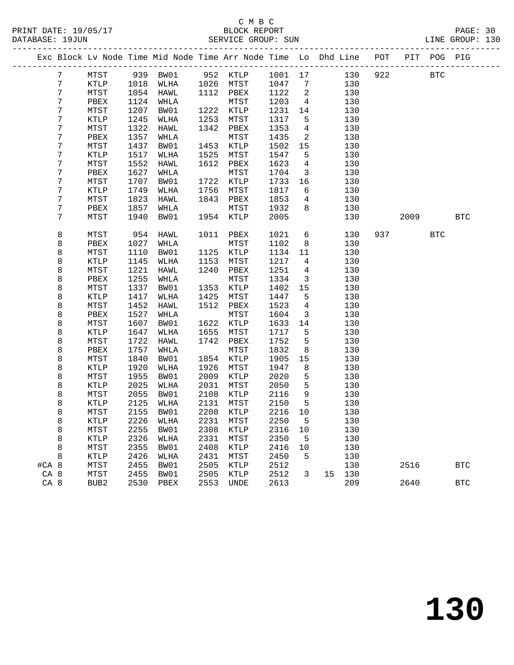|               |                 |                  |              | Exc Block Lv Node Time Mid Node Time Arr Node Time Lo Dhd Line POT |              |                     |              |                 |    |            |     |      | PIT POG PIG |              |
|---------------|-----------------|------------------|--------------|--------------------------------------------------------------------|--------------|---------------------|--------------|-----------------|----|------------|-----|------|-------------|--------------|
|               | $7\phantom{.0}$ | MTST             |              | 939 BW01                                                           |              | 952 KTLP            | 1001 17      |                 |    | 130        | 922 |      | <b>BTC</b>  |              |
|               | 7               | <b>KTLP</b>      | 1018         | WLHA                                                               | 1026         | MTST                | 1047         | 7               |    | 130        |     |      |             |              |
|               | 7               | MTST             | 1054         | HAWL                                                               | 1112         | PBEX                | 1122         | 2               |    | 130        |     |      |             |              |
|               | 7               | PBEX             | 1124         | WHLA                                                               |              | MTST                | 1203         | $\overline{4}$  |    | 130        |     |      |             |              |
|               | 7               | MTST             | 1207         | BW01                                                               | 1222         | KTLP                | 1231         | 14              |    | 130        |     |      |             |              |
|               | 7               | <b>KTLP</b>      | 1245         | WLHA                                                               | 1253         | MTST                | 1317         | 5               |    | 130        |     |      |             |              |
|               | 7               | MTST             | 1322         | HAWL                                                               | 1342         | PBEX                | 1353         | $\overline{4}$  |    | 130        |     |      |             |              |
|               | 7               | PBEX             | 1357         | WHLA                                                               |              | MTST                | 1435         | 2               |    | 130        |     |      |             |              |
|               | 7               | MTST             | 1437         | BW01                                                               | 1453         | KTLP                | 1502         | 15              |    | 130        |     |      |             |              |
|               | 7               | KTLP             | 1517         | WLHA                                                               | 1525         | MTST                | 1547         | 5               |    | 130        |     |      |             |              |
|               | 7               | MTST             | 1552         | HAWL                                                               | 1612         | PBEX                | 1623         | $\overline{4}$  |    | 130        |     |      |             |              |
|               | 7               | PBEX             | 1627         | WHLA                                                               |              | MTST                | 1704         | 3               |    | 130        |     |      |             |              |
|               | 7               | MTST             | 1707         | BW01                                                               | 1722         | KTLP                | 1733         | 16              |    | 130        |     |      |             |              |
|               | 7               | KTLP             | 1749         | WLHA                                                               | 1756         | MTST                | 1817         | 6               |    | 130        |     |      |             |              |
|               | 7               | MTST             | 1823         | HAWL                                                               | 1843         | PBEX                | 1853         | $4\overline{ }$ |    | 130        |     |      |             |              |
|               | 7               | PBEX             | 1857         | WHLA                                                               |              | MTST                | 1932         | 8               |    | 130        |     |      |             |              |
|               | 7               | MTST             | 1940         | BW01                                                               | 1954         | KTLP                | 2005         |                 |    | 130        |     | 2009 |             | $_{\rm BTC}$ |
|               | 8               | MTST             | 954          | HAWL                                                               | 1011         | PBEX                | 1021         | 6               |    | 130        | 937 |      | <b>BTC</b>  |              |
|               | 8               | PBEX             | 1027         | WHLA                                                               |              | MTST                | 1102         | 8               |    | 130        |     |      |             |              |
|               | 8               | MTST             | 1110         | BW01                                                               | 1125         | KTLP                | 1134         | 11              |    | 130        |     |      |             |              |
|               | 8               | <b>KTLP</b>      | 1145         | WLHA                                                               | 1153         | MTST                | 1217         | 4               |    | 130        |     |      |             |              |
|               | 8               | MTST             | 1221         | HAWL                                                               | 1240         | PBEX                | 1251         | 4               |    | 130        |     |      |             |              |
|               | 8               | PBEX             | 1255         | WHLA                                                               |              | MTST                | 1334         | $\mathbf{3}$    |    | 130        |     |      |             |              |
|               | 8               | MTST             | 1337         | BW01                                                               | 1353         | KTLP                | 1402         | 15              |    | 130        |     |      |             |              |
|               | 8               | <b>KTLP</b>      | 1417         | WLHA                                                               | 1425         | MTST                | 1447         | 5               |    | 130        |     |      |             |              |
|               | 8               | MTST             | 1452         | HAWL                                                               | 1512         | PBEX                | 1523         | $\overline{4}$  |    | 130        |     |      |             |              |
|               | 8               | PBEX             | 1527         | WHLA                                                               |              | MTST                | 1604         | 3               |    | 130        |     |      |             |              |
|               | 8               | MTST             | 1607         | BW01                                                               | 1622         | KTLP                | 1633         | 14              |    | 130        |     |      |             |              |
|               | 8               | KTLP             | 1647         | WLHA                                                               | 1655         | MTST                | 1717         | 5               |    | 130        |     |      |             |              |
|               | 8               | MTST             | 1722         | HAWL                                                               | 1742         | PBEX                | 1752         | 5               |    | 130        |     |      |             |              |
|               | 8               | PBEX             | 1757         | WHLA                                                               |              | MTST                | 1832         | 8               |    | 130        |     |      |             |              |
|               | 8               | MTST             | 1840         | BW01                                                               | 1854         | KTLP                | 1905         | 15              |    | 130        |     |      |             |              |
|               | 8               | <b>KTLP</b>      | 1920         | WLHA                                                               | 1926         | MTST                | 1947         | 8               |    | 130        |     |      |             |              |
|               | 8               | MTST             | 1955         | BW01                                                               | 2009         | KTLP                | 2020         | 5               |    | 130        |     |      |             |              |
|               | 8               | KTLP             | 2025         | WLHA                                                               | 2031         | MTST                | 2050         | 5               |    | 130        |     |      |             |              |
|               | 8               | MTST             | 2055         | BW01                                                               | 2108         | KTLP                | 2116         | 9               |    | 130        |     |      |             |              |
|               | 8               | <b>KTLP</b>      | 2125         | WLHA                                                               | 2131         | MTST                | 2150         | 5               |    | 130        |     |      |             |              |
|               | 8               | MTST             | 2155         | BW01                                                               | 2208         | KTLP                | 2216         | 10              |    | 130        |     |      |             |              |
|               | 8               | <b>KTLP</b>      |              | 2226 WLHA                                                          |              | 2231 MTST           | 2250 5       |                 |    | 130        |     |      |             |              |
|               | 8               | MTST             | 2255         | BW01                                                               | 2308         | KTLP                | 2316         | 10              |    | 130        |     |      |             |              |
|               | 8               | KTLP             | 2326         | WLHA                                                               | 2331         | MTST                | 2350         | 5               |    | 130        |     |      |             |              |
|               | 8               | MTST             | 2355         | BW01                                                               | 2408         | KTLP                | 2416         | 10              |    | 130        |     |      |             |              |
|               | 8               | KTLP             | 2426         | WLHA                                                               | 2431<br>2505 | MTST                | 2450<br>2512 | 5               |    | 130<br>130 |     |      |             |              |
| #CA 8<br>CA 8 |                 | MTST<br>MTST     | 2455<br>2455 | BW01<br>BW01                                                       | 2505         | KTLP<br><b>KTLP</b> | 2512         |                 | 15 | 130        |     | 2516 |             | $_{\rm BTC}$ |
| CA 8          |                 | BUB <sub>2</sub> | 2530         | PBEX                                                               | 2553         | <b>UNDE</b>         | 2613         | 3               |    | 209        |     | 2640 |             | <b>BTC</b>   |
|               |                 |                  |              |                                                                    |              |                     |              |                 |    |            |     |      |             |              |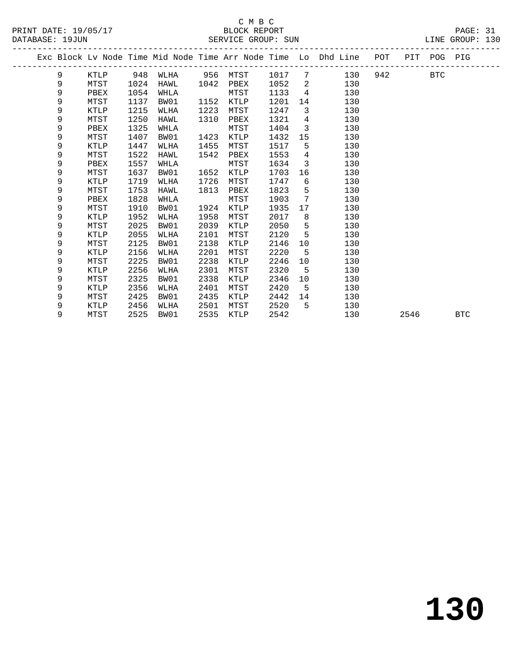|  |   |             |      |      |      |                 |      |                            | Exc Block Lv Node Time Mid Node Time Arr Node Time Lo Dhd Line POT |          |      | PIT POG PIG |            |
|--|---|-------------|------|------|------|-----------------|------|----------------------------|--------------------------------------------------------------------|----------|------|-------------|------------|
|  | 9 | KTLP        | 948  | WLHA |      | 956 MTST 1017 7 |      |                            | 130                                                                | 942 — 10 |      | <b>BTC</b>  |            |
|  | 9 | MTST        | 1024 | HAWL | 1042 | PBEX            | 1052 | $\overline{\phantom{0}}^2$ | 130                                                                |          |      |             |            |
|  | 9 | PBEX        | 1054 | WHLA |      | MTST            | 1133 | $\overline{4}$             | 130                                                                |          |      |             |            |
|  | 9 | MTST        | 1137 | BW01 | 1152 | KTLP            | 1201 | 14                         | 130                                                                |          |      |             |            |
|  | 9 | KTLP        | 1215 | WLHA | 1223 | MTST            | 1247 | $\mathbf{3}$               | 130                                                                |          |      |             |            |
|  | 9 | MTST        | 1250 | HAWL | 1310 | PBEX            | 1321 | 4                          | 130                                                                |          |      |             |            |
|  | 9 | PBEX        | 1325 | WHLA |      | MTST            | 1404 | $\overline{3}$             | 130                                                                |          |      |             |            |
|  | 9 | MTST        | 1407 | BW01 | 1423 | KTLP            | 1432 | 15                         | 130                                                                |          |      |             |            |
|  | 9 | KTLP        | 1447 | WLHA | 1455 | MTST            | 1517 | 5                          | 130                                                                |          |      |             |            |
|  | 9 | MTST        | 1522 | HAWL | 1542 | PBEX            | 1553 | $\overline{4}$             | 130                                                                |          |      |             |            |
|  | 9 | PBEX        | 1557 | WHLA |      | MTST            | 1634 | $\overline{3}$             | 130                                                                |          |      |             |            |
|  | 9 | MTST        | 1637 | BW01 | 1652 | KTLP            | 1703 | 16                         | 130                                                                |          |      |             |            |
|  | 9 | KTLP        | 1719 | WLHA | 1726 | MTST            | 1747 | 6                          | 130                                                                |          |      |             |            |
|  | 9 | MTST        | 1753 | HAWL | 1813 | PBEX            | 1823 | 5                          | 130                                                                |          |      |             |            |
|  | 9 | PBEX        | 1828 | WHLA |      | MTST            | 1903 | $\overline{7}$             | 130                                                                |          |      |             |            |
|  | 9 | MTST        | 1910 | BW01 | 1924 | KTLP            | 1935 | 17                         | 130                                                                |          |      |             |            |
|  | 9 | KTLP        | 1952 | WLHA | 1958 | MTST            | 2017 | 8                          | 130                                                                |          |      |             |            |
|  | 9 | MTST        | 2025 | BW01 | 2039 | KTLP            | 2050 | 5                          | 130                                                                |          |      |             |            |
|  | 9 | KTLP        | 2055 | WLHA | 2101 | MTST            | 2120 | 5                          | 130                                                                |          |      |             |            |
|  | 9 | MTST        | 2125 | BW01 | 2138 | KTLP            | 2146 | 10                         | 130                                                                |          |      |             |            |
|  | 9 | KTLP        | 2156 | WLHA | 2201 | MTST            | 2220 | -5                         | 130                                                                |          |      |             |            |
|  | 9 | MTST        | 2225 | BW01 | 2238 | KTLP            | 2246 | 10                         | 130                                                                |          |      |             |            |
|  | 9 | <b>KTLP</b> | 2256 | WLHA | 2301 | MTST            | 2320 | 5                          | 130                                                                |          |      |             |            |
|  | 9 | MTST        | 2325 | BW01 | 2338 | KTLP            | 2346 | 10                         | 130                                                                |          |      |             |            |
|  | 9 | KTLP        | 2356 | WLHA | 2401 | MTST            | 2420 | -5                         | 130                                                                |          |      |             |            |
|  | 9 | MTST        | 2425 | BW01 | 2435 | KTLP            | 2442 | 14                         | 130                                                                |          |      |             |            |
|  | 9 | KTLP        | 2456 | WLHA | 2501 | MTST            | 2520 | 5                          | 130                                                                |          |      |             |            |
|  | 9 | MTST        | 2525 | BW01 | 2535 | KTLP            | 2542 |                            | 130                                                                |          | 2546 |             | <b>BTC</b> |
|  |   |             |      |      |      |                 |      |                            |                                                                    |          |      |             |            |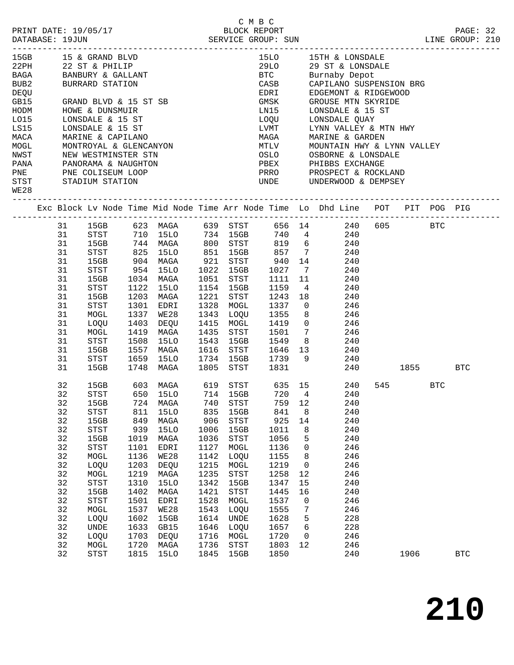|           | PRINT DATE: 19/05/17               |
|-----------|------------------------------------|
| --------- | $\sim$ $\sim$ $\sim$ $\sim$ $\sim$ |

PAGE: 32<br>LINE GROUP: 210

|              | 15GB 15 & GRAND BLVD     |                                               |              |                                                                                 |      |                            |                |                          | 15LO 15TH & LONSDALE                                                           |     |             |            |
|--------------|--------------------------|-----------------------------------------------|--------------|---------------------------------------------------------------------------------|------|----------------------------|----------------|--------------------------|--------------------------------------------------------------------------------|-----|-------------|------------|
|              | $22PH$ 22 ST & PHILIP    |                                               |              | 22 ST & PHILIP<br>BANBURY & GALLANT<br>BURRARD STATION                          |      |                            |                |                          | 29LO 29 ST & LONSDALE<br>BTC Burnaby Depot<br>CASB CAPILANO SUSPENSION BRG     |     |             |            |
| BAGA         |                          |                                               |              |                                                                                 |      |                            |                |                          |                                                                                |     |             |            |
| BUB2         |                          |                                               |              |                                                                                 |      |                            |                |                          |                                                                                |     |             |            |
| DEQU         |                          |                                               |              |                                                                                 |      |                            | EDRI           |                          | EDGEMONT & RIDGEWOOD                                                           |     |             |            |
| GB15         |                          |                                               |              | GRAND BLVD & 15 ST SB                                                           |      |                            | GMSK           |                          | GROUSE MTN SKYRIDE                                                             |     |             |            |
| HODM         |                          | HOWE & DUNSMUIR                               |              |                                                                                 |      |                            | LN15<br>LOQU   |                          | LONSDALE & 15 ST                                                               |     |             |            |
| LO15         |                          | LONSDALE & 15 ST                              |              |                                                                                 |      |                            |                |                          | LONSDALE QUAY                                                                  |     |             |            |
| LS15         |                          | LONSDALE & 15 ST                              |              |                                                                                 |      |                            | LVMT           |                          | LYNN VALLEY & MTN HWY                                                          |     |             |            |
| MACA         |                          | MARINE & CAPILANO                             |              |                                                                                 |      |                            |                |                          | MAGA MARINE & GARDEN                                                           |     |             |            |
| MOGL<br>NWST |                          | MONTROYAL & GLENCANYON<br>NEW WESTMINSTER STN |              |                                                                                 |      |                            |                |                          | MTLV MOUNTAIN HWY & LYNN VALLEY<br>OSLO        OSBORNE & LONSDALE              |     |             |            |
|              | PANA PANORAMA & NAUGHTON |                                               |              |                                                                                 |      |                            |                |                          | PBEX PHIBBS EXCHANGE                                                           |     |             |            |
| PNE          | PNE COLISEUM LOOP        |                                               |              |                                                                                 |      |                            |                |                          | PRRO PROSPECT & ROCKLAND                                                       |     |             |            |
|              | STST STADIUM STATION     |                                               |              |                                                                                 |      |                            |                |                          | UNDE UNDERWOOD & DEMPSEY                                                       |     |             |            |
| WE28         |                          |                                               |              |                                                                                 |      |                            |                |                          |                                                                                |     |             |            |
|              |                          |                                               |              |                                                                                 |      |                            |                |                          | Exc Block Lv Node Time Mid Node Time Arr Node Time Lo Dhd Line POT PIT POG PIG |     |             |            |
|              |                          |                                               |              |                                                                                 |      |                            |                |                          |                                                                                |     |             |            |
|              |                          |                                               |              |                                                                                 |      |                            |                |                          | 31 15GB 623 MAGA 639 STST 656 14 240 605 BTC<br>710 15LO 734 15GB 740 4 240    |     |             |            |
|              | 31                       | <b>STST</b>                                   |              |                                                                                 |      |                            |                |                          |                                                                                |     |             |            |
|              | 31                       | 15GB                                          |              |                                                                                 |      |                            |                |                          | 744 MAGA 800 STST 819 6 240                                                    |     |             |            |
|              | 31<br>31                 | STST<br>15GB                                  |              | 825 15LO<br>904 MAGA<br>954 15LO<br>15LO 851 15GB 857 7<br>MAGA 921 STST 940 14 |      |                            |                |                          | 240<br>240                                                                     |     |             |            |
|              | 31                       | STST                                          |              | $15LO$ $1022$ $15GB$                                                            |      |                            |                |                          | 1027 7 240                                                                     |     |             |            |
|              | 31                       | 15GB                                          |              | 1034 MAGA                                                                       |      | 1051 STST                  | 1111 11        |                          | 240                                                                            |     |             |            |
|              | 31                       | STST                                          |              | 15LO                                                                            |      | 1154 15GB                  | 1159 4         |                          | 240                                                                            |     |             |            |
|              | 31                       | 15GB                                          | 1122<br>1203 | MAGA                                                                            |      | 1221 STST                  | 1243 18        |                          | 240                                                                            |     |             |            |
|              | 31                       | STST                                          | 1301         | EDRI                                                                            |      | 1328 MOGL                  |                |                          | $1337$ 0 246                                                                   |     |             |            |
|              | 31                       | MOGL                                          | 1337         | WE28 1343 LOQU                                                                  |      |                            |                |                          | 1355 8 246                                                                     |     |             |            |
|              | 31                       | LOQU                                          | 1403         | DEQU                                                                            |      | 1415 MOGL                  |                |                          | 1419 0 246                                                                     |     |             |            |
|              | 31                       | MOGL                                          | 1419<br>1508 | MAGA                                                                            |      | 1435 STST                  |                |                          | 1501 7 246<br>1549 8 240                                                       |     |             |            |
|              | 31                       | STST                                          |              |                                                                                 |      |                            |                |                          |                                                                                |     |             |            |
|              | 31                       | 15GB                                          | 1557         | MAGA 1616 STST                                                                  |      |                            |                |                          | 1646 13 240                                                                    |     |             |            |
|              | 31                       | STST                                          | 1659         | 15LO                                                                            |      | 1734 15GB                  |                |                          | 1739 9 240                                                                     |     |             |            |
|              | 31                       | 15GB                                          | 1748         | MAGA                                                                            |      | 1805 STST                  | 1831           |                          |                                                                                | 240 | 1855 1880   | <b>BTC</b> |
|              | 32                       | 15GB                                          |              | 603 MAGA 619 STST                                                               |      |                            |                |                          | 635 15                                                                         |     | 240 545 BTC |            |
|              | 32                       | STST                                          |              | 650 15LO 714 15GB<br>724 MAGA 740 STST<br>811 15LO 835 15GB                     |      |                            |                |                          | 720 4 240                                                                      |     |             |            |
|              | 32                       | 15GB                                          |              |                                                                                 |      |                            | 759 12         |                          | 240                                                                            |     |             |            |
|              | 32                       | STST                                          |              |                                                                                 |      |                            | 841 8          |                          | 240                                                                            |     |             |            |
|              | 32<br>32                 | <b>STST</b>                                   | 939          | 15GB 849 MAGA<br>15LO                                                           | 1006 | 906 STST<br>15GB           | 925 14<br>1011 | 8                        | 240<br>240                                                                     |     |             |            |
|              | 32                       | 15GB                                          | 1019         | MAGA                                                                            | 1036 | STST                       | 1056           | 5                        | 240                                                                            |     |             |            |
|              | 32                       | $_{\footnotesize{\textnormal{STST}}}$         | 1101         | EDRI                                                                            | 1127 | $\tt MOGL$                 | 1136           | $\overline{\mathbf{0}}$  | 246                                                                            |     |             |            |
|              | 32                       | MOGL                                          | 1136         | WE28                                                                            | 1142 | LOQU                       | 1155           | 8                        | 246                                                                            |     |             |            |
|              | 32                       | LOQU                                          | 1203         | DEQU                                                                            | 1215 | MOGL                       | 1219           | $\overline{\phantom{0}}$ | 246                                                                            |     |             |            |
|              | 32                       | MOGL                                          | 1219         | MAGA                                                                            | 1235 | ${\tt STST}$               | 1258           | 12                       | 246                                                                            |     |             |            |
|              | 32                       | STST                                          | 1310         | <b>15LO</b>                                                                     | 1342 | 15GB                       | 1347           | 15                       | 240                                                                            |     |             |            |
|              | 32                       | 15GB                                          | 1402         | MAGA                                                                            | 1421 | STST                       | 1445           | 16                       | 240                                                                            |     |             |            |
|              | 32                       | STST                                          | 1501         | EDRI                                                                            | 1528 | MOGL                       | 1537           | $\overline{0}$           | 246                                                                            |     |             |            |
|              | 32                       | MOGL                                          | 1537         | WE28                                                                            | 1543 | LOQU                       | 1555           | $\overline{7}$           | 246                                                                            |     |             |            |
|              | 32                       | LOQU                                          | 1602         | 15GB                                                                            | 1614 | UNDE                       | 1628           | 5                        | 228                                                                            |     |             |            |
|              | 32                       | UNDE                                          | 1633         | GB15                                                                            | 1646 | LOQU                       | 1657           | 6                        | 228                                                                            |     |             |            |
|              | 32                       | LOQU                                          | 1703         | DEQU                                                                            | 1716 | MOGL                       | 1720           | $\overline{0}$           | 246                                                                            |     |             |            |
|              | 32                       | MOGL                                          | 1720         | MAGA                                                                            | 1736 | $_{\footnotesize\rm STST}$ | 1803           | 12                       | 246                                                                            |     |             |            |
|              | 32                       | STST                                          | 1815         | 15LO                                                                            | 1845 | 15GB                       | 1850           |                          | 240                                                                            |     | 1906        | <b>BTC</b> |
|              |                          |                                               |              |                                                                                 |      |                            |                |                          |                                                                                |     |             |            |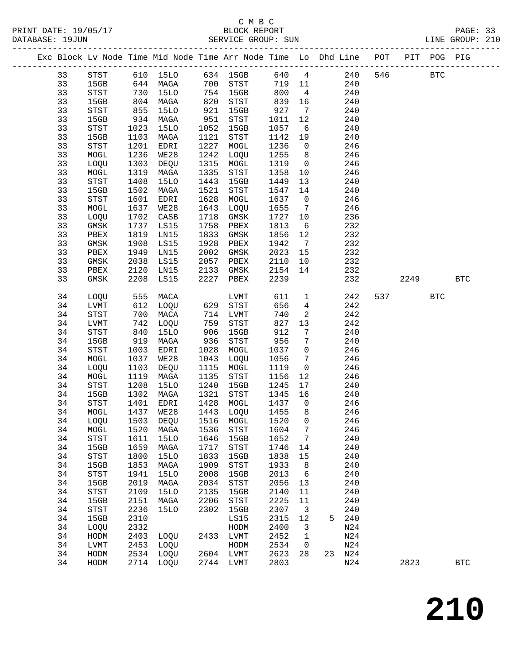|  |    |             |      | Exc Block Lv Node Time Mid Node Time Arr Node Time Lo Dhd Line POT PIT POG PIG |      |                                       |        |                 |    |     |     |      |            |              |
|--|----|-------------|------|--------------------------------------------------------------------------------|------|---------------------------------------|--------|-----------------|----|-----|-----|------|------------|--------------|
|  | 33 | STST        |      | 610 15LO                                                                       |      | 634 15GB                              | 640 4  |                 |    | 240 | 546 |      | <b>BTC</b> |              |
|  | 33 | 15GB        |      |                                                                                |      | 700 STST                              | 719 11 |                 |    | 240 |     |      |            |              |
|  | 33 | STST        |      | 644 MAGA<br>730 15LO                                                           |      | 754 15GB                              | 800    | $\overline{4}$  |    | 240 |     |      |            |              |
|  | 33 | 15GB        | 804  | MAGA                                                                           | 820  | STST                                  | 839    | 16              |    | 240 |     |      |            |              |
|  | 33 | STST        | 855  | 15LO                                                                           | 921  | 15GB                                  | 927    | $\overline{7}$  |    | 240 |     |      |            |              |
|  | 33 | 15GB        | 934  | MAGA                                                                           | 951  | STST                                  | 1011   | 12              |    | 240 |     |      |            |              |
|  | 33 | STST        | 1023 | 15LO                                                                           | 1052 | 15GB                                  | 1057   | 6               |    | 240 |     |      |            |              |
|  | 33 | 15GB        | 1103 | MAGA                                                                           | 1121 | $_{\footnotesize{\textnormal{STST}}}$ | 1142   | 19              |    | 240 |     |      |            |              |
|  | 33 | STST        | 1201 | EDRI                                                                           | 1227 | MOGL                                  | 1236   | $\overline{0}$  |    | 246 |     |      |            |              |
|  | 33 | MOGL        | 1236 | WE28                                                                           | 1242 | LOQU                                  | 1255   | 8               |    | 246 |     |      |            |              |
|  | 33 | LOQU        | 1303 | DEQU                                                                           | 1315 | MOGL                                  | 1319   | $\overline{0}$  |    | 246 |     |      |            |              |
|  | 33 | MOGL        | 1319 | MAGA                                                                           | 1335 | $_{\footnotesize{\textnormal{STST}}}$ | 1358   | 10              |    | 246 |     |      |            |              |
|  | 33 | STST        | 1408 | <b>15LO</b>                                                                    | 1443 | 15GB                                  | 1449   | 13              |    | 240 |     |      |            |              |
|  | 33 | 15GB        | 1502 | MAGA                                                                           | 1521 | STST                                  | 1547   | 14              |    | 240 |     |      |            |              |
|  | 33 | <b>STST</b> | 1601 | EDRI                                                                           | 1628 | MOGL                                  | 1637   | $\overline{0}$  |    | 246 |     |      |            |              |
|  | 33 | MOGL        | 1637 | WE28                                                                           | 1643 | LOQU                                  | 1655   | $7\phantom{.0}$ |    | 246 |     |      |            |              |
|  | 33 | LOQU        | 1702 | CASB                                                                           | 1718 | GMSK                                  | 1727   | 10              |    | 236 |     |      |            |              |
|  | 33 | GMSK        | 1737 | LS15                                                                           | 1758 | PBEX                                  | 1813   | 6               |    | 232 |     |      |            |              |
|  | 33 | PBEX        | 1819 | LN15                                                                           | 1833 | GMSK                                  | 1856   | 12              |    | 232 |     |      |            |              |
|  | 33 | $\rm{GMSK}$ | 1908 | LS15                                                                           | 1928 | PBEX                                  | 1942   | $7\overline{ }$ |    | 232 |     |      |            |              |
|  | 33 | PBEX        | 1949 | LN15                                                                           | 2002 | <b>GMSK</b>                           | 2023   | 15              |    | 232 |     |      |            |              |
|  | 33 | GMSK        | 2038 | LS15                                                                           | 2057 | PBEX                                  | 2110   | 10              |    | 232 |     |      |            |              |
|  | 33 | PBEX        | 2120 | LN15                                                                           | 2133 | GMSK                                  | 2154   | 14              |    | 232 |     |      |            |              |
|  | 33 | GMSK        | 2208 | LS15                                                                           | 2227 | PBEX                                  | 2239   |                 |    | 232 |     | 2249 |            | <b>BTC</b>   |
|  |    |             |      |                                                                                |      |                                       |        |                 |    |     |     |      |            |              |
|  | 34 | LOQU        | 555  | MACA                                                                           |      | LVMT                                  | 611    | $\mathbf{1}$    |    | 242 | 537 |      | <b>BTC</b> |              |
|  | 34 | LVMT        | 612  | LOQU                                                                           | 629  | STST                                  | 656    | $\overline{4}$  |    | 242 |     |      |            |              |
|  | 34 | STST        | 700  | MACA                                                                           | 714  | LVMT                                  | 740    | 2               |    | 242 |     |      |            |              |
|  | 34 | LVMT        | 742  | LOQU                                                                           | 759  | STST                                  | 827    | 13              |    | 242 |     |      |            |              |
|  | 34 | STST        | 840  | <b>15LO</b>                                                                    | 906  | 15GB                                  | 912    | 7               |    | 240 |     |      |            |              |
|  | 34 | 15GB        | 919  | MAGA                                                                           | 936  | STST                                  | 956    | 7               |    | 240 |     |      |            |              |
|  | 34 | STST        | 1003 | EDRI                                                                           | 1028 | MOGL                                  | 1037   | $\mathbf 0$     |    | 246 |     |      |            |              |
|  | 34 | MOGL        | 1037 | WE28                                                                           | 1043 | LOQU                                  | 1056   | 7               |    | 246 |     |      |            |              |
|  | 34 | LOQU        | 1103 | DEQU                                                                           | 1115 | MOGL                                  | 1119   | $\mathsf{O}$    |    | 246 |     |      |            |              |
|  | 34 | MOGL        | 1119 | MAGA                                                                           | 1135 | $_{\footnotesize{\textnormal{STST}}}$ | 1156   | 12              |    | 246 |     |      |            |              |
|  | 34 | STST        | 1208 | 15LO                                                                           | 1240 | 15GB                                  | 1245   | 17              |    | 240 |     |      |            |              |
|  | 34 | 15GB        | 1302 | MAGA                                                                           | 1321 | STST                                  | 1345   | 16              |    | 240 |     |      |            |              |
|  | 34 | STST        | 1401 | EDRI                                                                           | 1428 | MOGL                                  | 1437   | $\overline{0}$  |    | 246 |     |      |            |              |
|  | 34 | MOGL        | 1437 | WE28                                                                           |      | 1443 LOQU                             | 1455   | 8               |    | 246 |     |      |            |              |
|  | 34 |             |      | LOQU 1503 DEQU 1516 MOGL 1520 0                                                |      |                                       |        |                 |    | 246 |     |      |            |              |
|  | 34 | MOGL        | 1520 | MAGA                                                                           | 1536 | STST                                  | 1604   | 7               |    | 246 |     |      |            |              |
|  | 34 | <b>STST</b> | 1611 | <b>15LO</b>                                                                    | 1646 | 15GB                                  | 1652   | 7               |    | 240 |     |      |            |              |
|  | 34 | 15GB        | 1659 | MAGA                                                                           | 1717 | $_{\footnotesize{\textnormal{STST}}}$ | 1746   | 14              |    | 240 |     |      |            |              |
|  | 34 | <b>STST</b> | 1800 | <b>15LO</b>                                                                    | 1833 | 15GB                                  | 1838   | 15              |    | 240 |     |      |            |              |
|  | 34 | 15GB        | 1853 | MAGA                                                                           | 1909 | ${\tt STST}$                          | 1933   | 8               |    | 240 |     |      |            |              |
|  | 34 | <b>STST</b> | 1941 | <b>15LO</b>                                                                    | 2008 | 15GB                                  | 2013   | 6               |    | 240 |     |      |            |              |
|  | 34 | 15GB        | 2019 | MAGA                                                                           | 2034 | $_{\footnotesize\rm STST}$            | 2056   | 13              |    | 240 |     |      |            |              |
|  | 34 | STST        | 2109 | <b>15LO</b>                                                                    | 2135 | 15GB                                  | 2140   | 11              |    | 240 |     |      |            |              |
|  | 34 | 15GB        | 2151 | MAGA                                                                           | 2206 | $_{\footnotesize\rm STST}$            | 2225   | 11              |    | 240 |     |      |            |              |
|  | 34 | <b>STST</b> | 2236 | <b>15LO</b>                                                                    | 2302 | 15GB                                  | 2307   | 3               |    | 240 |     |      |            |              |
|  | 34 | 15GB        | 2310 |                                                                                |      | LS15                                  | 2315   | 12              | 5  | 240 |     |      |            |              |
|  | 34 | LOQU        | 2332 |                                                                                |      | HODM                                  | 2400   | 3               |    | N24 |     |      |            |              |
|  | 34 | HODM        | 2403 | LOQU                                                                           | 2433 | LVMT                                  | 2452   | $\mathbf 1$     |    | N24 |     |      |            |              |
|  | 34 | LVMT        | 2453 | LOQU                                                                           |      | HODM                                  | 2534   | 0               |    | N24 |     |      |            |              |
|  | 34 | HODM        | 2534 | LOQU                                                                           | 2604 | LVMT                                  | 2623   | 28              | 23 | N24 |     |      |            |              |
|  | 34 | HODM        | 2714 | LOQU                                                                           | 2744 | LVMT                                  | 2803   |                 |    | N24 |     | 2823 |            | $_{\rm BTC}$ |
|  |    |             |      |                                                                                |      |                                       |        |                 |    |     |     |      |            |              |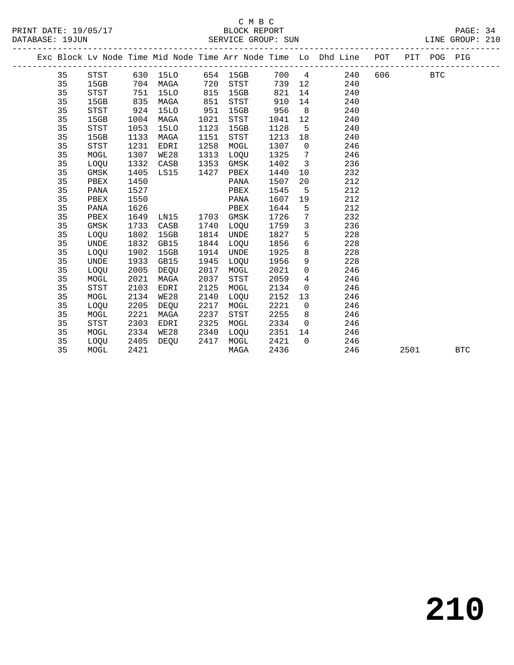| PRINT DATE: 19/05/17<br>DATABASE: 19JUN |    |      |      |               |      | C M B C<br>BLOCK REPORT<br>SERVICE GROUP: SUN |      |                         |                                                                                                                         |  | PAGE: 34<br>LINE GROUP: 210 |  |
|-----------------------------------------|----|------|------|---------------|------|-----------------------------------------------|------|-------------------------|-------------------------------------------------------------------------------------------------------------------------|--|-----------------------------|--|
|                                         |    |      |      |               |      |                                               |      |                         | Exc Block Lv Node Time Mid Node Time Arr Node Time Lo Dhd Line POT PIT POG PIG<br>------------------------------------- |  |                             |  |
|                                         | 35 |      |      | STST 630 15LO |      | 654 15GB                                      |      |                         | 700 4 240 606 BTC                                                                                                       |  |                             |  |
|                                         | 35 | 15GB | 704  | MAGA          | 720  | STST                                          | 739  |                         | 12 and $\overline{a}$<br>240                                                                                            |  |                             |  |
|                                         | 35 | STST | 751  | 15LO          | 815  | 15GB                                          | 821  |                         | 14<br>240                                                                                                               |  |                             |  |
|                                         | 35 | 15GB | 835  | MAGA          | 851  | STST                                          | 910  | 14                      | 240                                                                                                                     |  |                             |  |
|                                         | 35 | STST | 924  | 15LO          | 951  | 15GB                                          | 956  |                         | $8 \overline{)}$<br>240                                                                                                 |  |                             |  |
|                                         | 35 | 15GB | 1004 | MAGA          | 1021 | STST                                          | 1041 | 12                      | 240                                                                                                                     |  |                             |  |
|                                         | 35 | STST | 1053 | 15LO          | 1123 | 15GB                                          | 1128 | 5 <sup>5</sup>          | 240                                                                                                                     |  |                             |  |
|                                         | 35 | 15GB | 1133 | MAGA          | 1151 | STST                                          | 1213 | 18                      | 240                                                                                                                     |  |                             |  |
|                                         | 35 | STST | 1231 | EDRI          | 1258 | MOGL                                          | 1307 | $\overline{0}$          | 246                                                                                                                     |  |                             |  |
|                                         | 35 | MOGL | 1307 | WE28          | 1313 | LOQU                                          | 1325 | $\overline{7}$          | 246                                                                                                                     |  |                             |  |
|                                         | 35 | LOQU | 1332 | CASB          | 1353 | GMSK                                          | 1402 | $\overline{\mathbf{3}}$ | 236                                                                                                                     |  |                             |  |
|                                         | 35 | GMSK | 1405 | LS15 1427     |      | PBEX                                          | 1440 |                         | 232<br>10                                                                                                               |  |                             |  |
|                                         | 35 | PBEX | 1450 |               |      | PANA                                          | 1507 | 20                      | 212                                                                                                                     |  |                             |  |
|                                         | 35 | PANA | 1527 |               |      | PBEX                                          | 1545 | 5                       | 212                                                                                                                     |  |                             |  |
|                                         | 35 | PBEX | 1550 |               |      | PANA                                          | 1607 | 19                      | 212                                                                                                                     |  |                             |  |
|                                         | 35 | PANA | 1626 |               |      | PBEX                                          | 1644 | 5                       | 212                                                                                                                     |  |                             |  |
|                                         | 35 | PBEX | 1649 | LN15          |      | 1703 GMSK                                     | 1726 | $7\overline{ }$         | 232                                                                                                                     |  |                             |  |
|                                         | 35 | GMSK | 1733 | CASB          | 1740 | LOOU                                          | 1759 | $\overline{3}$          | 236                                                                                                                     |  |                             |  |
|                                         | 35 | LOOU | 1802 | 15GB          |      | 1814 UNDE                                     | 1827 | 5                       | 228                                                                                                                     |  |                             |  |

 35 UNDE 1832 GB15 1844 LOQU 1856 6 228 35 LOQU 1902 15GB 1914 UNDE 1925 8 228 35 UNDE 1933 GB15 1945 LOQU 1956 9 228

 35 MOGL 2021 MAGA 2037 STST 2059 4 246 35 STST 2103 EDRI 2125 MOGL 2134 0 246 35 MOGL 2134 WE28 2140 LOQU 2152 13 246 35 LOQU 2205 DEQU 2217 MOGL 2221 0 246 35 MOGL 2221 MAGA 2237 STST 2255 8 246 35 STST 2303 EDRI 2325 MOGL 2334 0 246 35 MOGL 2334 WE28 2340 LOQU 2351 14 246 35 LOQU 2405 DEQU 2417 MOGL 2421 0 246

35 LOQU 2005 DEQU 2017 MOGL 2021 0 246

35 MOGL 2421 MAGA 2436 246 2501 BTC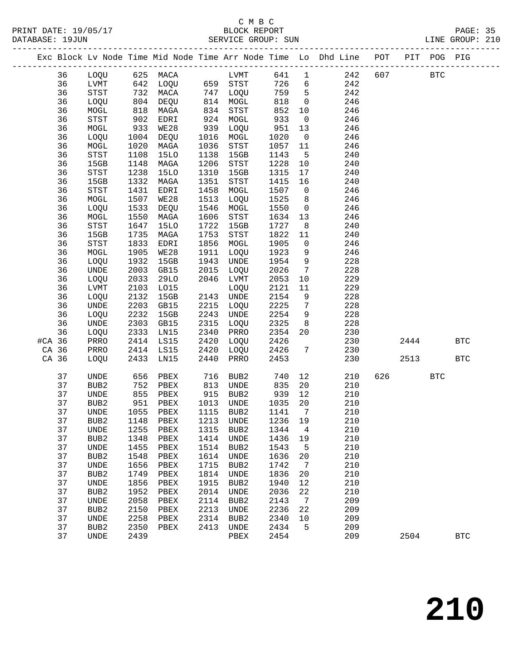# C M B C<br>BLOCK REPORT

LINE GROUP: 210

|        |    |                  |      |              |      |                            |         |                              | Exc Block Lv Node Time Mid Node Time Arr Node Time Lo Dhd Line POT |     |      | PIT POG PIG |            |
|--------|----|------------------|------|--------------|------|----------------------------|---------|------------------------------|--------------------------------------------------------------------|-----|------|-------------|------------|
|        | 36 | LOQU             |      | 625 MACA     |      | LVMT                       | 641     | $\mathbf{1}$                 | 242                                                                | 607 |      | <b>BTC</b>  |            |
|        | 36 | LVMT             | 642  | LOQU         |      | 659 STST                   | 726     | 6                            | 242                                                                |     |      |             |            |
|        | 36 | STST             | 732  | MACA         | 747  | LOQU                       | 759     | $5\phantom{.0}$              | 242                                                                |     |      |             |            |
|        | 36 | LOQU             | 804  | DEQU         | 814  | MOGL                       | 818     | $\overline{0}$               | 246                                                                |     |      |             |            |
|        | 36 | MOGL             | 818  | MAGA         | 834  | STST                       | 852     | 10                           | 246                                                                |     |      |             |            |
|        | 36 | STST             | 902  | EDRI         | 924  | MOGL                       | 933     | $\overline{0}$               | 246                                                                |     |      |             |            |
|        | 36 | MOGL             | 933  | <b>WE28</b>  | 939  | LOQU                       | 951     | 13                           | 246                                                                |     |      |             |            |
|        | 36 | LOQU             | 1004 | DEQU         | 1016 | MOGL                       | 1020    | $\overline{0}$               | 246                                                                |     |      |             |            |
|        | 36 | MOGL             | 1020 | MAGA         | 1036 | STST                       | 1057    | 11                           | 246                                                                |     |      |             |            |
|        | 36 | STST             | 1108 | <b>15LO</b>  | 1138 | 15GB                       | 1143    | 5                            | 240                                                                |     |      |             |            |
|        | 36 | 15GB             | 1148 | MAGA         | 1206 | $_{\footnotesize\rm STST}$ | 1228    | 10                           | 240                                                                |     |      |             |            |
|        | 36 | <b>STST</b>      | 1238 | 15LO         | 1310 | 15GB                       | 1315    | 17                           | 240                                                                |     |      |             |            |
|        | 36 | 15GB             | 1332 | MAGA         | 1351 | STST                       | 1415    | 16                           | 240                                                                |     |      |             |            |
|        | 36 | <b>STST</b>      | 1431 | EDRI         | 1458 | MOGL                       | 1507    | $\overline{0}$               | 246                                                                |     |      |             |            |
|        | 36 | MOGL             | 1507 | <b>WE28</b>  | 1513 | LOQU                       | 1525    | 8                            | 246                                                                |     |      |             |            |
|        | 36 | LOQU             | 1533 | DEQU         | 1546 | MOGL                       | 1550    | $\mathsf{O}$                 | 246                                                                |     |      |             |            |
|        | 36 | MOGL             | 1550 | MAGA         | 1606 | STST                       | 1634    | 13                           | 246                                                                |     |      |             |            |
|        | 36 | STST             | 1647 | <b>15LO</b>  | 1722 | 15GB                       | 1727    | 8                            | 240                                                                |     |      |             |            |
|        | 36 | 15GB             | 1735 | MAGA         | 1753 | STST                       | 1822    | 11                           | 240                                                                |     |      |             |            |
|        | 36 | <b>STST</b>      | 1833 | EDRI         | 1856 | MOGL                       | 1905    | $\mathsf{O}$                 | 246                                                                |     |      |             |            |
|        | 36 | MOGL             | 1905 | <b>WE28</b>  | 1911 | LOQU                       | 1923    | 9                            | 246                                                                |     |      |             |            |
|        | 36 | LOQU             | 1932 | 15GB         | 1943 | <b>UNDE</b>                | 1954    | 9                            | 228                                                                |     |      |             |            |
|        | 36 | <b>UNDE</b>      | 2003 | GB15         | 2015 | LOQU                       | 2026    | 7                            | 228                                                                |     |      |             |            |
|        | 36 | LOQU             | 2033 | <b>29LO</b>  | 2046 | LVMT                       | 2053    | 10                           | 229                                                                |     |      |             |            |
|        | 36 | LVMT             | 2103 | L015         |      | LOQU                       | 2121    | 11                           | 229                                                                |     |      |             |            |
|        | 36 | LOQU             | 2132 | 15GB         | 2143 | UNDE                       | 2154    | 9                            | 228                                                                |     |      |             |            |
|        | 36 | UNDE             | 2203 | GB15         | 2215 | LOQU                       | 2225    | 7                            | 228                                                                |     |      |             |            |
|        | 36 | LOQU             | 2232 | 15GB         | 2243 | UNDE                       | 2254    | 9                            | 228                                                                |     |      |             |            |
|        | 36 | UNDE             | 2303 | GB15         | 2315 | LOQU                       | 2325    | 8                            | 228                                                                |     |      |             |            |
|        | 36 | LOQU             | 2333 | LN15         | 2340 | PRRO                       | 2354    | 20                           | 230                                                                |     |      |             |            |
| #CA 36 |    | PRRO             | 2414 | LS15         | 2420 | LOQU                       | 2426    |                              | 230                                                                |     | 2444 |             | <b>BTC</b> |
| CA 36  |    | PRRO             | 2414 | LS15         | 2420 | LOQU                       | 2426    | $7\phantom{.0}$              | 230                                                                |     |      |             |            |
| CA 36  |    | LOQU             | 2433 | LN15         | 2440 | PRRO                       | 2453    |                              | 230                                                                |     | 2513 |             | BTC        |
|        | 37 | UNDE             | 656  | PBEX         | 716  | BUB2                       | 740     | 12                           | 210                                                                | 626 |      | <b>BTC</b>  |            |
|        | 37 | BUB2             | 752  | PBEX         | 813  | UNDE                       | 835     | 20                           | 210                                                                |     |      |             |            |
|        | 37 | UNDE             | 855  | PBEX         | 915  | BUB2                       | 939     | 12                           | 210                                                                |     |      |             |            |
|        | 37 | BUB2             | 951  | PBEX         | 1013 | UNDE                       | 1035    | 20                           | 210                                                                |     |      |             |            |
|        | 37 | UNDE             | 1055 | PBEX         | 1115 | BUB2                       | 1141    | $7\phantom{.0}\phantom{.0}7$ | 210                                                                |     |      |             |            |
|        | 37 | BUB2             | 1148 | PBEX         | 1213 | UNDE                       | 1236 19 |                              | 210                                                                |     |      |             |            |
|        | 37 | UNDE             | 1255 | PBEX         | 1315 | BUB <sub>2</sub>           | 1344    | 4                            | 210                                                                |     |      |             |            |
|        | 37 | BUB <sub>2</sub> | 1348 | PBEX         | 1414 | UNDE                       | 1436    | 19                           | 210                                                                |     |      |             |            |
|        | 37 | <b>UNDE</b>      | 1455 | PBEX         | 1514 | BUB <sub>2</sub>           | 1543    | 5                            | 210                                                                |     |      |             |            |
|        | 37 | BUB <sub>2</sub> | 1548 | PBEX         | 1614 | UNDE                       | 1636    | 20                           | 210                                                                |     |      |             |            |
|        | 37 | <b>UNDE</b>      | 1656 | ${\tt PBEX}$ | 1715 | BUB <sub>2</sub>           | 1742    | 7                            | 210                                                                |     |      |             |            |
|        | 37 | BUB <sub>2</sub> | 1749 | PBEX         | 1814 | UNDE                       | 1836    | 20                           | 210                                                                |     |      |             |            |
|        | 37 | <b>UNDE</b>      | 1856 | PBEX         | 1915 | BUB2                       | 1940    | 12                           | 210                                                                |     |      |             |            |
|        | 37 | BUB <sub>2</sub> | 1952 | PBEX         | 2014 | UNDE                       | 2036    | 22                           | 210                                                                |     |      |             |            |

 37 UNDE 2058 PBEX 2114 BUB2 2143 7 209 37 BUB2 2150 PBEX 2213 UNDE 2236 22 209 37 UNDE 2258 PBEX 2314 BUB2 2340 10 209 37 BUB2 2350 PBEX 2413 UNDE 2434 5 209

37 UNDE 2439 PBEX 2454 209 2504 BTC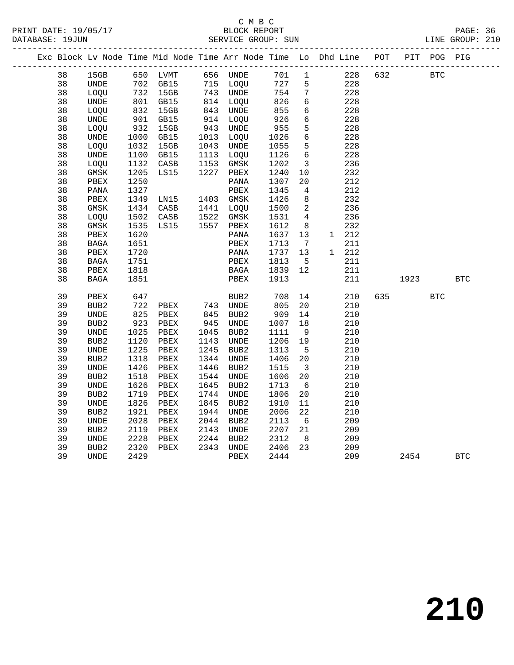#### C M B C SERVICE GROUP: SUN

| Exc Block Lv Node Time Mid Node Time Arr Node Time Lo Dhd Line POT PIT POG PIG |                  |      |                            |      |           |      |                 |              |            |            |            |
|--------------------------------------------------------------------------------|------------------|------|----------------------------|------|-----------|------|-----------------|--------------|------------|------------|------------|
| 38                                                                             |                  |      | 15GB 650 LVMT 656 UNDE 701 |      |           |      | $\mathbf{1}$    |              | 228        | 632 BTC    |            |
| 38                                                                             | UNDE             | 702  | GB15                       | 715  | LOOU      | 727  | 5 <sub>5</sub>  |              | 228        |            |            |
| 38                                                                             | LOOU             | 732  | 15GB                       | 743  | UNDE      | 754  | $7\overline{ }$ |              | 228        |            |            |
| 38                                                                             | UNDE             | 801  | GB15                       | 814  | LOOU      | 826  | 6               |              | 228        |            |            |
| 38                                                                             | LOOU             | 832  | 15GB                       | 843  | UNDE      | 855  | 6               |              | 228        |            |            |
| 38                                                                             | UNDE             | 901  | GB15                       | 914  | LOQU      | 926  | 6               |              | 228        |            |            |
| 38                                                                             | LOQU             | 932  | 15GB                       | 943  | UNDE      | 955  | 5 <sub>5</sub>  |              | 228        |            |            |
| 38                                                                             | UNDE             | 1000 | GB15                       | 1013 | LOOU      | 1026 | 6               |              | 228        |            |            |
| 38                                                                             | LOOU             | 1032 | 15GB                       | 1043 | UNDE      | 1055 | 5 <sub>1</sub>  |              | 228        |            |            |
| 38                                                                             | UNDE             | 1100 | GB15                       | 1113 | LOQU      | 1126 | $6\overline{6}$ |              | 228        |            |            |
| 38                                                                             | LOQU             | 1132 | CASB                       | 1153 | GMSK      | 1202 | $\overline{3}$  |              | 236        |            |            |
| 38                                                                             | GMSK             | 1205 | LS15                       | 1227 | PBEX      | 1240 | 10              |              | 232        |            |            |
| 38                                                                             | PBEX             | 1250 |                            |      | PANA      | 1307 | 20              |              | 212        |            |            |
| 38                                                                             | PANA             | 1327 |                            |      | PBEX      | 1345 | $\overline{4}$  |              | 212        |            |            |
| 38                                                                             | PBEX             | 1349 | LNI5                       |      | 1403 GMSK | 1426 | 8               |              | 232        |            |            |
| 38                                                                             | GMSK             | 1434 | CASB                       | 1441 | LOQU      | 1500 | $\overline{2}$  |              | 236        |            |            |
| 38                                                                             | LOQU             | 1502 | CASB                       | 1522 | GMSK      | 1531 | $4\overline{ }$ |              | 236        |            |            |
| 38                                                                             | GMSK             |      | 1535 LS15                  | 1557 | PBEX      | 1612 | 8               |              | 232        |            |            |
| 38                                                                             | PBEX             | 1620 |                            |      | PANA      | 1637 | 13              | $\mathbf{1}$ | 212        |            |            |
| 38                                                                             | BAGA             | 1651 |                            |      | PBEX      | 1713 | 7               |              | 211        |            |            |
| 38                                                                             | PBEX             | 1720 |                            |      | PANA      | 1737 | 13              | $\mathbf{1}$ | 212        |            |            |
| 38                                                                             | BAGA             | 1751 |                            |      | PBEX      | 1813 | 5               |              | 211        |            |            |
| 38                                                                             | PBEX             | 1818 |                            |      | BAGA      | 1839 | 12              |              | 211        |            |            |
| 38                                                                             | BAGA             | 1851 |                            |      | PBEX      | 1913 |                 |              | 211        | 1923       | <b>BTC</b> |
| 39                                                                             | PBEX             | 647  |                            |      | BUB2      | 708  | 14              |              | 210<br>635 | <b>BTC</b> |            |
| 39                                                                             | BUB <sub>2</sub> | 722  | PBEX                       | 743  | UNDE      | 805  | 20              |              | 210        |            |            |
| 39                                                                             | UNDE             | 825  | PBEX                       | 845  | BUB2      | 909  | 14              |              | 210        |            |            |
| 39                                                                             | BUB2             | 923  | PBEX                       | 945  | UNDE      | 1007 | 18              |              | 210        |            |            |
| 39                                                                             | UNDE             | 1025 | PBEX                       | 1045 | BUB2      | 1111 | 9               |              | 210        |            |            |
| 39                                                                             | BUB <sub>2</sub> | 1120 | PBEX                       | 1143 | UNDE      | 1206 | 19              |              | 210        |            |            |
| 39                                                                             | <b>UNDE</b>      |      | 1225 PBEX                  | 1245 | BUB2      | 1313 | 5               |              | 210        |            |            |
|                                                                                |                  |      |                            |      |           |      |                 |              |            |            |            |

 39 BUB2 1318 PBEX 1344 UNDE 1406 20 210 39 UNDE 1426 PBEX 1446 BUB2 1515 3 210

 39 BUB2 1719 PBEX 1744 UNDE 1806 20 210 39 UNDE 1826 PBEX 1845 BUB2 1910 11 210 39 BUB2 1921 PBEX 1944 UNDE 2006 22 210 39 UNDE 2028 PBEX 2044 BUB2 2113 6 209 39 BUB2 2119 PBEX 2143 UNDE 2207 21 209 39 UNDE 2228 PBEX 2244 BUB2 2312 8 209

39 BUB2 1518 PBEX 1544 UNDE 1606 20 210<br>39 UNDE 1626 PBEX 1645 BUB2 1713 6 210 39 UNDE 1626 PBEX 1645 BUB2 1713 6 210

39 BUB2 2320 PBEX 2343 UNDE 2406 23 209

39 UNDE 2429 PBEX 2444 209 2454 BTC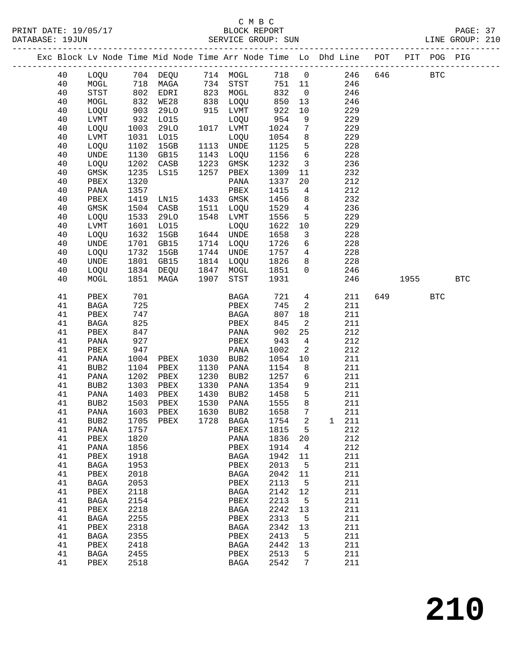|    |              |      |                        |      |              |      |                            | Exc Block Lv Node Time Mid Node Time Arr Node Time Lo Dhd Line POT PIT POG PIG |     |      |              |              |
|----|--------------|------|------------------------|------|--------------|------|----------------------------|--------------------------------------------------------------------------------|-----|------|--------------|--------------|
| 40 |              |      |                        |      |              |      |                            | LOQU 704 DEQU 714 MOGL 718 0 246<br>MOGL 718 MAGA 734 STST 751 11 246          | 646 |      | <b>BTC</b>   |              |
| 40 |              |      |                        |      |              |      |                            |                                                                                |     |      |              |              |
| 40 | STST         |      | 802 EDRI               |      | 823 MOGL     | 832  | $\overline{0}$             | 246                                                                            |     |      |              |              |
| 40 | MOGL         |      | 832 WE28               | 838  | LOQU         | 850  | 13                         | 246                                                                            |     |      |              |              |
| 40 | LOQU         | 903  | 29LO                   |      | 915 LVMT     | 922  | 10                         | 229                                                                            |     |      |              |              |
| 40 | LVMT         |      | 932 LO15               |      | LOQU         | 954  | 9                          | 229                                                                            |     |      |              |              |
| 40 | LOQU         | 1003 | 29LO                   |      | 1017 LVMT    | 1024 | $7\phantom{.0}$            | 229                                                                            |     |      |              |              |
| 40 | LVMT         | 1031 | LO15                   |      | LOQU         | 1054 | 8                          | 229                                                                            |     |      |              |              |
| 40 | LOQU         | 1102 | 15GB                   |      | 1113 UNDE    | 1125 | 5                          | 228                                                                            |     |      |              |              |
| 40 | UNDE         | 1130 | GB15                   |      | 1143 LOQU    | 1156 | $6\overline{6}$            | 228                                                                            |     |      |              |              |
| 40 | LOQU         | 1202 | CASB                   | 1223 | GMSK         | 1232 | $\overline{\mathbf{3}}$    | 236                                                                            |     |      |              |              |
| 40 | GMSK         | 1235 | LS15                   | 1257 | PBEX         | 1309 | 11                         | 232                                                                            |     |      |              |              |
| 40 | PBEX         | 1320 |                        |      | PANA         | 1337 | 20                         | 212                                                                            |     |      |              |              |
| 40 | PANA         | 1357 |                        |      | PBEX         | 1415 | $\overline{4}$             | 212                                                                            |     |      |              |              |
| 40 | PBEX         | 1419 | LN15                   | 1433 | GMSK         | 1456 | 8                          | 232                                                                            |     |      |              |              |
| 40 | GMSK         | 1504 | CASB                   | 1511 | LOQU         | 1529 | $\overline{4}$             | 236                                                                            |     |      |              |              |
| 40 | LOQU         | 1533 | 29LO                   |      | 1548 LVMT    | 1556 | $-5$                       | 229                                                                            |     |      |              |              |
| 40 | ${\rm LVMT}$ |      | 1601 LO15              |      | LOQU         | 1622 | 10                         | 229                                                                            |     |      |              |              |
| 40 | LOQU         | 1632 | 15GB                   |      | 1644 UNDE    | 1658 | $\overline{\mathbf{3}}$    | 228                                                                            |     |      |              |              |
| 40 | UNDE         | 1701 | GB15                   |      | 1714 LOQU    | 1726 | 6                          | 228                                                                            |     |      |              |              |
|    |              |      |                        |      |              |      |                            |                                                                                |     |      |              |              |
| 40 | LOQU         | 1732 | 15GB<br>1801 GB15      | 1744 | UNDE         | 1757 | $\overline{4}$             | 228                                                                            |     |      |              |              |
| 40 | UNDE         |      |                        |      | 1814 LOQU    | 1826 | 8                          | 228                                                                            |     |      |              |              |
| 40 | LOQU         |      | 1834 DEQU<br>1851 MAGA |      | 1847 MOGL    | 1851 | $\overline{0}$             | 246                                                                            |     |      |              |              |
| 40 | MOGL         |      |                        | 1907 | STST         | 1931 |                            | 246                                                                            |     | 1955 |              | $_{\rm BTC}$ |
| 41 | PBEX         | 701  |                        |      | BAGA         | 721  | $4\overline{ }$            | 211                                                                            | 649 |      | $_{\rm BTC}$ |              |
| 41 | BAGA         | 725  |                        |      | PBEX         | 745  | $\overline{\phantom{a}}^2$ | 211                                                                            |     |      |              |              |
| 41 | PBEX         | 747  |                        |      | BAGA         | 807  | 18                         | 211                                                                            |     |      |              |              |
| 41 | BAGA         | 825  |                        |      | PBEX         | 845  | $\overline{2}$             | 211                                                                            |     |      |              |              |
| 41 | PBEX         | 847  |                        |      | PANA         | 902  | 25                         | 212                                                                            |     |      |              |              |
| 41 | PANA         | 927  |                        |      | PBEX         | 943  | $\overline{4}$             | 212                                                                            |     |      |              |              |
| 41 | PBEX         | 947  |                        |      | PANA         | 1002 | $\overline{\phantom{a}}^2$ | 212                                                                            |     |      |              |              |
| 41 | PANA         |      | 1004 PBEX              | 1030 | BUB2         | 1054 | 10                         | 211                                                                            |     |      |              |              |
| 41 | BUB2         | 1104 | PBEX                   | 1130 | PANA         | 1154 | 8                          | 211                                                                            |     |      |              |              |
| 41 | PANA         | 1202 | PBEX                   | 1230 | BUB2         | 1257 | 6                          | 211                                                                            |     |      |              |              |
| 41 | BUB2         | 1303 | PBEX                   | 1330 | PANA         | 1354 | 9                          | 211                                                                            |     |      |              |              |
| 41 | PANA         | 1403 | PBEX                   | 1430 | BUB2         | 1458 | 5                          | 211                                                                            |     |      |              |              |
| 41 | BUB2         | 1503 | PBEX                   | 1530 | PANA         | 1555 | 8                          | 211                                                                            |     |      |              |              |
| 41 | PANA         | 1603 | PBEX                   | 1630 | BUB2         | 1658 | $7\phantom{.0}$            | 211                                                                            |     |      |              |              |
| 41 | BUB2         |      | 1705 PBEX 1728 BAGA    |      |              |      |                            | 1754 2 1 211                                                                   |     |      |              |              |
| 41 | PANA         | 1757 |                        |      | PBEX         | 1815 | 5                          | 212                                                                            |     |      |              |              |
| 41 | PBEX         | 1820 |                        |      | PANA         | 1836 | 20                         | 212                                                                            |     |      |              |              |
| 41 | PANA         | 1856 |                        |      | PBEX         | 1914 | $\overline{4}$             | 212                                                                            |     |      |              |              |
| 41 | PBEX         | 1918 |                        |      | BAGA         | 1942 | 11                         | 211                                                                            |     |      |              |              |
| 41 | <b>BAGA</b>  | 1953 |                        |      | PBEX         | 2013 | 5                          | 211                                                                            |     |      |              |              |
| 41 | PBEX         | 2018 |                        |      | BAGA         | 2042 | 11                         | 211                                                                            |     |      |              |              |
| 41 | <b>BAGA</b>  | 2053 |                        |      | PBEX         | 2113 | $5^{\circ}$                | 211                                                                            |     |      |              |              |
| 41 | PBEX         | 2118 |                        |      | BAGA         | 2142 | 12                         | 211                                                                            |     |      |              |              |
| 41 | BAGA         | 2154 |                        |      | PBEX         | 2213 | 5                          | 211                                                                            |     |      |              |              |
| 41 | PBEX         | 2218 |                        |      | BAGA         | 2242 | 13                         | 211                                                                            |     |      |              |              |
| 41 | <b>BAGA</b>  | 2255 |                        |      | ${\tt PBEX}$ | 2313 | $5^{\circ}$                | 211                                                                            |     |      |              |              |
| 41 | PBEX         | 2318 |                        |      | BAGA         | 2342 | 13                         | 211                                                                            |     |      |              |              |
| 41 | BAGA         | 2355 |                        |      | PBEX         | 2413 | 5                          | 211                                                                            |     |      |              |              |
| 41 | PBEX         | 2418 |                        |      | BAGA         | 2442 | 13                         | 211                                                                            |     |      |              |              |
| 41 | BAGA         | 2455 |                        |      | PBEX         | 2513 | 5                          | 211                                                                            |     |      |              |              |
| 41 | PBEX         | 2518 |                        |      | BAGA         | 2542 | 7                          | 211                                                                            |     |      |              |              |
|    |              |      |                        |      |              |      |                            |                                                                                |     |      |              |              |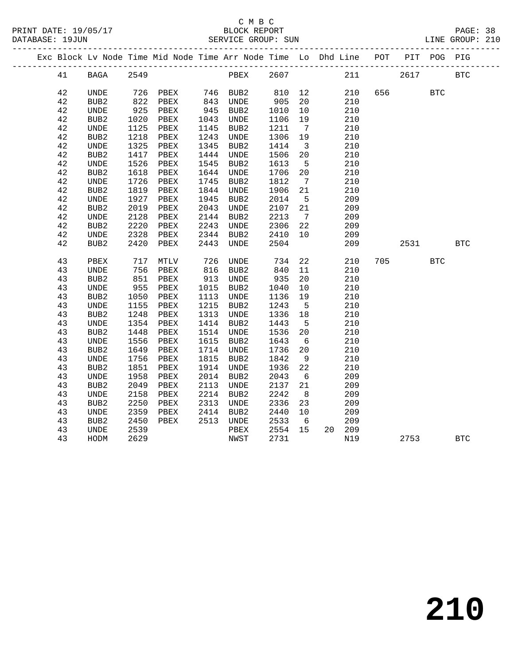| Exc Block Lv Node Time Mid Node Time Arr Node Time Lo Dhd Line POT |                              |      |          |      |           |        |                              |        |       |           | PIT POG PIG |            |
|--------------------------------------------------------------------|------------------------------|------|----------|------|-----------|--------|------------------------------|--------|-------|-----------|-------------|------------|
| 41                                                                 | BAGA                         | 2549 |          |      | PBEX 2607 |        |                              |        | 211 7 | 2617      |             | <b>BTC</b> |
| 42                                                                 | $\ensuremath{\mathsf{UNDE}}$ |      | 726 PBEX |      | 746 BUB2  | 810 12 |                              | 210    |       | 656 70    | <b>BTC</b>  |            |
| 42                                                                 | BUB2                         | 822  | PBEX     | 843  | UNDE      | 905    | 20                           | 210    |       |           |             |            |
| 42                                                                 | <b>UNDE</b>                  | 925  | PBEX     | 945  | BUB2      | 1010   | 10                           | 210    |       |           |             |            |
| 42                                                                 | BUB <sub>2</sub>             | 1020 | PBEX     | 1043 | UNDE      | 1106   | 19                           | 210    |       |           |             |            |
| 42                                                                 | <b>UNDE</b>                  | 1125 | PBEX     | 1145 | BUB2      | 1211   | $7\phantom{.0}\phantom{.0}7$ | 210    |       |           |             |            |
| 42                                                                 | BUB <sub>2</sub>             | 1218 | PBEX     | 1243 | UNDE      | 1306   | 19                           | 210    |       |           |             |            |
| 42                                                                 | <b>UNDE</b>                  | 1325 | PBEX     | 1345 | BUB2      | 1414   | $\overline{\mathbf{3}}$      | 210    |       |           |             |            |
| 42                                                                 | BUB2                         | 1417 | PBEX     | 1444 | UNDE      | 1506   | 20                           | 210    |       |           |             |            |
| 42                                                                 | UNDE                         | 1526 | PBEX     | 1545 | BUB2      | 1613   | $5^{\circ}$                  | 210    |       |           |             |            |
| 42                                                                 | BUB2                         | 1618 | PBEX     | 1644 | UNDE      | 1706   | 20                           | 210    |       |           |             |            |
| 42                                                                 | UNDE                         | 1726 | PBEX     | 1745 | BUB2      | 1812   | $7\overline{ }$              | 210    |       |           |             |            |
| 42                                                                 | BUB2                         | 1819 | PBEX     | 1844 | UNDE      | 1906   | 21                           | 210    |       |           |             |            |
| 42                                                                 | UNDE                         | 1927 | PBEX     | 1945 | BUB2      | 2014   | $5^{\circ}$                  | 209    |       |           |             |            |
| 42                                                                 | BUB2                         | 2019 | PBEX     | 2043 | UNDE      | 2107   | 21                           | 209    |       |           |             |            |
| 42                                                                 | UNDE                         | 2128 | PBEX     | 2144 | BUB2      | 2213   | $\overline{7}$               | 209    |       |           |             |            |
| 42                                                                 | BUB2                         | 2220 | PBEX     | 2243 | UNDE      | 2306   | 22                           | 209    |       |           |             |            |
| 42                                                                 | UNDE                         | 2328 | PBEX     | 2344 | BUB2      | 2410   | 10                           | 209    |       |           |             |            |
| 42                                                                 | BUB2                         | 2420 | PBEX     | 2443 | UNDE      | 2504   |                              | 209    |       | 2531      |             | <b>BTC</b> |
|                                                                    |                              |      |          |      |           |        |                              |        |       |           |             |            |
| 43                                                                 | PBEX                         | 717  | MTLV     | 726  | UNDE      | 734    | 22                           | 210    |       | 705 — 100 | <b>BTC</b>  |            |
| 43                                                                 | <b>UNDE</b>                  | 756  | PBEX     | 816  | BUB2      | 840    | 11                           | 210    |       |           |             |            |
| 43                                                                 | BUB2                         | 851  | PBEX     | 913  | UNDE      | 935    | 20                           | 210    |       |           |             |            |
| 43                                                                 | $\ensuremath{\mathsf{UNDE}}$ | 955  | PBEX     | 1015 | BUB2      | 1040   | 10                           | 210    |       |           |             |            |
| 43                                                                 | BUB2                         | 1050 | PBEX     | 1113 | UNDE      | 1136   | 19                           | 210    |       |           |             |            |
| 43                                                                 | $\ensuremath{\mathsf{UNDE}}$ | 1155 | PBEX     | 1215 | BUB2      | 1243   | $5^{\circ}$                  | 210    |       |           |             |            |
| 43                                                                 | BUB2                         | 1248 | PBEX     | 1313 | UNDE      | 1336   | 18                           | 210    |       |           |             |            |
| 43                                                                 | $\ensuremath{\mathsf{UNDE}}$ | 1354 | PBEX     | 1414 | BUB2      | 1443   | $5^{\circ}$                  | 210    |       |           |             |            |
| 43                                                                 | BUB <sub>2</sub>             | 1448 | PBEX     |      | 1514 UNDE | 1536   | 20                           | 210    |       |           |             |            |
| 43                                                                 | UNDE                         | 1556 | PBEX     | 1615 | BUB2      | 1643   | $6\overline{6}$              | 210    |       |           |             |            |
| 43                                                                 | BUB2                         | 1649 | PBEX     | 1714 | UNDE      | 1736   | 20                           | 210    |       |           |             |            |
| 43                                                                 | <b>UNDE</b>                  | 1756 | PBEX     | 1815 | BUB2      | 1842   | 9                            | 210    |       |           |             |            |
| 43                                                                 | BUB <sub>2</sub>             | 1851 | PBEX     | 1914 | UNDE      | 1936   | 22                           | 210    |       |           |             |            |
| 43                                                                 | <b>UNDE</b>                  | 1958 | PBEX     | 2014 | BUB2      | 2043   | 6                            | 209    |       |           |             |            |
| 43                                                                 | BUB <sub>2</sub>             | 2049 | PBEX     | 2113 | UNDE      | 2137   | 21                           | 209    |       |           |             |            |
| 43                                                                 | UNDE                         | 2158 | PBEX     | 2214 | BUB2      | 2242   | 8 <sup>8</sup>               | 209    |       |           |             |            |
| 43                                                                 | BUB <sub>2</sub>             | 2250 | PBEX     | 2313 | UNDE      | 2336   | 23                           | 209    |       |           |             |            |
| 43                                                                 | UNDE                         | 2359 | PBEX     | 2414 | BUB2      | 2440   | 10                           | 209    |       |           |             |            |
| 43                                                                 | BUB <sub>2</sub>             | 2450 | PBEX     |      | 2513 UNDE | 2533   | 6                            | 209    |       |           |             |            |
| 43                                                                 | UNDE                         | 2539 |          |      | PBEX      | 2554   | 15                           | 20 209 |       |           |             |            |
| 43                                                                 | HODM                         | 2629 |          |      | NWST      | 2731   |                              | N19    |       | 2753      |             | <b>BTC</b> |
|                                                                    |                              |      |          |      |           |        |                              |        |       |           |             |            |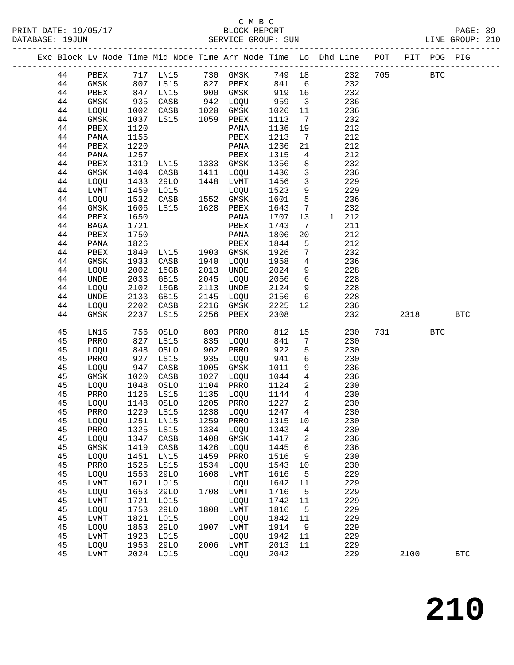|  |          |                |              | Exc Block Lv Node Time Mid Node Time Arr Node Time Lo Dhd Line POT |              |                   |              |                              |            |     |      | PIT POG PIG |                      |
|--|----------|----------------|--------------|--------------------------------------------------------------------|--------------|-------------------|--------------|------------------------------|------------|-----|------|-------------|----------------------|
|  | 44       | PBEX           |              | 717 LN15                                                           |              | 730 GMSK          | 749 18       |                              | 232        | 705 |      | <b>BTC</b>  |                      |
|  | 44       | GMSK           | 807          | LS15                                                               | 827          | PBEX              | 841          | 6                            | 232        |     |      |             |                      |
|  | 44       | PBEX           | 847          | LN15                                                               | 900          | GMSK              | 919          | 16                           | 232        |     |      |             |                      |
|  | 44       | GMSK           | 935          | CASB                                                               | 942          | LOQU              | 959          | $\overline{\mathbf{3}}$      | 236        |     |      |             |                      |
|  | 44       | LOQU           | 1002         | CASB                                                               | 1020         | GMSK              | 1026         | 11                           | 236        |     |      |             |                      |
|  | 44       | GMSK           | 1037         | LS15                                                               | 1059         | PBEX              | 1113         | $7\phantom{.0}\phantom{.0}7$ | 232        |     |      |             |                      |
|  | 44       | PBEX           | 1120         |                                                                    |              | PANA              | 1136         | 19                           | 212        |     |      |             |                      |
|  | 44       | PANA           | 1155         |                                                                    |              | PBEX              | 1213         | $7\phantom{.0}\phantom{.0}7$ | 212        |     |      |             |                      |
|  | 44       | PBEX           | 1220         |                                                                    |              | PANA              | 1236         | 21                           | 212        |     |      |             |                      |
|  | 44       | PANA           | 1257         |                                                                    |              | PBEX              | 1315         | 4                            | 212        |     |      |             |                      |
|  | 44       | PBEX           | 1319         | LN15                                                               |              | 1333 GMSK         | 1356         | 8                            | 232        |     |      |             |                      |
|  | 44       | GMSK           | 1404         | CASB                                                               | 1411         | LOQU              | 1430         | $\overline{3}$               | 236        |     |      |             |                      |
|  | 44       | LOQU           | 1433         | 29LO                                                               | 1448         | LVMT              | 1456         | $\mathbf{3}$                 | 229        |     |      |             |                      |
|  | 44       | LVMT           | 1459         | L015                                                               |              | LOQU              | 1523         | 9                            | 229        |     |      |             |                      |
|  | 44       | LOQU           | 1532         | CASB                                                               |              | 1552 GMSK         | 1601         | 5                            | 236        |     |      |             |                      |
|  | 44       | $\rm{GMSK}$    | 1606         | LS15                                                               | 1628         | PBEX              | 1643         | 7                            | 232        |     |      |             |                      |
|  | 44       | PBEX           | 1650         |                                                                    |              | PANA              | 1707         | 13                           | 1 212      |     |      |             |                      |
|  | 44       | BAGA           | 1721         |                                                                    |              | PBEX              | 1743         | 7                            | 211        |     |      |             |                      |
|  | 44       | PBEX           | 1750         |                                                                    |              | PANA              | 1806         | 20                           | 212        |     |      |             |                      |
|  | 44       | PANA           | 1826         |                                                                    |              | PBEX              | 1844         | 5                            | 212        |     |      |             |                      |
|  | 44       | PBEX           | 1849         | LN15                                                               |              | 1903 GMSK         | 1926         | 7                            | 232        |     |      |             |                      |
|  | 44       | GMSK           | 1933         | CASB                                                               | 1940         | LOQU              | 1958         | 4                            | 236        |     |      |             |                      |
|  | 44       | LOQU           | 2002         | 15GB                                                               | 2013         | UNDE              | 2024         | 9<br>6                       | 228        |     |      |             |                      |
|  | 44       | UNDE           | 2033         | GB15                                                               | 2045         | LOQU              | 2056         |                              | 228<br>228 |     |      |             |                      |
|  | 44<br>44 | LOQU<br>UNDE   | 2102<br>2133 | 15GB<br>GB15                                                       | 2113<br>2145 | UNDE<br>LOQU      | 2124<br>2156 | 9<br>6                       | 228        |     |      |             |                      |
|  | 44       | LOQU           | 2202         | CASB                                                               | 2216         | GMSK              | 2225         | 12                           | 236        |     |      |             |                      |
|  | 44       | GMSK           | 2237         | LS15                                                               | 2256         | PBEX              | 2308         |                              | 232        |     | 2318 |             | <b>BTC</b>           |
|  |          |                |              |                                                                    |              |                   |              |                              |            |     |      |             |                      |
|  | 45       | LN15           | 756          | OSLO                                                               | 803          | PRRO              | 812          | 15                           | 230        | 731 |      | <b>BTC</b>  |                      |
|  | 45       | PRRO           | 827          | LS15                                                               | 835          | LOQU              | 841          | 7                            | 230        |     |      |             |                      |
|  | 45       | LOQU           | 848          | OSLO                                                               | 902          | PRRO              | 922          | 5                            | 230        |     |      |             |                      |
|  | 45       | PRRO           | 927          | LS15                                                               | 935          | LOQU              | 941          | 6                            | 230        |     |      |             |                      |
|  | 45       | LOQU           | 947          | CASB                                                               | 1005         | GMSK              | 1011         | 9                            | 236        |     |      |             |                      |
|  | 45       | GMSK           | 1020         | CASB                                                               | 1027         | LOQU              | 1044         | $\overline{4}$               | 236        |     |      |             |                      |
|  | 45       | LOQU           | 1048         | OSLO                                                               | 1104         | PRRO              | 1124         | $\overline{a}$               | 230        |     |      |             |                      |
|  | 45       | PRRO           | 1126         | LS15                                                               | 1135         | LOQU              | 1144         | $\overline{4}$               | 230        |     |      |             |                      |
|  | 45<br>45 | LOQU<br>PRRO   | 1148<br>1229 | OSLO<br>LS15                                                       | 1205         | PRRO<br>1238 LOQU | 1227<br>1247 | $\overline{2}$<br>4          | 230<br>230 |     |      |             |                      |
|  | 45       | LOQU 1251 LN15 |              |                                                                    |              | 1259 PRRO         | 1315 10      |                              | 230        |     |      |             |                      |
|  | 45       | PRRO           | 1325         | LS15                                                               | 1334         | LOQU              | 1343         | 4                            | 230        |     |      |             |                      |
|  | 45       | LOQU           | 1347         | CASB                                                               | 1408         | <b>GMSK</b>       | 1417         | 2                            | 236        |     |      |             |                      |
|  | 45       | GMSK           | 1419         | CASB                                                               | 1426         | LOQU              | 1445         | 6                            | 236        |     |      |             |                      |
|  | 45       | LOQU           | 1451         | LN15                                                               | 1459         | PRRO              | 1516         | 9                            | 230        |     |      |             |                      |
|  | 45       | PRRO           | 1525         | LS15                                                               | 1534         | LOQU              | 1543         | 10                           | 230        |     |      |             |                      |
|  | 45       | LOQU           | 1553         | <b>29LO</b>                                                        | 1608         | LVMT              | 1616         | 5                            | 229        |     |      |             |                      |
|  | 45       | ${\rm LVMT}$   | 1621         | L015                                                               |              | LOQU              | 1642         | 11                           | 229        |     |      |             |                      |
|  | 45       | LOQU           | 1653         | <b>29LO</b>                                                        | 1708         | LVMT              | 1716         | 5                            | 229        |     |      |             |                      |
|  | 45       | ${\rm LVMT}$   | 1721         | L015                                                               |              | LOQU              | 1742         | 11                           | 229        |     |      |             |                      |
|  | 45       | LOQU           | 1753         | <b>29LO</b>                                                        | 1808         | LVMT              | 1816         | 5                            | 229        |     |      |             |                      |
|  | 45       | LVMT           | 1821         | L015                                                               |              | LOQU              | 1842         | 11                           | 229        |     |      |             |                      |
|  | 45       | LOQU           | 1853         | <b>29LO</b>                                                        | 1907         | ${\rm LVMT}$      | 1914         | 9                            | 229        |     |      |             |                      |
|  | 45       | ${\rm LVMT}$   | 1923         | L015                                                               |              | LOQU              | 1942         | 11                           | 229        |     |      |             |                      |
|  | 45       | LOQU           | 1953         | <b>29LO</b>                                                        | 2006         | LVMT              | 2013         | 11                           | 229        |     |      |             |                      |
|  | 45       | LVMT           | 2024         | L015                                                               |              | LOQU              | 2042         |                              | 229        |     | 2100 |             | $\operatorname{BTC}$ |
|  |          |                |              |                                                                    |              |                   |              |                              |            |     |      |             |                      |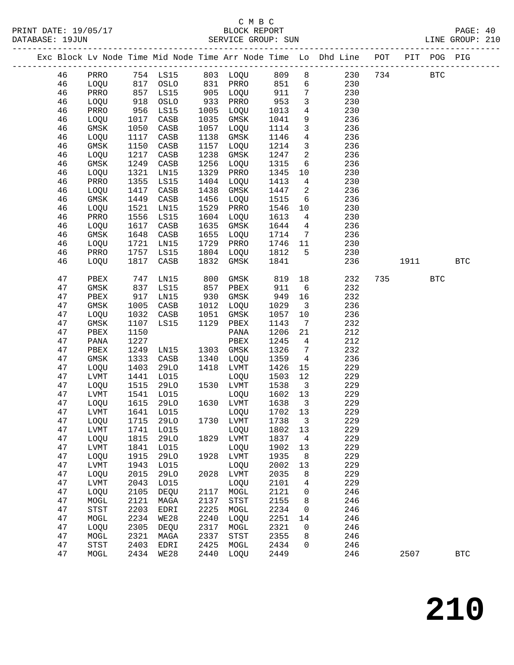| PAGE |
|------|

| Exc Block Lv Node Time Mid Node Time Arr Node Time Lo Dhd Line POT PIT POG PIG<br>754 LS15 803 LOQU 809<br>734<br>46<br>8<br>230<br><b>BTC</b><br>PRRO<br>817<br>831 PRRO 851<br>46<br>6<br>230<br>LOQU<br>OSLO<br>857<br>905 LOQU<br>911<br>$7\overline{ }$<br>46<br>PRRO<br>LS15<br>230<br>953<br>$\mathbf{3}$<br>46<br>918<br>OSLO<br>933 PRRO<br>230<br>LOQU<br>$\overline{4}$<br>46<br>PRRO<br>956<br>LS15<br>1005<br>1013<br>230<br>LOQU<br>46<br>1017<br>CASB<br>1035<br>1041<br>9<br>236<br>LOQU<br>GMSK<br>$\mathbf{3}$<br>1050<br>CASB<br>1057<br>236<br>46<br>GMSK<br>LOQU<br>1114<br>$\overline{4}$<br>46<br>1138<br>1146<br>236<br>1117<br>CASB<br>LOQU<br>GMSK<br>$\mathbf{3}$<br>46<br>1157<br>1214<br>236<br>GMSK<br>1150<br>CASB<br>LOQU<br>2<br>46<br>1217<br>1238<br>1247<br>236<br>LOQU<br>CASB<br>GMSK<br>1249<br>1256<br>1315<br>6<br>236<br>46<br>GMSK<br>CASB<br>LOQU<br>1321<br>1329<br>230<br>46<br>LN15<br>PRRO<br>1345<br>10<br>LOQU<br>46<br>1355<br>LS15<br>1404<br>1413<br>$\overline{4}$<br>230<br>PRRO<br>LOQU<br>46<br>1417<br>1438<br>1447<br>2<br>236<br>LOQU<br>CASB<br>GMSK<br>46<br>1449<br>CASB<br>1456<br>1515<br>6<br>236<br>GMSK<br>LOQU<br>1529<br>1546<br>230<br>46<br>LOQU<br>1521<br>LN15<br>PRRO<br>10<br>46<br>1556<br>LS15<br>1604<br>$\overline{4}$<br>230<br>PRRO<br>LOQU<br>1613<br>46<br>1617<br>1635<br>1644<br>$\overline{4}$<br>236<br>LOQU<br>CASB<br>GMSK<br>1648<br>1655<br>46<br>GMSK<br>CASB<br>LOQU<br>1714<br>$\overline{7}$<br>236<br>1721<br>46<br>LOQU<br>LN15<br>1729<br>PRRO<br>1746<br>11<br>230<br>1757<br>46<br>LS15<br>1804<br>1812<br>5<br>230<br>PRRO<br>LOQU<br>46<br>1817<br>CASB<br>1832<br>1841<br>236<br>LOQU<br>GMSK<br>1911<br><b>BTC</b><br>747<br>LN15<br>800<br>18<br>232<br>735<br>47<br>PBEX<br>GMSK<br>819<br><b>BTC</b><br>232<br>837<br>LS15<br>857<br>911<br>$6\overline{6}$<br>47<br>GMSK<br>PBEX<br>917<br>LN15<br>930<br>949<br>16<br>232<br>47<br>PBEX<br>GMSK<br>47<br>GMSK<br>1005<br>CASB<br>1012<br>1029<br>$\overline{\mathbf{3}}$<br>236<br>LOQU<br>1032<br>CASB<br>1051<br>1057<br>236<br>47<br>LOQU<br>GMSK<br>10<br>47<br>GMSK<br>1107<br>LS15<br>1129<br>232<br>PBEX<br>1143<br>$7\phantom{.0}\phantom{.0}7$<br>47<br>PBEX<br>1150<br>1206<br>21<br>212<br>PANA<br>212<br>47<br>1227<br>1245<br>$\overline{4}$<br>PANA<br>PBEX<br>1249<br>1303<br>GMSK<br>1326<br>232<br>47<br>PBEX<br>LN15<br>$\overline{7}$<br>47<br>1333<br>1340<br>1359<br>$\overline{4}$<br>236<br>GMSK<br>CASB<br>LOQU<br>47<br>1403<br>29LO<br>1418<br>1426<br>229<br>LOQU<br>LVMT<br>15<br>47<br>1441<br>12<br>229<br>LVMT<br>L015<br>LOQU<br>1503<br>1515<br>29LO<br>1530 LVMT<br>1538<br>47<br>LOQU<br>$\overline{\mathbf{3}}$<br>229<br>1541<br>1602<br>13<br>229<br>47<br>LVMT<br>L015<br>LOQU<br>1615<br>47<br>29LO<br>1630 LVMT<br>1638<br>$\overline{\mathbf{3}}$<br>229<br>LOQU<br>47<br>1641<br>1702<br>13<br>229<br>LVMT<br>LO15<br>LOQU<br>LOQU 1715 29LO 1730 LVMT 1738 3<br>229<br>47<br>1802<br>229<br>47<br>LVMT<br>1741<br>L015<br>LOQU<br>13<br>47<br>229<br>LOQU<br>1815<br>29LO<br>1829 LVMT<br>1837<br>$\overline{4}$<br>229<br>47<br>1902<br>LVMT<br>1841<br>L015<br>LOQU<br>13<br>47<br>1915<br>1928<br>1935<br>229<br>LOQU<br>29LO<br>LVMT<br>8<br>229<br>47<br>${\rm LVMT}$<br>1943<br>L015<br>LOQU<br>2002<br>13<br>47<br>LOQU<br>2015<br>2028<br>LVMT<br>2035<br>229<br>29LO<br>8<br>229<br>47<br>2043<br>2101<br>LVMT<br>L015<br>LOQU<br>4<br>47<br>2105<br>2117<br>246<br>LOQU<br>DEQU<br>MOGL<br>2121<br>0<br>2137<br>STST<br>246<br>47<br>MOGL<br>2121<br>MAGA<br>2155<br>8<br>47<br>2203<br>2225<br>2234<br>246<br><b>STST</b><br>EDRI<br>MOGL<br>$\mathbf 0$<br>47<br>2234<br><b>WE28</b><br>2240<br>2251<br>246<br>MOGL<br>LOQU<br>14<br>47<br>2305<br>2317<br>2321<br>246<br>LOQU<br>DEQU<br>MOGL<br>0<br>2321<br>2337<br>2355<br>246<br>47<br>STST<br>MOGL<br>MAGA<br>8<br>47<br>STST<br>2403<br>2425<br>2434<br>246<br>EDRI<br>MOGL<br>0<br>47<br>2434<br><b>WE28</b><br>2440<br>246<br>LOQU<br>2449<br>2507<br><b>BTC</b><br>MOGL |  |  |  |  |  |  |  |  |
|---------------------------------------------------------------------------------------------------------------------------------------------------------------------------------------------------------------------------------------------------------------------------------------------------------------------------------------------------------------------------------------------------------------------------------------------------------------------------------------------------------------------------------------------------------------------------------------------------------------------------------------------------------------------------------------------------------------------------------------------------------------------------------------------------------------------------------------------------------------------------------------------------------------------------------------------------------------------------------------------------------------------------------------------------------------------------------------------------------------------------------------------------------------------------------------------------------------------------------------------------------------------------------------------------------------------------------------------------------------------------------------------------------------------------------------------------------------------------------------------------------------------------------------------------------------------------------------------------------------------------------------------------------------------------------------------------------------------------------------------------------------------------------------------------------------------------------------------------------------------------------------------------------------------------------------------------------------------------------------------------------------------------------------------------------------------------------------------------------------------------------------------------------------------------------------------------------------------------------------------------------------------------------------------------------------------------------------------------------------------------------------------------------------------------------------------------------------------------------------------------------------------------------------------------------------------------------------------------------------------------------------------------------------------------------------------------------------------------------------------------------------------------------------------------------------------------------------------------------------------------------------------------------------------------------------------------------------------------------------------------------------------------------------------------------------------------------------------------------------------------------------------------------------------------------------------------------------------------------------------------------------------------------------------------------------------------------------------------------------------------------------------------------------------------------------------------------------------------------------------------------------------------------------------------------------------------------------------------------------------------------------------------------------------------------------------------------------------------------------------------------------------------------------------------------------------------------------------------------------------------------------------------------------------------------------------------------------------------------------------------------------------------------------------------------|--|--|--|--|--|--|--|--|
|                                                                                                                                                                                                                                                                                                                                                                                                                                                                                                                                                                                                                                                                                                                                                                                                                                                                                                                                                                                                                                                                                                                                                                                                                                                                                                                                                                                                                                                                                                                                                                                                                                                                                                                                                                                                                                                                                                                                                                                                                                                                                                                                                                                                                                                                                                                                                                                                                                                                                                                                                                                                                                                                                                                                                                                                                                                                                                                                                                                                                                                                                                                                                                                                                                                                                                                                                                                                                                                                                                                                                                                                                                                                                                                                                                                                                                                                                                                                                                                                                                                         |  |  |  |  |  |  |  |  |
|                                                                                                                                                                                                                                                                                                                                                                                                                                                                                                                                                                                                                                                                                                                                                                                                                                                                                                                                                                                                                                                                                                                                                                                                                                                                                                                                                                                                                                                                                                                                                                                                                                                                                                                                                                                                                                                                                                                                                                                                                                                                                                                                                                                                                                                                                                                                                                                                                                                                                                                                                                                                                                                                                                                                                                                                                                                                                                                                                                                                                                                                                                                                                                                                                                                                                                                                                                                                                                                                                                                                                                                                                                                                                                                                                                                                                                                                                                                                                                                                                                                         |  |  |  |  |  |  |  |  |
|                                                                                                                                                                                                                                                                                                                                                                                                                                                                                                                                                                                                                                                                                                                                                                                                                                                                                                                                                                                                                                                                                                                                                                                                                                                                                                                                                                                                                                                                                                                                                                                                                                                                                                                                                                                                                                                                                                                                                                                                                                                                                                                                                                                                                                                                                                                                                                                                                                                                                                                                                                                                                                                                                                                                                                                                                                                                                                                                                                                                                                                                                                                                                                                                                                                                                                                                                                                                                                                                                                                                                                                                                                                                                                                                                                                                                                                                                                                                                                                                                                                         |  |  |  |  |  |  |  |  |
|                                                                                                                                                                                                                                                                                                                                                                                                                                                                                                                                                                                                                                                                                                                                                                                                                                                                                                                                                                                                                                                                                                                                                                                                                                                                                                                                                                                                                                                                                                                                                                                                                                                                                                                                                                                                                                                                                                                                                                                                                                                                                                                                                                                                                                                                                                                                                                                                                                                                                                                                                                                                                                                                                                                                                                                                                                                                                                                                                                                                                                                                                                                                                                                                                                                                                                                                                                                                                                                                                                                                                                                                                                                                                                                                                                                                                                                                                                                                                                                                                                                         |  |  |  |  |  |  |  |  |
|                                                                                                                                                                                                                                                                                                                                                                                                                                                                                                                                                                                                                                                                                                                                                                                                                                                                                                                                                                                                                                                                                                                                                                                                                                                                                                                                                                                                                                                                                                                                                                                                                                                                                                                                                                                                                                                                                                                                                                                                                                                                                                                                                                                                                                                                                                                                                                                                                                                                                                                                                                                                                                                                                                                                                                                                                                                                                                                                                                                                                                                                                                                                                                                                                                                                                                                                                                                                                                                                                                                                                                                                                                                                                                                                                                                                                                                                                                                                                                                                                                                         |  |  |  |  |  |  |  |  |
|                                                                                                                                                                                                                                                                                                                                                                                                                                                                                                                                                                                                                                                                                                                                                                                                                                                                                                                                                                                                                                                                                                                                                                                                                                                                                                                                                                                                                                                                                                                                                                                                                                                                                                                                                                                                                                                                                                                                                                                                                                                                                                                                                                                                                                                                                                                                                                                                                                                                                                                                                                                                                                                                                                                                                                                                                                                                                                                                                                                                                                                                                                                                                                                                                                                                                                                                                                                                                                                                                                                                                                                                                                                                                                                                                                                                                                                                                                                                                                                                                                                         |  |  |  |  |  |  |  |  |
|                                                                                                                                                                                                                                                                                                                                                                                                                                                                                                                                                                                                                                                                                                                                                                                                                                                                                                                                                                                                                                                                                                                                                                                                                                                                                                                                                                                                                                                                                                                                                                                                                                                                                                                                                                                                                                                                                                                                                                                                                                                                                                                                                                                                                                                                                                                                                                                                                                                                                                                                                                                                                                                                                                                                                                                                                                                                                                                                                                                                                                                                                                                                                                                                                                                                                                                                                                                                                                                                                                                                                                                                                                                                                                                                                                                                                                                                                                                                                                                                                                                         |  |  |  |  |  |  |  |  |
|                                                                                                                                                                                                                                                                                                                                                                                                                                                                                                                                                                                                                                                                                                                                                                                                                                                                                                                                                                                                                                                                                                                                                                                                                                                                                                                                                                                                                                                                                                                                                                                                                                                                                                                                                                                                                                                                                                                                                                                                                                                                                                                                                                                                                                                                                                                                                                                                                                                                                                                                                                                                                                                                                                                                                                                                                                                                                                                                                                                                                                                                                                                                                                                                                                                                                                                                                                                                                                                                                                                                                                                                                                                                                                                                                                                                                                                                                                                                                                                                                                                         |  |  |  |  |  |  |  |  |
|                                                                                                                                                                                                                                                                                                                                                                                                                                                                                                                                                                                                                                                                                                                                                                                                                                                                                                                                                                                                                                                                                                                                                                                                                                                                                                                                                                                                                                                                                                                                                                                                                                                                                                                                                                                                                                                                                                                                                                                                                                                                                                                                                                                                                                                                                                                                                                                                                                                                                                                                                                                                                                                                                                                                                                                                                                                                                                                                                                                                                                                                                                                                                                                                                                                                                                                                                                                                                                                                                                                                                                                                                                                                                                                                                                                                                                                                                                                                                                                                                                                         |  |  |  |  |  |  |  |  |
|                                                                                                                                                                                                                                                                                                                                                                                                                                                                                                                                                                                                                                                                                                                                                                                                                                                                                                                                                                                                                                                                                                                                                                                                                                                                                                                                                                                                                                                                                                                                                                                                                                                                                                                                                                                                                                                                                                                                                                                                                                                                                                                                                                                                                                                                                                                                                                                                                                                                                                                                                                                                                                                                                                                                                                                                                                                                                                                                                                                                                                                                                                                                                                                                                                                                                                                                                                                                                                                                                                                                                                                                                                                                                                                                                                                                                                                                                                                                                                                                                                                         |  |  |  |  |  |  |  |  |
|                                                                                                                                                                                                                                                                                                                                                                                                                                                                                                                                                                                                                                                                                                                                                                                                                                                                                                                                                                                                                                                                                                                                                                                                                                                                                                                                                                                                                                                                                                                                                                                                                                                                                                                                                                                                                                                                                                                                                                                                                                                                                                                                                                                                                                                                                                                                                                                                                                                                                                                                                                                                                                                                                                                                                                                                                                                                                                                                                                                                                                                                                                                                                                                                                                                                                                                                                                                                                                                                                                                                                                                                                                                                                                                                                                                                                                                                                                                                                                                                                                                         |  |  |  |  |  |  |  |  |
|                                                                                                                                                                                                                                                                                                                                                                                                                                                                                                                                                                                                                                                                                                                                                                                                                                                                                                                                                                                                                                                                                                                                                                                                                                                                                                                                                                                                                                                                                                                                                                                                                                                                                                                                                                                                                                                                                                                                                                                                                                                                                                                                                                                                                                                                                                                                                                                                                                                                                                                                                                                                                                                                                                                                                                                                                                                                                                                                                                                                                                                                                                                                                                                                                                                                                                                                                                                                                                                                                                                                                                                                                                                                                                                                                                                                                                                                                                                                                                                                                                                         |  |  |  |  |  |  |  |  |
|                                                                                                                                                                                                                                                                                                                                                                                                                                                                                                                                                                                                                                                                                                                                                                                                                                                                                                                                                                                                                                                                                                                                                                                                                                                                                                                                                                                                                                                                                                                                                                                                                                                                                                                                                                                                                                                                                                                                                                                                                                                                                                                                                                                                                                                                                                                                                                                                                                                                                                                                                                                                                                                                                                                                                                                                                                                                                                                                                                                                                                                                                                                                                                                                                                                                                                                                                                                                                                                                                                                                                                                                                                                                                                                                                                                                                                                                                                                                                                                                                                                         |  |  |  |  |  |  |  |  |
|                                                                                                                                                                                                                                                                                                                                                                                                                                                                                                                                                                                                                                                                                                                                                                                                                                                                                                                                                                                                                                                                                                                                                                                                                                                                                                                                                                                                                                                                                                                                                                                                                                                                                                                                                                                                                                                                                                                                                                                                                                                                                                                                                                                                                                                                                                                                                                                                                                                                                                                                                                                                                                                                                                                                                                                                                                                                                                                                                                                                                                                                                                                                                                                                                                                                                                                                                                                                                                                                                                                                                                                                                                                                                                                                                                                                                                                                                                                                                                                                                                                         |  |  |  |  |  |  |  |  |
|                                                                                                                                                                                                                                                                                                                                                                                                                                                                                                                                                                                                                                                                                                                                                                                                                                                                                                                                                                                                                                                                                                                                                                                                                                                                                                                                                                                                                                                                                                                                                                                                                                                                                                                                                                                                                                                                                                                                                                                                                                                                                                                                                                                                                                                                                                                                                                                                                                                                                                                                                                                                                                                                                                                                                                                                                                                                                                                                                                                                                                                                                                                                                                                                                                                                                                                                                                                                                                                                                                                                                                                                                                                                                                                                                                                                                                                                                                                                                                                                                                                         |  |  |  |  |  |  |  |  |
|                                                                                                                                                                                                                                                                                                                                                                                                                                                                                                                                                                                                                                                                                                                                                                                                                                                                                                                                                                                                                                                                                                                                                                                                                                                                                                                                                                                                                                                                                                                                                                                                                                                                                                                                                                                                                                                                                                                                                                                                                                                                                                                                                                                                                                                                                                                                                                                                                                                                                                                                                                                                                                                                                                                                                                                                                                                                                                                                                                                                                                                                                                                                                                                                                                                                                                                                                                                                                                                                                                                                                                                                                                                                                                                                                                                                                                                                                                                                                                                                                                                         |  |  |  |  |  |  |  |  |
|                                                                                                                                                                                                                                                                                                                                                                                                                                                                                                                                                                                                                                                                                                                                                                                                                                                                                                                                                                                                                                                                                                                                                                                                                                                                                                                                                                                                                                                                                                                                                                                                                                                                                                                                                                                                                                                                                                                                                                                                                                                                                                                                                                                                                                                                                                                                                                                                                                                                                                                                                                                                                                                                                                                                                                                                                                                                                                                                                                                                                                                                                                                                                                                                                                                                                                                                                                                                                                                                                                                                                                                                                                                                                                                                                                                                                                                                                                                                                                                                                                                         |  |  |  |  |  |  |  |  |
|                                                                                                                                                                                                                                                                                                                                                                                                                                                                                                                                                                                                                                                                                                                                                                                                                                                                                                                                                                                                                                                                                                                                                                                                                                                                                                                                                                                                                                                                                                                                                                                                                                                                                                                                                                                                                                                                                                                                                                                                                                                                                                                                                                                                                                                                                                                                                                                                                                                                                                                                                                                                                                                                                                                                                                                                                                                                                                                                                                                                                                                                                                                                                                                                                                                                                                                                                                                                                                                                                                                                                                                                                                                                                                                                                                                                                                                                                                                                                                                                                                                         |  |  |  |  |  |  |  |  |
|                                                                                                                                                                                                                                                                                                                                                                                                                                                                                                                                                                                                                                                                                                                                                                                                                                                                                                                                                                                                                                                                                                                                                                                                                                                                                                                                                                                                                                                                                                                                                                                                                                                                                                                                                                                                                                                                                                                                                                                                                                                                                                                                                                                                                                                                                                                                                                                                                                                                                                                                                                                                                                                                                                                                                                                                                                                                                                                                                                                                                                                                                                                                                                                                                                                                                                                                                                                                                                                                                                                                                                                                                                                                                                                                                                                                                                                                                                                                                                                                                                                         |  |  |  |  |  |  |  |  |
|                                                                                                                                                                                                                                                                                                                                                                                                                                                                                                                                                                                                                                                                                                                                                                                                                                                                                                                                                                                                                                                                                                                                                                                                                                                                                                                                                                                                                                                                                                                                                                                                                                                                                                                                                                                                                                                                                                                                                                                                                                                                                                                                                                                                                                                                                                                                                                                                                                                                                                                                                                                                                                                                                                                                                                                                                                                                                                                                                                                                                                                                                                                                                                                                                                                                                                                                                                                                                                                                                                                                                                                                                                                                                                                                                                                                                                                                                                                                                                                                                                                         |  |  |  |  |  |  |  |  |
|                                                                                                                                                                                                                                                                                                                                                                                                                                                                                                                                                                                                                                                                                                                                                                                                                                                                                                                                                                                                                                                                                                                                                                                                                                                                                                                                                                                                                                                                                                                                                                                                                                                                                                                                                                                                                                                                                                                                                                                                                                                                                                                                                                                                                                                                                                                                                                                                                                                                                                                                                                                                                                                                                                                                                                                                                                                                                                                                                                                                                                                                                                                                                                                                                                                                                                                                                                                                                                                                                                                                                                                                                                                                                                                                                                                                                                                                                                                                                                                                                                                         |  |  |  |  |  |  |  |  |
|                                                                                                                                                                                                                                                                                                                                                                                                                                                                                                                                                                                                                                                                                                                                                                                                                                                                                                                                                                                                                                                                                                                                                                                                                                                                                                                                                                                                                                                                                                                                                                                                                                                                                                                                                                                                                                                                                                                                                                                                                                                                                                                                                                                                                                                                                                                                                                                                                                                                                                                                                                                                                                                                                                                                                                                                                                                                                                                                                                                                                                                                                                                                                                                                                                                                                                                                                                                                                                                                                                                                                                                                                                                                                                                                                                                                                                                                                                                                                                                                                                                         |  |  |  |  |  |  |  |  |
|                                                                                                                                                                                                                                                                                                                                                                                                                                                                                                                                                                                                                                                                                                                                                                                                                                                                                                                                                                                                                                                                                                                                                                                                                                                                                                                                                                                                                                                                                                                                                                                                                                                                                                                                                                                                                                                                                                                                                                                                                                                                                                                                                                                                                                                                                                                                                                                                                                                                                                                                                                                                                                                                                                                                                                                                                                                                                                                                                                                                                                                                                                                                                                                                                                                                                                                                                                                                                                                                                                                                                                                                                                                                                                                                                                                                                                                                                                                                                                                                                                                         |  |  |  |  |  |  |  |  |
|                                                                                                                                                                                                                                                                                                                                                                                                                                                                                                                                                                                                                                                                                                                                                                                                                                                                                                                                                                                                                                                                                                                                                                                                                                                                                                                                                                                                                                                                                                                                                                                                                                                                                                                                                                                                                                                                                                                                                                                                                                                                                                                                                                                                                                                                                                                                                                                                                                                                                                                                                                                                                                                                                                                                                                                                                                                                                                                                                                                                                                                                                                                                                                                                                                                                                                                                                                                                                                                                                                                                                                                                                                                                                                                                                                                                                                                                                                                                                                                                                                                         |  |  |  |  |  |  |  |  |
|                                                                                                                                                                                                                                                                                                                                                                                                                                                                                                                                                                                                                                                                                                                                                                                                                                                                                                                                                                                                                                                                                                                                                                                                                                                                                                                                                                                                                                                                                                                                                                                                                                                                                                                                                                                                                                                                                                                                                                                                                                                                                                                                                                                                                                                                                                                                                                                                                                                                                                                                                                                                                                                                                                                                                                                                                                                                                                                                                                                                                                                                                                                                                                                                                                                                                                                                                                                                                                                                                                                                                                                                                                                                                                                                                                                                                                                                                                                                                                                                                                                         |  |  |  |  |  |  |  |  |
|                                                                                                                                                                                                                                                                                                                                                                                                                                                                                                                                                                                                                                                                                                                                                                                                                                                                                                                                                                                                                                                                                                                                                                                                                                                                                                                                                                                                                                                                                                                                                                                                                                                                                                                                                                                                                                                                                                                                                                                                                                                                                                                                                                                                                                                                                                                                                                                                                                                                                                                                                                                                                                                                                                                                                                                                                                                                                                                                                                                                                                                                                                                                                                                                                                                                                                                                                                                                                                                                                                                                                                                                                                                                                                                                                                                                                                                                                                                                                                                                                                                         |  |  |  |  |  |  |  |  |
|                                                                                                                                                                                                                                                                                                                                                                                                                                                                                                                                                                                                                                                                                                                                                                                                                                                                                                                                                                                                                                                                                                                                                                                                                                                                                                                                                                                                                                                                                                                                                                                                                                                                                                                                                                                                                                                                                                                                                                                                                                                                                                                                                                                                                                                                                                                                                                                                                                                                                                                                                                                                                                                                                                                                                                                                                                                                                                                                                                                                                                                                                                                                                                                                                                                                                                                                                                                                                                                                                                                                                                                                                                                                                                                                                                                                                                                                                                                                                                                                                                                         |  |  |  |  |  |  |  |  |
|                                                                                                                                                                                                                                                                                                                                                                                                                                                                                                                                                                                                                                                                                                                                                                                                                                                                                                                                                                                                                                                                                                                                                                                                                                                                                                                                                                                                                                                                                                                                                                                                                                                                                                                                                                                                                                                                                                                                                                                                                                                                                                                                                                                                                                                                                                                                                                                                                                                                                                                                                                                                                                                                                                                                                                                                                                                                                                                                                                                                                                                                                                                                                                                                                                                                                                                                                                                                                                                                                                                                                                                                                                                                                                                                                                                                                                                                                                                                                                                                                                                         |  |  |  |  |  |  |  |  |
|                                                                                                                                                                                                                                                                                                                                                                                                                                                                                                                                                                                                                                                                                                                                                                                                                                                                                                                                                                                                                                                                                                                                                                                                                                                                                                                                                                                                                                                                                                                                                                                                                                                                                                                                                                                                                                                                                                                                                                                                                                                                                                                                                                                                                                                                                                                                                                                                                                                                                                                                                                                                                                                                                                                                                                                                                                                                                                                                                                                                                                                                                                                                                                                                                                                                                                                                                                                                                                                                                                                                                                                                                                                                                                                                                                                                                                                                                                                                                                                                                                                         |  |  |  |  |  |  |  |  |
|                                                                                                                                                                                                                                                                                                                                                                                                                                                                                                                                                                                                                                                                                                                                                                                                                                                                                                                                                                                                                                                                                                                                                                                                                                                                                                                                                                                                                                                                                                                                                                                                                                                                                                                                                                                                                                                                                                                                                                                                                                                                                                                                                                                                                                                                                                                                                                                                                                                                                                                                                                                                                                                                                                                                                                                                                                                                                                                                                                                                                                                                                                                                                                                                                                                                                                                                                                                                                                                                                                                                                                                                                                                                                                                                                                                                                                                                                                                                                                                                                                                         |  |  |  |  |  |  |  |  |
|                                                                                                                                                                                                                                                                                                                                                                                                                                                                                                                                                                                                                                                                                                                                                                                                                                                                                                                                                                                                                                                                                                                                                                                                                                                                                                                                                                                                                                                                                                                                                                                                                                                                                                                                                                                                                                                                                                                                                                                                                                                                                                                                                                                                                                                                                                                                                                                                                                                                                                                                                                                                                                                                                                                                                                                                                                                                                                                                                                                                                                                                                                                                                                                                                                                                                                                                                                                                                                                                                                                                                                                                                                                                                                                                                                                                                                                                                                                                                                                                                                                         |  |  |  |  |  |  |  |  |
|                                                                                                                                                                                                                                                                                                                                                                                                                                                                                                                                                                                                                                                                                                                                                                                                                                                                                                                                                                                                                                                                                                                                                                                                                                                                                                                                                                                                                                                                                                                                                                                                                                                                                                                                                                                                                                                                                                                                                                                                                                                                                                                                                                                                                                                                                                                                                                                                                                                                                                                                                                                                                                                                                                                                                                                                                                                                                                                                                                                                                                                                                                                                                                                                                                                                                                                                                                                                                                                                                                                                                                                                                                                                                                                                                                                                                                                                                                                                                                                                                                                         |  |  |  |  |  |  |  |  |
|                                                                                                                                                                                                                                                                                                                                                                                                                                                                                                                                                                                                                                                                                                                                                                                                                                                                                                                                                                                                                                                                                                                                                                                                                                                                                                                                                                                                                                                                                                                                                                                                                                                                                                                                                                                                                                                                                                                                                                                                                                                                                                                                                                                                                                                                                                                                                                                                                                                                                                                                                                                                                                                                                                                                                                                                                                                                                                                                                                                                                                                                                                                                                                                                                                                                                                                                                                                                                                                                                                                                                                                                                                                                                                                                                                                                                                                                                                                                                                                                                                                         |  |  |  |  |  |  |  |  |
|                                                                                                                                                                                                                                                                                                                                                                                                                                                                                                                                                                                                                                                                                                                                                                                                                                                                                                                                                                                                                                                                                                                                                                                                                                                                                                                                                                                                                                                                                                                                                                                                                                                                                                                                                                                                                                                                                                                                                                                                                                                                                                                                                                                                                                                                                                                                                                                                                                                                                                                                                                                                                                                                                                                                                                                                                                                                                                                                                                                                                                                                                                                                                                                                                                                                                                                                                                                                                                                                                                                                                                                                                                                                                                                                                                                                                                                                                                                                                                                                                                                         |  |  |  |  |  |  |  |  |
|                                                                                                                                                                                                                                                                                                                                                                                                                                                                                                                                                                                                                                                                                                                                                                                                                                                                                                                                                                                                                                                                                                                                                                                                                                                                                                                                                                                                                                                                                                                                                                                                                                                                                                                                                                                                                                                                                                                                                                                                                                                                                                                                                                                                                                                                                                                                                                                                                                                                                                                                                                                                                                                                                                                                                                                                                                                                                                                                                                                                                                                                                                                                                                                                                                                                                                                                                                                                                                                                                                                                                                                                                                                                                                                                                                                                                                                                                                                                                                                                                                                         |  |  |  |  |  |  |  |  |
|                                                                                                                                                                                                                                                                                                                                                                                                                                                                                                                                                                                                                                                                                                                                                                                                                                                                                                                                                                                                                                                                                                                                                                                                                                                                                                                                                                                                                                                                                                                                                                                                                                                                                                                                                                                                                                                                                                                                                                                                                                                                                                                                                                                                                                                                                                                                                                                                                                                                                                                                                                                                                                                                                                                                                                                                                                                                                                                                                                                                                                                                                                                                                                                                                                                                                                                                                                                                                                                                                                                                                                                                                                                                                                                                                                                                                                                                                                                                                                                                                                                         |  |  |  |  |  |  |  |  |
|                                                                                                                                                                                                                                                                                                                                                                                                                                                                                                                                                                                                                                                                                                                                                                                                                                                                                                                                                                                                                                                                                                                                                                                                                                                                                                                                                                                                                                                                                                                                                                                                                                                                                                                                                                                                                                                                                                                                                                                                                                                                                                                                                                                                                                                                                                                                                                                                                                                                                                                                                                                                                                                                                                                                                                                                                                                                                                                                                                                                                                                                                                                                                                                                                                                                                                                                                                                                                                                                                                                                                                                                                                                                                                                                                                                                                                                                                                                                                                                                                                                         |  |  |  |  |  |  |  |  |
|                                                                                                                                                                                                                                                                                                                                                                                                                                                                                                                                                                                                                                                                                                                                                                                                                                                                                                                                                                                                                                                                                                                                                                                                                                                                                                                                                                                                                                                                                                                                                                                                                                                                                                                                                                                                                                                                                                                                                                                                                                                                                                                                                                                                                                                                                                                                                                                                                                                                                                                                                                                                                                                                                                                                                                                                                                                                                                                                                                                                                                                                                                                                                                                                                                                                                                                                                                                                                                                                                                                                                                                                                                                                                                                                                                                                                                                                                                                                                                                                                                                         |  |  |  |  |  |  |  |  |
|                                                                                                                                                                                                                                                                                                                                                                                                                                                                                                                                                                                                                                                                                                                                                                                                                                                                                                                                                                                                                                                                                                                                                                                                                                                                                                                                                                                                                                                                                                                                                                                                                                                                                                                                                                                                                                                                                                                                                                                                                                                                                                                                                                                                                                                                                                                                                                                                                                                                                                                                                                                                                                                                                                                                                                                                                                                                                                                                                                                                                                                                                                                                                                                                                                                                                                                                                                                                                                                                                                                                                                                                                                                                                                                                                                                                                                                                                                                                                                                                                                                         |  |  |  |  |  |  |  |  |
|                                                                                                                                                                                                                                                                                                                                                                                                                                                                                                                                                                                                                                                                                                                                                                                                                                                                                                                                                                                                                                                                                                                                                                                                                                                                                                                                                                                                                                                                                                                                                                                                                                                                                                                                                                                                                                                                                                                                                                                                                                                                                                                                                                                                                                                                                                                                                                                                                                                                                                                                                                                                                                                                                                                                                                                                                                                                                                                                                                                                                                                                                                                                                                                                                                                                                                                                                                                                                                                                                                                                                                                                                                                                                                                                                                                                                                                                                                                                                                                                                                                         |  |  |  |  |  |  |  |  |
|                                                                                                                                                                                                                                                                                                                                                                                                                                                                                                                                                                                                                                                                                                                                                                                                                                                                                                                                                                                                                                                                                                                                                                                                                                                                                                                                                                                                                                                                                                                                                                                                                                                                                                                                                                                                                                                                                                                                                                                                                                                                                                                                                                                                                                                                                                                                                                                                                                                                                                                                                                                                                                                                                                                                                                                                                                                                                                                                                                                                                                                                                                                                                                                                                                                                                                                                                                                                                                                                                                                                                                                                                                                                                                                                                                                                                                                                                                                                                                                                                                                         |  |  |  |  |  |  |  |  |
|                                                                                                                                                                                                                                                                                                                                                                                                                                                                                                                                                                                                                                                                                                                                                                                                                                                                                                                                                                                                                                                                                                                                                                                                                                                                                                                                                                                                                                                                                                                                                                                                                                                                                                                                                                                                                                                                                                                                                                                                                                                                                                                                                                                                                                                                                                                                                                                                                                                                                                                                                                                                                                                                                                                                                                                                                                                                                                                                                                                                                                                                                                                                                                                                                                                                                                                                                                                                                                                                                                                                                                                                                                                                                                                                                                                                                                                                                                                                                                                                                                                         |  |  |  |  |  |  |  |  |
|                                                                                                                                                                                                                                                                                                                                                                                                                                                                                                                                                                                                                                                                                                                                                                                                                                                                                                                                                                                                                                                                                                                                                                                                                                                                                                                                                                                                                                                                                                                                                                                                                                                                                                                                                                                                                                                                                                                                                                                                                                                                                                                                                                                                                                                                                                                                                                                                                                                                                                                                                                                                                                                                                                                                                                                                                                                                                                                                                                                                                                                                                                                                                                                                                                                                                                                                                                                                                                                                                                                                                                                                                                                                                                                                                                                                                                                                                                                                                                                                                                                         |  |  |  |  |  |  |  |  |
|                                                                                                                                                                                                                                                                                                                                                                                                                                                                                                                                                                                                                                                                                                                                                                                                                                                                                                                                                                                                                                                                                                                                                                                                                                                                                                                                                                                                                                                                                                                                                                                                                                                                                                                                                                                                                                                                                                                                                                                                                                                                                                                                                                                                                                                                                                                                                                                                                                                                                                                                                                                                                                                                                                                                                                                                                                                                                                                                                                                                                                                                                                                                                                                                                                                                                                                                                                                                                                                                                                                                                                                                                                                                                                                                                                                                                                                                                                                                                                                                                                                         |  |  |  |  |  |  |  |  |
|                                                                                                                                                                                                                                                                                                                                                                                                                                                                                                                                                                                                                                                                                                                                                                                                                                                                                                                                                                                                                                                                                                                                                                                                                                                                                                                                                                                                                                                                                                                                                                                                                                                                                                                                                                                                                                                                                                                                                                                                                                                                                                                                                                                                                                                                                                                                                                                                                                                                                                                                                                                                                                                                                                                                                                                                                                                                                                                                                                                                                                                                                                                                                                                                                                                                                                                                                                                                                                                                                                                                                                                                                                                                                                                                                                                                                                                                                                                                                                                                                                                         |  |  |  |  |  |  |  |  |
|                                                                                                                                                                                                                                                                                                                                                                                                                                                                                                                                                                                                                                                                                                                                                                                                                                                                                                                                                                                                                                                                                                                                                                                                                                                                                                                                                                                                                                                                                                                                                                                                                                                                                                                                                                                                                                                                                                                                                                                                                                                                                                                                                                                                                                                                                                                                                                                                                                                                                                                                                                                                                                                                                                                                                                                                                                                                                                                                                                                                                                                                                                                                                                                                                                                                                                                                                                                                                                                                                                                                                                                                                                                                                                                                                                                                                                                                                                                                                                                                                                                         |  |  |  |  |  |  |  |  |
|                                                                                                                                                                                                                                                                                                                                                                                                                                                                                                                                                                                                                                                                                                                                                                                                                                                                                                                                                                                                                                                                                                                                                                                                                                                                                                                                                                                                                                                                                                                                                                                                                                                                                                                                                                                                                                                                                                                                                                                                                                                                                                                                                                                                                                                                                                                                                                                                                                                                                                                                                                                                                                                                                                                                                                                                                                                                                                                                                                                                                                                                                                                                                                                                                                                                                                                                                                                                                                                                                                                                                                                                                                                                                                                                                                                                                                                                                                                                                                                                                                                         |  |  |  |  |  |  |  |  |
|                                                                                                                                                                                                                                                                                                                                                                                                                                                                                                                                                                                                                                                                                                                                                                                                                                                                                                                                                                                                                                                                                                                                                                                                                                                                                                                                                                                                                                                                                                                                                                                                                                                                                                                                                                                                                                                                                                                                                                                                                                                                                                                                                                                                                                                                                                                                                                                                                                                                                                                                                                                                                                                                                                                                                                                                                                                                                                                                                                                                                                                                                                                                                                                                                                                                                                                                                                                                                                                                                                                                                                                                                                                                                                                                                                                                                                                                                                                                                                                                                                                         |  |  |  |  |  |  |  |  |
|                                                                                                                                                                                                                                                                                                                                                                                                                                                                                                                                                                                                                                                                                                                                                                                                                                                                                                                                                                                                                                                                                                                                                                                                                                                                                                                                                                                                                                                                                                                                                                                                                                                                                                                                                                                                                                                                                                                                                                                                                                                                                                                                                                                                                                                                                                                                                                                                                                                                                                                                                                                                                                                                                                                                                                                                                                                                                                                                                                                                                                                                                                                                                                                                                                                                                                                                                                                                                                                                                                                                                                                                                                                                                                                                                                                                                                                                                                                                                                                                                                                         |  |  |  |  |  |  |  |  |
|                                                                                                                                                                                                                                                                                                                                                                                                                                                                                                                                                                                                                                                                                                                                                                                                                                                                                                                                                                                                                                                                                                                                                                                                                                                                                                                                                                                                                                                                                                                                                                                                                                                                                                                                                                                                                                                                                                                                                                                                                                                                                                                                                                                                                                                                                                                                                                                                                                                                                                                                                                                                                                                                                                                                                                                                                                                                                                                                                                                                                                                                                                                                                                                                                                                                                                                                                                                                                                                                                                                                                                                                                                                                                                                                                                                                                                                                                                                                                                                                                                                         |  |  |  |  |  |  |  |  |
|                                                                                                                                                                                                                                                                                                                                                                                                                                                                                                                                                                                                                                                                                                                                                                                                                                                                                                                                                                                                                                                                                                                                                                                                                                                                                                                                                                                                                                                                                                                                                                                                                                                                                                                                                                                                                                                                                                                                                                                                                                                                                                                                                                                                                                                                                                                                                                                                                                                                                                                                                                                                                                                                                                                                                                                                                                                                                                                                                                                                                                                                                                                                                                                                                                                                                                                                                                                                                                                                                                                                                                                                                                                                                                                                                                                                                                                                                                                                                                                                                                                         |  |  |  |  |  |  |  |  |
|                                                                                                                                                                                                                                                                                                                                                                                                                                                                                                                                                                                                                                                                                                                                                                                                                                                                                                                                                                                                                                                                                                                                                                                                                                                                                                                                                                                                                                                                                                                                                                                                                                                                                                                                                                                                                                                                                                                                                                                                                                                                                                                                                                                                                                                                                                                                                                                                                                                                                                                                                                                                                                                                                                                                                                                                                                                                                                                                                                                                                                                                                                                                                                                                                                                                                                                                                                                                                                                                                                                                                                                                                                                                                                                                                                                                                                                                                                                                                                                                                                                         |  |  |  |  |  |  |  |  |
|                                                                                                                                                                                                                                                                                                                                                                                                                                                                                                                                                                                                                                                                                                                                                                                                                                                                                                                                                                                                                                                                                                                                                                                                                                                                                                                                                                                                                                                                                                                                                                                                                                                                                                                                                                                                                                                                                                                                                                                                                                                                                                                                                                                                                                                                                                                                                                                                                                                                                                                                                                                                                                                                                                                                                                                                                                                                                                                                                                                                                                                                                                                                                                                                                                                                                                                                                                                                                                                                                                                                                                                                                                                                                                                                                                                                                                                                                                                                                                                                                                                         |  |  |  |  |  |  |  |  |
|                                                                                                                                                                                                                                                                                                                                                                                                                                                                                                                                                                                                                                                                                                                                                                                                                                                                                                                                                                                                                                                                                                                                                                                                                                                                                                                                                                                                                                                                                                                                                                                                                                                                                                                                                                                                                                                                                                                                                                                                                                                                                                                                                                                                                                                                                                                                                                                                                                                                                                                                                                                                                                                                                                                                                                                                                                                                                                                                                                                                                                                                                                                                                                                                                                                                                                                                                                                                                                                                                                                                                                                                                                                                                                                                                                                                                                                                                                                                                                                                                                                         |  |  |  |  |  |  |  |  |
|                                                                                                                                                                                                                                                                                                                                                                                                                                                                                                                                                                                                                                                                                                                                                                                                                                                                                                                                                                                                                                                                                                                                                                                                                                                                                                                                                                                                                                                                                                                                                                                                                                                                                                                                                                                                                                                                                                                                                                                                                                                                                                                                                                                                                                                                                                                                                                                                                                                                                                                                                                                                                                                                                                                                                                                                                                                                                                                                                                                                                                                                                                                                                                                                                                                                                                                                                                                                                                                                                                                                                                                                                                                                                                                                                                                                                                                                                                                                                                                                                                                         |  |  |  |  |  |  |  |  |
|                                                                                                                                                                                                                                                                                                                                                                                                                                                                                                                                                                                                                                                                                                                                                                                                                                                                                                                                                                                                                                                                                                                                                                                                                                                                                                                                                                                                                                                                                                                                                                                                                                                                                                                                                                                                                                                                                                                                                                                                                                                                                                                                                                                                                                                                                                                                                                                                                                                                                                                                                                                                                                                                                                                                                                                                                                                                                                                                                                                                                                                                                                                                                                                                                                                                                                                                                                                                                                                                                                                                                                                                                                                                                                                                                                                                                                                                                                                                                                                                                                                         |  |  |  |  |  |  |  |  |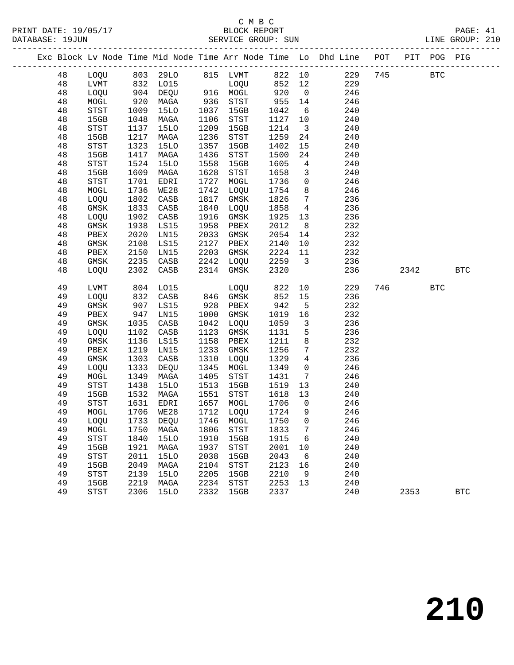PRINT DATE: 19/05/17 BLOCK REPORT PAGE: 41 DATABASE: 19JUN

## C M B C<br>BLOCK REPORT

|  | DATABASE: 19JUN |      |      | SERVICE GROUP: SUN |      |          |      |                 |                                                                                |     |      |            | LINE GROUP: 210 |  |
|--|-----------------|------|------|--------------------|------|----------|------|-----------------|--------------------------------------------------------------------------------|-----|------|------------|-----------------|--|
|  |                 |      |      |                    |      |          |      |                 | Exc Block Lv Node Time Mid Node Time Arr Node Time Lo Dhd Line POT PIT POG PIG |     |      |            |                 |  |
|  | 48              |      |      | LOQU 803 29LO      |      | 815 LVMT |      |                 | 822 10<br>229                                                                  | 745 |      | <b>BTC</b> |                 |  |
|  | 48              | LVMT | 832  | LO15               |      | LOQU     | 852  | 12              | 229                                                                            |     |      |            |                 |  |
|  | 48              | LOQU | 904  | DEQU               | 916  | MOGL     | 920  | $\overline{0}$  | 246                                                                            |     |      |            |                 |  |
|  | 48              | MOGL | 920  | MAGA               | 936  | STST     | 955  | 14              | 246                                                                            |     |      |            |                 |  |
|  | 48              | STST | 1009 | 15LO               | 1037 | 15GB     | 1042 | 6               | 240                                                                            |     |      |            |                 |  |
|  | 48              | 15GB | 1048 | MAGA               | 1106 | STST     | 1127 | 10              | 240                                                                            |     |      |            |                 |  |
|  | 48              | STST | 1137 | 15LO               | 1209 | 15GB     | 1214 | $\overline{3}$  | 240                                                                            |     |      |            |                 |  |
|  | 48              | 15GB | 1217 | MAGA               | 1236 | STST     | 1259 | 24              | 240                                                                            |     |      |            |                 |  |
|  | 48              | STST | 1323 | 15LO               | 1357 | 15GB     | 1402 | 15              | 240                                                                            |     |      |            |                 |  |
|  | 48              | 15GB | 1417 | MAGA               | 1436 | STST     | 1500 | 24              | 240                                                                            |     |      |            |                 |  |
|  | 48              | STST | 1524 | 15LO               | 1558 | 15GB     | 1605 | $\overline{4}$  | 240                                                                            |     |      |            |                 |  |
|  | 48              | 15GB | 1609 | MAGA               | 1628 | STST     | 1658 | $\mathbf{3}$    | 240                                                                            |     |      |            |                 |  |
|  | 48              | STST | 1701 | EDRI               | 1727 | MOGL     | 1736 | $\mathbf 0$     | 246                                                                            |     |      |            |                 |  |
|  | 48              | MOGL | 1736 | WE28               | 1742 | LOQU     | 1754 | 8               | 246                                                                            |     |      |            |                 |  |
|  | 48              | LOQU | 1802 | CASB               | 1817 | GMSK     | 1826 | $7\phantom{.0}$ | 236                                                                            |     |      |            |                 |  |
|  | 48              | GMSK | 1833 | CASB               | 1840 | LOQU     | 1858 | 4               | 236                                                                            |     |      |            |                 |  |
|  | 48              | LOQU | 1902 | CASB               | 1916 | GMSK     | 1925 | 13              | 236                                                                            |     |      |            |                 |  |
|  | 48              | GMSK | 1938 | LS15               | 1958 | PBEX     | 2012 | 8               | 232                                                                            |     |      |            |                 |  |
|  | 48              | PBEX | 2020 | LN15               | 2033 | GMSK     | 2054 | 14              | 232                                                                            |     |      |            |                 |  |
|  | 48              | GMSK | 2108 | LS15               | 2127 | PBEX     | 2140 | 10              | 232                                                                            |     |      |            |                 |  |
|  | 48              | PBEX | 2150 | LN15               | 2203 | GMSK     | 2224 | 11              | 232                                                                            |     |      |            |                 |  |
|  | 48              | GMSK | 2235 | CASB               | 2242 | LOQU     | 2259 | $\overline{3}$  | 236                                                                            |     |      |            |                 |  |
|  | 48              | LOOU | 2302 | CASB               | 2314 | GMSK     | 2320 |                 | 236                                                                            |     | 2342 |            | <b>BTC</b>      |  |

| 48 | PBEX        | 2150 | LN15        | 2203 | <b>GMSK</b> | 2224 | 11             | 232 |     |      |            |            |  |
|----|-------------|------|-------------|------|-------------|------|----------------|-----|-----|------|------------|------------|--|
| 48 | GMSK        | 2235 | CASB        | 2242 | LOQU        | 2259 | 3              | 236 |     |      |            |            |  |
| 48 | LOQU        | 2302 | CASB        | 2314 | GMSK        | 2320 |                | 236 |     | 2342 |            | <b>BTC</b> |  |
|    |             |      |             |      |             |      |                |     |     |      |            |            |  |
| 49 | LVMT        | 804  | L015        |      | LOQU        | 822  | 10             | 229 | 746 |      | <b>BTC</b> |            |  |
| 49 | LOQU        | 832  | CASB        | 846  | GMSK        | 852  | 15             | 236 |     |      |            |            |  |
| 49 | GMSK        | 907  | LS15        | 928  | PBEX        | 942  | 5              | 232 |     |      |            |            |  |
| 49 | PBEX        | 947  | LN15        | 1000 | GMSK        | 1019 | 16             | 232 |     |      |            |            |  |
| 49 | <b>GMSK</b> | 1035 | CASB        | 1042 | LOQU        | 1059 | 3              | 236 |     |      |            |            |  |
| 49 | LOQU        | 1102 | CASB        | 1123 | GMSK        | 1131 | 5              | 236 |     |      |            |            |  |
| 49 | GMSK        | 1136 | LS15        | 1158 | PBEX        | 1211 | 8              | 232 |     |      |            |            |  |
| 49 | PBEX        | 1219 | LN15        | 1233 | <b>GMSK</b> | 1256 | 7              | 232 |     |      |            |            |  |
| 49 | <b>GMSK</b> | 1303 | CASB        | 1310 | LOQU        | 1329 | $\overline{4}$ | 236 |     |      |            |            |  |
| 49 | LOQU        | 1333 | DEQU        | 1345 | MOGL        | 1349 | 0              | 246 |     |      |            |            |  |
| 49 | MOGL        | 1349 | MAGA        | 1405 | STST        | 1431 | 7              | 246 |     |      |            |            |  |
| 49 | STST        | 1438 | <b>15LO</b> | 1513 | 15GB        | 1519 | 13             | 240 |     |      |            |            |  |
| 49 | 15GB        | 1532 | MAGA        | 1551 | STST        | 1618 | 13             | 240 |     |      |            |            |  |
| 49 | <b>STST</b> | 1631 | EDRI        | 1657 | MOGL        | 1706 | 0              | 246 |     |      |            |            |  |
| 49 | MOGL        | 1706 | WE28        | 1712 | LOQU        | 1724 | 9              | 246 |     |      |            |            |  |
| 49 | LOQU        | 1733 | DEQU        | 1746 | MOGL        | 1750 | 0              | 246 |     |      |            |            |  |
| 49 | MOGL        | 1750 | MAGA        | 1806 | STST        | 1833 | 7              | 246 |     |      |            |            |  |
| 49 | STST        | 1840 | 15LO        | 1910 | 15GB        | 1915 | 6              | 240 |     |      |            |            |  |
| 49 | 15GB        | 1921 | MAGA        | 1937 | STST        | 2001 | 10             | 240 |     |      |            |            |  |
| 49 | STST        | 2011 | <b>15LO</b> | 2038 | 15GB        | 2043 | 6              | 240 |     |      |            |            |  |
| 49 | 15GB        | 2049 | MAGA        | 2104 | STST        | 2123 | 16             | 240 |     |      |            |            |  |
| 49 | STST        | 2139 | 15LO        | 2205 | 15GB        | 2210 | 9              | 240 |     |      |            |            |  |
| 49 | 15GB        | 2219 | MAGA        | 2234 | STST        | 2253 | 13             | 240 |     |      |            |            |  |
| 49 | STST        | 2306 | 15LO        | 2332 | 15GB        | 2337 |                | 240 |     | 2353 |            | <b>BTC</b> |  |
|    |             |      |             |      |             |      |                |     |     |      |            |            |  |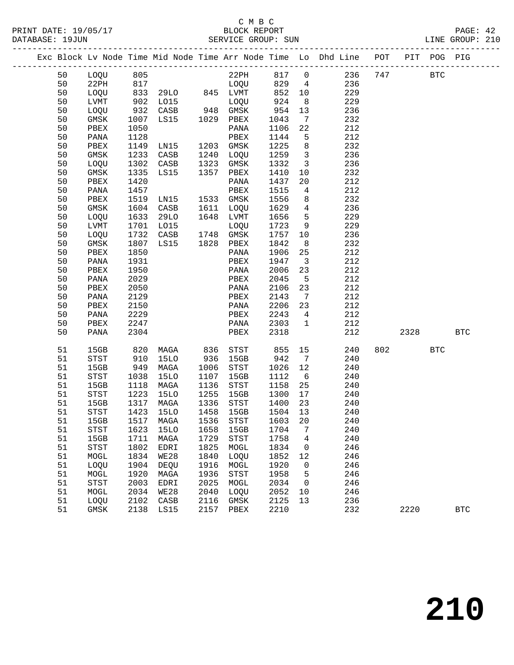### C M B C<br>BLOCK REPORT SERVICE GROUP: SUN

PRINT DATE: 19/05/17 BLOCK REPORT PAGE: 42

|  |    |                                       |      |                                            |      |                               |                     |                         | Exc Block Lv Node Time Mid Node Time Arr Node Time Lo Dhd Line POT PIT POG PIG |     |         |            |            |
|--|----|---------------------------------------|------|--------------------------------------------|------|-------------------------------|---------------------|-------------------------|--------------------------------------------------------------------------------|-----|---------|------------|------------|
|  | 50 | LOQU 805                              |      |                                            |      | 22PH 817 0                    |                     |                         | 236                                                                            | 747 |         | <b>BTC</b> |            |
|  | 50 | 22PH                                  | 817  |                                            |      | LOQU 829 4                    |                     |                         | 236                                                                            |     |         |            |            |
|  | 50 | LOQU                                  |      | 833 29LO 845 LVMT                          |      |                               | 852 10              |                         | 229                                                                            |     |         |            |            |
|  | 50 | LVMT                                  | 902  | L015                                       |      |                               | 924                 | 8 <sup>8</sup>          | 229                                                                            |     |         |            |            |
|  | 50 | LOQU                                  | 932  | CASB                                       |      |                               |                     | 13                      | 236                                                                            |     |         |            |            |
|  | 50 | GMSK                                  |      | 1007 LS15                                  |      | LOQU<br>948 GMSK<br>1029 PBEX | 954<br>1043<br>1043 | $\overline{7}$          | 232                                                                            |     |         |            |            |
|  |    |                                       |      |                                            |      |                               |                     | 22                      | 212                                                                            |     |         |            |            |
|  | 50 | PBEX                                  | 1050 |                                            |      | PANA                          | 1106                |                         |                                                                                |     |         |            |            |
|  | 50 | PANA                                  | 1128 |                                            |      | PBEX                          | 1144                | 5                       | 212                                                                            |     |         |            |            |
|  | 50 | PBEX                                  |      | 1149 LN15 1203 GMSK<br>1233 CASB 1240 LOQU |      |                               | 1225                | 8 <sup>8</sup>          | 232                                                                            |     |         |            |            |
|  | 50 | GMSK                                  |      |                                            |      |                               | 1259                | $\overline{\mathbf{3}}$ | 236                                                                            |     |         |            |            |
|  | 50 | LOQU                                  | 1302 | CASB                                       |      | 1323 GMSK                     | 1332                | $\overline{\mathbf{3}}$ | 236                                                                            |     |         |            |            |
|  | 50 | GMSK                                  | 1335 | LS15                                       |      | 1357 PBEX                     | 1410                | 10                      | 232                                                                            |     |         |            |            |
|  | 50 | PBEX                                  | 1420 |                                            |      | PANA                          | 1437                | 20                      | 212                                                                            |     |         |            |            |
|  | 50 | PANA                                  | 1457 |                                            |      | PBEX                          | 1515                | $\overline{4}$          | 212                                                                            |     |         |            |            |
|  | 50 | PBEX                                  | 1519 | LN15 1533 GMSK                             |      |                               | 1556                | 8 <sup>8</sup>          | 232                                                                            |     |         |            |            |
|  | 50 | GMSK                                  | 1604 | CASB                                       |      | 1611 LOQU                     | 1629                | $\overline{4}$          | 236                                                                            |     |         |            |            |
|  | 50 | LOQU                                  | 1633 | 29LO                                       |      | 1648 LVMT                     | 1656                | $5^{\circ}$             | 229                                                                            |     |         |            |            |
|  | 50 | LVMT                                  |      | 1701 LO15                                  |      | LOQU                          | 1723                | 9                       | 229                                                                            |     |         |            |            |
|  | 50 | LOQU                                  | 1732 | CASB                                       |      | 1748 GMSK                     | 1757                | 10                      | 236                                                                            |     |         |            |            |
|  | 50 | GMSK                                  | 1807 | LS15                                       |      | 1828 PBEX                     | 1842                | 8 <sup>8</sup>          | 232                                                                            |     |         |            |            |
|  | 50 | PBEX                                  | 1850 |                                            |      | PANA                          | 1906                | 25                      | 212                                                                            |     |         |            |            |
|  | 50 | PANA                                  | 1931 |                                            |      | PBEX                          | 1947                | $\overline{\mathbf{3}}$ | 212                                                                            |     |         |            |            |
|  | 50 | PBEX                                  | 1950 |                                            |      | PANA                          | 2006                | 23                      | 212                                                                            |     |         |            |            |
|  | 50 | PANA                                  | 2029 |                                            |      | PBEX                          | 2045                | $5^{\circ}$             | 212                                                                            |     |         |            |            |
|  | 50 | PBEX                                  | 2050 |                                            |      | PANA                          | 2106                | 23                      | 212                                                                            |     |         |            |            |
|  | 50 | PANA                                  | 2129 |                                            |      | PBEX                          | 2143                | $\overline{7}$          | 212                                                                            |     |         |            |            |
|  | 50 | PBEX                                  | 2150 |                                            |      | PANA                          | 2206                | 23                      | 212                                                                            |     |         |            |            |
|  | 50 | PANA                                  | 2229 |                                            |      | PBEX                          | 2243                | $\overline{4}$          | 212                                                                            |     |         |            |            |
|  | 50 | PBEX                                  | 2247 |                                            |      | PANA                          | 2303                | $\overline{1}$          | 212                                                                            |     |         |            |            |
|  | 50 | PANA                                  | 2304 |                                            |      | PBEX                          | 2318                |                         | 212                                                                            |     | 2328    |            | <b>BTC</b> |
|  |    |                                       |      |                                            |      |                               |                     |                         |                                                                                |     |         |            |            |
|  | 51 | 15GB                                  | 820  | MAGA                                       | 836  | STST                          | 855                 | 15                      | 240                                                                            |     | 802 300 | <b>BTC</b> |            |
|  | 51 | STST                                  | 910  | 15LO                                       | 936  | 15GB                          | 942                 | $\overline{7}$          | 240                                                                            |     |         |            |            |
|  | 51 | 15GB                                  | 949  | MAGA                                       | 1006 | STST                          | 1026                | 12                      | 240                                                                            |     |         |            |            |
|  | 51 | STST                                  | 1038 | 15LO                                       | 1107 | 15GB                          | 1112                | 6                       | 240                                                                            |     |         |            |            |
|  | 51 | 15GB                                  | 1118 | MAGA                                       | 1136 | STST                          | 1158                | 25                      | 240                                                                            |     |         |            |            |
|  | 51 | STST                                  | 1223 | 15LO                                       | 1255 | 15GB                          | 1300                | 17                      | 240                                                                            |     |         |            |            |
|  | 51 | 15GB                                  | 1317 | MAGA                                       | 1336 | STST                          | 1400                | 23                      | 240                                                                            |     |         |            |            |
|  | 51 | STST                                  | 1423 | 15LO                                       |      | 1458 15GB                     | 1504 13             |                         | 240                                                                            |     |         |            |            |
|  | 51 | 15GB                                  |      | 1517 MAGA 1536 STST                        |      |                               | 1603 20             |                         | 240                                                                            |     |         |            |            |
|  | 51 | STST                                  | 1623 | 15LO                                       | 1658 | 15GB                          | 1704                | 7                       | 240                                                                            |     |         |            |            |
|  | 51 | 15GB                                  | 1711 | MAGA                                       | 1729 | STST                          | 1758                | $\overline{4}$          | 240                                                                            |     |         |            |            |
|  | 51 | $_{\footnotesize{\textnormal{STST}}}$ | 1802 | EDRI                                       | 1825 | MOGL                          | 1834                | $\mathbf 0$             | 246                                                                            |     |         |            |            |
|  | 51 | MOGL                                  | 1834 | WE28                                       | 1840 | LOQU                          | 1852                | 12                      | 246                                                                            |     |         |            |            |
|  | 51 | LOQU                                  | 1904 | DEQU                                       | 1916 | MOGL                          | 1920                | 0                       | 246                                                                            |     |         |            |            |
|  | 51 | MOGL                                  | 1920 | MAGA                                       | 1936 | STST                          | 1958                | 5                       | 246                                                                            |     |         |            |            |
|  | 51 | STST                                  | 2003 | EDRI                                       | 2025 | MOGL                          | 2034                | $\mathbf 0$             | 246                                                                            |     |         |            |            |
|  | 51 | MOGL                                  | 2034 | WE28                                       | 2040 | LOQU                          | 2052                | 10                      | 246                                                                            |     |         |            |            |
|  | 51 | LOQU                                  | 2102 | CASB                                       | 2116 | GMSK                          | 2125                | 13                      | 236                                                                            |     |         |            |            |
|  | 51 | GMSK                                  | 2138 | LS15                                       | 2157 | ${\tt PBEX}$                  | 2210                |                         | 232                                                                            |     | 2220    |            | <b>BTC</b> |
|  |    |                                       |      |                                            |      |                               |                     |                         |                                                                                |     |         |            |            |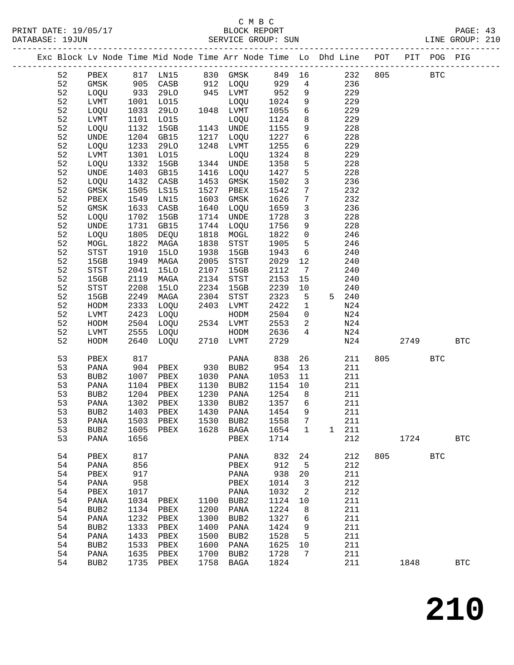#### C M B C<br>BLOCK REPORT PRINT DATE: 19/05/17 BLOCK REPORT PAGE: 43 SERVICE GROUP: SUN

|  |    |                  |            | Exc Block Lv Node Time Mid Node Time Arr Node Time Lo Dhd Line POT PIT POG PIG |      |                  |        |                     |   |     |     |      |            |              |
|--|----|------------------|------------|--------------------------------------------------------------------------------|------|------------------|--------|---------------------|---|-----|-----|------|------------|--------------|
|  | 52 | PBEX             |            | 817 LN15                                                                       |      | 830 GMSK         | 849 16 |                     |   | 232 | 805 |      | <b>BTC</b> |              |
|  | 52 | GMSK             |            | CASB                                                                           |      | 912 LOQU         | 929    | 4                   |   | 236 |     |      |            |              |
|  | 52 | LOQU             | 905<br>933 | 29LO                                                                           |      | 945 LVMT         | 952    | 9                   |   | 229 |     |      |            |              |
|  | 52 | LVMT             | 1001       | L015                                                                           |      | LOQU             | 1024   | 9                   |   | 229 |     |      |            |              |
|  | 52 | LOQU             | 1033       | 29LO                                                                           |      | 1048 LVMT        | 1055   | 6                   |   | 229 |     |      |            |              |
|  | 52 | LVMT             | 1101       | L015                                                                           |      | LOQU             | 1124   | 8                   |   | 229 |     |      |            |              |
|  | 52 | LOQU             | 1132       | 15GB                                                                           |      | 1143 UNDE        | 1155   | 9                   |   | 228 |     |      |            |              |
|  | 52 | UNDE             | 1204       | GB15                                                                           | 1217 | LOQU             | 1227   | 6                   |   | 228 |     |      |            |              |
|  | 52 | LOQU             | 1233       | 29LO                                                                           | 1248 | LVMT             | 1255   | 6                   |   | 229 |     |      |            |              |
|  | 52 | LVMT             | 1301       | L015                                                                           |      | LOQU             | 1324   | 8                   |   | 229 |     |      |            |              |
|  | 52 | LOQU             | 1332       | 15GB                                                                           |      | 1344 UNDE        | 1358   | $5\phantom{.0}$     |   | 228 |     |      |            |              |
|  | 52 | UNDE             | 1403       | GB15                                                                           | 1416 | LOQU             | 1427   | 5                   |   | 228 |     |      |            |              |
|  | 52 | LOQU             | 1432       | CASB                                                                           | 1453 | GMSK             | 1502   | $\mathbf{3}$        |   | 236 |     |      |            |              |
|  | 52 | GMSK             | 1505       | LS15                                                                           | 1527 | PBEX             | 1542   | $7\phantom{.0}$     |   | 232 |     |      |            |              |
|  | 52 | PBEX             | 1549       | LN15                                                                           | 1603 | GMSK             | 1626   | $7\phantom{.0}$     |   | 232 |     |      |            |              |
|  | 52 | $\rm{GMSK}$      | 1633       | CASB                                                                           | 1640 | LOQU             | 1659   | $\mathbf{3}$        |   | 236 |     |      |            |              |
|  | 52 | LOQU             | 1702       | 15GB                                                                           | 1714 | UNDE             | 1728   | $\mathbf{3}$        |   | 228 |     |      |            |              |
|  | 52 | UNDE             | 1731       | GB15                                                                           | 1744 | LOQU             | 1756   | 9                   |   | 228 |     |      |            |              |
|  | 52 | LOQU             | 1805       | DEQU                                                                           | 1818 | MOGL             | 1822   | $\mathsf{O}\xspace$ |   | 246 |     |      |            |              |
|  | 52 | MOGL             | 1822       | MAGA                                                                           | 1838 | STST             | 1905   | 5                   |   | 246 |     |      |            |              |
|  | 52 | <b>STST</b>      | 1910       | <b>15LO</b>                                                                    | 1938 | 15GB             | 1943   | 6                   |   | 240 |     |      |            |              |
|  | 52 | 15GB             | 1949       | MAGA                                                                           | 2005 | STST             | 2029   | 12                  |   | 240 |     |      |            |              |
|  | 52 | STST             | 2041       | <b>15LO</b>                                                                    | 2107 | 15GB             | 2112   | $7\phantom{.0}\,$   |   | 240 |     |      |            |              |
|  | 52 | 15GB             | 2119       | MAGA                                                                           | 2134 | STST             | 2153   | 15                  |   | 240 |     |      |            |              |
|  | 52 | STST             | 2208       | <b>15LO</b>                                                                    | 2234 | 15GB             | 2239   | $10 \,$             |   | 240 |     |      |            |              |
|  | 52 | 15GB             | 2249       | MAGA                                                                           | 2304 | STST             | 2323   | 5                   | 5 | 240 |     |      |            |              |
|  | 52 | HODM             | 2333       | LOQU                                                                           | 2403 | LVMT             | 2422   | $\mathbf{1}$        |   | N24 |     |      |            |              |
|  | 52 | LVMT             | 2423       | LOQU                                                                           |      | HODM             | 2504   | $\mathsf{O}$        |   | N24 |     |      |            |              |
|  | 52 | HODM             | 2504       | LOQU                                                                           |      | 2534 LVMT        | 2553   | 2                   |   | N24 |     |      |            |              |
|  | 52 | LVMT             | 2555       | LOQU                                                                           |      | HODM             | 2636   | $4\overline{ }$     |   | N24 |     |      |            |              |
|  | 52 | HODM             | 2640       | LOQU                                                                           |      | 2710 LVMT        | 2729   |                     |   | N24 |     | 2749 |            | <b>BTC</b>   |
|  |    |                  |            |                                                                                |      |                  |        |                     |   |     |     |      |            |              |
|  | 53 | PBEX             | 817        |                                                                                |      | PANA             | 838    | 26                  |   | 211 | 805 |      | <b>BTC</b> |              |
|  | 53 | PANA             | 904        | PBEX                                                                           | 930  | BUB2             | 954    | 13                  |   | 211 |     |      |            |              |
|  | 53 | BUB <sub>2</sub> | 1007       | PBEX                                                                           | 1030 | PANA             | 1053   | 11                  |   | 211 |     |      |            |              |
|  | 53 | PANA             | 1104       | PBEX                                                                           | 1130 | BUB2             | 1154   | 10                  |   | 211 |     |      |            |              |
|  | 53 | BUB2             | 1204       | PBEX                                                                           | 1230 | PANA             | 1254   | 8 <sup>8</sup>      |   | 211 |     |      |            |              |
|  | 53 | PANA             | 1302       | PBEX                                                                           | 1330 | BUB2             | 1357   | 6                   |   | 211 |     |      |            |              |
|  | 53 | BUB <sub>2</sub> | 1403       | PBEX                                                                           | 1430 | PANA             | 1454   | 9                   |   | 211 |     |      |            |              |
|  | 53 | PANA             |            | 1503 PBEX 1530 BUB2 1558 7                                                     |      |                  |        |                     |   | 211 |     |      |            |              |
|  | 53 | BUB2             | 1605       | PBEX                                                                           | 1628 | BAGA             | 1654   | $\mathbf{1}$        | 1 | 211 |     |      |            |              |
|  | 53 | PANA             | 1656       |                                                                                |      | PBEX             | 1714   |                     |   | 212 |     | 1724 |            | <b>BTC</b>   |
|  | 54 | PBEX             | 817        |                                                                                |      | PANA             | 832    | 24                  |   | 212 | 805 |      | <b>BTC</b> |              |
|  | 54 | PANA             | 856        |                                                                                |      | PBEX             | 912    | 5                   |   | 212 |     |      |            |              |
|  | 54 | PBEX             | 917        |                                                                                |      | PANA             | 938    | 20                  |   | 211 |     |      |            |              |
|  | 54 | PANA             | 958        |                                                                                |      | PBEX             | 1014   | 3                   |   | 212 |     |      |            |              |
|  | 54 | PBEX             | 1017       |                                                                                |      | PANA             | 1032   | 2                   |   | 212 |     |      |            |              |
|  | 54 | PANA             | 1034       | PBEX                                                                           | 1100 | BUB2             | 1124   | 10                  |   | 211 |     |      |            |              |
|  | 54 | BUB <sub>2</sub> | 1134       | PBEX                                                                           | 1200 | PANA             | 1224   | 8                   |   | 211 |     |      |            |              |
|  | 54 | PANA             | 1232       | PBEX                                                                           | 1300 | BUB2             | 1327   | 6                   |   | 211 |     |      |            |              |
|  | 54 | BUB <sub>2</sub> | 1333       | PBEX                                                                           | 1400 | PANA             | 1424   | 9                   |   | 211 |     |      |            |              |
|  | 54 | PANA             | 1433       | PBEX                                                                           | 1500 | BUB2             | 1528   | 5                   |   | 211 |     |      |            |              |
|  | 54 | BUB2             | 1533       | PBEX                                                                           | 1600 | PANA             | 1625   | 10                  |   | 211 |     |      |            |              |
|  | 54 | PANA             | 1635       | PBEX                                                                           | 1700 | BUB <sub>2</sub> | 1728   | 7                   |   | 211 |     |      |            |              |
|  | 54 | BUB2             | 1735       | PBEX                                                                           | 1758 | $_{\rm BAGA}$    | 1824   |                     |   | 211 |     | 1848 |            | $_{\rm BTC}$ |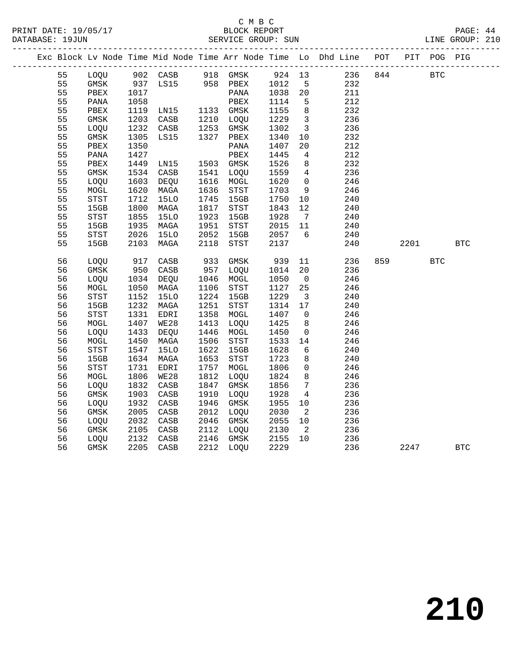|  |    |                                       |      |                                |      |           |        |                         | Exc Block Lv Node Time Mid Node Time Arr Node Time Lo Dhd Line POT |     |      | PIT POG PIG |            |
|--|----|---------------------------------------|------|--------------------------------|------|-----------|--------|-------------------------|--------------------------------------------------------------------|-----|------|-------------|------------|
|  | 55 | LOQU                                  |      | 902 CASB 918 GMSK              |      |           | 924 13 |                         | 236                                                                | 844 |      | <b>BTC</b>  |            |
|  | 55 | GMSK                                  |      | 937 LS15 958 PBEX<br>1017 1017 |      |           | 1012   | $-5$                    | 232                                                                |     |      |             |            |
|  | 55 | PBEX                                  |      |                                |      |           | 1038   | 20                      | 211                                                                |     |      |             |            |
|  | 55 | PANA                                  | 1058 |                                |      | PBEX      | 1114   | 5                       | 212                                                                |     |      |             |            |
|  | 55 | PBEX                                  | 1119 | LNI5                           |      | 1133 GMSK | 1155   | 8                       | 232                                                                |     |      |             |            |
|  | 55 | GMSK                                  | 1203 | CASB                           | 1210 | LOQU      | 1229   | $\overline{\mathbf{3}}$ | 236                                                                |     |      |             |            |
|  | 55 | LOQU                                  | 1232 | CASB                           | 1253 | GMSK      | 1302   | $\overline{\mathbf{3}}$ | 236                                                                |     |      |             |            |
|  | 55 | GMSK                                  | 1305 | LS15                           | 1327 | PBEX      | 1340   | 10                      | 232                                                                |     |      |             |            |
|  | 55 | PBEX                                  | 1350 |                                |      | PANA      | 1407   | 20                      | 212                                                                |     |      |             |            |
|  | 55 | PANA                                  | 1427 |                                |      | PBEX      | 1445   | 4                       | 212                                                                |     |      |             |            |
|  | 55 | PBEX                                  | 1449 | LN15                           |      | 1503 GMSK | 1526   | 8                       | 232                                                                |     |      |             |            |
|  | 55 | GMSK                                  | 1534 | CASB                           | 1541 | LOQU      | 1559   | $\overline{4}$          | 236                                                                |     |      |             |            |
|  | 55 | LOQU                                  | 1603 | DEQU                           | 1616 | MOGL      | 1620   | $\overline{0}$          | 246                                                                |     |      |             |            |
|  | 55 | MOGL                                  | 1620 | MAGA                           | 1636 | STST      | 1703   | 9                       | 246                                                                |     |      |             |            |
|  | 55 | ${\tt STST}$                          | 1712 | <b>15LO</b>                    | 1745 | 15GB      | 1750   | 10                      | 240                                                                |     |      |             |            |
|  | 55 | 15GB                                  | 1800 | MAGA                           | 1817 | STST      | 1843   | 12                      | 240                                                                |     |      |             |            |
|  | 55 | $_{\footnotesize{\textnormal{STST}}}$ | 1855 | <b>15LO</b>                    | 1923 | 15GB      | 1928   | $7\overline{ }$         | 240                                                                |     |      |             |            |
|  | 55 | 15GB                                  | 1935 | MAGA                           | 1951 | STST      | 2015   | 11                      | 240                                                                |     |      |             |            |
|  | 55 | STST                                  | 2026 | <b>15LO</b>                    | 2052 | 15GB      | 2057   | 6                       | 240                                                                |     |      |             |            |
|  | 55 | 15GB                                  | 2103 | MAGA                           | 2118 | STST      | 2137   |                         | 240                                                                |     | 2201 |             | <b>BTC</b> |
|  | 56 | LOQU                                  | 917  | CASB                           | 933  | GMSK      | 939    | 11                      | 236                                                                | 859 |      | <b>BTC</b>  |            |
|  | 56 | GMSK                                  | 950  | CASB                           | 957  | LOQU      | 1014   | 20                      | 236                                                                |     |      |             |            |
|  | 56 | LOQU                                  | 1034 | DEQU                           | 1046 | MOGL      | 1050   | $\overline{0}$          | 246                                                                |     |      |             |            |
|  | 56 | MOGL                                  | 1050 | MAGA                           | 1106 | STST      | 1127   | 25                      | 246                                                                |     |      |             |            |
|  | 56 | $_{\footnotesize{\textnormal{STST}}}$ | 1152 | <b>15LO</b>                    | 1224 | 15GB      | 1229   | $\overline{\mathbf{3}}$ | 240                                                                |     |      |             |            |
|  | 56 | 15GB                                  | 1232 | MAGA                           | 1251 | STST      | 1314   | 17                      | 240                                                                |     |      |             |            |
|  | 56 | STST                                  | 1331 | EDRI                           | 1358 | MOGL      | 1407   | $\overline{0}$          | 246                                                                |     |      |             |            |
|  | 56 | MOGL                                  | 1407 | WE28                           | 1413 | LOQU      | 1425   | 8                       | 246                                                                |     |      |             |            |
|  | 56 | <b>LOOU</b>                           | 1433 | DEQU                           | 1446 | MOGL      | 1450   | 0                       | 246                                                                |     |      |             |            |
|  | 56 | $\tt MOGL$                            | 1450 | MAGA                           | 1506 | STST      | 1533   | 14                      | 246                                                                |     |      |             |            |
|  | 56 | STST                                  | 1547 | <b>15LO</b>                    | 1622 | 15GB      | 1628   | 6                       | 240                                                                |     |      |             |            |
|  | 56 | 15GB                                  | 1634 | MAGA                           | 1653 | STST      | 1723   | 8                       | 240                                                                |     |      |             |            |
|  | 56 | <b>STST</b>                           | 1731 | EDRI                           | 1757 | MOGL      | 1806   | $\mathbf 0$             | 246                                                                |     |      |             |            |
|  | 56 | $\tt MOGL$                            | 1806 | WE28                           | 1812 | LOQU      | 1824   | 8                       | 246                                                                |     |      |             |            |
|  | 56 | LOQU                                  | 1832 | CASB                           | 1847 | GMSK      | 1856   | $7\phantom{.0}$         | 236                                                                |     |      |             |            |
|  | 56 | GMSK                                  | 1903 | CASB                           | 1910 | LOQU      | 1928   | $\overline{4}$          | 236                                                                |     |      |             |            |
|  | 56 | LOQU                                  | 1932 | CASB                           | 1946 | GMSK      | 1955   | 10                      | 236                                                                |     |      |             |            |
|  | 56 | GMSK                                  | 2005 | CASB                           | 2012 | LOQU      | 2030   | $\overline{2}$          | 236                                                                |     |      |             |            |
|  | 56 | LOQU                                  | 2032 | CASB                           | 2046 | GMSK      | 2055   | 10                      | 236                                                                |     |      |             |            |
|  | 56 | GMSK                                  | 2105 | CASB                           | 2112 | LOQU      | 2130   | $\overline{2}$          | 236                                                                |     |      |             |            |
|  | 56 | LOQU                                  | 2132 | CASB                           | 2146 | GMSK      | 2155   | 10                      | 236                                                                |     |      |             |            |
|  | 56 | GMSK                                  | 2205 | CASB                           |      | 2212 LOQU | 2229   |                         | 236                                                                |     | 2247 |             | <b>BTC</b> |
|  |    |                                       |      |                                |      |           |        |                         |                                                                    |     |      |             |            |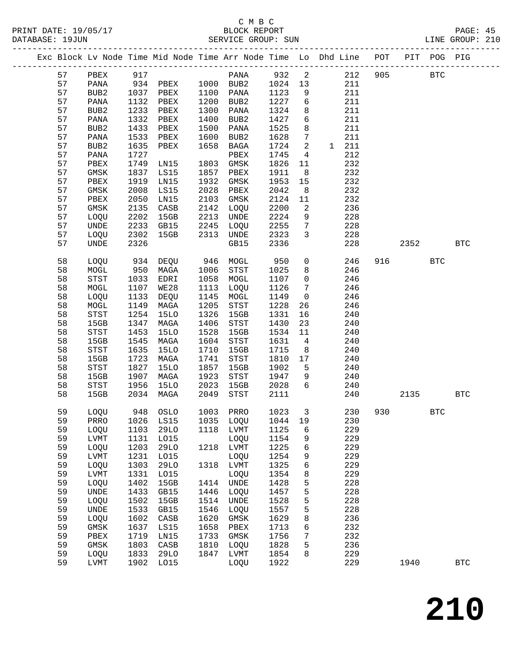## C M B C<br>BLOCK REPORT

| DATABASE: 19JUN |    |                                                                                |      |             |      | SERVICE GROUP: SUN             |      |                 |                 |       |             |         |              | LINE GROUP: 210 |  |
|-----------------|----|--------------------------------------------------------------------------------|------|-------------|------|--------------------------------|------|-----------------|-----------------|-------|-------------|---------|--------------|-----------------|--|
|                 |    | Exc Block Lv Node Time Mid Node Time Arr Node Time Lo Dhd Line POT PIT POG PIG |      |             |      |                                |      |                 |                 |       |             |         |              |                 |  |
|                 | 57 | PBEX 917                                                                       |      |             |      | PANA 932 2                     |      |                 |                 |       | 212 905 BTC |         |              |                 |  |
|                 | 57 | PANA                                                                           |      | 934 PBEX    |      | 1000 BUB2 1024 13              |      |                 |                 | 211   |             |         |              |                 |  |
|                 | 57 | BUB2                                                                           | 1037 | PBEX        |      | 1100 PANA                      | 1123 | 9               |                 | 211   |             |         |              |                 |  |
|                 | 57 | PANA                                                                           | 1132 | PBEX        | 1200 | BUB2                           | 1227 | 6               |                 | 211   |             |         |              |                 |  |
|                 | 57 | BUB2                                                                           | 1233 | PBEX        | 1300 | PANA                           | 1324 | 8               |                 | 211   |             |         |              |                 |  |
|                 | 57 | PANA                                                                           | 1332 | PBEX        | 1400 | BUB2                           | 1427 | 6               |                 | 211   |             |         |              |                 |  |
|                 | 57 | BUB <sub>2</sub>                                                               | 1433 | PBEX        | 1500 | PANA                           | 1525 | 8               |                 | 211   |             |         |              |                 |  |
|                 | 57 | PANA                                                                           | 1533 | PBEX        | 1600 | BUB2                           | 1628 | $7\overline{ }$ |                 | 211   |             |         |              |                 |  |
|                 | 57 | BUB2                                                                           | 1635 | PBEX        | 1658 | BAGA                           | 1724 | $\overline{a}$  |                 | 1 211 |             |         |              |                 |  |
|                 | 57 | PANA                                                                           | 1727 |             |      | PBEX                           | 1745 | $4\overline{ }$ |                 | 212   |             |         |              |                 |  |
|                 | 57 | PBEX                                                                           | 1749 | LN15        | 1803 | GMSK                           | 1826 | 11              |                 | 232   |             |         |              |                 |  |
|                 | 57 | GMSK                                                                           | 1837 | LS15        | 1857 | PBEX                           | 1911 | 8 <sup>8</sup>  |                 | 232   |             |         |              |                 |  |
|                 | 57 | PBEX                                                                           | 1919 | LN15        | 1932 | GMSK                           | 1953 | 15              |                 | 232   |             |         |              |                 |  |
|                 | 57 | GMSK                                                                           | 2008 | LS15        | 2028 | PBEX                           | 2042 | 8 <sup>8</sup>  |                 | 232   |             |         |              |                 |  |
|                 | 57 | PBEX                                                                           | 2050 | LN15        | 2103 | GMSK                           | 2124 | 11              |                 | 232   |             |         |              |                 |  |
|                 | 57 | GMSK                                                                           | 2135 | CASB        | 2142 | LOQU                           | 2200 | 2               |                 | 236   |             |         |              |                 |  |
|                 | 57 | LOQU                                                                           | 2202 | 15GB        | 2213 | UNDE                           | 2224 | 9               |                 | 228   |             |         |              |                 |  |
|                 | 57 | UNDE                                                                           | 2233 | GB15        | 2245 | LOQU                           | 2255 | $7\phantom{.0}$ |                 | 228   |             |         |              |                 |  |
|                 | 57 | LOQU                                                                           | 2302 | 15GB        | 2313 | UNDE                           | 2323 | 3 <sup>7</sup>  |                 | 228   |             |         |              |                 |  |
|                 | 57 | UNDE                                                                           | 2326 |             |      | GB15                           | 2336 |                 |                 | 228   |             |         | 2352         | <b>BTC</b>      |  |
|                 | 58 | LOQU                                                                           | 934  | DEQU        |      | 946 MOGL                       | 950  | $\overline{0}$  |                 | 246   | 916         |         | BTC          |                 |  |
|                 | 58 | MOGL                                                                           | 950  | MAGA        | 1006 | STST                           | 1025 | 8               |                 | 246   |             |         |              |                 |  |
|                 | 58 | STST                                                                           | 1033 | EDRI        | 1058 | MOGL                           | 1107 | $\overline{0}$  |                 | 246   |             |         |              |                 |  |
|                 | 58 | MOGL                                                                           | 1107 | WE28        | 1113 | LOQU                           | 1126 | $7\phantom{.0}$ |                 | 246   |             |         |              |                 |  |
|                 | 58 | LOQU                                                                           | 1133 | DEQU        | 1145 | MOGL                           | 1149 | $\overline{0}$  |                 | 246   |             |         |              |                 |  |
|                 | 58 | MOGL                                                                           | 1149 | MAGA        | 1205 | STST                           | 1228 | 26              |                 | 246   |             |         |              |                 |  |
|                 | 58 | STST                                                                           | 1254 | 15LO        | 1326 | 15GB                           | 1331 | 16              |                 | 240   |             |         |              |                 |  |
|                 | 58 | 15GB                                                                           | 1347 | MAGA        | 1406 | STST                           | 1430 | 23              |                 | 240   |             |         |              |                 |  |
|                 | 58 | STST                                                                           | 1453 | 15LO        | 1528 | 15GB                           | 1534 | 11              |                 | 240   |             |         |              |                 |  |
|                 | 58 | 15GB                                                                           | 1545 | MAGA        |      | 1604 STST                      | 1631 | $\overline{4}$  |                 | 240   |             |         |              |                 |  |
|                 | 58 | STST                                                                           | 1635 | 15LO        | 1710 | 15GB                           | 1715 | 8               |                 | 240   |             |         |              |                 |  |
|                 | 58 | 15GB                                                                           | 1723 | MAGA        | 1741 | STST                           | 1810 | 17              |                 | 240   |             |         |              |                 |  |
|                 | 58 | STST                                                                           | 1827 | 15LO        | 1857 | 15GB                           | 1902 | 5               |                 | 240   |             |         |              |                 |  |
|                 | 58 | 15GB                                                                           | 1907 | MAGA        | 1923 | STST                           | 1947 |                 | 9               | 240   |             |         |              |                 |  |
|                 | 58 | STST                                                                           | 1956 | 15LO        | 2023 | 15GB                           | 2028 |                 | $6\overline{6}$ | 240   |             |         |              |                 |  |
|                 | 58 | 15GB                                                                           | 2034 | MAGA        | 2049 | STST                           | 2111 |                 |                 | 240   |             | 2135    |              | <b>BTC</b>      |  |
|                 | 59 |                                                                                |      |             |      | LOQU 948 OSLO 1003 PRRO 1023 3 |      |                 |                 | 230   |             | 930 000 | $_{\rm BTC}$ |                 |  |
|                 | 59 | PRRO                                                                           | 1026 | LS15        | 1035 | LOQU                           | 1044 | 19              |                 | 230   |             |         |              |                 |  |
|                 | 59 | LOQU                                                                           | 1103 | <b>29LO</b> | 1118 | LVMT                           | 1125 | 6               |                 | 229   |             |         |              |                 |  |
|                 | 59 | LVMT                                                                           | 1131 | L015        |      | LOQU                           | 1154 | 9               |                 | 229   |             |         |              |                 |  |
|                 | 59 | LOQU                                                                           | 1203 | <b>29LO</b> | 1218 | LVMT                           | 1225 | 6               |                 | 229   |             |         |              |                 |  |
|                 | 59 | LVMT                                                                           | 1231 | L015        |      | LOQU                           | 1254 | 9               |                 | 229   |             |         |              |                 |  |
|                 | 59 | LOQU                                                                           | 1303 | <b>29LO</b> | 1318 | LVMT                           | 1325 | 6               |                 | 229   |             |         |              |                 |  |
|                 | 59 | LVMT                                                                           | 1331 | L015        |      | LOQU                           | 1354 | 8               |                 | 229   |             |         |              |                 |  |
|                 | 59 | LOQU                                                                           | 1402 | 15GB        |      | 1414 UNDE                      | 1428 | 5               |                 | 228   |             |         |              |                 |  |
|                 | 59 | UNDE                                                                           | 1433 | GB15        | 1446 | LOQU                           | 1457 | 5               |                 | 228   |             |         |              |                 |  |
|                 | 59 | LOQU                                                                           | 1502 | 15GB        |      | 1514 UNDE                      | 1528 | 5               |                 | 228   |             |         |              |                 |  |

 59 UNDE 1533 GB15 1546 LOQU 1557 5 228 59 LOQU 1602 CASB 1620 GMSK 1629 8 236 59 GMSK 1637 LS15 1658 PBEX 1713 6 232 59 PBEX 1719 LN15 1733 GMSK 1756 7 232 59 GMSK 1803 CASB 1810 LOQU 1828 5 236

59 LOQU 1833 29LO 1847 LVMT 1854 8 229

1940 BTC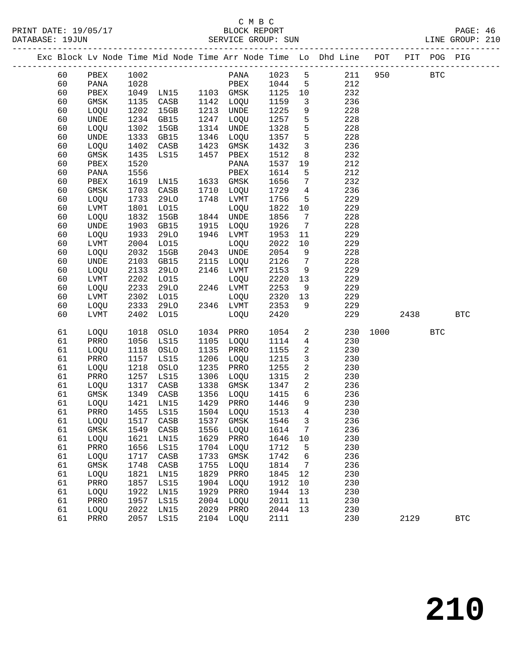|  |    |                              |      | Exc Block Lv Node Time Mid Node Time Arr Node Time Lo Dhd Line POT |      |                  |      |                              |     |      |      | PIT POG PIG |              |
|--|----|------------------------------|------|--------------------------------------------------------------------|------|------------------|------|------------------------------|-----|------|------|-------------|--------------|
|  | 60 | PBEX                         | 1002 |                                                                    |      | PANA             | 1023 | 5                            | 211 | 950  |      | <b>BTC</b>  |              |
|  | 60 | PANA                         | 1028 |                                                                    |      | PBEX             | 1044 | 5                            | 212 |      |      |             |              |
|  | 60 | PBEX                         | 1049 |                                                                    |      |                  | 1125 | 10                           | 232 |      |      |             |              |
|  | 60 | GMSK                         | 1135 | CASB                                                               | 1142 | LOQU             | 1159 | $\overline{3}$               | 236 |      |      |             |              |
|  | 60 | LOQU                         | 1202 | 15GB                                                               | 1213 | UNDE             | 1225 | 9                            | 228 |      |      |             |              |
|  | 60 | <b>UNDE</b>                  | 1234 | GB15                                                               | 1247 | LOQU             | 1257 | 5                            | 228 |      |      |             |              |
|  | 60 | LOQU                         | 1302 | 15GB                                                               | 1314 | UNDE             | 1328 | 5                            | 228 |      |      |             |              |
|  | 60 | UNDE                         | 1333 | GB15                                                               | 1346 | LOQU             | 1357 | 5                            | 228 |      |      |             |              |
|  | 60 | LOQU                         | 1402 | CASB                                                               | 1423 | GMSK             | 1432 | $\mathbf{3}$                 | 236 |      |      |             |              |
|  | 60 | GMSK                         | 1435 | LS15                                                               | 1457 | PBEX             | 1512 | 8                            | 232 |      |      |             |              |
|  | 60 | PBEX                         | 1520 |                                                                    |      | PANA             | 1537 | 19                           | 212 |      |      |             |              |
|  | 60 | PANA                         | 1556 |                                                                    |      | PBEX             | 1614 | 5                            | 212 |      |      |             |              |
|  | 60 | PBEX                         | 1619 | LN15                                                               | 1633 | GMSK             | 1656 | 7                            | 232 |      |      |             |              |
|  | 60 | GMSK                         | 1703 | CASB                                                               | 1710 | LOQU             | 1729 | 4                            | 236 |      |      |             |              |
|  | 60 | LOQU                         | 1733 | 29LO                                                               | 1748 | LVMT             | 1756 | 5                            | 229 |      |      |             |              |
|  | 60 | LVMT                         | 1801 | L015                                                               |      | LOQU             | 1822 | 10                           | 229 |      |      |             |              |
|  | 60 | LOQU                         | 1832 | 15GB                                                               |      | 1844 UNDE        | 1856 | $7\phantom{.0}\phantom{.0}7$ | 228 |      |      |             |              |
|  | 60 | $\ensuremath{\mathsf{UNDE}}$ | 1903 | GB15                                                               | 1915 | LOQU             | 1926 | 7                            | 228 |      |      |             |              |
|  | 60 | LOQU                         | 1933 | 29LO                                                               | 1946 | LVMT             | 1953 | 11                           | 229 |      |      |             |              |
|  | 60 | LVMT                         | 2004 | L015                                                               |      | LOQU             | 2022 | 10                           | 229 |      |      |             |              |
|  | 60 | LOQU                         | 2032 | 15GB                                                               | 2043 | UNDE             | 2054 | 9                            | 228 |      |      |             |              |
|  | 60 | UNDE                         | 2103 | GB15                                                               | 2115 | LOQU             | 2126 | 7                            | 228 |      |      |             |              |
|  | 60 | LOQU                         | 2133 | <b>29LO</b>                                                        | 2146 | LVMT             | 2153 | 9                            | 229 |      |      |             |              |
|  | 60 | LVMT                         | 2202 | L015                                                               |      | LOQU             | 2220 | 13                           | 229 |      |      |             |              |
|  | 60 | LOQU                         | 2233 | 29LO                                                               |      | 2246 LVMT        | 2253 | 9                            | 229 |      |      |             |              |
|  | 60 | LVMT                         | 2302 | L015                                                               |      | LOQU             | 2320 | 13                           | 229 |      |      |             |              |
|  | 60 | LOQU                         | 2333 | 29LO                                                               |      | 2346 LVMT        | 2353 | 9                            | 229 |      |      |             |              |
|  | 60 | <b>LVMT</b>                  | 2402 | L015                                                               |      | LOQU             | 2420 |                              | 229 |      | 2438 |             | <b>BTC</b>   |
|  | 61 | LOQU                         | 1018 | OSLO                                                               |      | 1034 PRRO        | 1054 | $\overline{a}$               | 230 | 1000 |      | <b>BTC</b>  |              |
|  | 61 | PRRO                         | 1056 | LS15                                                               | 1105 | LOQU             | 1114 | $4\overline{ }$              | 230 |      |      |             |              |
|  | 61 | LOQU                         | 1118 | OSLO                                                               | 1135 | PRRO             | 1155 | $\overline{a}$               | 230 |      |      |             |              |
|  | 61 | PRRO                         | 1157 | LS15                                                               | 1206 | LOQU             | 1215 | $\mathbf{3}$                 | 230 |      |      |             |              |
|  | 61 | LOQU                         | 1218 | OSLO                                                               | 1235 | PRRO             | 1255 | $\overline{a}$               | 230 |      |      |             |              |
|  | 61 | PRRO                         | 1257 | LS15                                                               | 1306 | LOQU             | 1315 | $\overline{a}$               | 230 |      |      |             |              |
|  | 61 | LOQU                         | 1317 | CASB                                                               | 1338 | GMSK             | 1347 | $\overline{a}$               | 236 |      |      |             |              |
|  | 61 | GMSK                         | 1349 | CASB                                                               | 1356 | LOQU             | 1415 | 6                            | 236 |      |      |             |              |
|  | 61 | LOQU                         | 1421 | LN15                                                               | 1429 | PRRO             | 1446 | 9                            | 230 |      |      |             |              |
|  | 61 | PRRO                         | 1455 | LS15                                                               |      | 1504 LOQU        | 1513 | $4\overline{ }$              | 230 |      |      |             |              |
|  | 61 | LOQU 1517 CASB               |      |                                                                    |      | 1537 GMSK 1546 3 |      |                              | 236 |      |      |             |              |
|  | 61 | GMSK                         | 1549 | CASB                                                               | 1556 | LOQU             | 1614 | 7                            | 236 |      |      |             |              |
|  | 61 | LOQU                         | 1621 | LN15                                                               | 1629 | PRRO             | 1646 | 10                           | 230 |      |      |             |              |
|  | 61 | PRRO                         | 1656 | LS15                                                               | 1704 | LOQU             | 1712 | 5                            | 230 |      |      |             |              |
|  | 61 | LOQU                         | 1717 | CASB                                                               | 1733 | GMSK             | 1742 | 6                            | 236 |      |      |             |              |
|  | 61 | GMSK                         | 1748 | CASB                                                               | 1755 | LOQU             | 1814 | 7                            | 236 |      |      |             |              |
|  | 61 | LOQU                         | 1821 | LN15                                                               | 1829 | PRRO             | 1845 | 12                           | 230 |      |      |             |              |
|  | 61 | PRRO                         | 1857 | LS15                                                               | 1904 | LOQU             | 1912 | 10                           | 230 |      |      |             |              |
|  | 61 | LOQU                         | 1922 | LN15                                                               | 1929 | PRRO             | 1944 | 13                           | 230 |      |      |             |              |
|  | 61 | PRRO                         | 1957 | LS15                                                               | 2004 | LOQU             | 2011 | 11                           | 230 |      |      |             |              |
|  | 61 | LOQU                         | 2022 | LN15                                                               | 2029 | PRRO             | 2044 | 13                           | 230 |      |      |             |              |
|  | 61 | PRRO                         | 2057 | LS15                                                               | 2104 | LOQU             | 2111 |                              | 230 |      | 2129 |             | $_{\rm BTC}$ |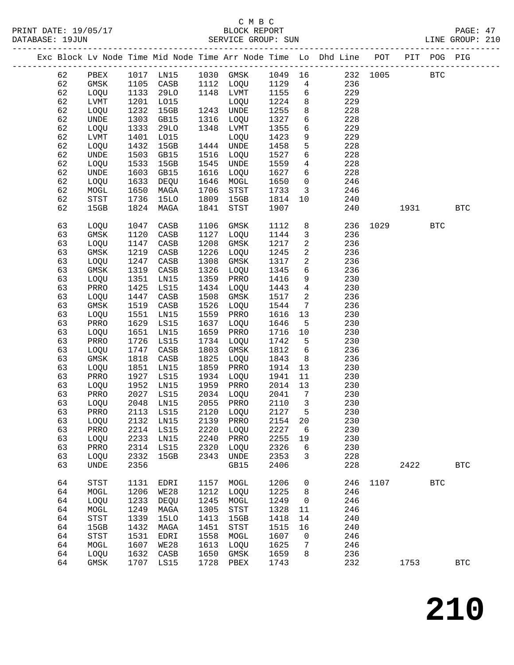#### C M B C<br>BLOCK REPORT SERVICE GROUP: SUN

|  |    |             |      |             |      |                                       |         |                 | Exc Block Lv Node Time Mid Node Time Arr Node Time Lo Dhd Line POT |          |      | PIT POG PIG  |              |
|--|----|-------------|------|-------------|------|---------------------------------------|---------|-----------------|--------------------------------------------------------------------|----------|------|--------------|--------------|
|  | 62 | PBEX        | 1017 | LNI5        |      | 1030 GMSK                             | 1049 16 |                 |                                                                    | 232 1005 |      | <b>BTC</b>   |              |
|  | 62 | $\rm{GMSK}$ | 1105 | CASB        |      | 1112 LOQU                             | 1129    | 4               | 236                                                                |          |      |              |              |
|  | 62 | LOQU        | 1133 | 29LO        | 1148 | LVMT                                  | 1155    | 6               | 229                                                                |          |      |              |              |
|  | 62 | LVMT        | 1201 | L015        |      | LOQU                                  | 1224    | 8               | 229                                                                |          |      |              |              |
|  | 62 | LOQU        | 1232 | 15GB        | 1243 | UNDE                                  | 1255    | 8               | 228                                                                |          |      |              |              |
|  | 62 | <b>UNDE</b> | 1303 | GB15        | 1316 | LOQU                                  | 1327    | 6               | 228                                                                |          |      |              |              |
|  | 62 | LOQU        | 1333 | <b>29LO</b> | 1348 | LVMT                                  | 1355    | 6               | 229                                                                |          |      |              |              |
|  | 62 | LVMT        | 1401 | L015        |      | LOQU                                  | 1423    | 9               | 229                                                                |          |      |              |              |
|  | 62 | LOQU        | 1432 | 15GB        | 1444 | UNDE                                  | 1458    | 5               | 228                                                                |          |      |              |              |
|  | 62 | <b>UNDE</b> | 1503 | GB15        | 1516 | LOQU                                  | 1527    | 6               | 228                                                                |          |      |              |              |
|  | 62 | LOQU        | 1533 | 15GB        | 1545 | UNDE                                  | 1559    | $\overline{4}$  | 228                                                                |          |      |              |              |
|  | 62 | UNDE        | 1603 | GB15        | 1616 | LOQU                                  | 1627    | 6               | 228                                                                |          |      |              |              |
|  | 62 | LOQU        | 1633 | DEQU        | 1646 | MOGL                                  | 1650    | $\mathsf{O}$    | 246                                                                |          |      |              |              |
|  | 62 | MOGL        | 1650 | MAGA        | 1706 | STST                                  | 1733    | $\mathbf{3}$    | 246                                                                |          |      |              |              |
|  | 62 | STST        | 1736 | <b>15LO</b> | 1809 | 15GB                                  | 1814    | 10              | 240                                                                |          |      |              |              |
|  | 62 | 15GB        | 1824 | MAGA        | 1841 | $_{\footnotesize{\textnormal{STST}}}$ | 1907    |                 | 240                                                                |          | 1931 |              | <b>BTC</b>   |
|  |    |             |      |             |      |                                       |         |                 |                                                                    |          |      |              |              |
|  | 63 | LOQU        | 1047 | CASB        | 1106 | GMSK                                  | 1112    | 8               | 236                                                                | 1029     |      | <b>BTC</b>   |              |
|  | 63 | <b>GMSK</b> | 1120 | CASB        | 1127 | LOQU                                  | 1144    | $\mathbf{3}$    | 236                                                                |          |      |              |              |
|  | 63 | LOQU        | 1147 | CASB        | 1208 | GMSK                                  | 1217    | $\overline{a}$  | 236                                                                |          |      |              |              |
|  | 63 | $\rm{GMSK}$ | 1219 | CASB        | 1226 | LOQU                                  | 1245    | 2               | 236                                                                |          |      |              |              |
|  | 63 | LOQU        | 1247 | CASB        | 1308 | GMSK                                  | 1317    | 2               | 236                                                                |          |      |              |              |
|  | 63 | GMSK        | 1319 | CASB        | 1326 | LOQU                                  | 1345    | 6               | 236                                                                |          |      |              |              |
|  | 63 | LOQU        | 1351 | LN15        | 1359 | PRRO                                  | 1416    | 9               | 230                                                                |          |      |              |              |
|  | 63 | PRRO        | 1425 | LS15        | 1434 | LOQU                                  | 1443    | $\overline{4}$  | 230                                                                |          |      |              |              |
|  | 63 | LOQU        | 1447 | CASB        | 1508 | GMSK                                  | 1517    | 2               | 236                                                                |          |      |              |              |
|  | 63 | $\rm{GMSK}$ | 1519 | CASB        | 1526 | LOQU                                  | 1544    | $7\phantom{.0}$ | 236                                                                |          |      |              |              |
|  | 63 | LOQU        | 1551 | LN15        | 1559 | PRRO                                  | 1616    | 13              | 230                                                                |          |      |              |              |
|  | 63 | PRRO        | 1629 | LS15        | 1637 | LOQU                                  | 1646    | 5               | 230                                                                |          |      |              |              |
|  | 63 | LOQU        | 1651 | LN15        | 1659 | PRRO                                  | 1716    | 10              | 230                                                                |          |      |              |              |
|  | 63 | PRRO        | 1726 | LS15        | 1734 | LOQU                                  | 1742    | 5               | 230                                                                |          |      |              |              |
|  | 63 | LOQU        | 1747 | CASB        | 1803 | GMSK                                  | 1812    | 6               | 236                                                                |          |      |              |              |
|  | 63 | $\rm{GMSK}$ | 1818 | CASB        | 1825 | LOQU                                  | 1843    | 8               | 236                                                                |          |      |              |              |
|  | 63 | LOQU        | 1851 | LN15        | 1859 | PRRO                                  | 1914    | 13              | 230                                                                |          |      |              |              |
|  | 63 | PRRO        | 1927 | LS15        | 1934 | LOQU                                  | 1941    | 11              | 230                                                                |          |      |              |              |
|  | 63 | LOQU        | 1952 | LN15        | 1959 | PRRO                                  | 2014    | 13              | 230                                                                |          |      |              |              |
|  | 63 | PRRO        | 2027 | LS15        | 2034 | LOQU                                  | 2041    | $7\phantom{.0}$ | 230                                                                |          |      |              |              |
|  | 63 | LOQU        | 2048 | LN15        | 2055 | PRRO                                  | 2110    | $\mathbf{3}$    | 230                                                                |          |      |              |              |
|  | 63 | PRRO        | 2113 | LS15        | 2120 | LOQU                                  | 2127    | 5               | 230                                                                |          |      |              |              |
|  | 63 | <b>LOQU</b> | 2132 | LN15        | 2139 | PRRO                                  | 2154    | 20              | 230                                                                |          |      |              |              |
|  | 63 | PRRO        | 2214 | LS15        | 2220 | LOQU                                  | 2227    | 6               | 230                                                                |          |      |              |              |
|  | 63 | LOQU        | 2233 | LN15        | 2240 | PRRO                                  | 2255    | 19              | 230                                                                |          |      |              |              |
|  | 63 | PRRO        | 2314 | LS15        | 2320 | LOQU                                  | 2326    | 6               | 230                                                                |          |      |              |              |
|  | 63 | LOQU        | 2332 | 15GB        | 2343 | <b>UNDE</b>                           | 2353    | 3               | 228                                                                |          |      |              |              |
|  | 63 | UNDE        | 2356 |             |      | GB15                                  | 2406    |                 | 228                                                                |          | 2422 |              | $_{\rm BTC}$ |
|  |    |             |      |             |      |                                       |         |                 |                                                                    |          |      |              |              |
|  | 64 | <b>STST</b> | 1131 | EDRI        | 1157 | MOGL                                  | 1206    | 0               | 246                                                                | 1107     |      | $_{\rm BTC}$ |              |
|  | 64 | MOGL        | 1206 | <b>WE28</b> | 1212 | LOQU                                  | 1225    | 8               | 246                                                                |          |      |              |              |
|  | 64 | LOQU        | 1233 | <b>DEQU</b> | 1245 | MOGL                                  | 1249    | 0               | 246                                                                |          |      |              |              |
|  | 64 | MOGL        | 1249 | MAGA        | 1305 | $_{\footnotesize\rm STST}$            | 1328    | 11              | 246                                                                |          |      |              |              |
|  | 64 | STST        | 1339 | <b>15LO</b> | 1413 | 15GB                                  | 1418    | 14              | 240                                                                |          |      |              |              |
|  | 64 | 15GB        | 1432 | MAGA        | 1451 | STST                                  | 1515    | 16              | 240                                                                |          |      |              |              |
|  | 64 | <b>STST</b> | 1531 | EDRI        | 1558 | $\tt MOGL$                            | 1607    | 0               | 246                                                                |          |      |              |              |
|  | 64 | MOGL        | 1607 | <b>WE28</b> | 1613 | LOQU                                  | 1625    | 7               | 246                                                                |          |      |              |              |
|  | 64 | LOQU        | 1632 | CASB        | 1650 | GMSK                                  | 1659    | 8               | 236                                                                |          |      |              |              |
|  | 64 | GMSK        | 1707 | LS15        | 1728 | PBEX                                  | 1743    |                 | 232                                                                |          | 1753 |              | $_{\rm BTC}$ |

**210**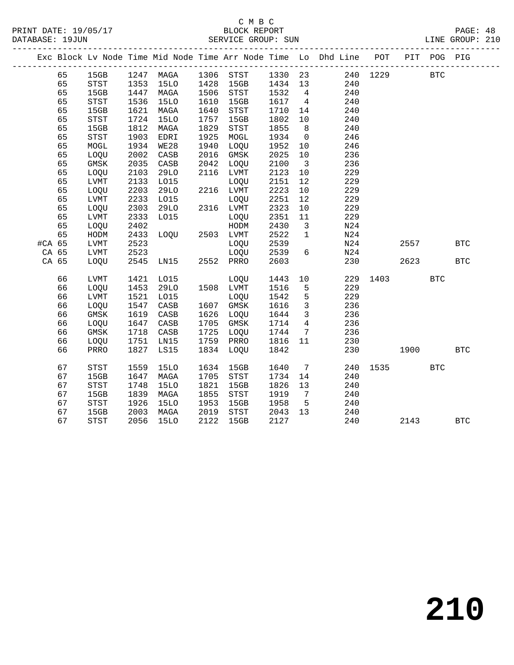### C M B C<br>BLOCK REPORT SERVICE GROUP: SUN

|        |    |             |      |                |      |                                       |         |                         | Exc Block Lv Node Time Mid Node Time Arr Node Time Lo Dhd Line POT |      |      | PIT POG PIG |            |
|--------|----|-------------|------|----------------|------|---------------------------------------|---------|-------------------------|--------------------------------------------------------------------|------|------|-------------|------------|
|        | 65 | 15GB        |      | 1247 MAGA      | 1306 | <b>STST</b>                           | 1330 23 |                         | 240                                                                | 1229 |      | <b>BTC</b>  |            |
|        | 65 | <b>STST</b> | 1353 | 15LO           | 1428 | 15GB                                  | 1434    | 13                      | 240                                                                |      |      |             |            |
|        | 65 | 15GB        | 1447 | MAGA           | 1506 | $_{\footnotesize{\textnormal{STST}}}$ | 1532    | $4\overline{4}$         | 240                                                                |      |      |             |            |
|        | 65 | <b>STST</b> | 1536 | 15LO           | 1610 | 15GB                                  | 1617    | $\overline{4}$          | 240                                                                |      |      |             |            |
|        | 65 | 15GB        | 1621 | MAGA           | 1640 | STST                                  | 1710    | 14                      | 240                                                                |      |      |             |            |
|        | 65 | <b>STST</b> | 1724 | <b>15LO</b>    | 1757 | 15GB                                  | 1802    | 10                      | 240                                                                |      |      |             |            |
|        | 65 | 15GB        | 1812 | MAGA           | 1829 | STST                                  | 1855    | 8                       | 240                                                                |      |      |             |            |
|        | 65 | <b>STST</b> | 1903 | EDRI           | 1925 | MOGL                                  | 1934    | $\overline{0}$          | 246                                                                |      |      |             |            |
|        | 65 | MOGL        | 1934 | WE28           | 1940 | LOQU                                  | 1952    | 10                      | 246                                                                |      |      |             |            |
|        | 65 | LOQU        | 2002 | CASB           | 2016 | GMSK                                  | 2025    | 10                      | 236                                                                |      |      |             |            |
|        | 65 | GMSK        | 2035 | CASB           | 2042 | LOQU                                  | 2100    | $\overline{\mathbf{3}}$ | 236                                                                |      |      |             |            |
|        | 65 | LOQU        | 2103 | 29LO           | 2116 | LVMT                                  | 2123    | 10                      | 229                                                                |      |      |             |            |
|        | 65 | LVMT        | 2133 | L015           |      | LOQU                                  | 2151    | 12                      | 229                                                                |      |      |             |            |
|        | 65 | LOQU        | 2203 | 29LO           |      | 2216 LVMT                             | 2223    | 10                      | 229                                                                |      |      |             |            |
|        | 65 | LVMT        | 2233 | L015           |      | LOQU                                  | 2251    | 12                      | 229                                                                |      |      |             |            |
|        | 65 | LOQU        | 2303 | 29LO           |      | 2316 LVMT                             | 2323    | 10                      | 229                                                                |      |      |             |            |
|        | 65 | LVMT        | 2333 | L015           |      | LOQU                                  | 2351    | 11                      | 229                                                                |      |      |             |            |
|        | 65 | LOQU        | 2402 |                |      | HODM                                  | 2430    | $\mathbf{3}$            | N24                                                                |      |      |             |            |
|        | 65 | HODM        | 2433 | LOQU 2503 LVMT |      |                                       | 2522    | $\mathbf{1}$            | N24                                                                |      |      |             |            |
| #CA 65 |    | LVMT        | 2523 |                |      | LOQU                                  | 2539    |                         | N24                                                                |      | 2557 |             | <b>BTC</b> |
| CA 65  |    | <b>LVMT</b> | 2523 |                |      | LOQU                                  | 2539    | 6                       | N24                                                                |      |      |             |            |
| CA 65  |    | LOQU        | 2545 | LN15           |      | 2552 PRRO                             | 2603    |                         | 230                                                                |      | 2623 |             | <b>BTC</b> |
|        | 66 | <b>LVMT</b> | 1421 | L015           |      | LOOU                                  | 1443    | 10                      | 229                                                                | 1403 |      | <b>BTC</b>  |            |
|        | 66 | LOQU        | 1453 | 29LO           |      | 1508 LVMT                             | 1516    | 5                       | 229                                                                |      |      |             |            |
|        | 66 | LVMT        | 1521 | L015           |      | LOQU                                  | 1542    | 5                       | 229                                                                |      |      |             |            |
|        | 66 | LOQU        | 1547 | CASB           |      | 1607 GMSK                             | 1616    | $\overline{3}$          | 236                                                                |      |      |             |            |
|        | 66 | GMSK        | 1619 | CASB           | 1626 | LOQU                                  | 1644    | $\mathbf{3}$            | 236                                                                |      |      |             |            |
|        | 66 | LOQU        | 1647 | CASB           | 1705 | GMSK                                  | 1714    | $\overline{4}$          | 236                                                                |      |      |             |            |
|        | 66 | GMSK        | 1718 | CASB           | 1725 | LOQU                                  | 1744    | 7                       | 236                                                                |      |      |             |            |
|        | 66 | LOQU        | 1751 | LN15           | 1759 | PRRO                                  | 1816    | 11                      | 230                                                                |      |      |             |            |
|        | 66 | PRRO        | 1827 | <b>LS15</b>    | 1834 | LOQU                                  | 1842    |                         | 230                                                                |      | 1900 |             | <b>BTC</b> |
|        | 67 | <b>STST</b> | 1559 | <b>15LO</b>    | 1634 | 15GB                                  | 1640    | $7\overline{ }$         | 240                                                                | 1535 |      | <b>BTC</b>  |            |
|        | 67 | 15GB        | 1647 | MAGA           | 1705 | STST                                  | 1734    | 14                      | 240                                                                |      |      |             |            |
|        | 67 | <b>STST</b> | 1748 | 15LO           | 1821 | 15GB                                  | 1826    | 13                      | 240                                                                |      |      |             |            |
|        | 67 | 15GB        | 1839 | MAGA           | 1855 | STST                                  | 1919    | $7\overline{ }$         | 240                                                                |      |      |             |            |
|        | 67 | <b>STST</b> | 1926 | <b>15LO</b>    | 1953 | 15GB                                  | 1958    | 5                       | 240                                                                |      |      |             |            |
|        |    |             |      |                |      |                                       |         |                         |                                                                    |      |      |             |            |

67 15GB 2003 MAGA 2019 STST 2043 13 240

67 STST 2056 15LO 2122 15GB 2127 240 2143 BTC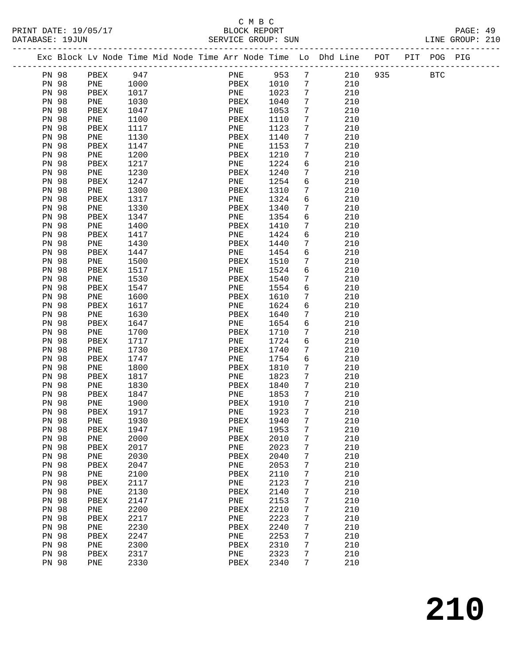|                |       |             |              |  |             |      |              |                 |            | Exc Block Lv Node Time Mid Node Time Arr Node Time Lo Dhd Line POT PIT POG PIG |            |  |
|----------------|-------|-------------|--------------|--|-------------|------|--------------|-----------------|------------|--------------------------------------------------------------------------------|------------|--|
| PN 98          |       | PBEX        | 947          |  |             |      | PNE 953      | $7\phantom{.0}$ | 210        | 935                                                                            | <b>BTC</b> |  |
| PN 98          |       | PNE         | 1000         |  | PBEX        |      | 1010         | 7               | 210        |                                                                                |            |  |
| PN 98          |       | PBEX        | 1017         |  | PNE         |      | 1023         | 7               | 210        |                                                                                |            |  |
| PN 98          |       | PNE         | 1030         |  | PBEX        |      | 1040         | $7\phantom{.0}$ | 210        |                                                                                |            |  |
| <b>PN 98</b>   |       | PBEX        | 1047         |  | PNE         |      | 1053         | 7               | 210        |                                                                                |            |  |
| PN 98          |       | PNE         | 1100         |  | PBEX        |      | 1110         | 7               | 210        |                                                                                |            |  |
| PN 98          |       | PBEX        | 1117         |  | PNE         |      | 1123         | 7               | 210        |                                                                                |            |  |
| PN 98          |       | PNE         | 1130         |  | PBEX        |      | 1140         | 7               | 210        |                                                                                |            |  |
| <b>PN 98</b>   |       | PBEX        | 1147         |  | PNE         |      | 1153         | 7               | 210        |                                                                                |            |  |
| PN 98          |       | PNE         | 1200         |  | PBEX        |      | 1210         | 7               | 210        |                                                                                |            |  |
| PN 98          |       | PBEX        | 1217         |  | PNE         |      | 1224         | 6               | 210        |                                                                                |            |  |
| PN 98          |       | PNE         | 1230         |  | PBEX        |      | 1240         | 7               | 210        |                                                                                |            |  |
| PN 98          |       | PBEX        | 1247         |  | PNE         |      | 1254         | 6               | 210        |                                                                                |            |  |
| PN 98          |       | PNE         | 1300         |  | PBEX        |      | 1310         | 7               | 210        |                                                                                |            |  |
| PN 98          |       | PBEX        | 1317         |  | PNE         |      | 1324         | 6               | 210        |                                                                                |            |  |
| PN 98          |       | PNE         | 1330         |  | PBEX        |      | 1340         | 7               | 210        |                                                                                |            |  |
| PN 98          |       | PBEX        | 1347         |  | PNE         |      | 1354         | 6               | 210        |                                                                                |            |  |
| PN 98          |       | PNE         | 1400         |  | PBEX        |      | 1410         | 7               | 210        |                                                                                |            |  |
| PN 98          |       | PBEX        | 1417         |  | ${\rm PNE}$ |      | 1424         | 6               | 210        |                                                                                |            |  |
| PN 98          |       | PNE         | 1430         |  | PBEX        |      | 1440         | 7               | 210        |                                                                                |            |  |
| PN 98          |       | PBEX        | 1447         |  | PNE         |      | 1454         | 6               | 210        |                                                                                |            |  |
| <b>PN 98</b>   |       | PNE         | 1500         |  | PBEX        |      | 1510         | 7               | 210        |                                                                                |            |  |
| PN 98          |       | PBEX        | 1517         |  | PNE         |      | 1524         | 6               | 210        |                                                                                |            |  |
| PN 98          |       | PNE         | 1530         |  | PBEX        |      | 1540         | 7               | 210        |                                                                                |            |  |
| PN 98          |       | PBEX        | 1547         |  | PNE         |      | 1554         | 6               | 210        |                                                                                |            |  |
| PN 98          |       | PNE         | 1600         |  | PBEX        |      | 1610         | 7               | 210        |                                                                                |            |  |
| PN 98          |       | PBEX        | 1617         |  | ${\rm PNE}$ |      | 1624         | 6               | 210        |                                                                                |            |  |
| PN 98          |       | PNE         | 1630         |  | PBEX        |      | 1640         | 7               | 210        |                                                                                |            |  |
| PN 98          |       | PBEX        | 1647         |  | PNE         |      | 1654         | 6               | 210        |                                                                                |            |  |
| <b>PN 98</b>   |       | PNE         | 1700         |  | PBEX        |      | 1710         | 7               | 210        |                                                                                |            |  |
| PN 98          |       | PBEX        | 1717         |  | PNE         |      | 1724         | 6               | 210        |                                                                                |            |  |
| PN 98          |       | PNE         | 1730         |  | PBEX        |      | 1740         | 7               | 210        |                                                                                |            |  |
| PN 98          |       | PBEX        | 1747         |  | PNE         |      | 1754         | 6               | 210        |                                                                                |            |  |
| <b>PN 98</b>   |       | PNE         | 1800         |  | PBEX        |      | 1810         | 7               | 210        |                                                                                |            |  |
| PN 98          |       | PBEX        | 1817         |  | ${\rm PNE}$ |      | 1823         | 7               | 210        |                                                                                |            |  |
| PN 98          |       | PNE         | 1830         |  | PBEX        |      | 1840         | 7               | 210        |                                                                                |            |  |
| PN 98          |       | PBEX        | 1847         |  | PNE         |      | 1853         | 7               | 210        |                                                                                |            |  |
|                | PN 98 | PNE         | 1900         |  | PBEX        |      | 1910         | 7               | 210        |                                                                                |            |  |
|                | PN 98 | PBEX        | 1917         |  | PNE         |      | 1923         | 7               | 210        |                                                                                |            |  |
|                | PN 98 | PNE         | 1930         |  |             | PBEX | 1940         | $7\phantom{.0}$ | 210        |                                                                                |            |  |
| PN 98          |       | PBEX        | 1947         |  | PNE         |      | 1953         | 7               | 210        |                                                                                |            |  |
| PN 98          |       | PNE         | 2000         |  | PBEX        |      | 2010<br>2023 | 7               | 210<br>210 |                                                                                |            |  |
| PN 98          |       | PBEX        | 2017<br>2030 |  | PNE         |      | 2040         | 7               | 210        |                                                                                |            |  |
| PN 98<br>PN 98 |       | PNE<br>PBEX | 2047         |  | PBEX<br>PNE |      | 2053         | 7               | 210        |                                                                                |            |  |
| PN 98          |       | PNE         | 2100         |  | PBEX        |      | 2110         | 7<br>7          | 210        |                                                                                |            |  |
| PN 98          |       | PBEX        | 2117         |  | PNE         |      | 2123         | 7               | 210        |                                                                                |            |  |
| PN 98          |       | PNE         | 2130         |  | PBEX        |      | 2140         | 7               | 210        |                                                                                |            |  |
| PN 98          |       | PBEX        | 2147         |  | PNE         |      | 2153         | 7               | 210        |                                                                                |            |  |
| PN 98          |       | ${\tt PNE}$ | 2200         |  | PBEX        |      | 2210         | 7               | 210        |                                                                                |            |  |
| PN 98          |       | PBEX        | 2217         |  | PNE         |      | 2223         | 7               | 210        |                                                                                |            |  |
| PN 98          |       | PNE         | 2230         |  | PBEX        |      | 2240         | 7               | 210        |                                                                                |            |  |
| PN 98          |       | PBEX        | 2247         |  | PNE         |      | 2253         | 7               | 210        |                                                                                |            |  |
| PN 98          |       | PNE         | 2300         |  | PBEX        |      | 2310         | 7               | 210        |                                                                                |            |  |
| PN 98          |       | PBEX        | 2317         |  | PNE         |      | 2323         | 7               | 210        |                                                                                |            |  |
| PN 98          |       | PNE         | 2330         |  | PBEX        |      | 2340         | 7               | 210        |                                                                                |            |  |
|                |       |             |              |  |             |      |              |                 |            |                                                                                |            |  |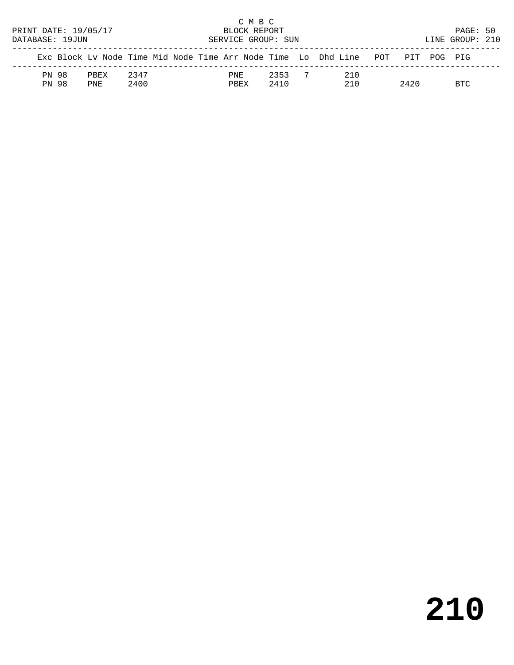|                                                                                |       |      |      |                    |  |  |      | C M B C      |                 |  |     |  |      |          |  |
|--------------------------------------------------------------------------------|-------|------|------|--------------------|--|--|------|--------------|-----------------|--|-----|--|------|----------|--|
| PRINT DATE: 19/05/17                                                           |       |      |      |                    |  |  |      | BLOCK REPORT |                 |  |     |  |      | PAGE: 50 |  |
| DATABASE: 19JUN                                                                |       |      |      | SERVICE GROUP: SUN |  |  |      |              | LINE GROUP: 210 |  |     |  |      |          |  |
| Exc Block Ly Node Time Mid Node Time Arr Node Time Lo Dhd Line POT PIT POG PIG |       |      |      |                    |  |  |      |              |                 |  |     |  |      |          |  |
|                                                                                | PN 98 | PREX | 2347 | 210<br>2353<br>PNE |  |  |      |              |                 |  |     |  |      |          |  |
|                                                                                | PN 98 | PNF. | 2400 |                    |  |  | PBEX |              | 2410            |  | 210 |  | 2420 | RTC      |  |

# **210**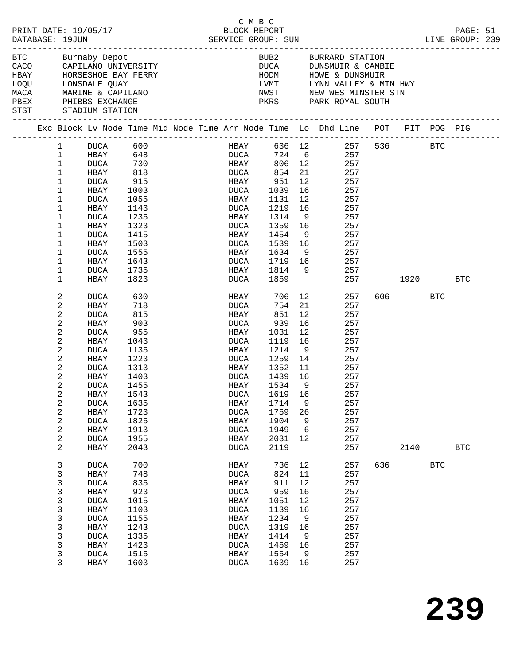|      | PRINT DATE: 19/05/17<br>DATABASE: 19JUN |                                                                                                                                        |                                                                                                                                                                                 |                                                                                                                          |  |  | C M B C<br>BLOCK REPORT                                                                                                      |                                                                                                                                           |                                                                                                                |                                                                  |                                                                                                                              |                    |              | PAGE: 51 |  |
|------|-----------------------------------------|----------------------------------------------------------------------------------------------------------------------------------------|---------------------------------------------------------------------------------------------------------------------------------------------------------------------------------|--------------------------------------------------------------------------------------------------------------------------|--|--|------------------------------------------------------------------------------------------------------------------------------|-------------------------------------------------------------------------------------------------------------------------------------------|----------------------------------------------------------------------------------------------------------------|------------------------------------------------------------------|------------------------------------------------------------------------------------------------------------------------------|--------------------|--------------|----------|--|
| STST |                                         |                                                                                                                                        | BTC Burnaby Depot<br>CACO CAPILANO UNIVERSITY<br>HBAY HORSESHOE BAY FERRY<br>LOQU      LONSDALE QUAY<br>MACA       MARINE & CAPILANO<br>PBEX PHIBBS EXCHANGE<br>STADIUM STATION |                                                                                                                          |  |  |                                                                                                                              | <b>DUCA</b>                                                                                                                               |                                                                                                                | BUB2 BURRARD STATION                                             | DUNSMUIR & CAMBIE<br>HODM HOWE & DUNSMUIR<br>LVMT LYNN VALLEY & MTN HWY<br>NWST NEW WESTMINSTER STN<br>PKRS PARK ROYAL SOUTH |                    |              |          |  |
|      |                                         |                                                                                                                                        |                                                                                                                                                                                 |                                                                                                                          |  |  |                                                                                                                              |                                                                                                                                           |                                                                                                                |                                                                  | Exc Block Lv Node Time Mid Node Time Arr Node Time Lo Dhd Line POT PIT POG PIG                                               |                    |              |          |  |
|      |                                         | $\mathbf{1}$<br>$\mathbf{1}$<br>$\mathbf{1}$<br>$\mathbf 1$<br>1<br>1<br>1<br>1<br>1<br>1<br>1<br>1<br>$\mathbf 1$<br>1<br>1<br>1<br>2 | DUCA 600<br>HBAY<br>DUCA<br>HBAY<br>DUCA<br>HBAY<br>DUCA<br>HBAY<br>DUCA<br>HBAY<br>DUCA<br>HBAY<br>DUCA<br>HBAY<br>DUCA                                                        | 818<br>915<br>1003<br>1055<br>1143<br>1235<br>1323<br>1415<br>1503<br>1555<br>1643<br>1735<br>1823<br>630                |  |  | <b>DUCA</b><br>HBAY<br>DUCA<br>HBAY<br>DUCA<br>HBAY<br>DUCA<br>HBAY<br>DUCA<br>HBAY<br>DUCA<br>HBAY<br>DUCA<br>HBAY          | 854<br>951<br>1039<br>1131<br>1219<br>1314<br>1359<br>1454<br>1539<br>1634<br>1719 16<br>1814 9<br>1859<br>706 12                         | 21<br>12<br>16<br>12<br>16<br>9<br>16<br>9<br>16                                                               | HBAY 636 12 257<br>DUCA 724 6 257<br>HBAY 806 12 257<br>257<br>9 | 257<br>257<br>257<br>257<br>257<br>257<br>257<br>257<br>257<br>257<br>257<br>257 1920<br>257                                 | 536 BTC<br>606 700 | <b>BTC</b>   | BTC      |  |
|      |                                         | 2<br>2<br>2<br>2<br>2<br>2<br>2<br>2<br>2<br>2<br>2<br>2<br>2<br>2<br>2<br>2<br>2                                                      | HBAY<br>DUCA<br>HBAY<br>DUCA<br>HBAY<br>DUCA<br>HBAY<br>DUCA<br>HBAY<br>DUCA<br>HBAY 1543<br><b>DUCA</b><br>HBAY<br><b>DUCA</b><br>HBAY<br><b>DUCA</b><br>HBAY                  | 718<br>815<br>903<br>955<br>1043<br>1135<br>1223<br>1313<br>1403<br>1455<br>1635<br>1723<br>1825<br>1913<br>1955<br>2043 |  |  | DUCA<br>HBAY<br>DUCA<br>HBAY<br>DUCA<br>HBAY<br>DUCA<br>HBAY<br>DUCA<br>HBAY<br>HBAY<br>DUCA<br>HBAY<br>DUCA<br>HBAY<br>DUCA | 754<br>851<br>939<br>1031<br>1119<br>1214<br>1259<br>1352<br>1439<br>1534<br>DUCA 1619 16<br>1714<br>1759<br>1904<br>1949<br>2031<br>2119 | 21<br>12<br>16<br>12<br>16<br>9<br>14<br>11<br>16<br>$\overline{9}$<br>9<br>26<br>- 9<br>$6\overline{6}$<br>12 | 257<br>257                                                       | 257<br>257<br>257<br>257<br>257<br>257<br>257<br>257<br>257<br>257<br>257<br>257<br>257<br>257<br>257                        | 2140               |              | BTC      |  |
|      |                                         | 3<br>3<br>3<br>3<br>3<br>3<br>3<br>$\mathsf 3$<br>3<br>3<br>3<br>3                                                                     | <b>DUCA</b><br><b>HBAY</b><br><b>DUCA</b><br>HBAY<br><b>DUCA</b><br>HBAY<br><b>DUCA</b><br>HBAY<br><b>DUCA</b><br>HBAY<br><b>DUCA</b><br>HBAY                                   | 700<br>748<br>835<br>923<br>1015<br>1103<br>1155<br>1243<br>1335<br>1423<br>1515<br>1603                                 |  |  | HBAY<br><b>DUCA</b><br>HBAY<br><b>DUCA</b><br>HBAY<br>DUCA<br>HBAY<br>DUCA<br>HBAY<br>DUCA<br>HBAY<br>DUCA                   | 736<br>824<br>911<br>959<br>1051<br>1139<br>1234<br>1319<br>1414<br>1459<br>1554<br>1639                                                  | 12<br>11<br>12<br>16<br>12<br>16<br>- 9<br>16<br>9<br>16<br>9<br>16                                            |                                                                  | 257<br>636<br>257<br>257<br>257<br>257<br>257<br>257<br>257<br>257<br>257<br>257<br>257                                      |                    | $_{\rm BTC}$ |          |  |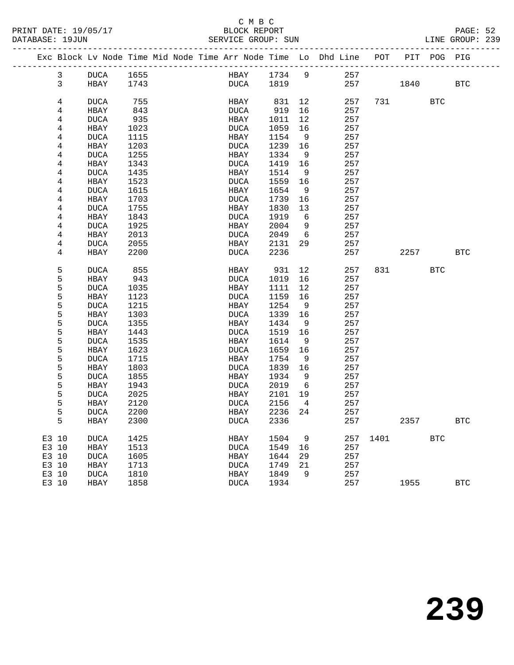|                |        | Exc Block Lv Node Time Mid Node Time Arr Node Time Lo Dhd Line |              |  |              |      |              |                |     | POT      |      | PIT POG PIG |            |
|----------------|--------|----------------------------------------------------------------|--------------|--|--------------|------|--------------|----------------|-----|----------|------|-------------|------------|
|                | 3      | DUCA                                                           | 1655         |  |              | HBAY | 1734         | 9              | 257 |          |      |             |            |
|                | 3      | HBAY                                                           | 1743         |  | DUCA         |      | 1819         |                | 257 |          | 1840 |             | <b>BTC</b> |
|                |        |                                                                |              |  |              |      |              |                |     |          |      |             |            |
|                | 4      | <b>DUCA</b>                                                    | 755          |  | HBAY         |      | 831          | 12             | 257 |          |      | <b>BTC</b>  |            |
|                | 4      | HBAY                                                           | 843          |  | DUCA         |      | 919          | 16             | 257 |          |      |             |            |
|                | 4      | <b>DUCA</b>                                                    | 935          |  | HBAY         |      | 1011         | 12             | 257 |          |      |             |            |
|                | 4      | HBAY                                                           | 1023         |  | DUCA         |      | 1059         | 16             | 257 |          |      |             |            |
|                | 4      | <b>DUCA</b>                                                    | 1115         |  | HBAY         |      | 1154         | - 9            | 257 |          |      |             |            |
|                | 4      | HBAY                                                           | 1203         |  | DUCA         |      | 1239         | 16             | 257 |          |      |             |            |
|                | 4      | <b>DUCA</b>                                                    | 1255         |  | HBAY         |      | 1334         | 9              | 257 |          |      |             |            |
|                | 4      | HBAY                                                           | 1343         |  | DUCA         |      | 1419         | 16             | 257 |          |      |             |            |
|                | 4      | <b>DUCA</b>                                                    | 1435         |  | HBAY         |      | 1514         | 9              | 257 |          |      |             |            |
|                | 4      | HBAY                                                           | 1523         |  | DUCA         |      | 1559         | 16             | 257 |          |      |             |            |
|                | 4      | DUCA                                                           | 1615         |  | HBAY         |      | 1654         | 9              | 257 |          |      |             |            |
|                | 4      | HBAY                                                           | 1703         |  | DUCA         |      | 1739         | 16             | 257 |          |      |             |            |
|                | 4      | <b>DUCA</b>                                                    | 1755         |  | HBAY         |      | 1830         | 13             | 257 |          |      |             |            |
|                | 4      | HBAY                                                           | 1843         |  | DUCA         |      | 1919         | 6              | 257 |          |      |             |            |
|                | 4      | <b>DUCA</b>                                                    | 1925         |  | HBAY         |      | 2004         | 9              | 257 |          |      |             |            |
|                | 4      | HBAY                                                           | 2013         |  | DUCA         |      | 2049         | 6              | 257 |          |      |             |            |
|                | 4      | <b>DUCA</b>                                                    | 2055         |  | HBAY         |      | 2131         | 29             | 257 |          |      |             |            |
|                | 4      | HBAY                                                           | 2200         |  | DUCA         |      | 2236         |                | 257 |          | 2257 |             | <b>BTC</b> |
|                |        |                                                                | 855          |  |              |      |              |                | 257 | 831      |      | <b>BTC</b>  |            |
|                | 5<br>5 | <b>DUCA</b><br>HBAY                                            | 943          |  | HBAY<br>DUCA |      | 931<br>1019  | 12<br>16       | 257 |          |      |             |            |
|                | 5      | <b>DUCA</b>                                                    | 1035         |  | HBAY         |      | 1111         | 12             | 257 |          |      |             |            |
|                | 5      | HBAY                                                           | 1123         |  | DUCA         |      | 1159         | 16             | 257 |          |      |             |            |
|                | 5      | <b>DUCA</b>                                                    | 1215         |  | HBAY         |      | 1254         | 9              | 257 |          |      |             |            |
|                | 5      | HBAY                                                           | 1303         |  | DUCA         |      | 1339         | 16             | 257 |          |      |             |            |
|                | 5      | <b>DUCA</b>                                                    | 1355         |  | HBAY         |      | 1434         | 9              | 257 |          |      |             |            |
|                | 5      | HBAY                                                           | 1443         |  | <b>DUCA</b>  |      | 1519         | 16             | 257 |          |      |             |            |
|                | 5      | <b>DUCA</b>                                                    | 1535         |  | HBAY         |      | 1614         | 9              | 257 |          |      |             |            |
|                | 5      | HBAY                                                           | 1623         |  | DUCA         |      | 1659         | 16             | 257 |          |      |             |            |
|                | 5      | <b>DUCA</b>                                                    | 1715         |  | HBAY         |      | 1754         | 9              | 257 |          |      |             |            |
|                | 5      | HBAY                                                           | 1803         |  | DUCA         |      | 1839         | 16             | 257 |          |      |             |            |
|                | 5      | <b>DUCA</b>                                                    | 1855         |  | HBAY         |      | 1934         | $\overline{9}$ | 257 |          |      |             |            |
|                | 5      | HBAY                                                           | 1943         |  | DUCA         |      | 2019         | 6              | 257 |          |      |             |            |
|                | 5      | <b>DUCA</b>                                                    | 2025         |  | HBAY         |      | 2101         | 19             | 257 |          |      |             |            |
|                | 5      | HBAY                                                           | 2120         |  | DUCA         |      | 2156         | $\overline{4}$ | 257 |          |      |             |            |
|                | 5      | <b>DUCA</b>                                                    | 2200         |  | HBAY         |      | 2236         | 24             | 257 |          |      |             |            |
|                | 5      | HBAY                                                           | 2300         |  | DUCA         |      | 2336         |                | 257 |          | 2357 |             | <b>BTC</b> |
|                |        |                                                                |              |  |              |      |              |                |     |          |      |             |            |
| E3 10<br>E3 10 |        | DUCA                                                           | 1425<br>1513 |  | HBAY         |      | 1504         | 9              | 257 | 257 1401 |      | <b>BTC</b>  |            |
| E3 10          |        | HBAY<br><b>DUCA</b>                                            | 1605         |  | DUCA<br>HBAY |      | 1549<br>1644 | 16<br>29       | 257 |          |      |             |            |
| E3 10          |        | HBAY                                                           | 1713         |  | <b>DUCA</b>  |      | 1749         | 21             | 257 |          |      |             |            |
| E3 10          |        | <b>DUCA</b>                                                    | 1810         |  | HBAY         |      | 1849         | 9              | 257 |          |      |             |            |
| E3 10          |        | HBAY                                                           | 1858         |  | DUCA         |      | 1934         |                | 257 |          | 1955 |             | BTC        |
|                |        |                                                                |              |  |              |      |              |                |     |          |      |             |            |
|                |        |                                                                |              |  |              |      |              |                |     |          |      |             |            |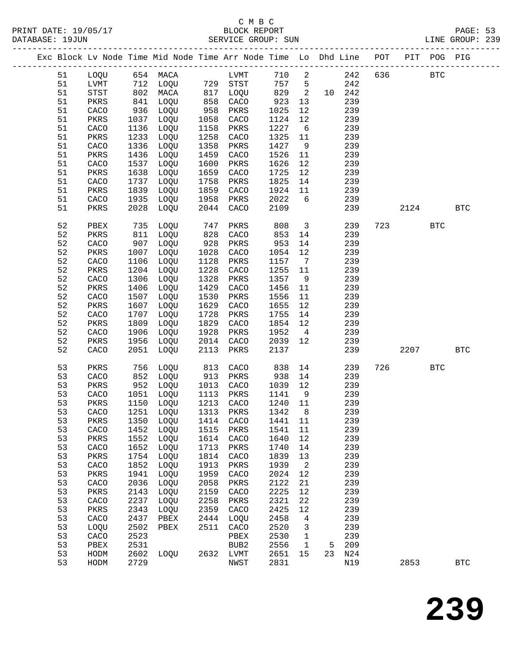## C M B C<br>BLOCK REPORT

|    |      |      | Exc Block Lv Node Time Mid Node Time Arr Node Time Lo Dhd Line POT PIT POG PIG                                          |      |                      |                  |                 |                         |     |         |            |            |  |
|----|------|------|-------------------------------------------------------------------------------------------------------------------------|------|----------------------|------------------|-----------------|-------------------------|-----|---------|------------|------------|--|
| 51 |      |      | 100U 654 MACA 100MT 710 2 242 636 BTC<br>100U 712 100U 729 STST 757 5 242<br>10 242 STST 802 MACA 817 100U 829 2 10 242 |      |                      |                  |                 |                         |     |         |            |            |  |
| 51 |      |      |                                                                                                                         |      |                      |                  |                 |                         |     |         |            |            |  |
| 51 |      |      |                                                                                                                         |      |                      |                  |                 |                         |     |         |            |            |  |
| 51 | PKRS | 841  | LOQU                                                                                                                    |      |                      | 923              | 13              |                         | 239 |         |            |            |  |
| 51 | CACO |      | 936 LOQU                                                                                                                |      | 858 CACO<br>958 PKRS | 1025             | 12              |                         | 239 |         |            |            |  |
| 51 | PKRS |      | 1037 LOQU                                                                                                               | 1058 | CACO                 | 1124             | 12              |                         | 239 |         |            |            |  |
| 51 | CACO |      | 1136 LOQU                                                                                                               | 1158 | PKRS                 | 1227             | $6\overline{6}$ |                         | 239 |         |            |            |  |
| 51 | PKRS | 1233 | LOQU                                                                                                                    | 1258 | CACO                 | 1325             | 11              |                         | 239 |         |            |            |  |
| 51 | CACO | 1336 | LOQU                                                                                                                    | 1358 | PKRS                 | 1427             | 9               |                         | 239 |         |            |            |  |
| 51 | PKRS |      | 1436 LOQU                                                                                                               | 1459 | CACO                 | 1526             | 11              |                         | 239 |         |            |            |  |
| 51 | CACO |      | 1537 LOQU                                                                                                               | 1600 | PKRS                 | 1626             | 12              |                         | 239 |         |            |            |  |
| 51 | PKRS | 1638 | LOQU                                                                                                                    | 1659 | CACO                 | 1725             | 12              |                         | 239 |         |            |            |  |
| 51 | CACO | 1737 | LOQU                                                                                                                    | 1758 | PKRS                 | 1825             | 14              |                         | 239 |         |            |            |  |
| 51 | PKRS |      | 1839 LOQU                                                                                                               | 1859 | CACO                 | 1924             | 11              |                         | 239 |         |            |            |  |
| 51 | CACO |      | 1935 LOQU                                                                                                               | 1958 | PKRS                 | 2022             | 6               |                         | 239 |         |            |            |  |
| 51 | PKRS | 2028 | LOQU                                                                                                                    | 2044 | CACO                 | 2109             |                 |                         | 239 | 2124    |            | <b>BTC</b> |  |
|    |      |      |                                                                                                                         |      |                      |                  |                 |                         |     |         |            |            |  |
| 52 | PBEX |      | 735 LOQU 747                                                                                                            |      | PKRS                 | 808              |                 | $\overline{\mathbf{3}}$ | 239 | 723 BTC |            |            |  |
| 52 | PKRS |      | 811 LOQU                                                                                                                | 828  | CACO                 | 853              | 14              |                         | 239 |         |            |            |  |
| 52 | CACO |      | 907 LOQU                                                                                                                | 928  | PKRS                 | 953              | 14              |                         | 239 |         |            |            |  |
| 52 | PKRS | 1007 | LOQU                                                                                                                    | 1028 | CACO                 | 1054             | 12              |                         | 239 |         |            |            |  |
| 52 | CACO |      | 1106 LOQU                                                                                                               | 1128 | PKRS                 | 1157             | $7\overline{ }$ |                         | 239 |         |            |            |  |
| 52 | PKRS |      | 1204 LOQU                                                                                                               | 1228 | CACO                 | 1255             | 11              |                         | 239 |         |            |            |  |
| 52 | CACO | 1306 | LOQU                                                                                                                    | 1328 | PKRS                 | 1357             | 9               |                         | 239 |         |            |            |  |
| 52 | PKRS | 1406 | LOQU                                                                                                                    | 1429 | CACO                 | 1456             | 11              |                         | 239 |         |            |            |  |
| 52 | CACO |      | 1507 LOQU                                                                                                               | 1530 | PKRS                 | 1556             | 11              |                         | 239 |         |            |            |  |
| 52 | PKRS |      | 1607 LOQU                                                                                                               | 1629 | CACO                 | 1655             | 12              |                         | 239 |         |            |            |  |
| 52 | CACO | 1707 | LOQU                                                                                                                    | 1728 | PKRS                 | 1755             | 14              |                         | 239 |         |            |            |  |
| 52 | PKRS | 1809 | LOQU                                                                                                                    | 1829 | CACO                 | 1854             | 12              |                         | 239 |         |            |            |  |
| 52 | CACO |      | 1906 LOQU                                                                                                               | 1928 | PKRS                 | 1952             | $\overline{4}$  |                         | 239 |         |            |            |  |
| 52 | PKRS |      | 1956 LOQU                                                                                                               | 2014 | CACO                 | 2039 12          |                 |                         | 239 |         |            |            |  |
| 52 | CACO |      | 2051 LOQU                                                                                                               | 2113 | PKRS                 | 2137             |                 |                         | 239 | 2207    |            | <b>BTC</b> |  |
| 53 | PKRS |      | 756    LOQU            813     CACO<br>852    LOQU            913     PKRS                                              |      |                      | 838 14<br>938 14 |                 |                         | 239 | 726     | <b>BTC</b> |            |  |
| 53 | CACO |      |                                                                                                                         |      |                      |                  |                 |                         | 239 |         |            |            |  |
| 53 | PKRS |      | 952 LOQU                                                                                                                |      | 1013 CACO            | 1039 12          |                 |                         | 239 |         |            |            |  |
| 53 | CACO |      | 1051 LOQU                                                                                                               |      | 1113 PKRS            | 1141             | 9               |                         | 239 |         |            |            |  |
| 53 |      |      | PKRS 1150 LOQU 1213 CACO 1240 11                                                                                        |      |                      |                  |                 |                         | 239 |         |            |            |  |
| 53 | CACO | 1251 | LOQU                                                                                                                    | 1313 | PKRS                 | 1342             | 8               |                         | 239 |         |            |            |  |
| 53 | PKRS | 1350 | LOQU                                                                                                                    | 1414 | CACO                 | 1441             | 11              |                         | 239 |         |            |            |  |
| 53 | CACO | 1452 | LOQU                                                                                                                    | 1515 | PKRS                 | 1541             | 11              |                         | 239 |         |            |            |  |
| 53 | PKRS | 1552 | LOQU                                                                                                                    | 1614 | CACO                 | 1640             | 12              |                         | 239 |         |            |            |  |
| 53 | CACO | 1652 | LOQU                                                                                                                    | 1713 | PKRS                 | 1740             | 14              |                         | 239 |         |            |            |  |
| 53 | PKRS | 1754 | LOQU                                                                                                                    | 1814 | CACO                 | 1839             | 13              |                         | 239 |         |            |            |  |
| 53 | CACO | 1852 | LOQU                                                                                                                    | 1913 | PKRS                 | 1939             | 2               |                         | 239 |         |            |            |  |
| 53 | PKRS | 1941 | LOQU                                                                                                                    | 1959 | CACO                 | 2024             | $12$            |                         | 239 |         |            |            |  |
| 53 | CACO | 2036 | LOQU                                                                                                                    | 2058 | PKRS                 | 2122             | 21              |                         | 239 |         |            |            |  |
| 53 | PKRS | 2143 | LOQU                                                                                                                    | 2159 | CACO                 | 2225             | 12              |                         | 239 |         |            |            |  |
| 53 | CACO | 2237 | LOQU                                                                                                                    | 2258 | PKRS                 | 2321             | 22              |                         | 239 |         |            |            |  |
| 53 | PKRS | 2343 | LOQU                                                                                                                    | 2359 | CACO                 | 2425             | 12              |                         | 239 |         |            |            |  |
| 53 | CACO | 2437 | ${\tt PBEX}$                                                                                                            | 2444 | LOQU                 | 2458             | 4               |                         | 239 |         |            |            |  |
| 53 | LOQU | 2502 | PBEX                                                                                                                    | 2511 | ${\tt CACO}$         | 2520             | 3               |                         | 239 |         |            |            |  |
| 53 | CACO | 2523 |                                                                                                                         |      | PBEX                 | 2530             | 1               |                         | 239 |         |            |            |  |
| 53 | PBEX | 2531 |                                                                                                                         |      | BUB2                 | 2556             | $\mathbf{1}$    | 5                       | 209 |         |            |            |  |

53 HODM 2602 LOQU 2632 LVMT 2651 15 23 N24

53 HODM 2729 NWST 2831 N19 2853 BTC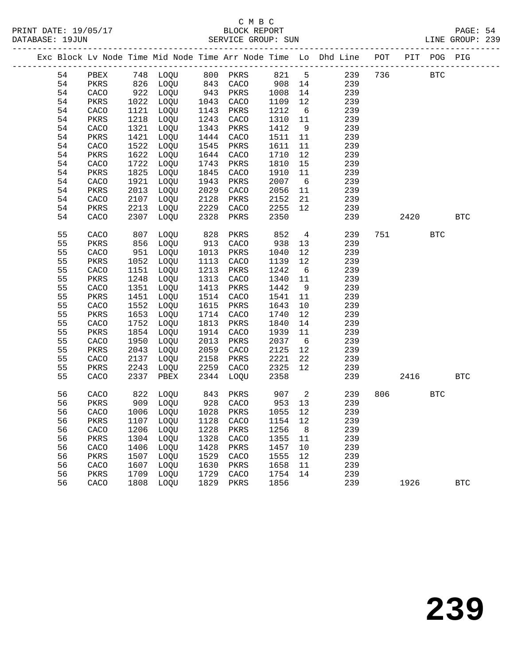|  |          |              |              |                             |              |              |              |                         | Exc Block Lv Node Time Mid Node Time Arr Node Time Lo Dhd Line POT PIT POG PIG |     |            |            |                      |
|--|----------|--------------|--------------|-----------------------------|--------------|--------------|--------------|-------------------------|--------------------------------------------------------------------------------|-----|------------|------------|----------------------|
|  | 54       | PBEX         |              | 748 LOQU 800 PKRS 821 5     |              |              |              |                         | 239                                                                            | 736 | <b>BTC</b> |            |                      |
|  | 54       | PKRS         |              | 826 LOQU 843 CACO           |              |              | 908 14       |                         | 239                                                                            |     |            |            |                      |
|  | 54       | CACO         | 922          | LOQU                        |              | 943 PKRS     | 1008         | 14                      | 239                                                                            |     |            |            |                      |
|  | 54       | PKRS         | 1022         | LOQU                        |              | 1043 CACO    | 1109         | 12                      | 239                                                                            |     |            |            |                      |
|  | 54       | CACO         | 1121         | LOQU                        | 1143         | PKRS         | 1212         | 6                       | 239                                                                            |     |            |            |                      |
|  | 54       | PKRS         | 1218         | LOQU                        | 1243         | CACO         | 1310         | 11                      | 239                                                                            |     |            |            |                      |
|  | 54       | CACO         | 1321         | LOQU                        | 1343         | PKRS         | 1412         | 9                       | 239                                                                            |     |            |            |                      |
|  | 54       | PKRS         | 1421         | LOQU                        | 1444         | CACO         | 1511         | 11                      | 239                                                                            |     |            |            |                      |
|  | 54       | CACO         | 1522         | LOQU                        | 1545         | PKRS         | 1611         | 11                      | 239                                                                            |     |            |            |                      |
|  | 54       | PKRS         | 1622         | LOQU                        | 1644         | CACO         | 1710         | 12                      | 239                                                                            |     |            |            |                      |
|  | 54       | CACO         | 1722         | LOQU                        | 1743         | PKRS         | 1810         | 15                      | 239                                                                            |     |            |            |                      |
|  | 54       | PKRS         | 1825         | LOQU                        | 1845         | CACO         | 1910         | 11                      | 239                                                                            |     |            |            |                      |
|  | 54       | CACO         | 1921         | LOQU                        | 1943         | PKRS         | 2007         | 6                       | 239                                                                            |     |            |            |                      |
|  | 54       | PKRS         | 2013         | LOQU                        | 2029         | CACO         | 2056         | 11                      | 239                                                                            |     |            |            |                      |
|  | 54       | CACO         | 2107         | LOQU                        | 2128         | PKRS         | 2152         | 21                      | 239                                                                            |     |            |            |                      |
|  | 54       | PKRS         | 2213         | LOQU                        | 2229         | CACO         | 2255         | 12                      | 239                                                                            |     |            |            |                      |
|  | 54       | CACO         | 2307         | LOQU                        | 2328         | PKRS         | 2350         |                         | 239                                                                            |     | 2420       |            | $\operatorname{BTC}$ |
|  | 55       | CACO         | 807          | LOQU                        | 828          | PKRS         | 852          |                         | $4\overline{ }$<br>239                                                         |     |            | <b>BTC</b> |                      |
|  | 55       | PKRS         | 856          | LOQU                        | 913          | CACO         | 938          | 13                      | 239                                                                            |     |            |            |                      |
|  | 55       | CACO         | 951          | LOQU                        | 1013         | PKRS         | 1040         | 12                      | 239                                                                            |     |            |            |                      |
|  | 55       | PKRS         | 1052         | LOQU                        | 1113         | CACO         | 1139         | 12                      | 239                                                                            |     |            |            |                      |
|  | 55       | CACO         | 1151         | LOQU                        | 1213         | PKRS         | 1242         | $6\overline{6}$         | 239                                                                            |     |            |            |                      |
|  | 55       | PKRS         | 1248         | LOQU                        | 1313         | CACO         | 1340         | 11                      | 239                                                                            |     |            |            |                      |
|  | 55       | CACO         | 1351         | LOQU                        | 1413         | PKRS         | 1442         | 9                       | 239                                                                            |     |            |            |                      |
|  | 55       | PKRS         | 1451         | LOQU                        |              | 1514 CACO    | 1541         | 11                      | 239                                                                            |     |            |            |                      |
|  | 55       | CACO         | 1552         | LOQU                        | 1615         | PKRS         | 1643         | 10                      | 239                                                                            |     |            |            |                      |
|  | 55       | PKRS         | 1653         | LOQU                        | 1714         | CACO         | 1740         | 12                      | 239                                                                            |     |            |            |                      |
|  | 55       | CACO         | 1752         | LOQU                        | 1813         | PKRS         | 1840         | 14                      | 239                                                                            |     |            |            |                      |
|  | 55       | PKRS         | 1854         | LOQU                        | 1914         | CACO         | 1939         | 11                      | 239                                                                            |     |            |            |                      |
|  | 55       | CACO         | 1950         | LOQU                        | 2013         | PKRS         | 2037         | $6\overline{6}$         | 239                                                                            |     |            |            |                      |
|  | 55       | PKRS         | 2043         | LOQU                        | 2059         | CACO         | 2125         | 12                      | 239                                                                            |     |            |            |                      |
|  | 55       | CACO         | 2137         | LOQU                        | 2158         | PKRS         | 2221<br>2325 | 22<br>12                | 239                                                                            |     |            |            |                      |
|  | 55<br>55 | PKRS<br>CACO | 2243<br>2337 | LOQU<br>PBEX                | 2259<br>2344 | CACO<br>LOQU | 2358         |                         | 239<br>239                                                                     |     | 2416       |            | <b>BTC</b>           |
|  |          |              |              |                             |              |              |              |                         |                                                                                |     |            |            |                      |
|  | 56       | CACO         | 822          | LOQU                        | 843          | PKRS         | 907          | $\overline{\mathbf{c}}$ | 239                                                                            |     | 806 700    | <b>BTC</b> |                      |
|  | 56       | PKRS         |              | 909 LOQU                    |              | 928 CACO     | 953          | 13                      | 239                                                                            |     |            |            |                      |
|  | 56       | CACO         |              | 1006 LOQU                   |              | 1028 PKRS    | 1055 12      |                         | 239                                                                            |     |            |            |                      |
|  | 56       | PKRS         |              | 1107 LOQU 1128 CACO 1154 12 |              |              |              |                         | 239                                                                            |     |            |            |                      |
|  | 56       | CACO         | 1206         | LOQU                        | 1228         | PKRS         | 1256         | 8                       | 239                                                                            |     |            |            |                      |
|  | 56       | PKRS         | 1304         | LOQU                        | 1328         | CACO         | 1355         | 11                      | 239                                                                            |     |            |            |                      |
|  | 56       | CACO         | 1406         | LOQU                        | 1428         | PKRS         | 1457         | 10                      | 239                                                                            |     |            |            |                      |
|  | 56       | PKRS         | 1507         | LOQU                        | 1529         | CACO         | 1555         | 12                      | 239                                                                            |     |            |            |                      |
|  | 56       | CACO         | 1607         | LOQU                        | 1630         | PKRS         | 1658         | 11                      | 239                                                                            |     |            |            |                      |
|  | 56       | PKRS         | 1709         | LOQU                        | 1729         | CACO         | 1754         | 14                      | 239                                                                            |     |            |            |                      |
|  | 56       | CACO         | 1808         | LOQU                        | 1829         | PKRS         | 1856         |                         | 239                                                                            |     | 1926       |            | $_{\rm BTC}$         |